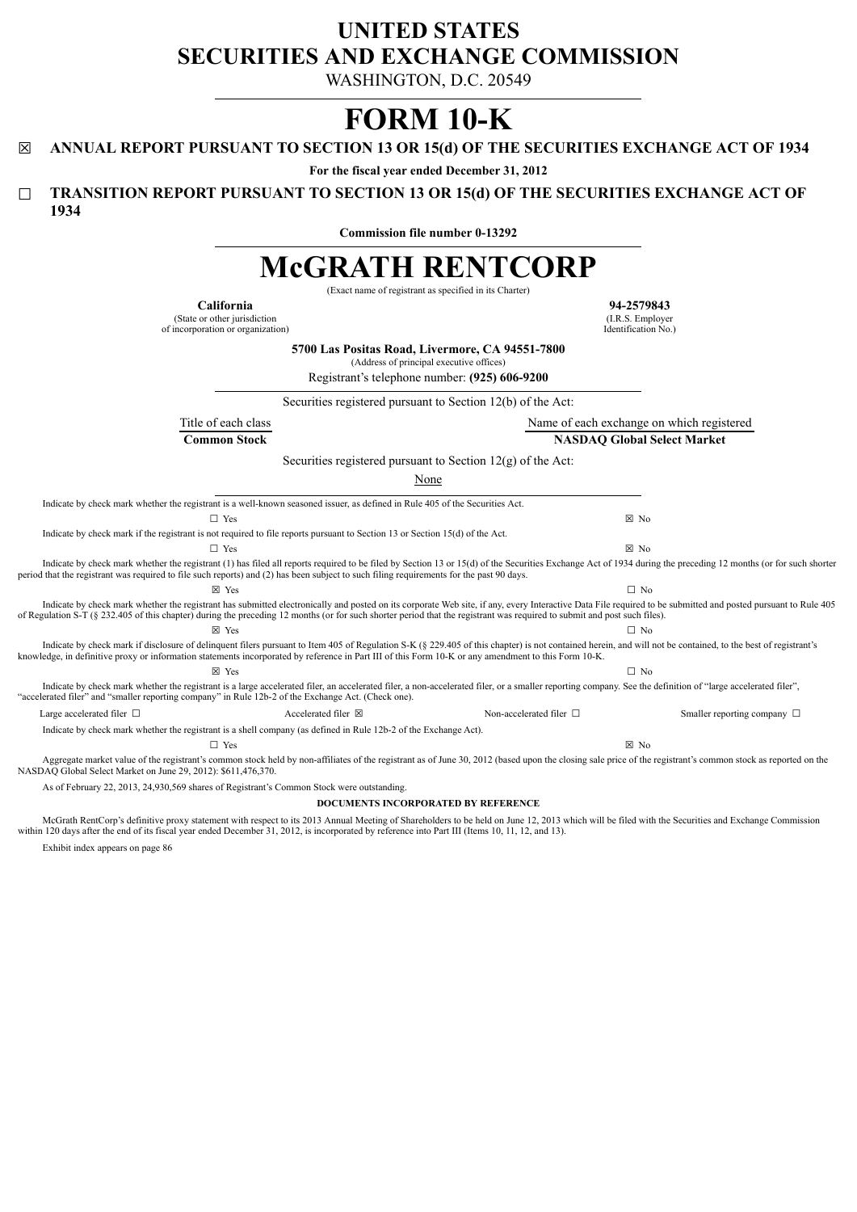## **UNITED STATES SECURITIES AND EXCHANGE COMMISSION**

WASHINGTON, D.C. 20549

# **FORM 10-K**

## ☒ **ANNUAL REPORT PURSUANT TO SECTION 13 OR 15(d) OF THE SECURITIES EXCHANGE ACT OF 1934**

**For the fiscal year ended December 31, 2012**

## ☐ **TRANSITION REPORT PURSUANT TO SECTION 13 OR 15(d) OF THE SECURITIES EXCHANGE ACT OF 1934**

**Commission file number 0-13292**

## **McGRATH RENTCORP**

(Exact name of registrant as specified in its Charter)

(State or other jurisdiction of incorporation or organization)

**California 94-2579843** (I.R.S. Employer Identification No.)

> **5700 Las Positas Road, Livermore, CA 94551-7800** (Address of principal executive offices)

Registrant's telephone number: **(925) 606-9200**

Securities registered pursuant to Section 12(b) of the Act:

Title of each class Name of each exchange on which registered

**Common Stock NASDAQ Global Select Market** 

Securities registered pursuant to Section 12(g) of the Act:

None

| Indicate by check mark whether the registrant is a well-known seasoned issuer, as defined in Rule 405 of the Securities Act.                                                                                                                                                                                                                                                               |                              |                                  |
|--------------------------------------------------------------------------------------------------------------------------------------------------------------------------------------------------------------------------------------------------------------------------------------------------------------------------------------------------------------------------------------------|------------------------------|----------------------------------|
| $\Box$ Yes                                                                                                                                                                                                                                                                                                                                                                                 |                              | $\boxtimes$ No                   |
| Indicate by check mark if the registrant is not required to file reports pursuant to Section 13 or Section 15(d) of the Act.                                                                                                                                                                                                                                                               |                              |                                  |
| $\Box$ Yes                                                                                                                                                                                                                                                                                                                                                                                 |                              | $\boxtimes$ No                   |
| Indicate by check mark whether the registrant (1) has filed all reports required to be filed by Section 13 or 15(d) of the Securities Exchange Act of 1934 during the preceding 12 months (or for such shorter<br>period that the registrant was required to file such reports) and (2) has been subject to such filing requirements for the past 90 days.                                 |                              |                                  |
| $\boxtimes$ Yes                                                                                                                                                                                                                                                                                                                                                                            |                              | $\Box$ No                        |
| Indicate by check mark whether the registrant has submitted electronically and posted on its corporate Web site, if any, every Interactive Data File required to be submitted and posted pursuant to Rule 405<br>of Regulation S-T (§ 232.405 of this chapter) during the preceding 12 months (or for such shorter period that the registrant was required to submit and post such files). |                              |                                  |
| $\boxtimes$ Yes                                                                                                                                                                                                                                                                                                                                                                            |                              | $\Box$ No                        |
| Indicate by check mark if disclosure of delinquent filers pursuant to Item 405 of Regulation S-K (§ 229.405 of this chapter) is not contained herein, and will not be contained, to the best of registrant's<br>knowledge, in definitive proxy or information statements incorporated by reference in Part III of this Form 10-K or any amendment to this Form 10-K.                       |                              |                                  |
| $\boxtimes$ Yes                                                                                                                                                                                                                                                                                                                                                                            |                              | $\square$ No                     |
| Indicate by check mark whether the registrant is a large accelerated filer, an accelerated filer, a non-accelerated filer, or a smaller reporting company. See the definition of "large accelerated filer",<br>"accelerated filer" and "smaller reporting company" in Rule 12b-2 of the Exchange Act. (Check one).                                                                         |                              |                                  |
| Accelerated filer ⊠<br>Large accelerated filer $\Box$                                                                                                                                                                                                                                                                                                                                      | Non-accelerated filer $\Box$ | Smaller reporting company $\Box$ |
| Indicate by check mark whether the registrant is a shell company (as defined in Rule 12b-2 of the Exchange Act).                                                                                                                                                                                                                                                                           |                              |                                  |
| $\Box$ Yes                                                                                                                                                                                                                                                                                                                                                                                 |                              | $\boxtimes$ No                   |
| Aggregate market value of the registrant's common stock held by non-affiliates of the registrant as of June 30, 2012 (based upon the closing sale price of the registrant's common stock as reported on the<br>NASDAQ Global Select Market on June 29, 2012): \$611,476,370.                                                                                                               |                              |                                  |

As of February 22, 2013, 24,930,569 shares of Registrant's Common Stock were outstanding.

#### **DOCUMENTS INCORPORATED BY REFERENCE**

McGrath RentCorp's definitive proxy statement with respect to its 2013 Annual Meeting of Shareholders to be held on June 12, 2013 which will be filed with the Securities and Exchange Commission within 120 days after the end of its fiscal year ended December 31, 2012, is incorporated by reference into Part III (Items 10, 11, 12, and 13).

Exhibit index appears on page 86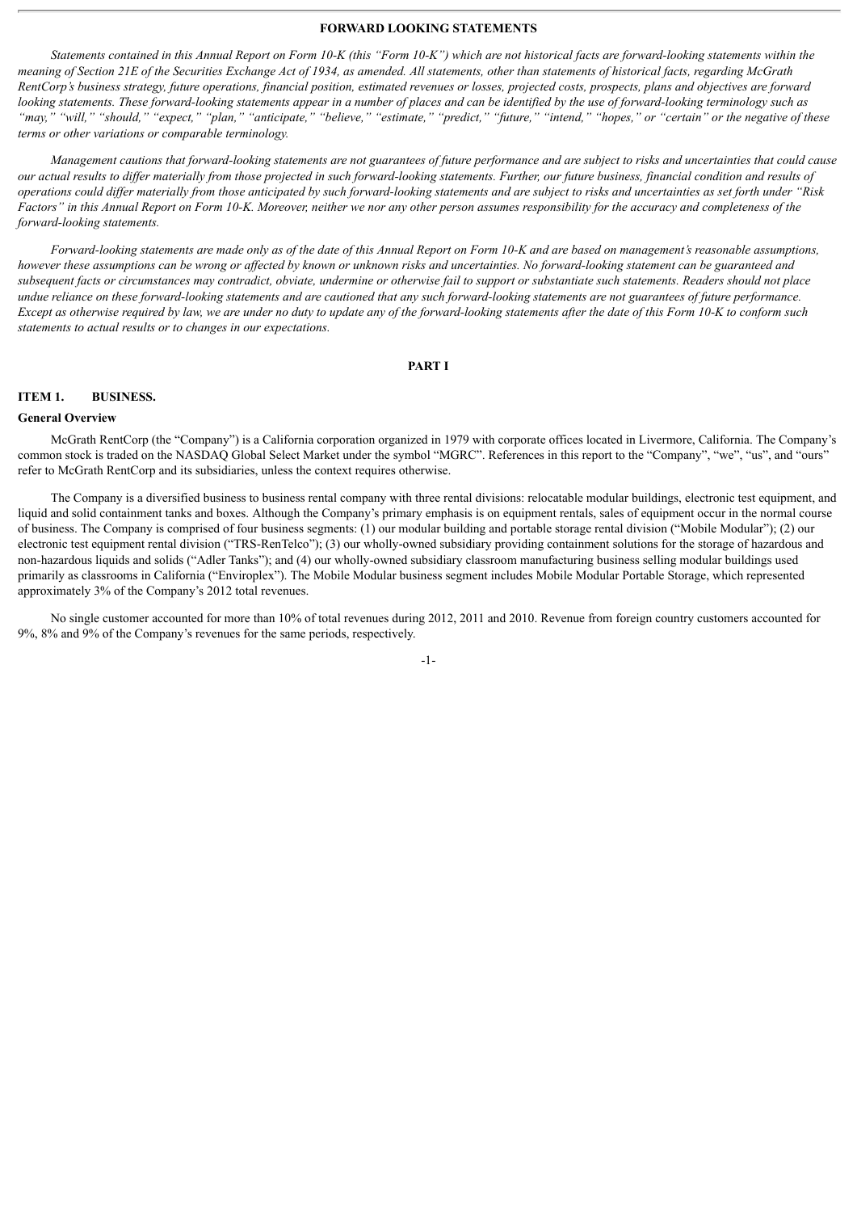#### **FORWARD LOOKING STATEMENTS**

*Statements contained in this Annual Report on Form 10-K (this "Form 10-K") which are not historical facts are forward-looking statements within the meaning of Section 21E of the Securities Exchange Act of 1934, as amended. All statements, other than statements of historical facts, regarding McGrath RentCorp's business strategy, future operations, financial position, estimated revenues or losses, projected costs, prospects, plans and objectives are forward looking statements. These forward-looking statements appear in a number of places and can be identified by the use of forward-looking terminology such as "may," "will," "should," "expect," "plan," "anticipate," "believe," "estimate," "predict," "future," "intend," "hopes," or "certain" or the negative of these terms or other variations or comparable terminology.*

*Management cautions that forward-looking statements are not guarantees of future performance and are subject to risks and uncertainties that could cause our actual results to differ materially from those projected in such forward-looking statements. Further, our future business, financial condition and results of operations could differ materially from those anticipated by such forward-looking statements and are subject to risks and uncertainties as set forth under "Risk Factors" in this Annual Report on Form 10-K. Moreover, neither we nor any other person assumes responsibility for the accuracy and completeness of the forward-looking statements.*

*Forward-looking statements are made only as of the date of this Annual Report on Form 10-K and are based on management's reasonable assumptions, however these assumptions can be wrong or affected by known or unknown risks and uncertainties. No forward-looking statement can be guaranteed and subsequent facts or circumstances may contradict, obviate, undermine or otherwise fail to support or substantiate such statements. Readers should not place undue reliance on these forward-looking statements and are cautioned that any such forward-looking statements are not guarantees of future performance. Except as otherwise required by law, we are under no duty to update any of the forward-looking statements after the date of this Form 10-K to conform such statements to actual results or to changes in our expectations.*

#### **PART I**

## **ITEM 1. BUSINESS.**

#### **General Overview**

McGrath RentCorp (the "Company") is a California corporation organized in 1979 with corporate offices located in Livermore, California. The Company's common stock is traded on the NASDAQ Global Select Market under the symbol "MGRC". References in this report to the "Company", "we", "us", and "ours" refer to McGrath RentCorp and its subsidiaries, unless the context requires otherwise.

The Company is a diversified business to business rental company with three rental divisions: relocatable modular buildings, electronic test equipment, and liquid and solid containment tanks and boxes. Although the Company's primary emphasis is on equipment rentals, sales of equipment occur in the normal course of business. The Company is comprised of four business segments: (1) our modular building and portable storage rental division ("Mobile Modular"); (2) our electronic test equipment rental division ("TRS-RenTelco"); (3) our wholly-owned subsidiary providing containment solutions for the storage of hazardous and non-hazardous liquids and solids ("Adler Tanks"); and (4) our wholly-owned subsidiary classroom manufacturing business selling modular buildings used primarily as classrooms in California ("Enviroplex"). The Mobile Modular business segment includes Mobile Modular Portable Storage, which represented approximately 3% of the Company's 2012 total revenues.

No single customer accounted for more than 10% of total revenues during 2012, 2011 and 2010. Revenue from foreign country customers accounted for 9%, 8% and 9% of the Company's revenues for the same periods, respectively.

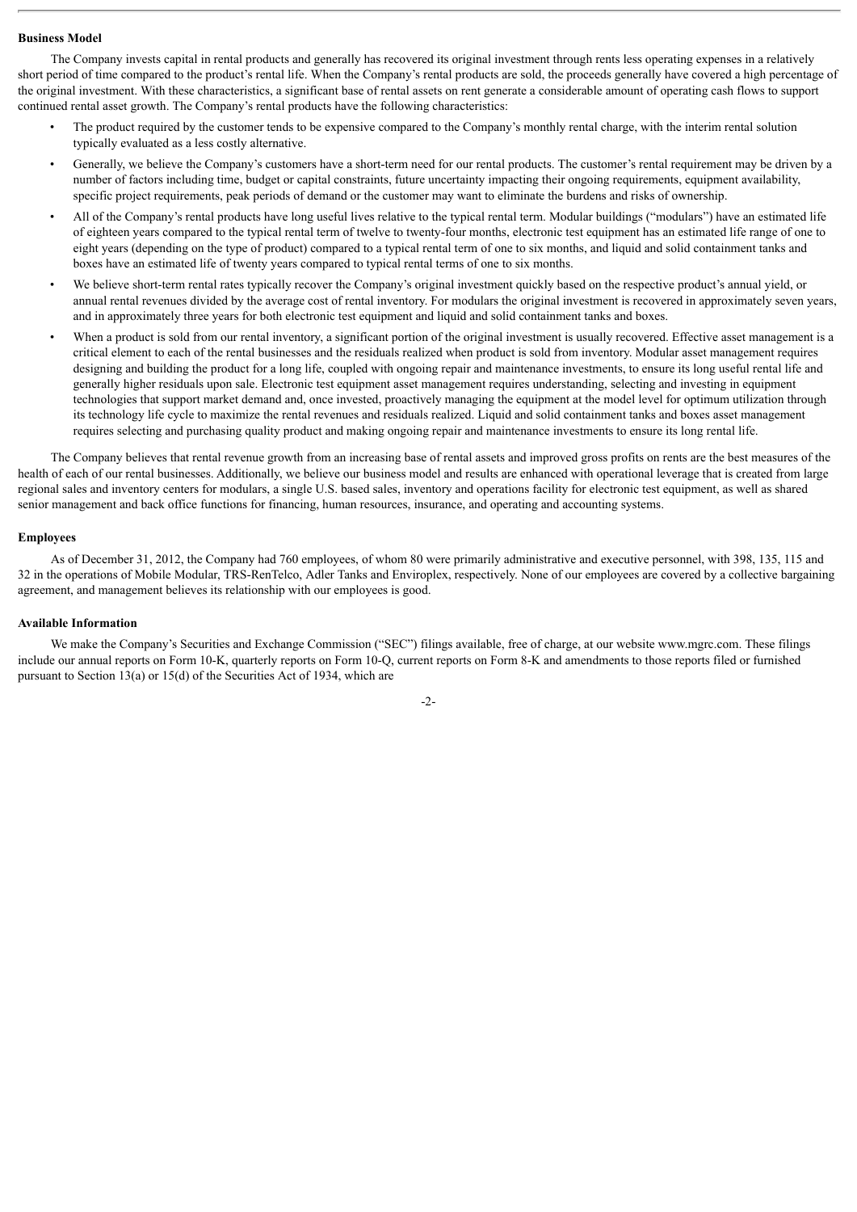#### **Business Model**

The Company invests capital in rental products and generally has recovered its original investment through rents less operating expenses in a relatively short period of time compared to the product's rental life. When the Company's rental products are sold, the proceeds generally have covered a high percentage of the original investment. With these characteristics, a significant base of rental assets on rent generate a considerable amount of operating cash flows to support continued rental asset growth. The Company's rental products have the following characteristics:

- The product required by the customer tends to be expensive compared to the Company's monthly rental charge, with the interim rental solution typically evaluated as a less costly alternative.
- Generally, we believe the Company's customers have a short-term need for our rental products. The customer's rental requirement may be driven by a number of factors including time, budget or capital constraints, future uncertainty impacting their ongoing requirements, equipment availability, specific project requirements, peak periods of demand or the customer may want to eliminate the burdens and risks of ownership.
- All of the Company's rental products have long useful lives relative to the typical rental term. Modular buildings ("modulars") have an estimated life of eighteen years compared to the typical rental term of twelve to twenty-four months, electronic test equipment has an estimated life range of one to eight years (depending on the type of product) compared to a typical rental term of one to six months, and liquid and solid containment tanks and boxes have an estimated life of twenty years compared to typical rental terms of one to six months.
- We believe short-term rental rates typically recover the Company's original investment quickly based on the respective product's annual yield, or annual rental revenues divided by the average cost of rental inventory. For modulars the original investment is recovered in approximately seven years, and in approximately three years for both electronic test equipment and liquid and solid containment tanks and boxes.
- When a product is sold from our rental inventory, a significant portion of the original investment is usually recovered. Effective asset management is a critical element to each of the rental businesses and the residuals realized when product is sold from inventory. Modular asset management requires designing and building the product for a long life, coupled with ongoing repair and maintenance investments, to ensure its long useful rental life and generally higher residuals upon sale. Electronic test equipment asset management requires understanding, selecting and investing in equipment technologies that support market demand and, once invested, proactively managing the equipment at the model level for optimum utilization through its technology life cycle to maximize the rental revenues and residuals realized. Liquid and solid containment tanks and boxes asset management requires selecting and purchasing quality product and making ongoing repair and maintenance investments to ensure its long rental life.

The Company believes that rental revenue growth from an increasing base of rental assets and improved gross profits on rents are the best measures of the health of each of our rental businesses. Additionally, we believe our business model and results are enhanced with operational leverage that is created from large regional sales and inventory centers for modulars, a single U.S. based sales, inventory and operations facility for electronic test equipment, as well as shared senior management and back office functions for financing, human resources, insurance, and operating and accounting systems.

#### **Employees**

As of December 31, 2012, the Company had 760 employees, of whom 80 were primarily administrative and executive personnel, with 398, 135, 115 and 32 in the operations of Mobile Modular, TRS-RenTelco, Adler Tanks and Enviroplex, respectively. None of our employees are covered by a collective bargaining agreement, and management believes its relationship with our employees is good.

#### **Available Information**

We make the Company's Securities and Exchange Commission ("SEC") filings available, free of charge, at our website www.mgrc.com. These filings include our annual reports on Form 10-K, quarterly reports on Form 10-Q, current reports on Form 8-K and amendments to those reports filed or furnished pursuant to Section 13(a) or 15(d) of the Securities Act of 1934, which are

-2-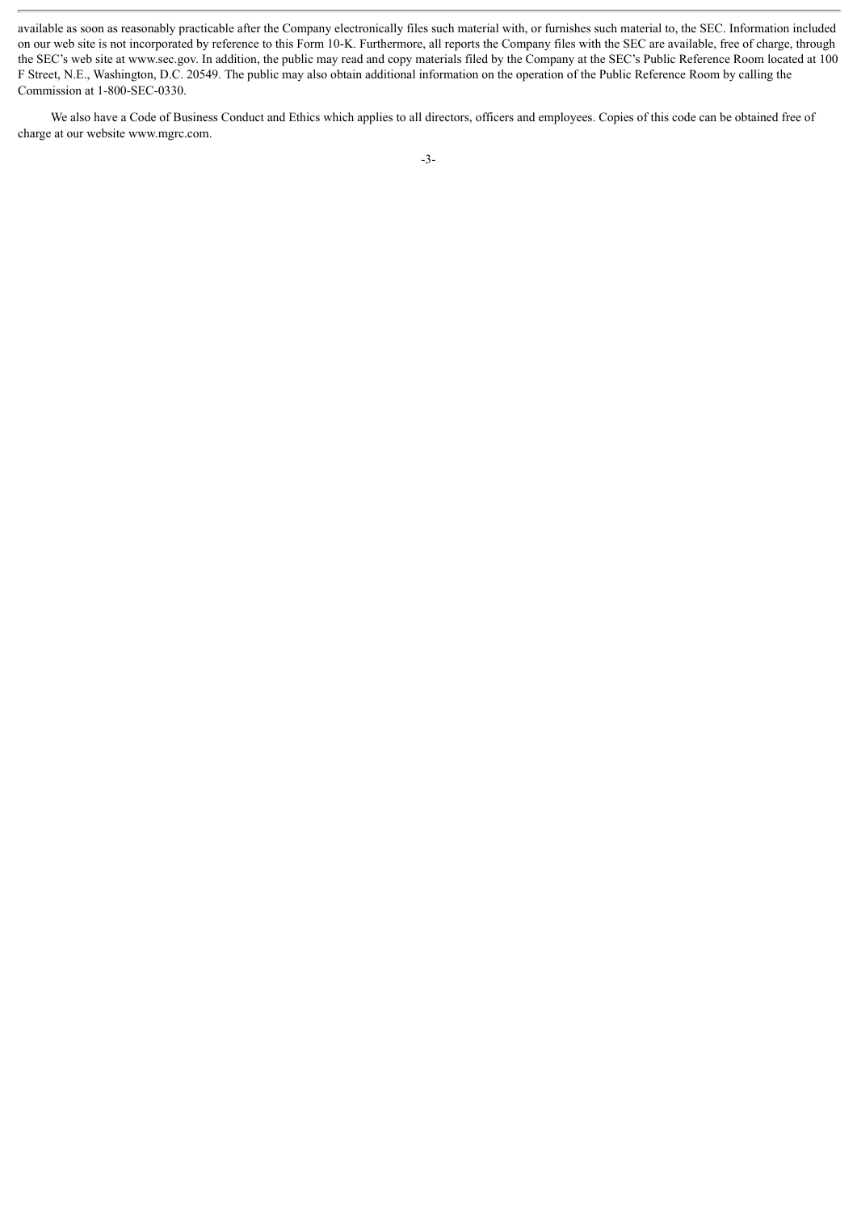available as soon as reasonably practicable after the Company electronically files such material with, or furnishes such material to, the SEC. Information included on our web site is not incorporated by reference to this Form 10-K. Furthermore, all reports the Company files with the SEC are available, free of charge, through the SEC's web site at www.sec.gov. In addition, the public may read and copy materials filed by the Company at the SEC's Public Reference Room located at 100 F Street, N.E., Washington, D.C. 20549. The public may also obtain additional information on the operation of the Public Reference Room by calling the Commission at 1-800-SEC-0330.

We also have a Code of Business Conduct and Ethics which applies to all directors, officers and employees. Copies of this code can be obtained free of charge at our website www.mgrc.com.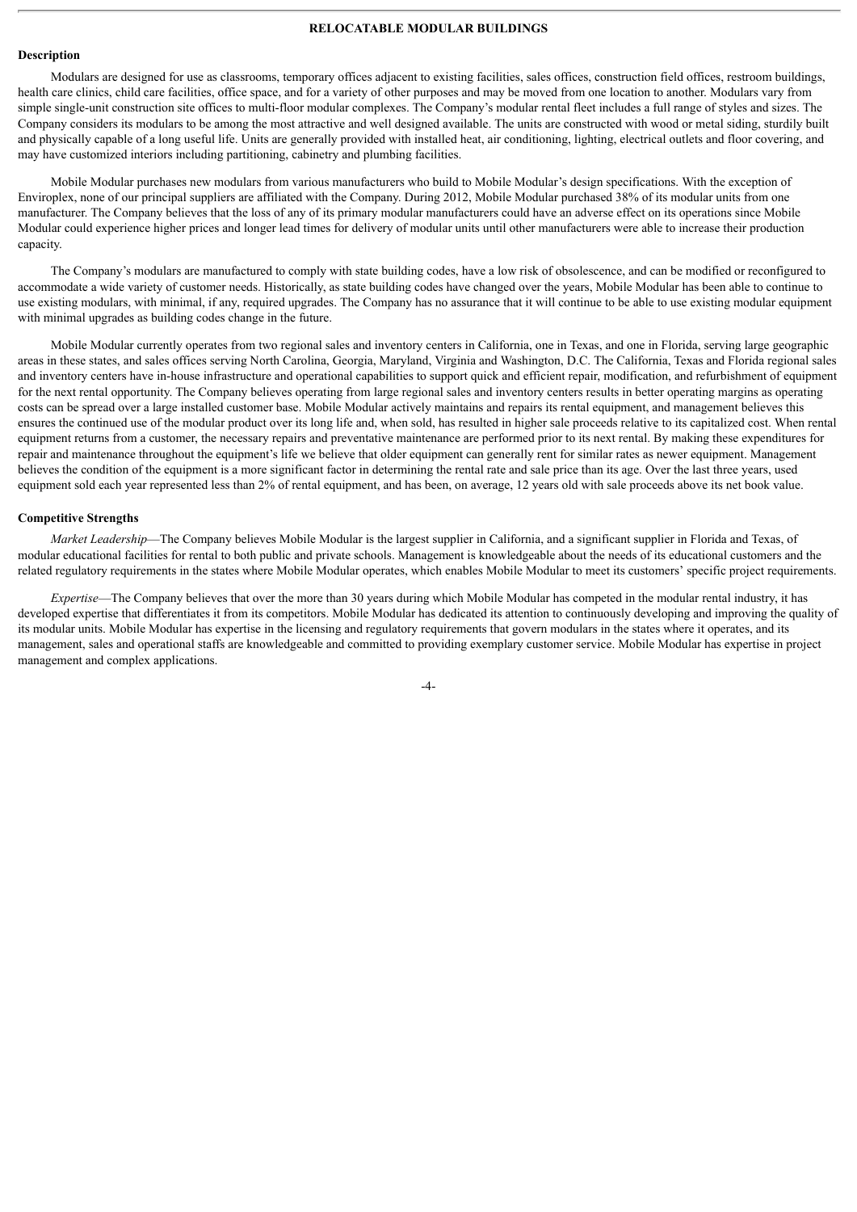#### **RELOCATABLE MODULAR BUILDINGS**

#### **Description**

Modulars are designed for use as classrooms, temporary offices adjacent to existing facilities, sales offices, construction field offices, restroom buildings, health care clinics, child care facilities, office space, and for a variety of other purposes and may be moved from one location to another. Modulars vary from simple single-unit construction site offices to multi-floor modular complexes. The Company's modular rental fleet includes a full range of styles and sizes. The Company considers its modulars to be among the most attractive and well designed available. The units are constructed with wood or metal siding, sturdily built and physically capable of a long useful life. Units are generally provided with installed heat, air conditioning, lighting, electrical outlets and floor covering, and may have customized interiors including partitioning, cabinetry and plumbing facilities.

Mobile Modular purchases new modulars from various manufacturers who build to Mobile Modular's design specifications. With the exception of Enviroplex, none of our principal suppliers are affiliated with the Company. During 2012, Mobile Modular purchased 38% of its modular units from one manufacturer. The Company believes that the loss of any of its primary modular manufacturers could have an adverse effect on its operations since Mobile Modular could experience higher prices and longer lead times for delivery of modular units until other manufacturers were able to increase their production capacity.

The Company's modulars are manufactured to comply with state building codes, have a low risk of obsolescence, and can be modified or reconfigured to accommodate a wide variety of customer needs. Historically, as state building codes have changed over the years, Mobile Modular has been able to continue to use existing modulars, with minimal, if any, required upgrades. The Company has no assurance that it will continue to be able to use existing modular equipment with minimal upgrades as building codes change in the future.

Mobile Modular currently operates from two regional sales and inventory centers in California, one in Texas, and one in Florida, serving large geographic areas in these states, and sales offices serving North Carolina, Georgia, Maryland, Virginia and Washington, D.C. The California, Texas and Florida regional sales and inventory centers have in-house infrastructure and operational capabilities to support quick and efficient repair, modification, and refurbishment of equipment for the next rental opportunity. The Company believes operating from large regional sales and inventory centers results in better operating margins as operating costs can be spread over a large installed customer base. Mobile Modular actively maintains and repairs its rental equipment, and management believes this ensures the continued use of the modular product over its long life and, when sold, has resulted in higher sale proceeds relative to its capitalized cost. When rental equipment returns from a customer, the necessary repairs and preventative maintenance are performed prior to its next rental. By making these expenditures for repair and maintenance throughout the equipment's life we believe that older equipment can generally rent for similar rates as newer equipment. Management believes the condition of the equipment is a more significant factor in determining the rental rate and sale price than its age. Over the last three years, used equipment sold each year represented less than 2% of rental equipment, and has been, on average, 12 years old with sale proceeds above its net book value.

#### **Competitive Strengths**

*Market Leadership*—The Company believes Mobile Modular is the largest supplier in California, and a significant supplier in Florida and Texas, of modular educational facilities for rental to both public and private schools. Management is knowledgeable about the needs of its educational customers and the related regulatory requirements in the states where Mobile Modular operates, which enables Mobile Modular to meet its customers' specific project requirements.

*Expertise*—The Company believes that over the more than 30 years during which Mobile Modular has competed in the modular rental industry, it has developed expertise that differentiates it from its competitors. Mobile Modular has dedicated its attention to continuously developing and improving the quality of its modular units. Mobile Modular has expertise in the licensing and regulatory requirements that govern modulars in the states where it operates, and its management, sales and operational staffs are knowledgeable and committed to providing exemplary customer service. Mobile Modular has expertise in project management and complex applications.

-4-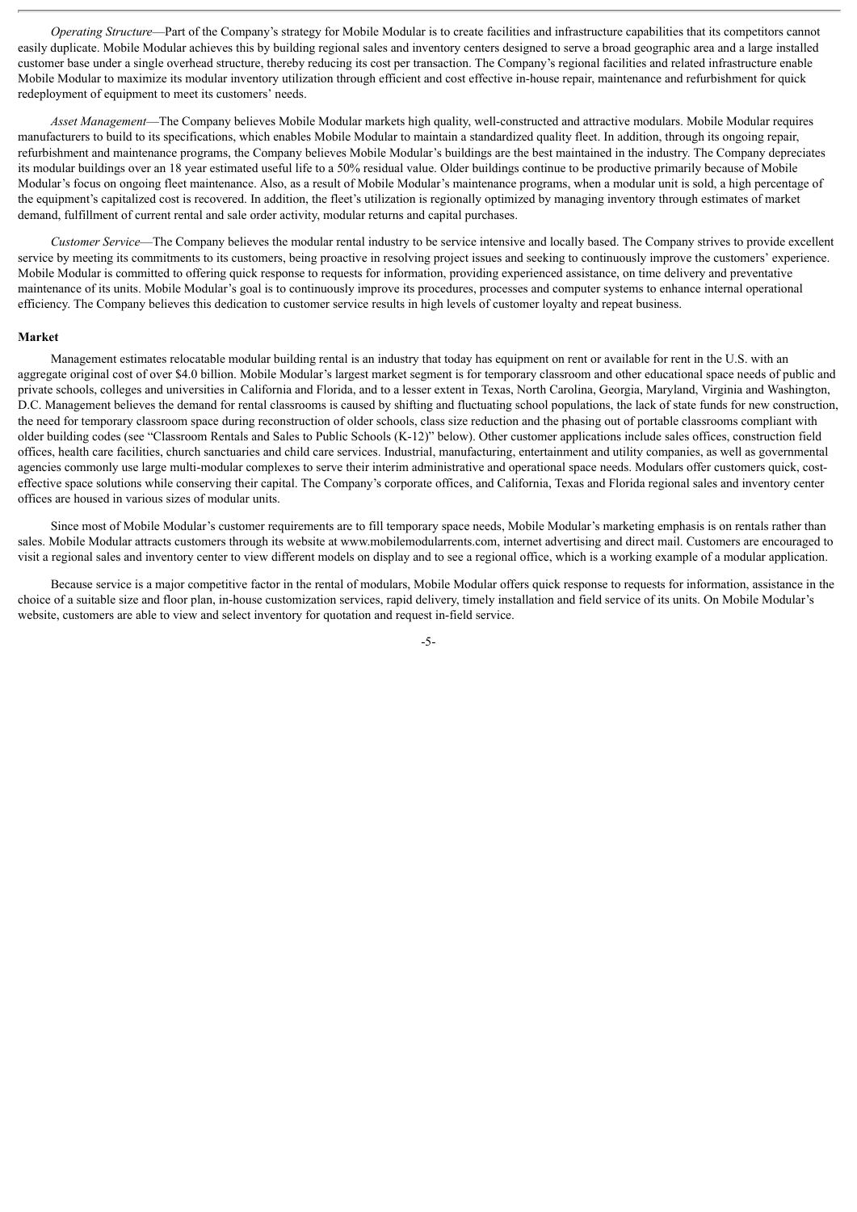*Operating Structure*—Part of the Company's strategy for Mobile Modular is to create facilities and infrastructure capabilities that its competitors cannot easily duplicate. Mobile Modular achieves this by building regional sales and inventory centers designed to serve a broad geographic area and a large installed customer base under a single overhead structure, thereby reducing its cost per transaction. The Company's regional facilities and related infrastructure enable Mobile Modular to maximize its modular inventory utilization through efficient and cost effective in-house repair, maintenance and refurbishment for quick redeployment of equipment to meet its customers' needs.

*Asset Management*—The Company believes Mobile Modular markets high quality, well-constructed and attractive modulars. Mobile Modular requires manufacturers to build to its specifications, which enables Mobile Modular to maintain a standardized quality fleet. In addition, through its ongoing repair, refurbishment and maintenance programs, the Company believes Mobile Modular's buildings are the best maintained in the industry. The Company depreciates its modular buildings over an 18 year estimated useful life to a 50% residual value. Older buildings continue to be productive primarily because of Mobile Modular's focus on ongoing fleet maintenance. Also, as a result of Mobile Modular's maintenance programs, when a modular unit is sold, a high percentage of the equipment's capitalized cost is recovered. In addition, the fleet's utilization is regionally optimized by managing inventory through estimates of market demand, fulfillment of current rental and sale order activity, modular returns and capital purchases.

*Customer Service*—The Company believes the modular rental industry to be service intensive and locally based. The Company strives to provide excellent service by meeting its commitments to its customers, being proactive in resolving project issues and seeking to continuously improve the customers' experience. Mobile Modular is committed to offering quick response to requests for information, providing experienced assistance, on time delivery and preventative maintenance of its units. Mobile Modular's goal is to continuously improve its procedures, processes and computer systems to enhance internal operational efficiency. The Company believes this dedication to customer service results in high levels of customer loyalty and repeat business.

#### **Market**

Management estimates relocatable modular building rental is an industry that today has equipment on rent or available for rent in the U.S. with an aggregate original cost of over \$4.0 billion. Mobile Modular's largest market segment is for temporary classroom and other educational space needs of public and private schools, colleges and universities in California and Florida, and to a lesser extent in Texas, North Carolina, Georgia, Maryland, Virginia and Washington, D.C. Management believes the demand for rental classrooms is caused by shifting and fluctuating school populations, the lack of state funds for new construction, the need for temporary classroom space during reconstruction of older schools, class size reduction and the phasing out of portable classrooms compliant with older building codes (see "Classroom Rentals and Sales to Public Schools (K-12)" below). Other customer applications include sales offices, construction field offices, health care facilities, church sanctuaries and child care services. Industrial, manufacturing, entertainment and utility companies, as well as governmental agencies commonly use large multi-modular complexes to serve their interim administrative and operational space needs. Modulars offer customers quick, costeffective space solutions while conserving their capital. The Company's corporate offices, and California, Texas and Florida regional sales and inventory center offices are housed in various sizes of modular units.

Since most of Mobile Modular's customer requirements are to fill temporary space needs, Mobile Modular's marketing emphasis is on rentals rather than sales. Mobile Modular attracts customers through its website at www.mobilemodularrents.com, internet advertising and direct mail. Customers are encouraged to visit a regional sales and inventory center to view different models on display and to see a regional office, which is a working example of a modular application.

Because service is a major competitive factor in the rental of modulars, Mobile Modular offers quick response to requests for information, assistance in the choice of a suitable size and floor plan, in-house customization services, rapid delivery, timely installation and field service of its units. On Mobile Modular's website, customers are able to view and select inventory for quotation and request in-field service.

-5-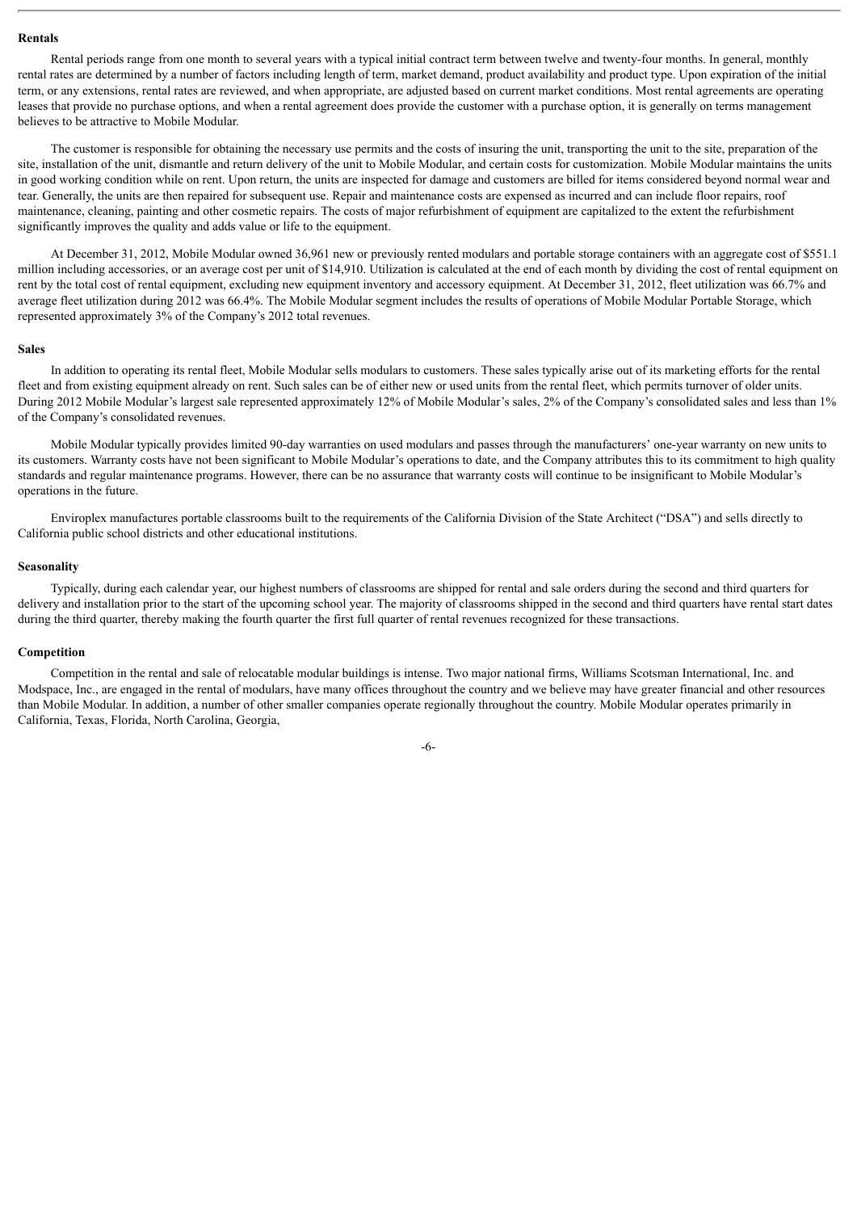#### **Rentals**

Rental periods range from one month to several years with a typical initial contract term between twelve and twenty-four months. In general, monthly rental rates are determined by a number of factors including length of term, market demand, product availability and product type. Upon expiration of the initial term, or any extensions, rental rates are reviewed, and when appropriate, are adjusted based on current market conditions. Most rental agreements are operating leases that provide no purchase options, and when a rental agreement does provide the customer with a purchase option, it is generally on terms management believes to be attractive to Mobile Modular.

The customer is responsible for obtaining the necessary use permits and the costs of insuring the unit, transporting the unit to the site, preparation of the site, installation of the unit, dismantle and return delivery of the unit to Mobile Modular, and certain costs for customization. Mobile Modular maintains the units in good working condition while on rent. Upon return, the units are inspected for damage and customers are billed for items considered beyond normal wear and tear. Generally, the units are then repaired for subsequent use. Repair and maintenance costs are expensed as incurred and can include floor repairs, roof maintenance, cleaning, painting and other cosmetic repairs. The costs of major refurbishment of equipment are capitalized to the extent the refurbishment significantly improves the quality and adds value or life to the equipment.

At December 31, 2012, Mobile Modular owned 36,961 new or previously rented modulars and portable storage containers with an aggregate cost of \$551.1 million including accessories, or an average cost per unit of \$14,910. Utilization is calculated at the end of each month by dividing the cost of rental equipment on rent by the total cost of rental equipment, excluding new equipment inventory and accessory equipment. At December 31, 2012, fleet utilization was 66.7% and average fleet utilization during 2012 was 66.4%. The Mobile Modular segment includes the results of operations of Mobile Modular Portable Storage, which represented approximately 3% of the Company's 2012 total revenues.

#### **Sales**

In addition to operating its rental fleet, Mobile Modular sells modulars to customers. These sales typically arise out of its marketing efforts for the rental fleet and from existing equipment already on rent. Such sales can be of either new or used units from the rental fleet, which permits turnover of older units. During 2012 Mobile Modular's largest sale represented approximately 12% of Mobile Modular's sales, 2% of the Company's consolidated sales and less than 1% of the Company's consolidated revenues.

Mobile Modular typically provides limited 90-day warranties on used modulars and passes through the manufacturers' one-year warranty on new units to its customers. Warranty costs have not been significant to Mobile Modular's operations to date, and the Company attributes this to its commitment to high quality standards and regular maintenance programs. However, there can be no assurance that warranty costs will continue to be insignificant to Mobile Modular's operations in the future.

Enviroplex manufactures portable classrooms built to the requirements of the California Division of the State Architect ("DSA") and sells directly to California public school districts and other educational institutions.

#### **Seasonality**

Typically, during each calendar year, our highest numbers of classrooms are shipped for rental and sale orders during the second and third quarters for delivery and installation prior to the start of the upcoming school year. The majority of classrooms shipped in the second and third quarters have rental start dates during the third quarter, thereby making the fourth quarter the first full quarter of rental revenues recognized for these transactions.

#### **Competition**

Competition in the rental and sale of relocatable modular buildings is intense. Two major national firms, Williams Scotsman International, Inc. and Modspace, Inc., are engaged in the rental of modulars, have many offices throughout the country and we believe may have greater financial and other resources than Mobile Modular. In addition, a number of other smaller companies operate regionally throughout the country. Mobile Modular operates primarily in California, Texas, Florida, North Carolina, Georgia,

-6-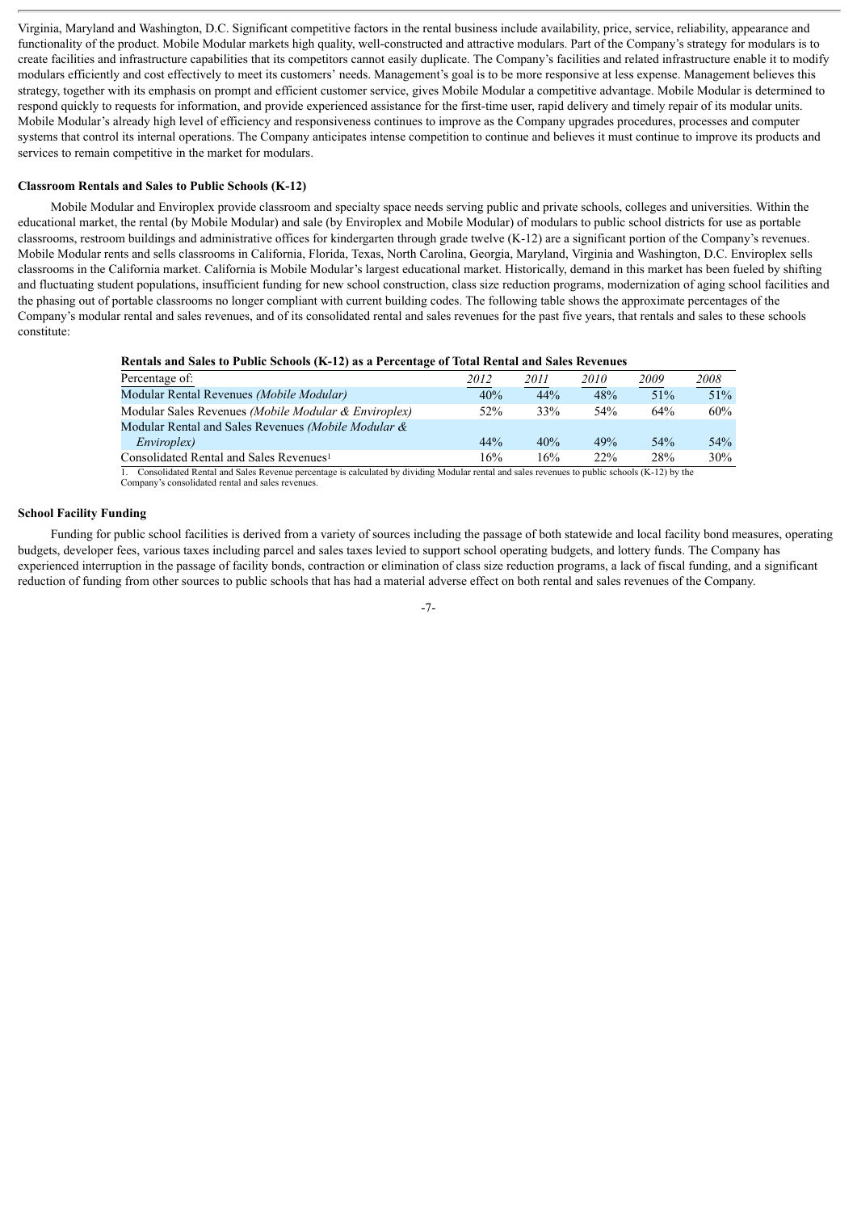Virginia, Maryland and Washington, D.C. Significant competitive factors in the rental business include availability, price, service, reliability, appearance and functionality of the product. Mobile Modular markets high quality, well-constructed and attractive modulars. Part of the Company's strategy for modulars is to create facilities and infrastructure capabilities that its competitors cannot easily duplicate. The Company's facilities and related infrastructure enable it to modify modulars efficiently and cost effectively to meet its customers' needs. Management's goal is to be more responsive at less expense. Management believes this strategy, together with its emphasis on prompt and efficient customer service, gives Mobile Modular a competitive advantage. Mobile Modular is determined to respond quickly to requests for information, and provide experienced assistance for the first-time user, rapid delivery and timely repair of its modular units. Mobile Modular's already high level of efficiency and responsiveness continues to improve as the Company upgrades procedures, processes and computer systems that control its internal operations. The Company anticipates intense competition to continue and believes it must continue to improve its products and services to remain competitive in the market for modulars.

## **Classroom Rentals and Sales to Public Schools (K-12)**

Mobile Modular and Enviroplex provide classroom and specialty space needs serving public and private schools, colleges and universities. Within the educational market, the rental (by Mobile Modular) and sale (by Enviroplex and Mobile Modular) of modulars to public school districts for use as portable classrooms, restroom buildings and administrative offices for kindergarten through grade twelve (K-12) are a significant portion of the Company's revenues. Mobile Modular rents and sells classrooms in California, Florida, Texas, North Carolina, Georgia, Maryland, Virginia and Washington, D.C. Enviroplex sells classrooms in the California market. California is Mobile Modular's largest educational market. Historically, demand in this market has been fueled by shifting and fluctuating student populations, insufficient funding for new school construction, class size reduction programs, modernization of aging school facilities and the phasing out of portable classrooms no longer compliant with current building codes. The following table shows the approximate percentages of the Company's modular rental and sales revenues, and of its consolidated rental and sales revenues for the past five years, that rentals and sales to these schools constitute:

| Rentals and Sales to Public Schools (K-12) as a Percentage of Total Rental and Sales Revenues |  |
|-----------------------------------------------------------------------------------------------|--|
|-----------------------------------------------------------------------------------------------|--|

| Percentage of:                                       | 2012 | 2011 | <i>2010</i> | 2009 | <i>2008</i> |
|------------------------------------------------------|------|------|-------------|------|-------------|
| Modular Rental Revenues (Mobile Modular)             | 40%  | 44%  | 48%         | 51%  | 51%         |
| Modular Sales Revenues (Mobile Modular & Enviroplex) | 52%  | 33%  | 54%         | 64%  | 60%         |
| Modular Rental and Sales Revenues (Mobile Modular &  |      |      |             |      |             |
| <i>Enviroplex</i> )                                  | 44%  | 40%  | 49%         | 54%  | 54%         |
| Consolidated Rental and Sales Revenues <sup>1</sup>  | 16%  | 16%  | 22%         | 28%  | $30\%$      |
| .<br>.<br>.                                          |      |      |             | .    |             |

1. Consolidated Rental and Sales Revenue percentage is calculated by dividing Modular rental and sales revenues to public schools (K-12) by the Company's consolidated rental and sales revenues.

## **School Facility Funding**

Funding for public school facilities is derived from a variety of sources including the passage of both statewide and local facility bond measures, operating budgets, developer fees, various taxes including parcel and sales taxes levied to support school operating budgets, and lottery funds. The Company has experienced interruption in the passage of facility bonds, contraction or elimination of class size reduction programs, a lack of fiscal funding, and a significant reduction of funding from other sources to public schools that has had a material adverse effect on both rental and sales revenues of the Company.

-7-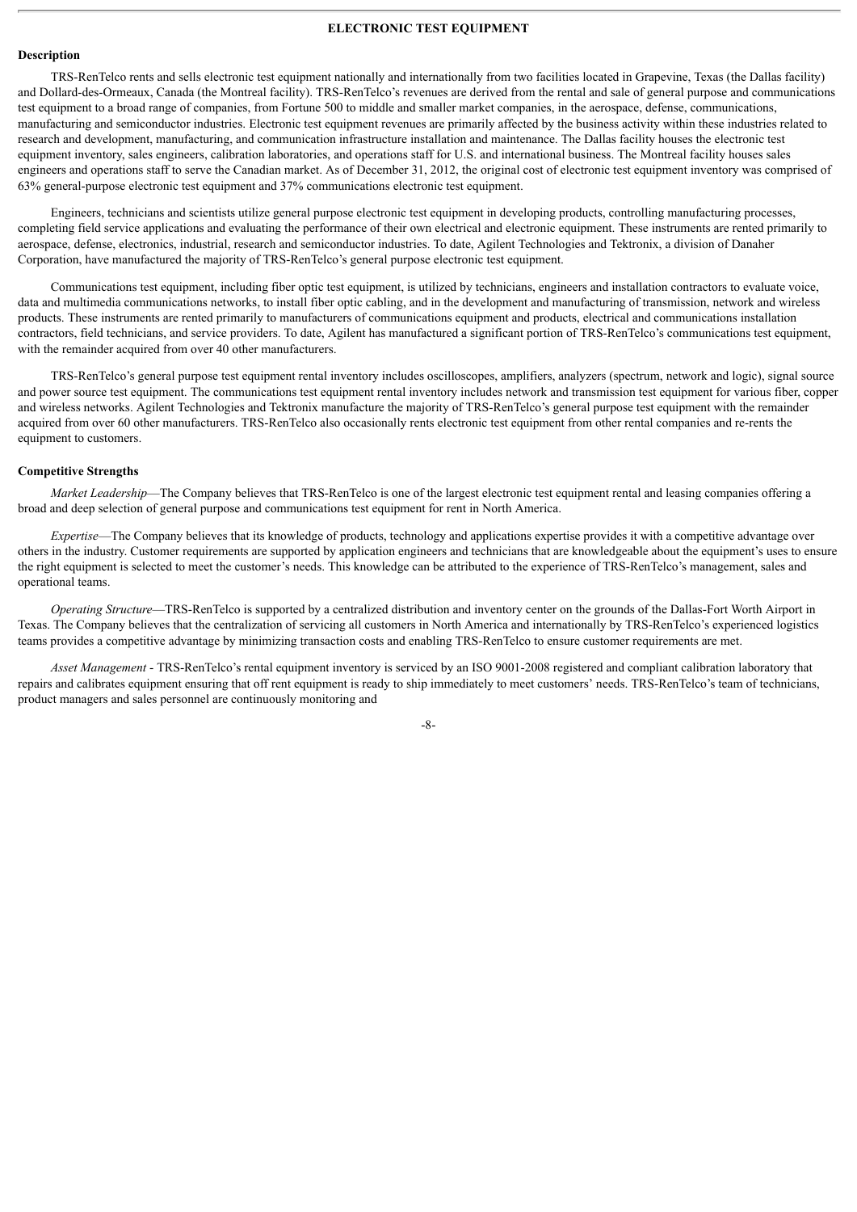#### **ELECTRONIC TEST EQUIPMENT**

## **Description**

TRS-RenTelco rents and sells electronic test equipment nationally and internationally from two facilities located in Grapevine, Texas (the Dallas facility) and Dollard-des-Ormeaux, Canada (the Montreal facility). TRS-RenTelco's revenues are derived from the rental and sale of general purpose and communications test equipment to a broad range of companies, from Fortune 500 to middle and smaller market companies, in the aerospace, defense, communications, manufacturing and semiconductor industries. Electronic test equipment revenues are primarily affected by the business activity within these industries related to research and development, manufacturing, and communication infrastructure installation and maintenance. The Dallas facility houses the electronic test equipment inventory, sales engineers, calibration laboratories, and operations staff for U.S. and international business. The Montreal facility houses sales engineers and operations staff to serve the Canadian market. As of December 31, 2012, the original cost of electronic test equipment inventory was comprised of 63% general-purpose electronic test equipment and 37% communications electronic test equipment.

Engineers, technicians and scientists utilize general purpose electronic test equipment in developing products, controlling manufacturing processes, completing field service applications and evaluating the performance of their own electrical and electronic equipment. These instruments are rented primarily to aerospace, defense, electronics, industrial, research and semiconductor industries. To date, Agilent Technologies and Tektronix, a division of Danaher Corporation, have manufactured the majority of TRS-RenTelco's general purpose electronic test equipment.

Communications test equipment, including fiber optic test equipment, is utilized by technicians, engineers and installation contractors to evaluate voice, data and multimedia communications networks, to install fiber optic cabling, and in the development and manufacturing of transmission, network and wireless products. These instruments are rented primarily to manufacturers of communications equipment and products, electrical and communications installation contractors, field technicians, and service providers. To date, Agilent has manufactured a significant portion of TRS-RenTelco's communications test equipment, with the remainder acquired from over 40 other manufacturers.

TRS-RenTelco's general purpose test equipment rental inventory includes oscilloscopes, amplifiers, analyzers (spectrum, network and logic), signal source and power source test equipment. The communications test equipment rental inventory includes network and transmission test equipment for various fiber, copper and wireless networks. Agilent Technologies and Tektronix manufacture the majority of TRS-RenTelco's general purpose test equipment with the remainder acquired from over 60 other manufacturers. TRS-RenTelco also occasionally rents electronic test equipment from other rental companies and re-rents the equipment to customers.

#### **Competitive Strengths**

*Market Leadership*—The Company believes that TRS-RenTelco is one of the largest electronic test equipment rental and leasing companies offering a broad and deep selection of general purpose and communications test equipment for rent in North America.

*Expertise*—The Company believes that its knowledge of products, technology and applications expertise provides it with a competitive advantage over others in the industry. Customer requirements are supported by application engineers and technicians that are knowledgeable about the equipment's uses to ensure the right equipment is selected to meet the customer's needs. This knowledge can be attributed to the experience of TRS-RenTelco's management, sales and operational teams.

*Operating Structure*—TRS-RenTelco is supported by a centralized distribution and inventory center on the grounds of the Dallas-Fort Worth Airport in Texas. The Company believes that the centralization of servicing all customers in North America and internationally by TRS-RenTelco's experienced logistics teams provides a competitive advantage by minimizing transaction costs and enabling TRS-RenTelco to ensure customer requirements are met.

*Asset Management* - TRS-RenTelco's rental equipment inventory is serviced by an ISO 9001-2008 registered and compliant calibration laboratory that repairs and calibrates equipment ensuring that off rent equipment is ready to ship immediately to meet customers' needs. TRS-RenTelco's team of technicians, product managers and sales personnel are continuously monitoring and

-8-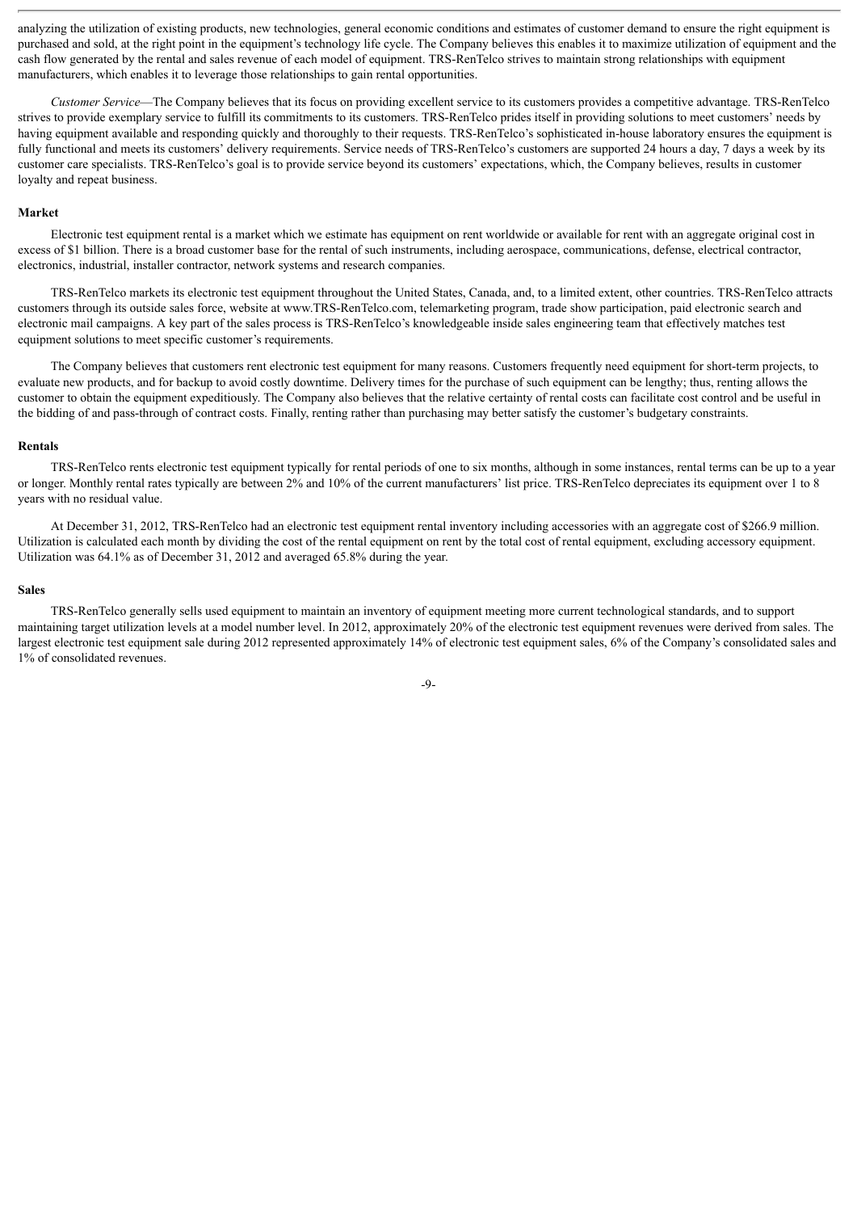analyzing the utilization of existing products, new technologies, general economic conditions and estimates of customer demand to ensure the right equipment is purchased and sold, at the right point in the equipment's technology life cycle. The Company believes this enables it to maximize utilization of equipment and the cash flow generated by the rental and sales revenue of each model of equipment. TRS-RenTelco strives to maintain strong relationships with equipment manufacturers, which enables it to leverage those relationships to gain rental opportunities.

*Customer Service*—The Company believes that its focus on providing excellent service to its customers provides a competitive advantage. TRS-RenTelco strives to provide exemplary service to fulfill its commitments to its customers. TRS-RenTelco prides itself in providing solutions to meet customers' needs by having equipment available and responding quickly and thoroughly to their requests. TRS-RenTelco's sophisticated in-house laboratory ensures the equipment is fully functional and meets its customers' delivery requirements. Service needs of TRS-RenTelco's customers are supported 24 hours a day, 7 days a week by its customer care specialists. TRS-RenTelco's goal is to provide service beyond its customers' expectations, which, the Company believes, results in customer loyalty and repeat business.

#### **Market**

Electronic test equipment rental is a market which we estimate has equipment on rent worldwide or available for rent with an aggregate original cost in excess of \$1 billion. There is a broad customer base for the rental of such instruments, including aerospace, communications, defense, electrical contractor, electronics, industrial, installer contractor, network systems and research companies.

TRS-RenTelco markets its electronic test equipment throughout the United States, Canada, and, to a limited extent, other countries. TRS-RenTelco attracts customers through its outside sales force, website at www.TRS-RenTelco.com, telemarketing program, trade show participation, paid electronic search and electronic mail campaigns. A key part of the sales process is TRS-RenTelco's knowledgeable inside sales engineering team that effectively matches test equipment solutions to meet specific customer's requirements.

The Company believes that customers rent electronic test equipment for many reasons. Customers frequently need equipment for short-term projects, to evaluate new products, and for backup to avoid costly downtime. Delivery times for the purchase of such equipment can be lengthy; thus, renting allows the customer to obtain the equipment expeditiously. The Company also believes that the relative certainty of rental costs can facilitate cost control and be useful in the bidding of and pass-through of contract costs. Finally, renting rather than purchasing may better satisfy the customer's budgetary constraints.

#### **Rentals**

TRS-RenTelco rents electronic test equipment typically for rental periods of one to six months, although in some instances, rental terms can be up to a year or longer. Monthly rental rates typically are between 2% and 10% of the current manufacturers' list price. TRS-RenTelco depreciates its equipment over 1 to 8 years with no residual value.

At December 31, 2012, TRS-RenTelco had an electronic test equipment rental inventory including accessories with an aggregate cost of \$266.9 million. Utilization is calculated each month by dividing the cost of the rental equipment on rent by the total cost of rental equipment, excluding accessory equipment. Utilization was 64.1% as of December 31, 2012 and averaged 65.8% during the year.

#### **Sales**

TRS-RenTelco generally sells used equipment to maintain an inventory of equipment meeting more current technological standards, and to support maintaining target utilization levels at a model number level. In 2012, approximately 20% of the electronic test equipment revenues were derived from sales. The largest electronic test equipment sale during 2012 represented approximately 14% of electronic test equipment sales, 6% of the Company's consolidated sales and 1% of consolidated revenues.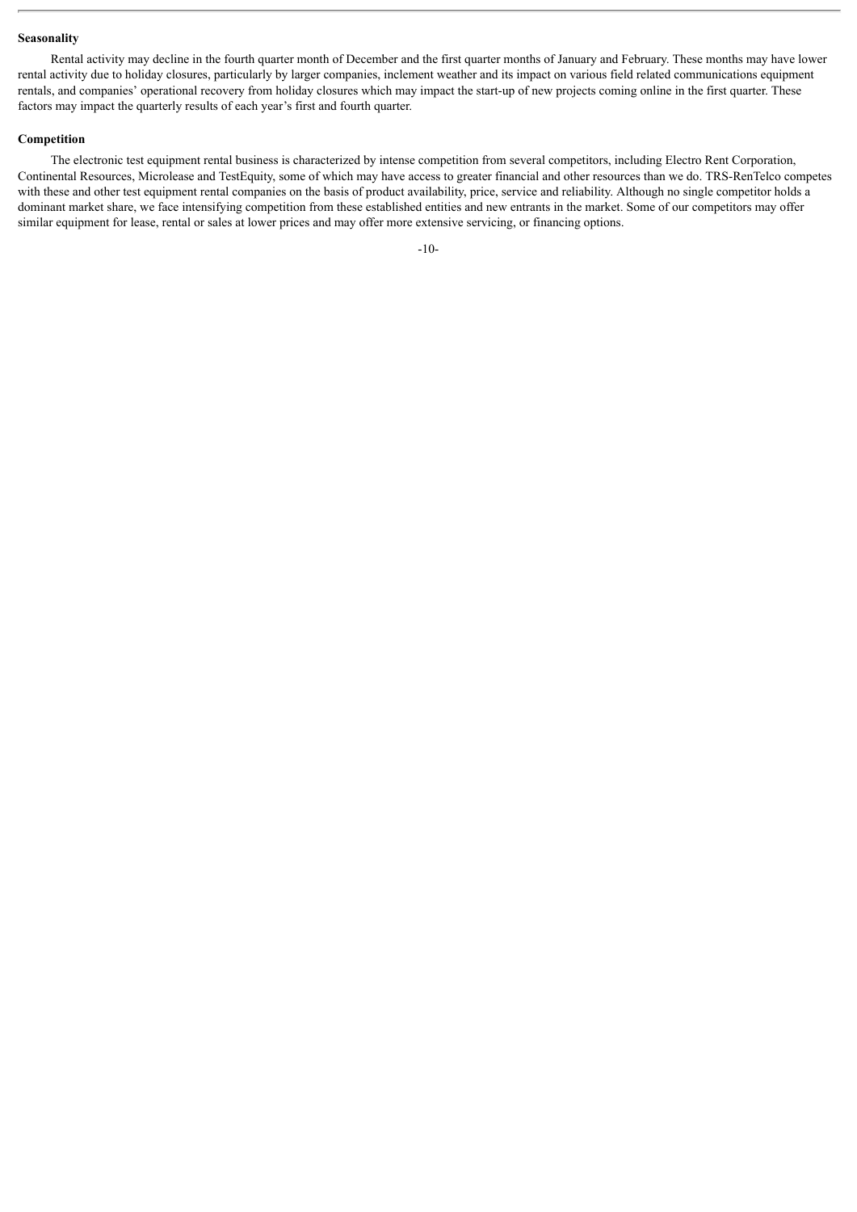#### **Seasonality**

Rental activity may decline in the fourth quarter month of December and the first quarter months of January and February. These months may have lower rental activity due to holiday closures, particularly by larger companies, inclement weather and its impact on various field related communications equipment rentals, and companies' operational recovery from holiday closures which may impact the start-up of new projects coming online in the first quarter. These factors may impact the quarterly results of each year's first and fourth quarter.

#### **Competition**

The electronic test equipment rental business is characterized by intense competition from several competitors, including Electro Rent Corporation, Continental Resources, Microlease and TestEquity, some of which may have access to greater financial and other resources than we do. TRS-RenTelco competes with these and other test equipment rental companies on the basis of product availability, price, service and reliability. Although no single competitor holds a dominant market share, we face intensifying competition from these established entities and new entrants in the market. Some of our competitors may offer similar equipment for lease, rental or sales at lower prices and may offer more extensive servicing, or financing options.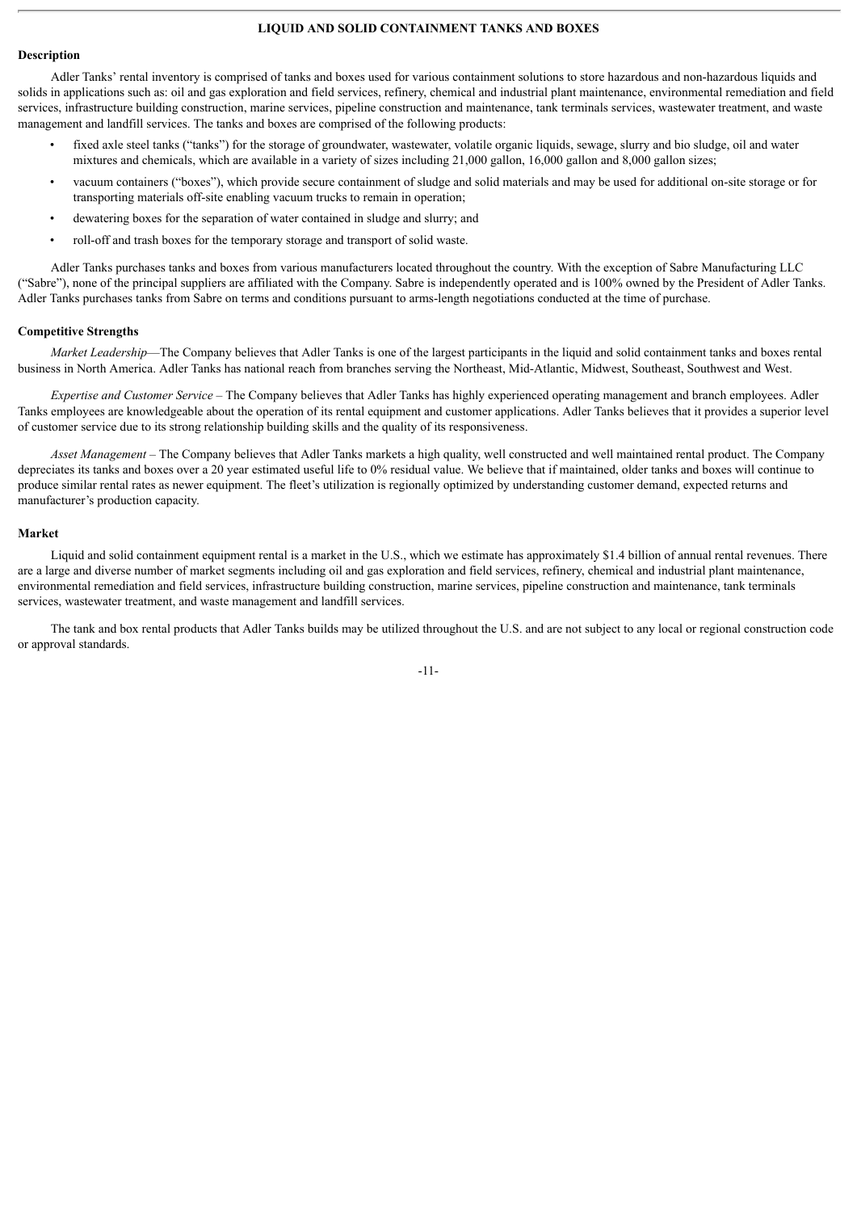## **LIQUID AND SOLID CONTAINMENT TANKS AND BOXES**

### **Description**

Adler Tanks' rental inventory is comprised of tanks and boxes used for various containment solutions to store hazardous and non-hazardous liquids and solids in applications such as: oil and gas exploration and field services, refinery, chemical and industrial plant maintenance, environmental remediation and field services, infrastructure building construction, marine services, pipeline construction and maintenance, tank terminals services, wastewater treatment, and waste management and landfill services. The tanks and boxes are comprised of the following products:

- fixed axle steel tanks ("tanks") for the storage of groundwater, wastewater, volatile organic liquids, sewage, slurry and bio sludge, oil and water mixtures and chemicals, which are available in a variety of sizes including 21,000 gallon, 16,000 gallon and 8,000 gallon sizes;
- vacuum containers ("boxes"), which provide secure containment of sludge and solid materials and may be used for additional on-site storage or for transporting materials off-site enabling vacuum trucks to remain in operation;
- dewatering boxes for the separation of water contained in sludge and slurry; and
- roll-off and trash boxes for the temporary storage and transport of solid waste.

Adler Tanks purchases tanks and boxes from various manufacturers located throughout the country. With the exception of Sabre Manufacturing LLC ("Sabre"), none of the principal suppliers are affiliated with the Company. Sabre is independently operated and is 100% owned by the President of Adler Tanks. Adler Tanks purchases tanks from Sabre on terms and conditions pursuant to arms-length negotiations conducted at the time of purchase.

#### **Competitive Strengths**

*Market Leadership*—The Company believes that Adler Tanks is one of the largest participants in the liquid and solid containment tanks and boxes rental business in North America. Adler Tanks has national reach from branches serving the Northeast, Mid-Atlantic, Midwest, Southeast, Southwest and West.

*Expertise and Customer Service* – The Company believes that Adler Tanks has highly experienced operating management and branch employees. Adler Tanks employees are knowledgeable about the operation of its rental equipment and customer applications. Adler Tanks believes that it provides a superior level of customer service due to its strong relationship building skills and the quality of its responsiveness.

*Asset Management* – The Company believes that Adler Tanks markets a high quality, well constructed and well maintained rental product. The Company depreciates its tanks and boxes over a 20 year estimated useful life to 0% residual value. We believe that if maintained, older tanks and boxes will continue to produce similar rental rates as newer equipment. The fleet's utilization is regionally optimized by understanding customer demand, expected returns and manufacturer's production capacity.

### **Market**

Liquid and solid containment equipment rental is a market in the U.S., which we estimate has approximately \$1.4 billion of annual rental revenues. There are a large and diverse number of market segments including oil and gas exploration and field services, refinery, chemical and industrial plant maintenance, environmental remediation and field services, infrastructure building construction, marine services, pipeline construction and maintenance, tank terminals services, wastewater treatment, and waste management and landfill services.

The tank and box rental products that Adler Tanks builds may be utilized throughout the U.S. and are not subject to any local or regional construction code or approval standards.

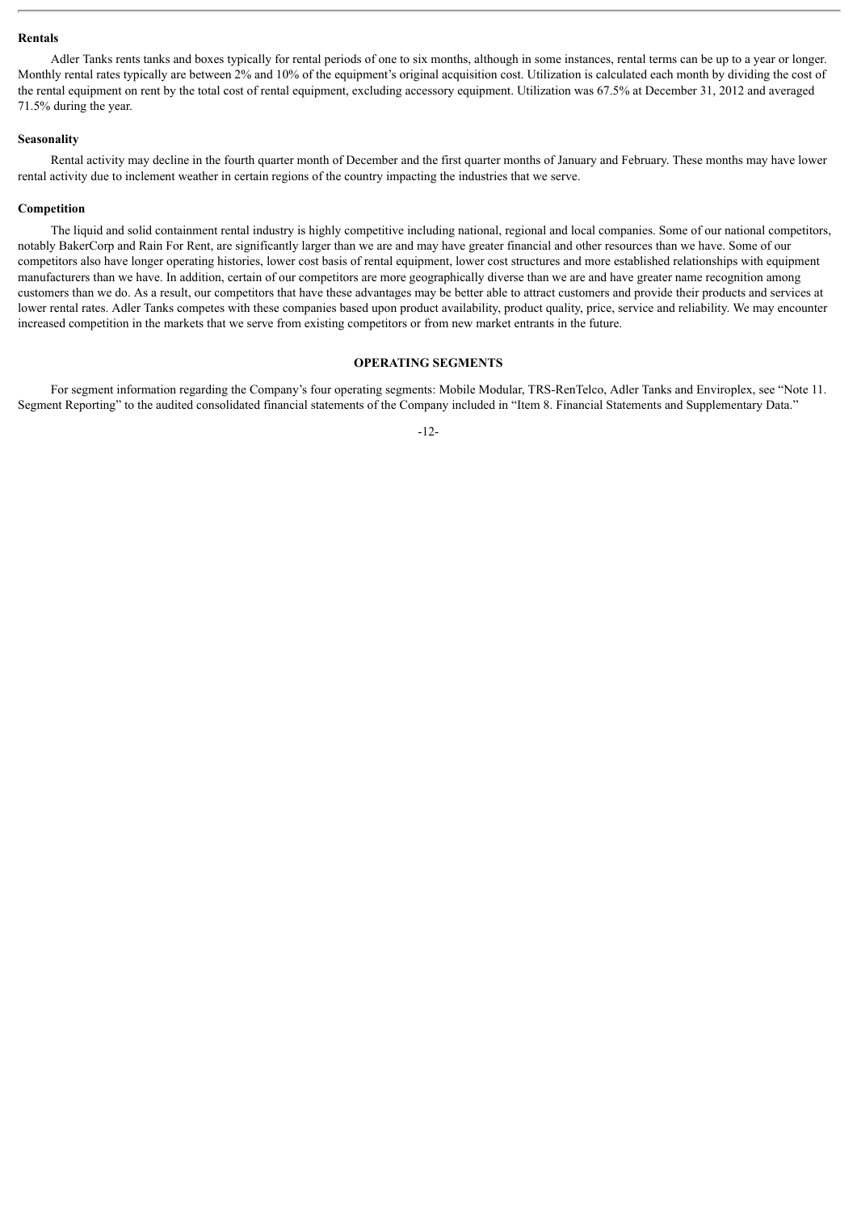#### **Rentals**

Adler Tanks rents tanks and boxes typically for rental periods of one to six months, although in some instances, rental terms can be up to a year or longer. Monthly rental rates typically are between 2% and 10% of the equipment's original acquisition cost. Utilization is calculated each month by dividing the cost of the rental equipment on rent by the total cost of rental equipment, excluding accessory equipment. Utilization was 67.5% at December 31, 2012 and averaged 71.5% during the year.

#### **Seasonality**

Rental activity may decline in the fourth quarter month of December and the first quarter months of January and February. These months may have lower rental activity due to inclement weather in certain regions of the country impacting the industries that we serve.

#### **Competition**

The liquid and solid containment rental industry is highly competitive including national, regional and local companies. Some of our national competitors, notably BakerCorp and Rain For Rent, are significantly larger than we are and may have greater financial and other resources than we have. Some of our competitors also have longer operating histories, lower cost basis of rental equipment, lower cost structures and more established relationships with equipment manufacturers than we have. In addition, certain of our competitors are more geographically diverse than we are and have greater name recognition among customers than we do. As a result, our competitors that have these advantages may be better able to attract customers and provide their products and services at lower rental rates. Adler Tanks competes with these companies based upon product availability, product quality, price, service and reliability. We may encounter increased competition in the markets that we serve from existing competitors or from new market entrants in the future.

#### **OPERATING SEGMENTS**

For segment information regarding the Company's four operating segments: Mobile Modular, TRS-RenTelco, Adler Tanks and Enviroplex, see "Note 11. Segment Reporting" to the audited consolidated financial statements of the Company included in "Item 8. Financial Statements and Supplementary Data."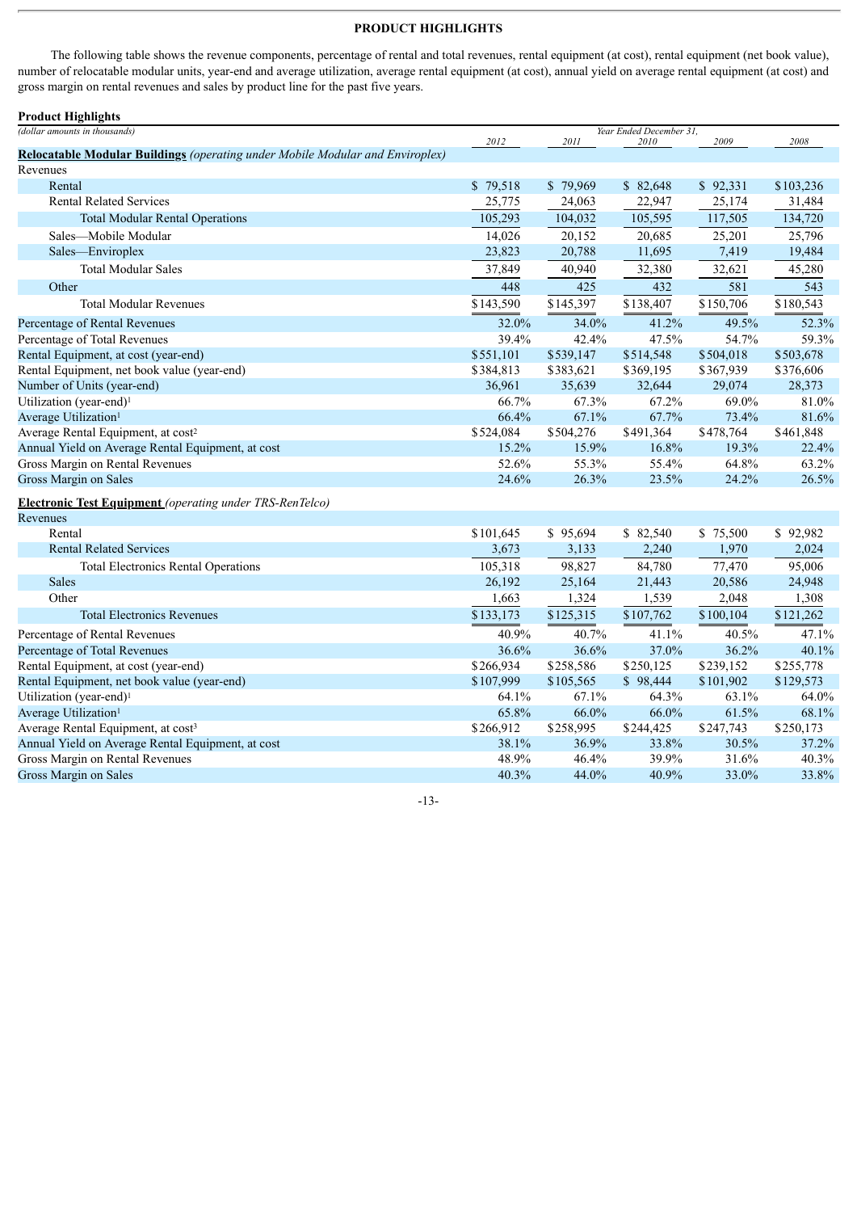## **PRODUCT HIGHLIGHTS**

The following table shows the revenue components, percentage of rental and total revenues, rental equipment (at cost), rental equipment (net book value), number of relocatable modular units, year-end and average utilization, average rental equipment (at cost), annual yield on average rental equipment (at cost) and gross margin on rental revenues and sales by product line for the past five years.

| <b>Product Highlights</b>                                                            |           |           |                         |           |           |
|--------------------------------------------------------------------------------------|-----------|-----------|-------------------------|-----------|-----------|
| (dollar amounts in thousands)                                                        |           |           | Year Ended December 31, |           |           |
| <b>Relocatable Modular Buildings</b> (operating under Mobile Modular and Enviroplex) | 2012      | 2011      | 2010                    | 2009      | 2008      |
| Revenues                                                                             |           |           |                         |           |           |
| Rental                                                                               | \$79,518  | \$79,969  | \$82,648                | \$92,331  | \$103,236 |
| <b>Rental Related Services</b>                                                       | 25,775    | 24,063    | 22,947                  | 25,174    | 31,484    |
| <b>Total Modular Rental Operations</b>                                               | 105,293   | 104,032   | 105,595                 | 117,505   | 134,720   |
| Sales—Mobile Modular                                                                 | 14,026    | 20,152    | 20,685                  | 25,201    | 25,796    |
| Sales-Enviroplex                                                                     | 23,823    | 20,788    | 11,695                  | 7,419     | 19,484    |
| <b>Total Modular Sales</b>                                                           | 37,849    | 40,940    | 32,380                  | 32,621    | 45,280    |
| Other                                                                                | 448       | 425       | 432                     | 581       | 543       |
| <b>Total Modular Revenues</b>                                                        | \$143,590 | \$145,397 | \$138,407               | \$150,706 | \$180,543 |
| Percentage of Rental Revenues                                                        | 32.0%     | 34.0%     | 41.2%                   | 49.5%     | 52.3%     |
| Percentage of Total Revenues                                                         | 39.4%     | 42.4%     | 47.5%                   | 54.7%     | 59.3%     |
| Rental Equipment, at cost (year-end)                                                 | \$551,101 | \$539,147 | \$514,548               | \$504,018 | \$503,678 |
| Rental Equipment, net book value (year-end)                                          | \$384,813 | \$383,621 | \$369,195               | \$367,939 | \$376,606 |
| Number of Units (year-end)                                                           | 36,961    | 35,639    | 32,644                  | 29,074    | 28,373    |
| Utilization (year-end) <sup>1</sup>                                                  | 66.7%     | 67.3%     | 67.2%                   | 69.0%     | 81.0%     |
| Average Utilization <sup>1</sup>                                                     | 66.4%     | 67.1%     | 67.7%                   | 73.4%     | 81.6%     |
| Average Rental Equipment, at cost <sup>2</sup>                                       | \$524,084 | \$504,276 | \$491,364               | \$478,764 | \$461,848 |
| Annual Yield on Average Rental Equipment, at cost                                    | 15.2%     | 15.9%     | 16.8%                   | 19.3%     | 22.4%     |
| Gross Margin on Rental Revenues                                                      | 52.6%     | 55.3%     | 55.4%                   | 64.8%     | 63.2%     |
| Gross Margin on Sales                                                                | 24.6%     | 26.3%     | 23.5%                   | 24.2%     | 26.5%     |
| <b>Electronic Test Equipment</b> (operating under TRS-RenTelco)                      |           |           |                         |           |           |
| Revenues                                                                             |           |           |                         |           |           |
| Rental                                                                               | \$101,645 | \$95,694  | \$82,540                | \$75,500  | \$92,982  |
| <b>Rental Related Services</b>                                                       | 3,673     | 3,133     | 2,240                   | 1,970     | 2,024     |
| <b>Total Electronics Rental Operations</b>                                           | 105,318   | 98,827    | 84,780                  | 77,470    | 95,006    |
| Sales                                                                                | 26,192    | 25,164    | 21,443                  | 20,586    | 24,948    |
| Other                                                                                | 1,663     | 1,324     | 1,539                   | 2,048     | 1,308     |
| <b>Total Electronics Revenues</b>                                                    | \$133,173 | \$125,315 | \$107,762               | \$100,104 | \$121,262 |
| Percentage of Rental Revenues                                                        | 40.9%     | 40.7%     | 41.1%                   | 40.5%     | 47.1%     |
| Percentage of Total Revenues                                                         | 36.6%     | 36.6%     | 37.0%                   | 36.2%     | 40.1%     |
| Rental Equipment, at cost (year-end)                                                 | \$266,934 | \$258,586 | \$250,125               | \$239,152 | \$255,778 |
| Rental Equipment, net book value (year-end)                                          | \$107,999 | \$105,565 | \$98,444                | \$101,902 | \$129,573 |
| Utilization (year-end) <sup>1</sup>                                                  | 64.1%     | 67.1%     | 64.3%                   | 63.1%     | 64.0%     |
| Average Utilization <sup>1</sup>                                                     | 65.8%     | 66.0%     | 66.0%                   | 61.5%     | 68.1%     |
| Average Rental Equipment, at cost <sup>3</sup>                                       | \$266,912 | \$258,995 | \$244,425               | \$247,743 | \$250,173 |
| Annual Yield on Average Rental Equipment, at cost                                    | 38.1%     | 36.9%     | 33.8%                   | 30.5%     | 37.2%     |
| Gross Margin on Rental Revenues                                                      | 48.9%     | 46.4%     | 39.9%                   | 31.6%     | 40.3%     |
| Gross Margin on Sales                                                                | 40.3%     | 44.0%     | 40.9%                   | 33.0%     | 33.8%     |

-13-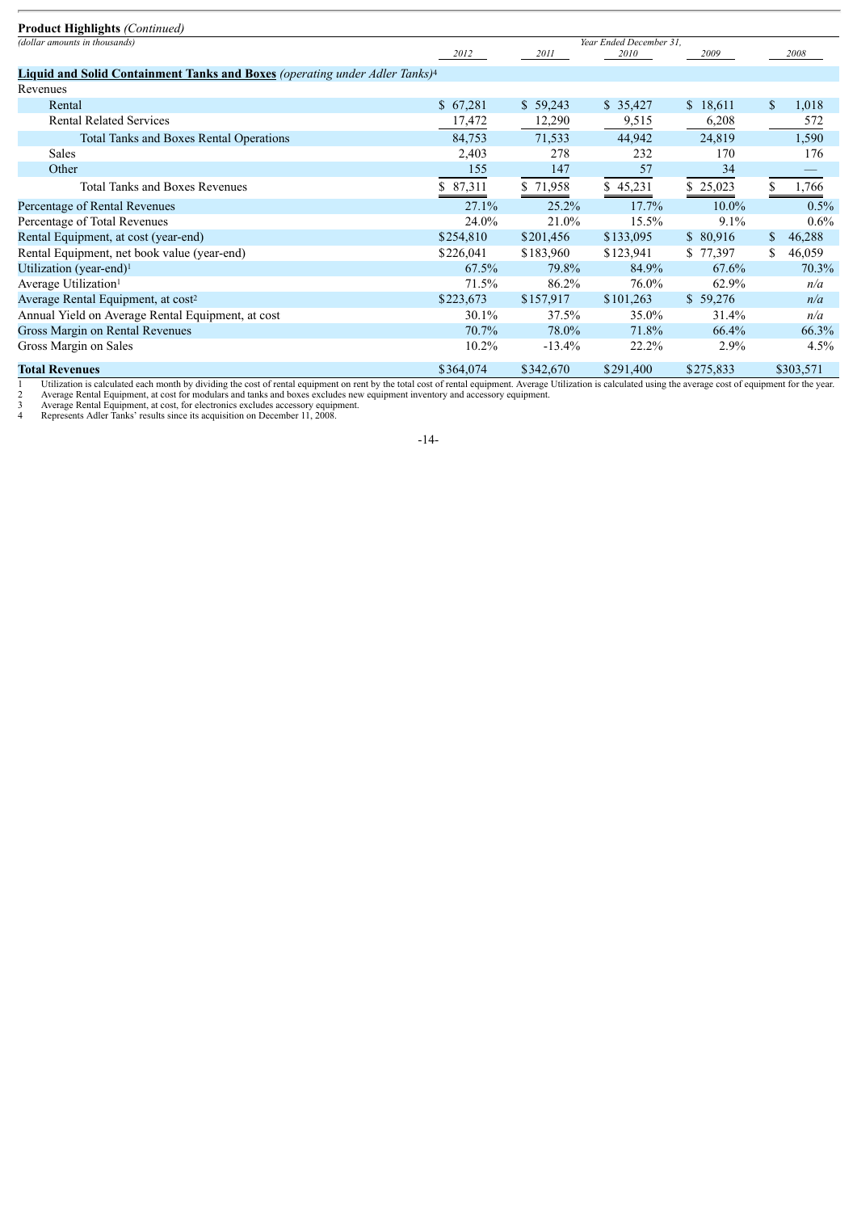| <b>Product Highlights (Continued)</b>                                                          |           |           |                         |           |               |           |
|------------------------------------------------------------------------------------------------|-----------|-----------|-------------------------|-----------|---------------|-----------|
| (dollar amounts in thousands)                                                                  |           |           | Year Ended December 31, |           |               |           |
|                                                                                                | 2012      | 2011      | 2010                    | 2009      |               | 2008      |
| <b>Liquid and Solid Containment Tanks and Boxes</b> (operating under Adler Tanks) <sup>4</sup> |           |           |                         |           |               |           |
| Revenues                                                                                       |           |           |                         |           |               |           |
| Rental                                                                                         | \$67,281  | \$59,243  | \$35,427                | \$18,611  | <sup>\$</sup> | 1,018     |
| <b>Rental Related Services</b>                                                                 | 17,472    | 12,290    | 9,515                   | 6,208     |               | 572       |
| <b>Total Tanks and Boxes Rental Operations</b>                                                 | 84,753    | 71,533    | 44,942                  | 24,819    |               | 1,590     |
| Sales                                                                                          | 2,403     | 278       | 232                     | 170       |               | 176       |
| Other                                                                                          | 155       | 147       | 57                      | 34        |               |           |
| <b>Total Tanks and Boxes Revenues</b>                                                          | 87,311    | \$71,958  | 45,231                  | \$25,023  |               | 1,766     |
| Percentage of Rental Revenues                                                                  | 27.1%     | 25.2%     | 17.7%                   | $10.0\%$  |               | 0.5%      |
| Percentage of Total Revenues                                                                   | 24.0%     | 21.0%     | 15.5%                   | $9.1\%$   |               | $0.6\%$   |
| Rental Equipment, at cost (year-end)                                                           | \$254,810 | \$201,456 | \$133,095               | \$80,916  | <sup>\$</sup> | 46,288    |
| Rental Equipment, net book value (year-end)                                                    | \$226,041 | \$183,960 | \$123,941               | \$ 77,397 | S.            | 46,059    |
| Utilization (year-end) <sup>1</sup>                                                            | 67.5%     | 79.8%     | 84.9%                   | 67.6%     |               | 70.3%     |
| Average Utilization <sup>1</sup>                                                               | 71.5%     | 86.2%     | 76.0%                   | 62.9%     |               | n/a       |
| Average Rental Equipment, at cost <sup>2</sup>                                                 | \$223,673 | \$157,917 | \$101,263               | \$59,276  |               | n/a       |
| Annual Yield on Average Rental Equipment, at cost                                              | 30.1%     | 37.5%     | 35.0%                   | 31.4%     |               | n/a       |
| Gross Margin on Rental Revenues                                                                | 70.7%     | 78.0%     | 71.8%                   | 66.4%     |               | 66.3%     |
| Gross Margin on Sales                                                                          | 10.2%     | $-13.4\%$ | 22.2%                   | 2.9%      |               | 4.5%      |
| <b>Total Revenues</b>                                                                          | \$364,074 | \$342,670 | \$291,400               | \$275,833 |               | \$303,571 |

Utilization is calculated each month by dividing the cost of rental equipment on rent by the total cost of rental equipment. Average Utilization is calculated using the average cost of equipment for the year.<br>2 Average Ren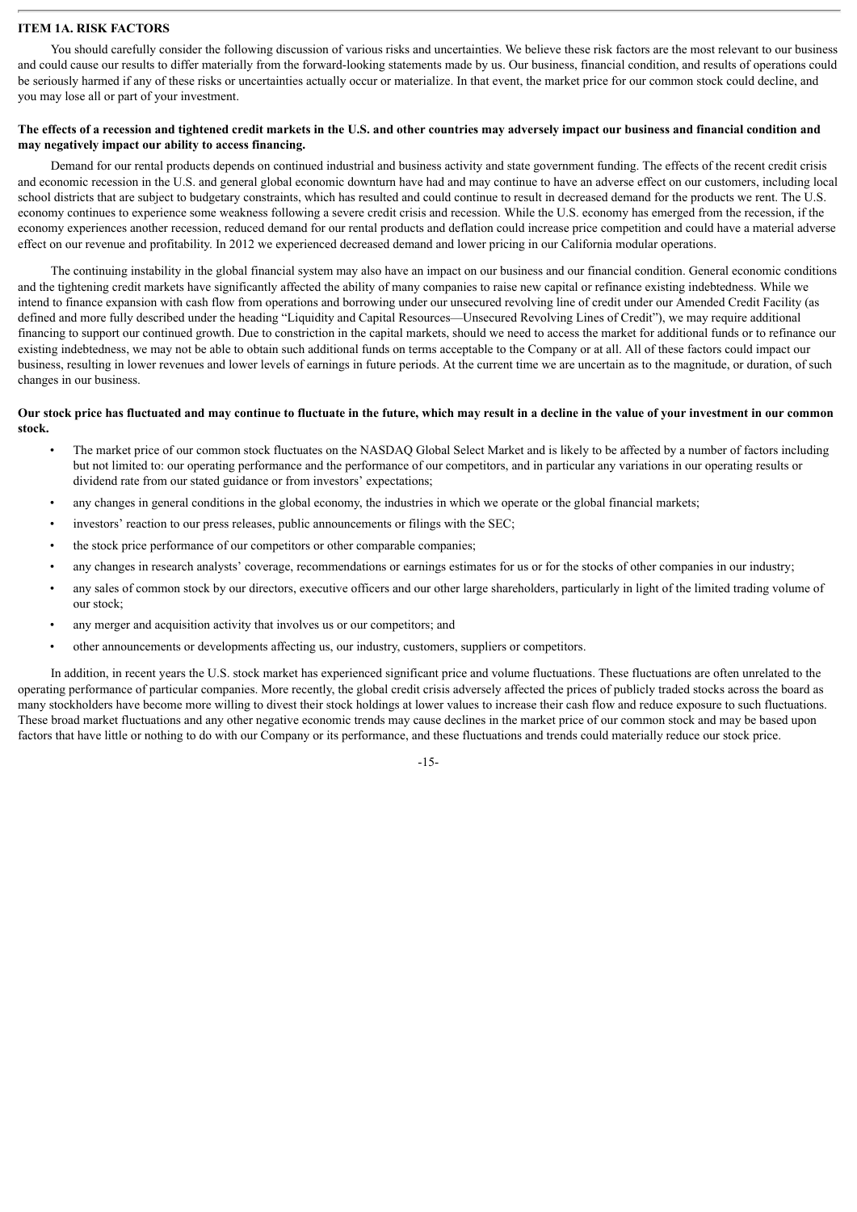## **ITEM 1A. RISK FACTORS**

You should carefully consider the following discussion of various risks and uncertainties. We believe these risk factors are the most relevant to our business and could cause our results to differ materially from the forward-looking statements made by us. Our business, financial condition, and results of operations could be seriously harmed if any of these risks or uncertainties actually occur or materialize. In that event, the market price for our common stock could decline, and you may lose all or part of your investment.

#### **The effects of a recession and tightened credit markets in the U.S. and other countries may adversely impact our business and financial condition and may negatively impact our ability to access financing.**

Demand for our rental products depends on continued industrial and business activity and state government funding. The effects of the recent credit crisis and economic recession in the U.S. and general global economic downturn have had and may continue to have an adverse effect on our customers, including local school districts that are subject to budgetary constraints, which has resulted and could continue to result in decreased demand for the products we rent. The U.S. economy continues to experience some weakness following a severe credit crisis and recession. While the U.S. economy has emerged from the recession, if the economy experiences another recession, reduced demand for our rental products and deflation could increase price competition and could have a material adverse effect on our revenue and profitability. In 2012 we experienced decreased demand and lower pricing in our California modular operations.

The continuing instability in the global financial system may also have an impact on our business and our financial condition. General economic conditions and the tightening credit markets have significantly affected the ability of many companies to raise new capital or refinance existing indebtedness. While we intend to finance expansion with cash flow from operations and borrowing under our unsecured revolving line of credit under our Amended Credit Facility (as defined and more fully described under the heading "Liquidity and Capital Resources—Unsecured Revolving Lines of Credit"), we may require additional financing to support our continued growth. Due to constriction in the capital markets, should we need to access the market for additional funds or to refinance our existing indebtedness, we may not be able to obtain such additional funds on terms acceptable to the Company or at all. All of these factors could impact our business, resulting in lower revenues and lower levels of earnings in future periods. At the current time we are uncertain as to the magnitude, or duration, of such changes in our business.

## **Our stock price has fluctuated and may continue to fluctuate in the future, which may result in a decline in the value of your investment in our common stock.**

- The market price of our common stock fluctuates on the NASDAQ Global Select Market and is likely to be affected by a number of factors including but not limited to: our operating performance and the performance of our competitors, and in particular any variations in our operating results or dividend rate from our stated guidance or from investors' expectations;
- any changes in general conditions in the global economy, the industries in which we operate or the global financial markets;
- investors' reaction to our press releases, public announcements or filings with the SEC;
- the stock price performance of our competitors or other comparable companies;
- any changes in research analysts' coverage, recommendations or earnings estimates for us or for the stocks of other companies in our industry;
- any sales of common stock by our directors, executive officers and our other large shareholders, particularly in light of the limited trading volume of our stock;
- any merger and acquisition activity that involves us or our competitors; and
- other announcements or developments affecting us, our industry, customers, suppliers or competitors.

In addition, in recent years the U.S. stock market has experienced significant price and volume fluctuations. These fluctuations are often unrelated to the operating performance of particular companies. More recently, the global credit crisis adversely affected the prices of publicly traded stocks across the board as many stockholders have become more willing to divest their stock holdings at lower values to increase their cash flow and reduce exposure to such fluctuations. These broad market fluctuations and any other negative economic trends may cause declines in the market price of our common stock and may be based upon factors that have little or nothing to do with our Company or its performance, and these fluctuations and trends could materially reduce our stock price.

-15-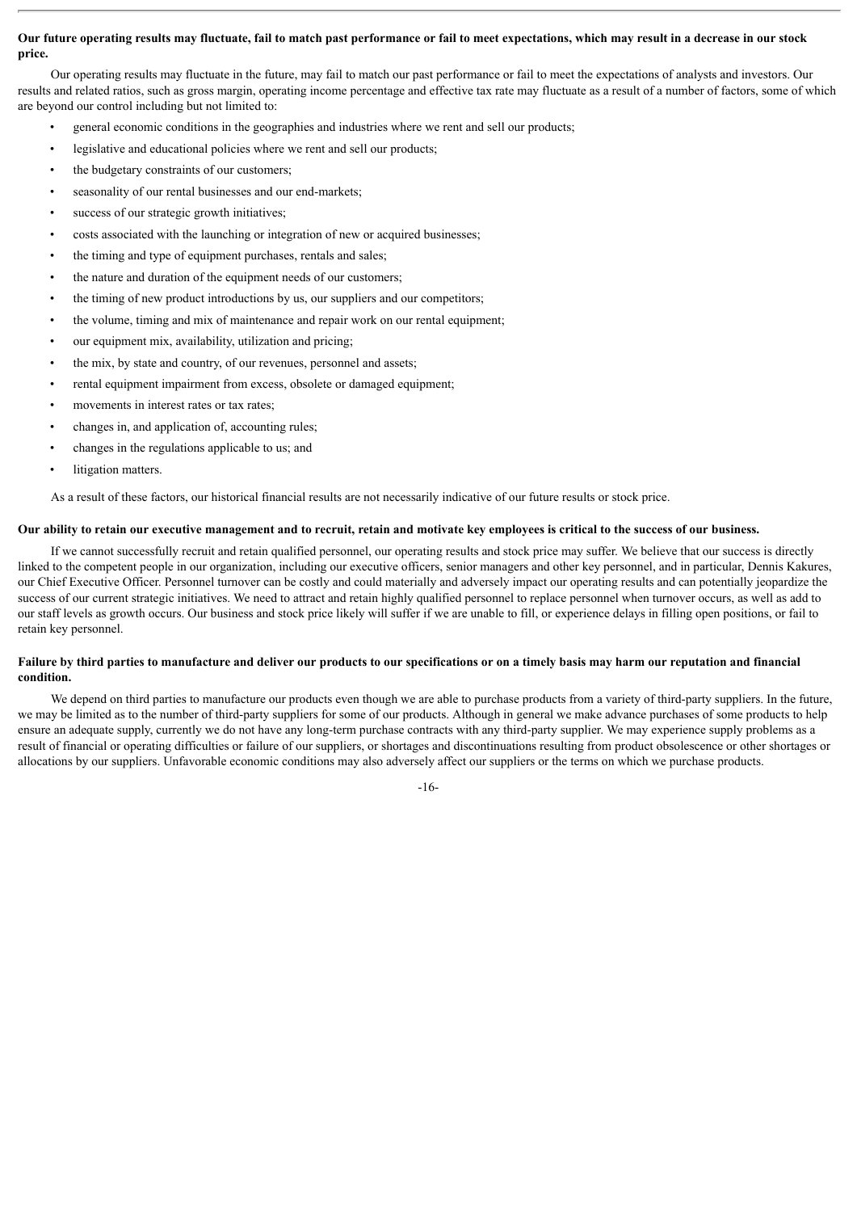## **Our future operating results may fluctuate, fail to match past performance or fail to meet expectations, which may result in a decrease in our stock price.**

Our operating results may fluctuate in the future, may fail to match our past performance or fail to meet the expectations of analysts and investors. Our results and related ratios, such as gross margin, operating income percentage and effective tax rate may fluctuate as a result of a number of factors, some of which are beyond our control including but not limited to:

- general economic conditions in the geographies and industries where we rent and sell our products;
- legislative and educational policies where we rent and sell our products;
- the budgetary constraints of our customers;
- seasonality of our rental businesses and our end-markets;
- success of our strategic growth initiatives;
- costs associated with the launching or integration of new or acquired businesses;
- the timing and type of equipment purchases, rentals and sales;
- the nature and duration of the equipment needs of our customers;
- the timing of new product introductions by us, our suppliers and our competitors;
- the volume, timing and mix of maintenance and repair work on our rental equipment;
- our equipment mix, availability, utilization and pricing;
- the mix, by state and country, of our revenues, personnel and assets;
- rental equipment impairment from excess, obsolete or damaged equipment;
- movements in interest rates or tax rates;
- changes in, and application of, accounting rules;
- changes in the regulations applicable to us; and
- litigation matters.

As a result of these factors, our historical financial results are not necessarily indicative of our future results or stock price.

## **Our ability to retain our executive management and to recruit, retain and motivate key employees is critical to the success of our business.**

If we cannot successfully recruit and retain qualified personnel, our operating results and stock price may suffer. We believe that our success is directly linked to the competent people in our organization, including our executive officers, senior managers and other key personnel, and in particular, Dennis Kakures, our Chief Executive Officer. Personnel turnover can be costly and could materially and adversely impact our operating results and can potentially jeopardize the success of our current strategic initiatives. We need to attract and retain highly qualified personnel to replace personnel when turnover occurs, as well as add to our staff levels as growth occurs. Our business and stock price likely will suffer if we are unable to fill, or experience delays in filling open positions, or fail to retain key personnel.

## **Failure by third parties to manufacture and deliver our products to our specifications or on a timely basis may harm our reputation and financial condition.**

We depend on third parties to manufacture our products even though we are able to purchase products from a variety of third-party suppliers. In the future, we may be limited as to the number of third-party suppliers for some of our products. Although in general we make advance purchases of some products to help ensure an adequate supply, currently we do not have any long-term purchase contracts with any third-party supplier. We may experience supply problems as a result of financial or operating difficulties or failure of our suppliers, or shortages and discontinuations resulting from product obsolescence or other shortages or allocations by our suppliers. Unfavorable economic conditions may also adversely affect our suppliers or the terms on which we purchase products.

-16-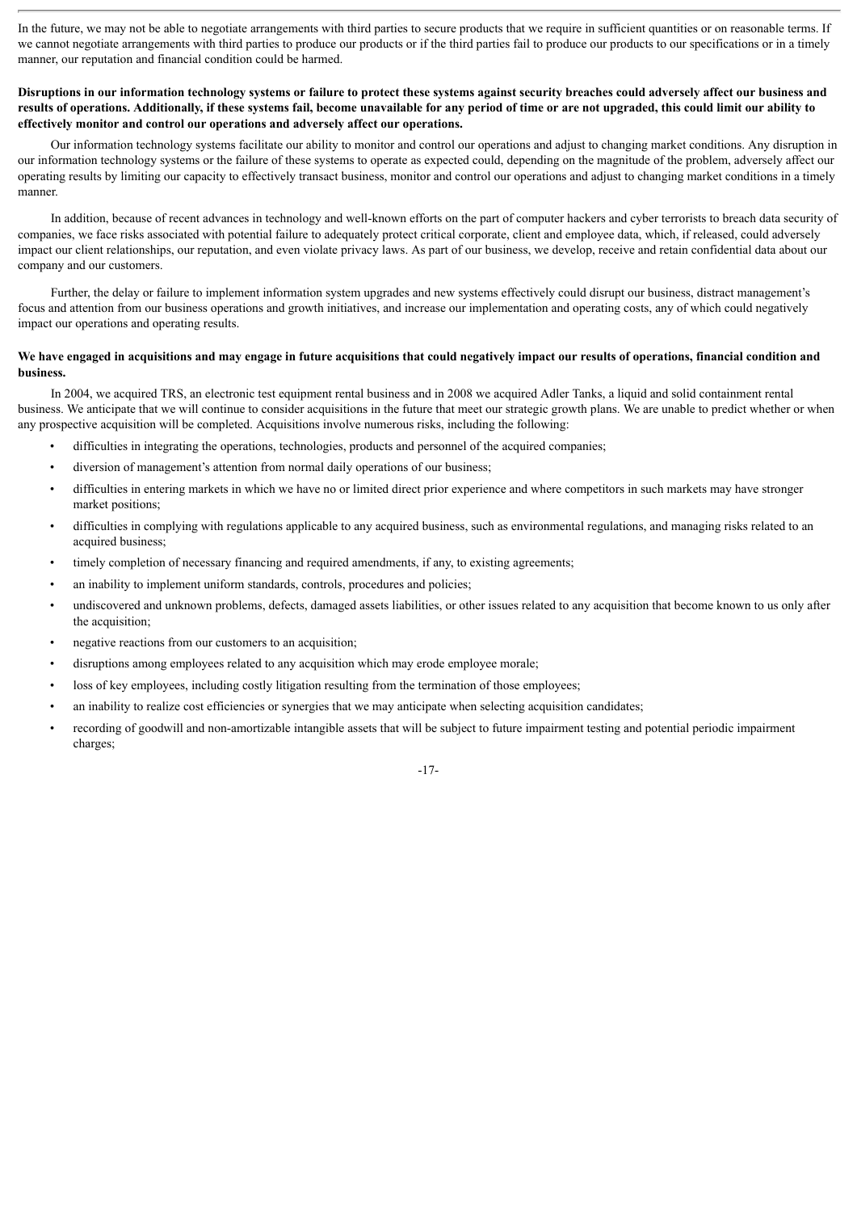In the future, we may not be able to negotiate arrangements with third parties to secure products that we require in sufficient quantities or on reasonable terms. If we cannot negotiate arrangements with third parties to produce our products or if the third parties fail to produce our products to our specifications or in a timely manner, our reputation and financial condition could be harmed.

## **Disruptions in our information technology systems or failure to protect these systems against security breaches could adversely affect our business and results of operations. Additionally, if these systems fail, become unavailable for any period of time or are not upgraded, this could limit our ability to effectively monitor and control our operations and adversely affect our operations.**

Our information technology systems facilitate our ability to monitor and control our operations and adjust to changing market conditions. Any disruption in our information technology systems or the failure of these systems to operate as expected could, depending on the magnitude of the problem, adversely affect our operating results by limiting our capacity to effectively transact business, monitor and control our operations and adjust to changing market conditions in a timely manner.

In addition, because of recent advances in technology and well-known efforts on the part of computer hackers and cyber terrorists to breach data security of companies, we face risks associated with potential failure to adequately protect critical corporate, client and employee data, which, if released, could adversely impact our client relationships, our reputation, and even violate privacy laws. As part of our business, we develop, receive and retain confidential data about our company and our customers.

Further, the delay or failure to implement information system upgrades and new systems effectively could disrupt our business, distract management's focus and attention from our business operations and growth initiatives, and increase our implementation and operating costs, any of which could negatively impact our operations and operating results.

## **We have engaged in acquisitions and may engage in future acquisitions that could negatively impact our results of operations, financial condition and business.**

In 2004, we acquired TRS, an electronic test equipment rental business and in 2008 we acquired Adler Tanks, a liquid and solid containment rental business. We anticipate that we will continue to consider acquisitions in the future that meet our strategic growth plans. We are unable to predict whether or when any prospective acquisition will be completed. Acquisitions involve numerous risks, including the following:

- difficulties in integrating the operations, technologies, products and personnel of the acquired companies;
- diversion of management's attention from normal daily operations of our business;
- difficulties in entering markets in which we have no or limited direct prior experience and where competitors in such markets may have stronger market positions;
- difficulties in complying with regulations applicable to any acquired business, such as environmental regulations, and managing risks related to an acquired business;
- timely completion of necessary financing and required amendments, if any, to existing agreements;
- an inability to implement uniform standards, controls, procedures and policies;
- undiscovered and unknown problems, defects, damaged assets liabilities, or other issues related to any acquisition that become known to us only after the acquisition;
- negative reactions from our customers to an acquisition;
- disruptions among employees related to any acquisition which may erode employee morale;
- loss of key employees, including costly litigation resulting from the termination of those employees;
- an inability to realize cost efficiencies or synergies that we may anticipate when selecting acquisition candidates;
- recording of goodwill and non-amortizable intangible assets that will be subject to future impairment testing and potential periodic impairment charges;

## -17-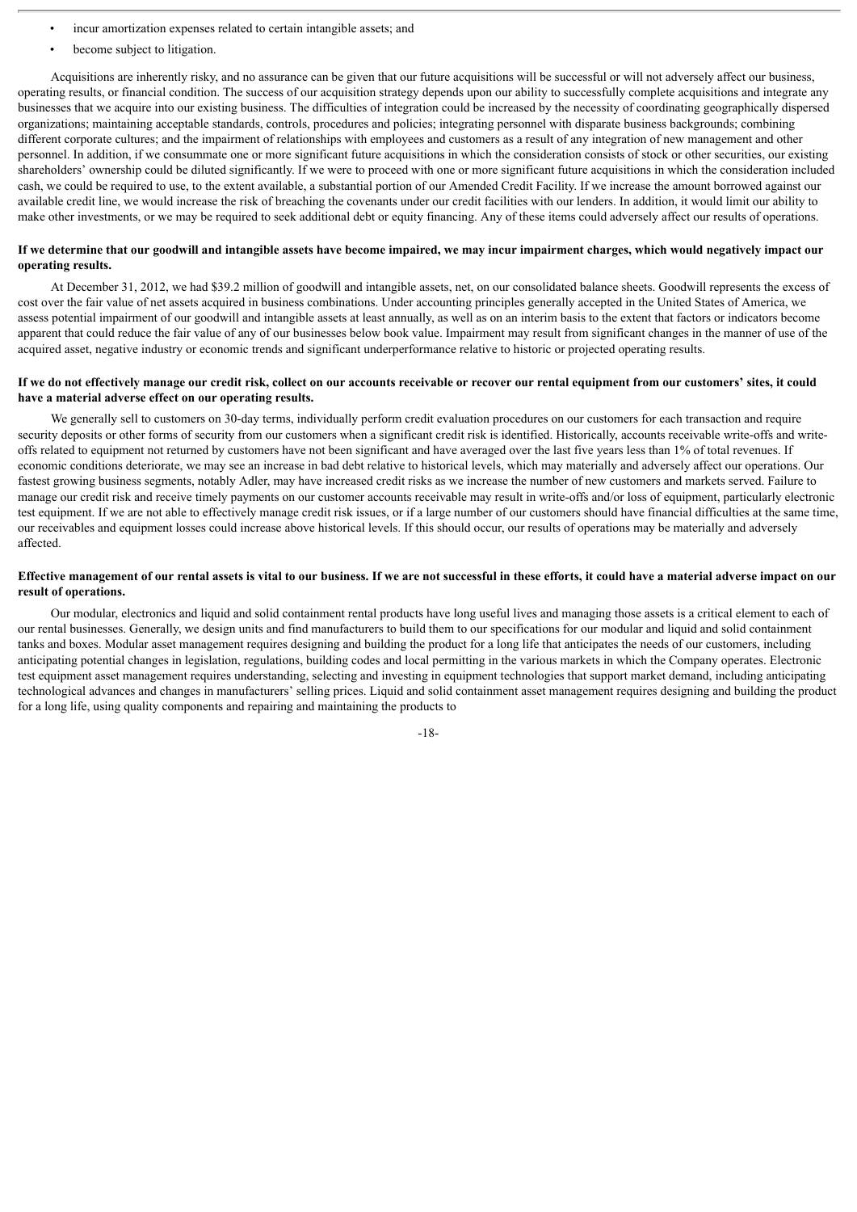- incur amortization expenses related to certain intangible assets; and
- become subject to litigation.

Acquisitions are inherently risky, and no assurance can be given that our future acquisitions will be successful or will not adversely affect our business, operating results, or financial condition. The success of our acquisition strategy depends upon our ability to successfully complete acquisitions and integrate any businesses that we acquire into our existing business. The difficulties of integration could be increased by the necessity of coordinating geographically dispersed organizations; maintaining acceptable standards, controls, procedures and policies; integrating personnel with disparate business backgrounds; combining different corporate cultures; and the impairment of relationships with employees and customers as a result of any integration of new management and other personnel. In addition, if we consummate one or more significant future acquisitions in which the consideration consists of stock or other securities, our existing shareholders' ownership could be diluted significantly. If we were to proceed with one or more significant future acquisitions in which the consideration included cash, we could be required to use, to the extent available, a substantial portion of our Amended Credit Facility. If we increase the amount borrowed against our available credit line, we would increase the risk of breaching the covenants under our credit facilities with our lenders. In addition, it would limit our ability to make other investments, or we may be required to seek additional debt or equity financing. Any of these items could adversely affect our results of operations.

## **If we determine that our goodwill and intangible assets have become impaired, we may incur impairment charges, which would negatively impact our operating results.**

At December 31, 2012, we had \$39.2 million of goodwill and intangible assets, net, on our consolidated balance sheets. Goodwill represents the excess of cost over the fair value of net assets acquired in business combinations. Under accounting principles generally accepted in the United States of America, we assess potential impairment of our goodwill and intangible assets at least annually, as well as on an interim basis to the extent that factors or indicators become apparent that could reduce the fair value of any of our businesses below book value. Impairment may result from significant changes in the manner of use of the acquired asset, negative industry or economic trends and significant underperformance relative to historic or projected operating results.

#### **If we do not effectively manage our credit risk, collect on our accounts receivable or recover our rental equipment from our customers' sites, it could have a material adverse effect on our operating results.**

We generally sell to customers on 30-day terms, individually perform credit evaluation procedures on our customers for each transaction and require security deposits or other forms of security from our customers when a significant credit risk is identified. Historically, accounts receivable write-offs and writeoffs related to equipment not returned by customers have not been significant and have averaged over the last five years less than 1% of total revenues. If economic conditions deteriorate, we may see an increase in bad debt relative to historical levels, which may materially and adversely affect our operations. Our fastest growing business segments, notably Adler, may have increased credit risks as we increase the number of new customers and markets served. Failure to manage our credit risk and receive timely payments on our customer accounts receivable may result in write-offs and/or loss of equipment, particularly electronic test equipment. If we are not able to effectively manage credit risk issues, or if a large number of our customers should have financial difficulties at the same time, our receivables and equipment losses could increase above historical levels. If this should occur, our results of operations may be materially and adversely affected.

#### **Effective management of our rental assets is vital to our business. If we are not successful in these efforts, it could have a material adverse impact on our result of operations.**

Our modular, electronics and liquid and solid containment rental products have long useful lives and managing those assets is a critical element to each of our rental businesses. Generally, we design units and find manufacturers to build them to our specifications for our modular and liquid and solid containment tanks and boxes. Modular asset management requires designing and building the product for a long life that anticipates the needs of our customers, including anticipating potential changes in legislation, regulations, building codes and local permitting in the various markets in which the Company operates. Electronic test equipment asset management requires understanding, selecting and investing in equipment technologies that support market demand, including anticipating technological advances and changes in manufacturers' selling prices. Liquid and solid containment asset management requires designing and building the product for a long life, using quality components and repairing and maintaining the products to

-18-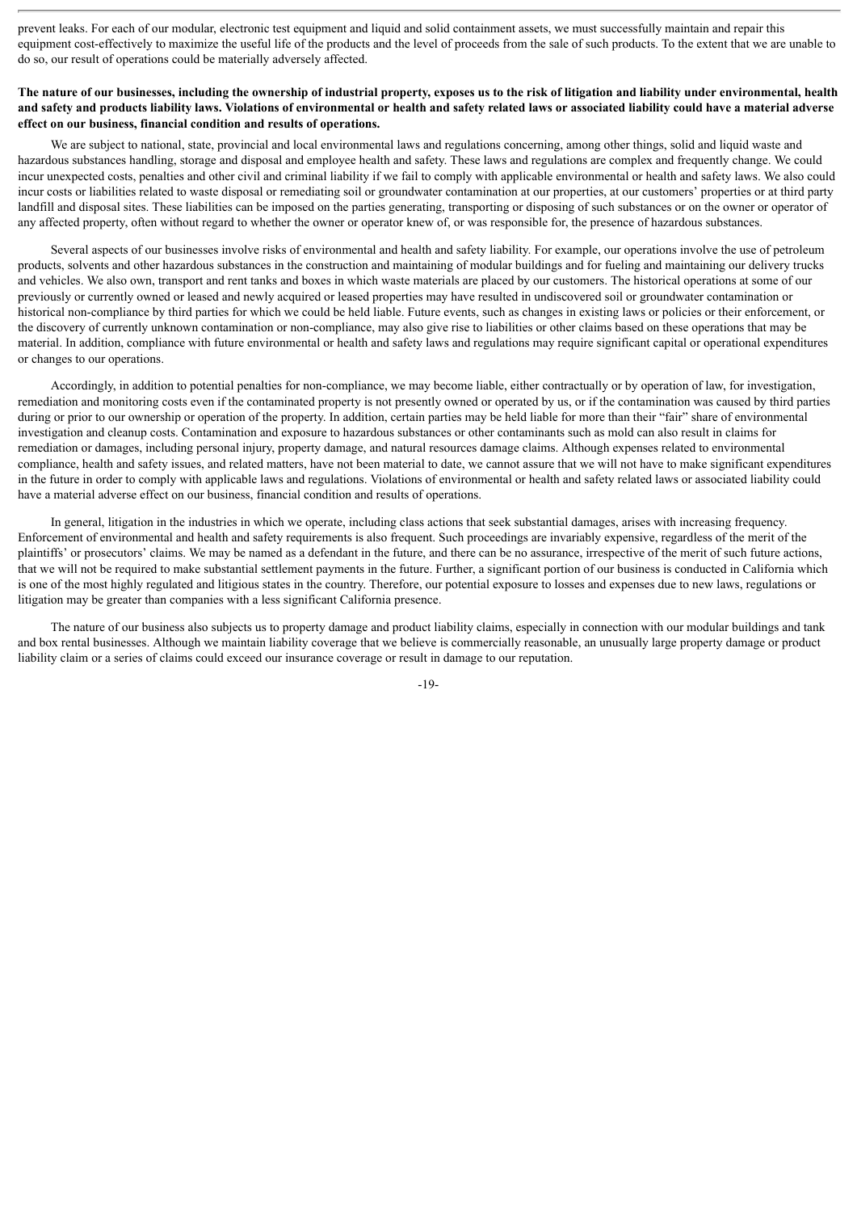prevent leaks. For each of our modular, electronic test equipment and liquid and solid containment assets, we must successfully maintain and repair this equipment cost-effectively to maximize the useful life of the products and the level of proceeds from the sale of such products. To the extent that we are unable to do so, our result of operations could be materially adversely affected.

## **The nature of our businesses, including the ownership of industrial property, exposes us to the risk of litigation and liability under environmental, health and safety and products liability laws. Violations of environmental or health and safety related laws or associated liability could have a material adverse effect on our business, financial condition and results of operations.**

We are subject to national, state, provincial and local environmental laws and regulations concerning, among other things, solid and liquid waste and hazardous substances handling, storage and disposal and employee health and safety. These laws and regulations are complex and frequently change. We could incur unexpected costs, penalties and other civil and criminal liability if we fail to comply with applicable environmental or health and safety laws. We also could incur costs or liabilities related to waste disposal or remediating soil or groundwater contamination at our properties, at our customers' properties or at third party landfill and disposal sites. These liabilities can be imposed on the parties generating, transporting or disposing of such substances or on the owner or operator of any affected property, often without regard to whether the owner or operator knew of, or was responsible for, the presence of hazardous substances.

Several aspects of our businesses involve risks of environmental and health and safety liability. For example, our operations involve the use of petroleum products, solvents and other hazardous substances in the construction and maintaining of modular buildings and for fueling and maintaining our delivery trucks and vehicles. We also own, transport and rent tanks and boxes in which waste materials are placed by our customers. The historical operations at some of our previously or currently owned or leased and newly acquired or leased properties may have resulted in undiscovered soil or groundwater contamination or historical non-compliance by third parties for which we could be held liable. Future events, such as changes in existing laws or policies or their enforcement, or the discovery of currently unknown contamination or non-compliance, may also give rise to liabilities or other claims based on these operations that may be material. In addition, compliance with future environmental or health and safety laws and regulations may require significant capital or operational expenditures or changes to our operations.

Accordingly, in addition to potential penalties for non-compliance, we may become liable, either contractually or by operation of law, for investigation, remediation and monitoring costs even if the contaminated property is not presently owned or operated by us, or if the contamination was caused by third parties during or prior to our ownership or operation of the property. In addition, certain parties may be held liable for more than their "fair" share of environmental investigation and cleanup costs. Contamination and exposure to hazardous substances or other contaminants such as mold can also result in claims for remediation or damages, including personal injury, property damage, and natural resources damage claims. Although expenses related to environmental compliance, health and safety issues, and related matters, have not been material to date, we cannot assure that we will not have to make significant expenditures in the future in order to comply with applicable laws and regulations. Violations of environmental or health and safety related laws or associated liability could have a material adverse effect on our business, financial condition and results of operations.

In general, litigation in the industries in which we operate, including class actions that seek substantial damages, arises with increasing frequency. Enforcement of environmental and health and safety requirements is also frequent. Such proceedings are invariably expensive, regardless of the merit of the plaintiffs' or prosecutors' claims. We may be named as a defendant in the future, and there can be no assurance, irrespective of the merit of such future actions, that we will not be required to make substantial settlement payments in the future. Further, a significant portion of our business is conducted in California which is one of the most highly regulated and litigious states in the country. Therefore, our potential exposure to losses and expenses due to new laws, regulations or litigation may be greater than companies with a less significant California presence.

The nature of our business also subjects us to property damage and product liability claims, especially in connection with our modular buildings and tank and box rental businesses. Although we maintain liability coverage that we believe is commercially reasonable, an unusually large property damage or product liability claim or a series of claims could exceed our insurance coverage or result in damage to our reputation.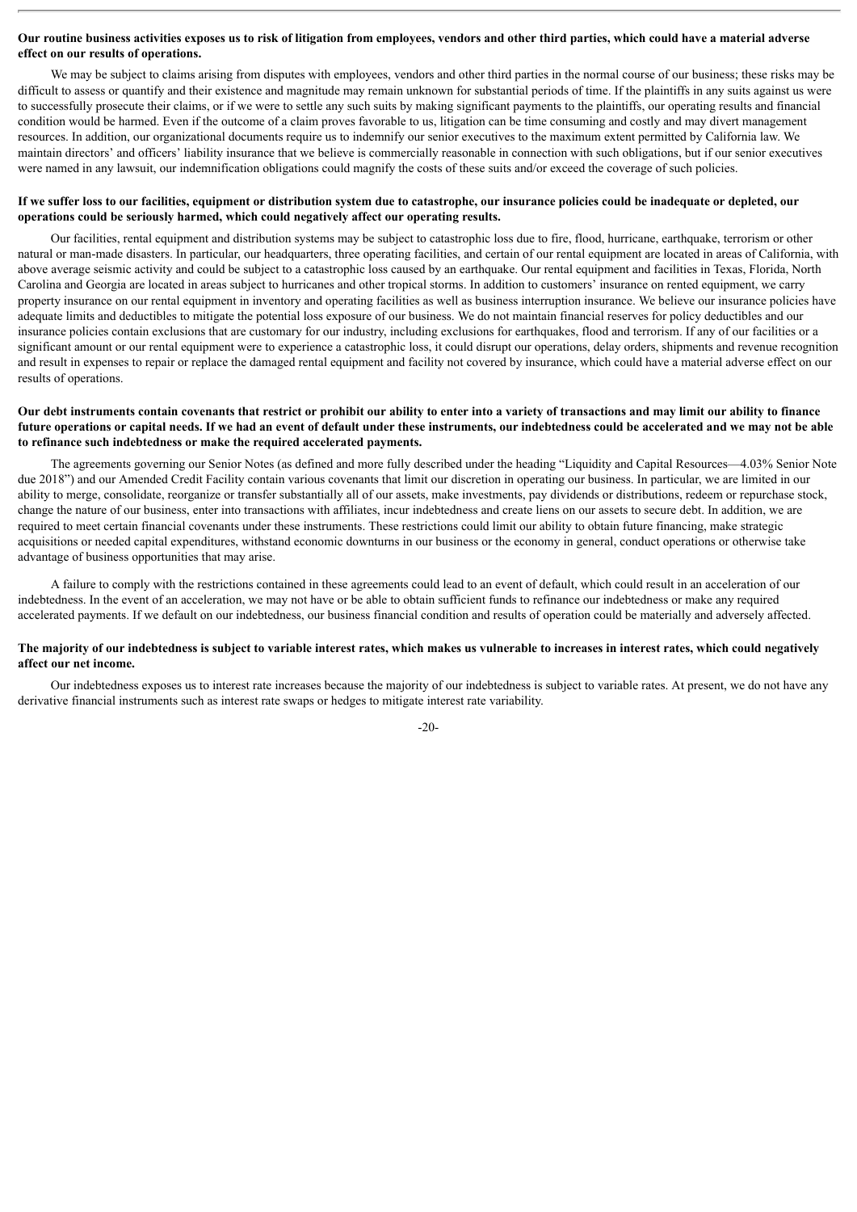## **Our routine business activities exposes us to risk of litigation from employees, vendors and other third parties, which could have a material adverse effect on our results of operations.**

We may be subject to claims arising from disputes with employees, vendors and other third parties in the normal course of our business; these risks may be difficult to assess or quantify and their existence and magnitude may remain unknown for substantial periods of time. If the plaintiffs in any suits against us were to successfully prosecute their claims, or if we were to settle any such suits by making significant payments to the plaintiffs, our operating results and financial condition would be harmed. Even if the outcome of a claim proves favorable to us, litigation can be time consuming and costly and may divert management resources. In addition, our organizational documents require us to indemnify our senior executives to the maximum extent permitted by California law. We maintain directors' and officers' liability insurance that we believe is commercially reasonable in connection with such obligations, but if our senior executives were named in any lawsuit, our indemnification obligations could magnify the costs of these suits and/or exceed the coverage of such policies.

## **If we suffer loss to our facilities, equipment or distribution system due to catastrophe, our insurance policies could be inadequate or depleted, our operations could be seriously harmed, which could negatively affect our operating results.**

Our facilities, rental equipment and distribution systems may be subject to catastrophic loss due to fire, flood, hurricane, earthquake, terrorism or other natural or man-made disasters. In particular, our headquarters, three operating facilities, and certain of our rental equipment are located in areas of California, with above average seismic activity and could be subject to a catastrophic loss caused by an earthquake. Our rental equipment and facilities in Texas, Florida, North Carolina and Georgia are located in areas subject to hurricanes and other tropical storms. In addition to customers' insurance on rented equipment, we carry property insurance on our rental equipment in inventory and operating facilities as well as business interruption insurance. We believe our insurance policies have adequate limits and deductibles to mitigate the potential loss exposure of our business. We do not maintain financial reserves for policy deductibles and our insurance policies contain exclusions that are customary for our industry, including exclusions for earthquakes, flood and terrorism. If any of our facilities or a significant amount or our rental equipment were to experience a catastrophic loss, it could disrupt our operations, delay orders, shipments and revenue recognition and result in expenses to repair or replace the damaged rental equipment and facility not covered by insurance, which could have a material adverse effect on our results of operations.

## **Our debt instruments contain covenants that restrict or prohibit our ability to enter into a variety of transactions and may limit our ability to finance future operations or capital needs. If we had an event of default under these instruments, our indebtedness could be accelerated and we may not be able to refinance such indebtedness or make the required accelerated payments.**

The agreements governing our Senior Notes (as defined and more fully described under the heading "Liquidity and Capital Resources—4.03% Senior Note due 2018") and our Amended Credit Facility contain various covenants that limit our discretion in operating our business. In particular, we are limited in our ability to merge, consolidate, reorganize or transfer substantially all of our assets, make investments, pay dividends or distributions, redeem or repurchase stock, change the nature of our business, enter into transactions with affiliates, incur indebtedness and create liens on our assets to secure debt. In addition, we are required to meet certain financial covenants under these instruments. These restrictions could limit our ability to obtain future financing, make strategic acquisitions or needed capital expenditures, withstand economic downturns in our business or the economy in general, conduct operations or otherwise take advantage of business opportunities that may arise.

A failure to comply with the restrictions contained in these agreements could lead to an event of default, which could result in an acceleration of our indebtedness. In the event of an acceleration, we may not have or be able to obtain sufficient funds to refinance our indebtedness or make any required accelerated payments. If we default on our indebtedness, our business financial condition and results of operation could be materially and adversely affected.

## **The majority of our indebtedness is subject to variable interest rates, which makes us vulnerable to increases in interest rates, which could negatively affect our net income.**

Our indebtedness exposes us to interest rate increases because the majority of our indebtedness is subject to variable rates. At present, we do not have any derivative financial instruments such as interest rate swaps or hedges to mitigate interest rate variability.

-20-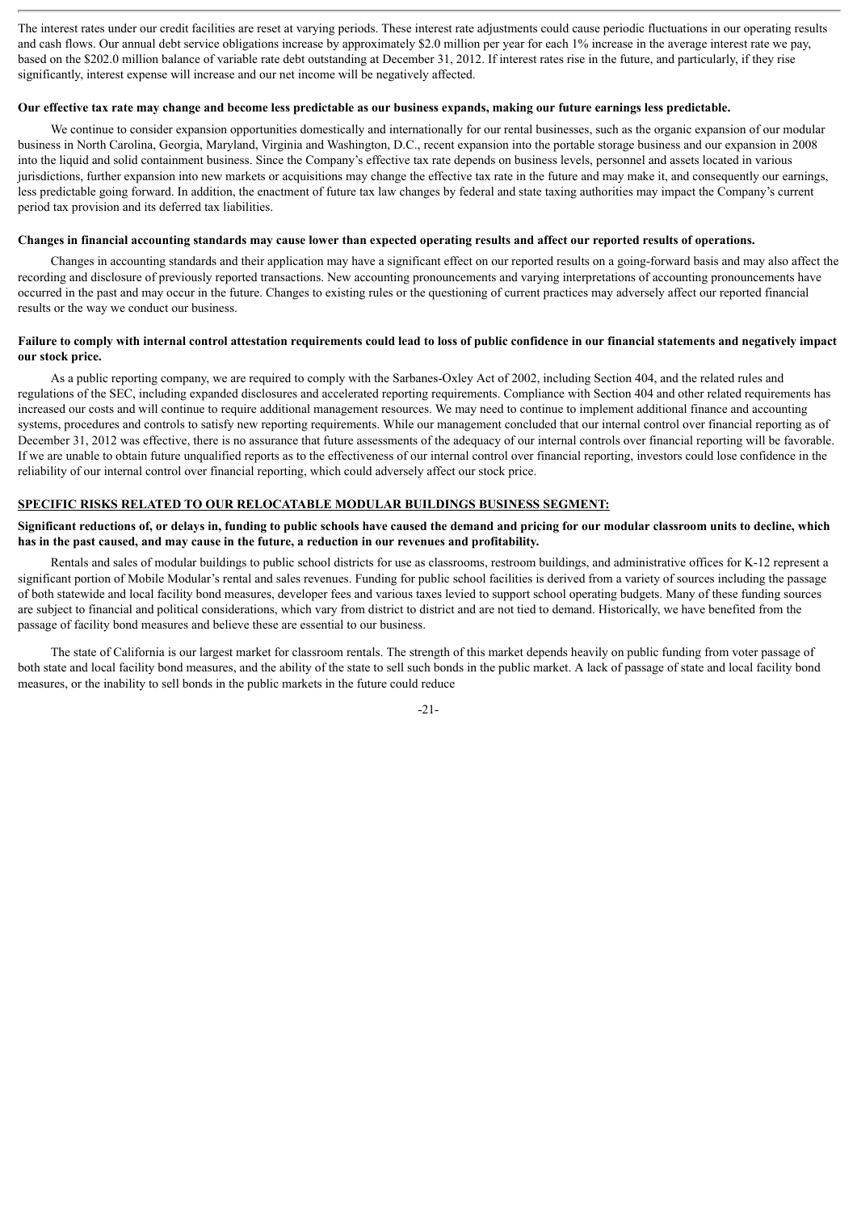The interest rates under our credit facilities are reset at varying periods. These interest rate adjustments could cause periodic fluctuations in our operating results and cash flows. Our annual debt service obligations increase by approximately \$2.0 million per year for each 1% increase in the average interest rate we pay, based on the \$202.0 million balance of variable rate debt outstanding at December 31, 2012. If interest rates rise in the future, and particularly, if they rise significantly, interest expense will increase and our net income will be negatively affected.

#### **Our effective tax rate may change and become less predictable as our business expands, making our future earnings less predictable.**

We continue to consider expansion opportunities domestically and internationally for our rental businesses, such as the organic expansion of our modular business in North Carolina, Georgia, Maryland, Virginia and Washington, D.C., recent expansion into the portable storage business and our expansion in 2008 into the liquid and solid containment business. Since the Company's effective tax rate depends on business levels, personnel and assets located in various jurisdictions, further expansion into new markets or acquisitions may change the effective tax rate in the future and may make it, and consequently our earnings, less predictable going forward. In addition, the enactment of future tax law changes by federal and state taxing authorities may impact the Company's current period tax provision and its deferred tax liabilities.

#### **Changes in financial accounting standards may cause lower than expected operating results and affect our reported results of operations.**

Changes in accounting standards and their application may have a significant effect on our reported results on a going-forward basis and may also affect the recording and disclosure of previously reported transactions. New accounting pronouncements and varying interpretations of accounting pronouncements have occurred in the past and may occur in the future. Changes to existing rules or the questioning of current practices may adversely affect our reported financial results or the way we conduct our business.

#### **Failure to comply with internal control attestation requirements could lead to loss of public confidence in our financial statements and negatively impact our stock price.**

As a public reporting company, we are required to comply with the Sarbanes-Oxley Act of 2002, including Section 404, and the related rules and regulations of the SEC, including expanded disclosures and accelerated reporting requirements. Compliance with Section 404 and other related requirements has increased our costs and will continue to require additional management resources. We may need to continue to implement additional finance and accounting systems, procedures and controls to satisfy new reporting requirements. While our management concluded that our internal control over financial reporting as of December 31, 2012 was effective, there is no assurance that future assessments of the adequacy of our internal controls over financial reporting will be favorable. If we are unable to obtain future unqualified reports as to the effectiveness of our internal control over financial reporting, investors could lose confidence in the reliability of our internal control over financial reporting, which could adversely affect our stock price.

#### **SPECIFIC RISKS RELATED TO OUR RELOCATABLE MODULAR BUILDINGS BUSINESS SEGMENT:**

## **Significant reductions of, or delays in, funding to public schools have caused the demand and pricing for our modular classroom units to decline, which has in the past caused, and may cause in the future, a reduction in our revenues and profitability.**

Rentals and sales of modular buildings to public school districts for use as classrooms, restroom buildings, and administrative offices for K-12 represent a significant portion of Mobile Modular's rental and sales revenues. Funding for public school facilities is derived from a variety of sources including the passage of both statewide and local facility bond measures, developer fees and various taxes levied to support school operating budgets. Many of these funding sources are subject to financial and political considerations, which vary from district to district and are not tied to demand. Historically, we have benefited from the passage of facility bond measures and believe these are essential to our business.

The state of California is our largest market for classroom rentals. The strength of this market depends heavily on public funding from voter passage of both state and local facility bond measures, and the ability of the state to sell such bonds in the public market. A lack of passage of state and local facility bond measures, or the inability to sell bonds in the public markets in the future could reduce

-21-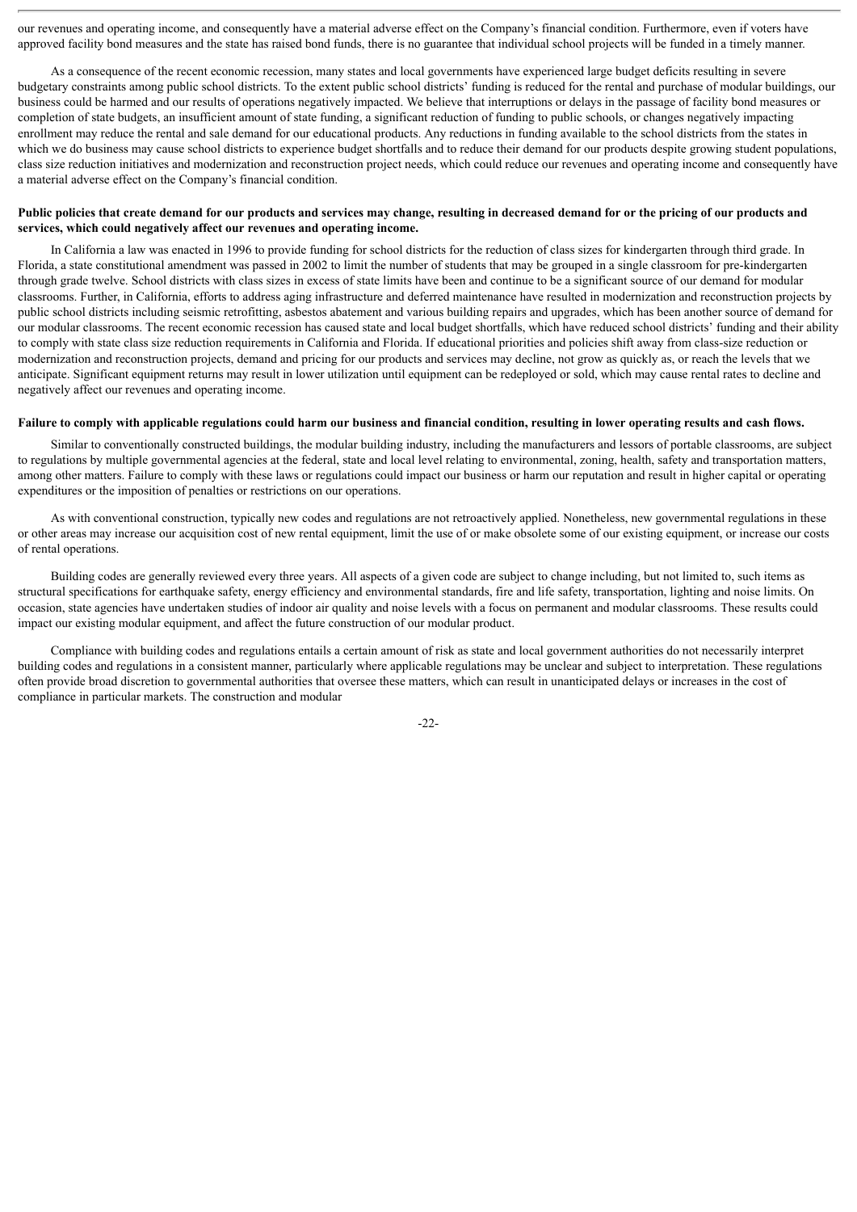our revenues and operating income, and consequently have a material adverse effect on the Company's financial condition. Furthermore, even if voters have approved facility bond measures and the state has raised bond funds, there is no guarantee that individual school projects will be funded in a timely manner.

As a consequence of the recent economic recession, many states and local governments have experienced large budget deficits resulting in severe budgetary constraints among public school districts. To the extent public school districts' funding is reduced for the rental and purchase of modular buildings, our business could be harmed and our results of operations negatively impacted. We believe that interruptions or delays in the passage of facility bond measures or completion of state budgets, an insufficient amount of state funding, a significant reduction of funding to public schools, or changes negatively impacting enrollment may reduce the rental and sale demand for our educational products. Any reductions in funding available to the school districts from the states in which we do business may cause school districts to experience budget shortfalls and to reduce their demand for our products despite growing student populations, class size reduction initiatives and modernization and reconstruction project needs, which could reduce our revenues and operating income and consequently have a material adverse effect on the Company's financial condition.

## **Public policies that create demand for our products and services may change, resulting in decreased demand for or the pricing of our products and services, which could negatively affect our revenues and operating income.**

In California a law was enacted in 1996 to provide funding for school districts for the reduction of class sizes for kindergarten through third grade. In Florida, a state constitutional amendment was passed in 2002 to limit the number of students that may be grouped in a single classroom for pre-kindergarten through grade twelve. School districts with class sizes in excess of state limits have been and continue to be a significant source of our demand for modular classrooms. Further, in California, efforts to address aging infrastructure and deferred maintenance have resulted in modernization and reconstruction projects by public school districts including seismic retrofitting, asbestos abatement and various building repairs and upgrades, which has been another source of demand for our modular classrooms. The recent economic recession has caused state and local budget shortfalls, which have reduced school districts' funding and their ability to comply with state class size reduction requirements in California and Florida. If educational priorities and policies shift away from class-size reduction or modernization and reconstruction projects, demand and pricing for our products and services may decline, not grow as quickly as, or reach the levels that we anticipate. Significant equipment returns may result in lower utilization until equipment can be redeployed or sold, which may cause rental rates to decline and negatively affect our revenues and operating income.

#### **Failure to comply with applicable regulations could harm our business and financial condition, resulting in lower operating results and cash flows.**

Similar to conventionally constructed buildings, the modular building industry, including the manufacturers and lessors of portable classrooms, are subject to regulations by multiple governmental agencies at the federal, state and local level relating to environmental, zoning, health, safety and transportation matters, among other matters. Failure to comply with these laws or regulations could impact our business or harm our reputation and result in higher capital or operating expenditures or the imposition of penalties or restrictions on our operations.

As with conventional construction, typically new codes and regulations are not retroactively applied. Nonetheless, new governmental regulations in these or other areas may increase our acquisition cost of new rental equipment, limit the use of or make obsolete some of our existing equipment, or increase our costs of rental operations.

Building codes are generally reviewed every three years. All aspects of a given code are subject to change including, but not limited to, such items as structural specifications for earthquake safety, energy efficiency and environmental standards, fire and life safety, transportation, lighting and noise limits. On occasion, state agencies have undertaken studies of indoor air quality and noise levels with a focus on permanent and modular classrooms. These results could impact our existing modular equipment, and affect the future construction of our modular product.

Compliance with building codes and regulations entails a certain amount of risk as state and local government authorities do not necessarily interpret building codes and regulations in a consistent manner, particularly where applicable regulations may be unclear and subject to interpretation. These regulations often provide broad discretion to governmental authorities that oversee these matters, which can result in unanticipated delays or increases in the cost of compliance in particular markets. The construction and modular

-22-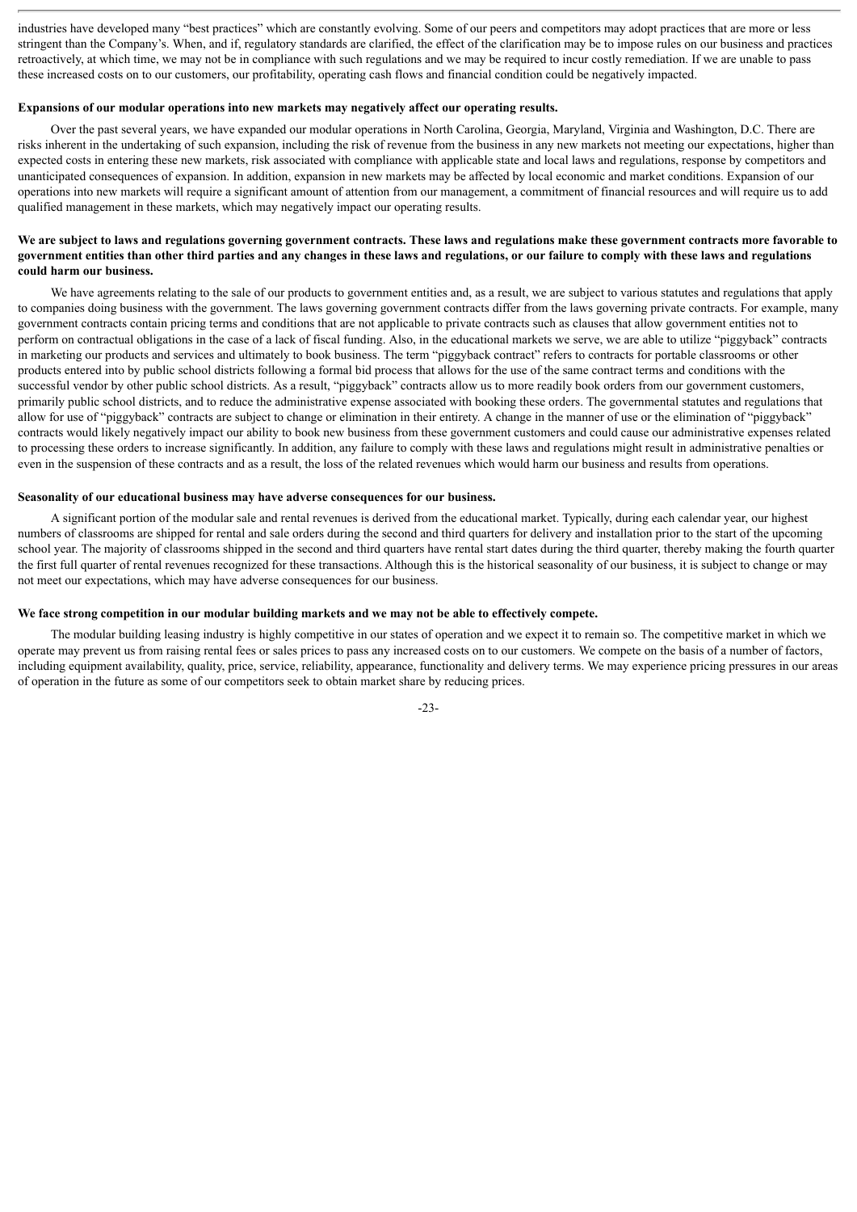industries have developed many "best practices" which are constantly evolving. Some of our peers and competitors may adopt practices that are more or less stringent than the Company's. When, and if, regulatory standards are clarified, the effect of the clarification may be to impose rules on our business and practices retroactively, at which time, we may not be in compliance with such regulations and we may be required to incur costly remediation. If we are unable to pass these increased costs on to our customers, our profitability, operating cash flows and financial condition could be negatively impacted.

#### **Expansions of our modular operations into new markets may negatively affect our operating results.**

Over the past several years, we have expanded our modular operations in North Carolina, Georgia, Maryland, Virginia and Washington, D.C. There are risks inherent in the undertaking of such expansion, including the risk of revenue from the business in any new markets not meeting our expectations, higher than expected costs in entering these new markets, risk associated with compliance with applicable state and local laws and regulations, response by competitors and unanticipated consequences of expansion. In addition, expansion in new markets may be affected by local economic and market conditions. Expansion of our operations into new markets will require a significant amount of attention from our management, a commitment of financial resources and will require us to add qualified management in these markets, which may negatively impact our operating results.

#### **We are subject to laws and regulations governing government contracts. These laws and regulations make these government contracts more favorable to government entities than other third parties and any changes in these laws and regulations, or our failure to comply with these laws and regulations could harm our business.**

We have agreements relating to the sale of our products to government entities and, as a result, we are subject to various statutes and regulations that apply to companies doing business with the government. The laws governing government contracts differ from the laws governing private contracts. For example, many government contracts contain pricing terms and conditions that are not applicable to private contracts such as clauses that allow government entities not to perform on contractual obligations in the case of a lack of fiscal funding. Also, in the educational markets we serve, we are able to utilize "piggyback" contracts in marketing our products and services and ultimately to book business. The term "piggyback contract" refers to contracts for portable classrooms or other products entered into by public school districts following a formal bid process that allows for the use of the same contract terms and conditions with the successful vendor by other public school districts. As a result, "piggyback" contracts allow us to more readily book orders from our government customers, primarily public school districts, and to reduce the administrative expense associated with booking these orders. The governmental statutes and regulations that allow for use of "piggyback" contracts are subject to change or elimination in their entirety. A change in the manner of use or the elimination of "piggyback" contracts would likely negatively impact our ability to book new business from these government customers and could cause our administrative expenses related to processing these orders to increase significantly. In addition, any failure to comply with these laws and regulations might result in administrative penalties or even in the suspension of these contracts and as a result, the loss of the related revenues which would harm our business and results from operations.

#### **Seasonality of our educational business may have adverse consequences for our business.**

A significant portion of the modular sale and rental revenues is derived from the educational market. Typically, during each calendar year, our highest numbers of classrooms are shipped for rental and sale orders during the second and third quarters for delivery and installation prior to the start of the upcoming school year. The majority of classrooms shipped in the second and third quarters have rental start dates during the third quarter, thereby making the fourth quarter the first full quarter of rental revenues recognized for these transactions. Although this is the historical seasonality of our business, it is subject to change or may not meet our expectations, which may have adverse consequences for our business.

#### **We face strong competition in our modular building markets and we may not be able to effectively compete.**

The modular building leasing industry is highly competitive in our states of operation and we expect it to remain so. The competitive market in which we operate may prevent us from raising rental fees or sales prices to pass any increased costs on to our customers. We compete on the basis of a number of factors, including equipment availability, quality, price, service, reliability, appearance, functionality and delivery terms. We may experience pricing pressures in our areas of operation in the future as some of our competitors seek to obtain market share by reducing prices.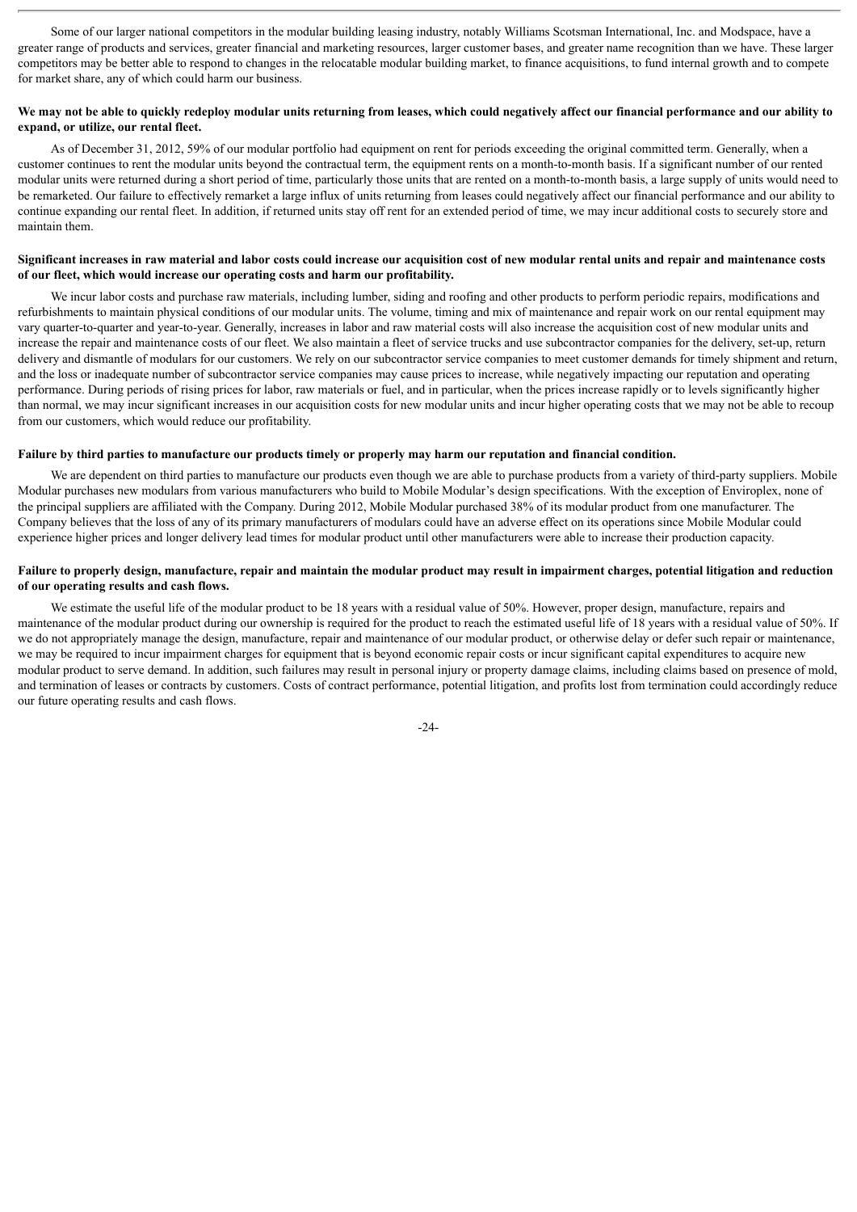Some of our larger national competitors in the modular building leasing industry, notably Williams Scotsman International, Inc. and Modspace, have a greater range of products and services, greater financial and marketing resources, larger customer bases, and greater name recognition than we have. These larger competitors may be better able to respond to changes in the relocatable modular building market, to finance acquisitions, to fund internal growth and to compete for market share, any of which could harm our business.

#### **We may not be able to quickly redeploy modular units returning from leases, which could negatively affect our financial performance and our ability to expand, or utilize, our rental fleet.**

As of December 31, 2012, 59% of our modular portfolio had equipment on rent for periods exceeding the original committed term. Generally, when a customer continues to rent the modular units beyond the contractual term, the equipment rents on a month-to-month basis. If a significant number of our rented modular units were returned during a short period of time, particularly those units that are rented on a month-to-month basis, a large supply of units would need to be remarketed. Our failure to effectively remarket a large influx of units returning from leases could negatively affect our financial performance and our ability to continue expanding our rental fleet. In addition, if returned units stay off rent for an extended period of time, we may incur additional costs to securely store and maintain them.

## **Significant increases in raw material and labor costs could increase our acquisition cost of new modular rental units and repair and maintenance costs of our fleet, which would increase our operating costs and harm our profitability.**

We incur labor costs and purchase raw materials, including lumber, siding and roofing and other products to perform periodic repairs, modifications and refurbishments to maintain physical conditions of our modular units. The volume, timing and mix of maintenance and repair work on our rental equipment may vary quarter-to-quarter and year-to-year. Generally, increases in labor and raw material costs will also increase the acquisition cost of new modular units and increase the repair and maintenance costs of our fleet. We also maintain a fleet of service trucks and use subcontractor companies for the delivery, set-up, return delivery and dismantle of modulars for our customers. We rely on our subcontractor service companies to meet customer demands for timely shipment and return, and the loss or inadequate number of subcontractor service companies may cause prices to increase, while negatively impacting our reputation and operating performance. During periods of rising prices for labor, raw materials or fuel, and in particular, when the prices increase rapidly or to levels significantly higher than normal, we may incur significant increases in our acquisition costs for new modular units and incur higher operating costs that we may not be able to recoup from our customers, which would reduce our profitability.

#### **Failure by third parties to manufacture our products timely or properly may harm our reputation and financial condition.**

We are dependent on third parties to manufacture our products even though we are able to purchase products from a variety of third-party suppliers. Mobile Modular purchases new modulars from various manufacturers who build to Mobile Modular's design specifications. With the exception of Enviroplex, none of the principal suppliers are affiliated with the Company. During 2012, Mobile Modular purchased 38% of its modular product from one manufacturer. The Company believes that the loss of any of its primary manufacturers of modulars could have an adverse effect on its operations since Mobile Modular could experience higher prices and longer delivery lead times for modular product until other manufacturers were able to increase their production capacity.

## **Failure to properly design, manufacture, repair and maintain the modular product may result in impairment charges, potential litigation and reduction of our operating results and cash flows.**

We estimate the useful life of the modular product to be 18 years with a residual value of 50%. However, proper design, manufacture, repairs and maintenance of the modular product during our ownership is required for the product to reach the estimated useful life of 18 years with a residual value of 50%. If we do not appropriately manage the design, manufacture, repair and maintenance of our modular product, or otherwise delay or defer such repair or maintenance, we may be required to incur impairment charges for equipment that is beyond economic repair costs or incur significant capital expenditures to acquire new modular product to serve demand. In addition, such failures may result in personal injury or property damage claims, including claims based on presence of mold, and termination of leases or contracts by customers. Costs of contract performance, potential litigation, and profits lost from termination could accordingly reduce our future operating results and cash flows.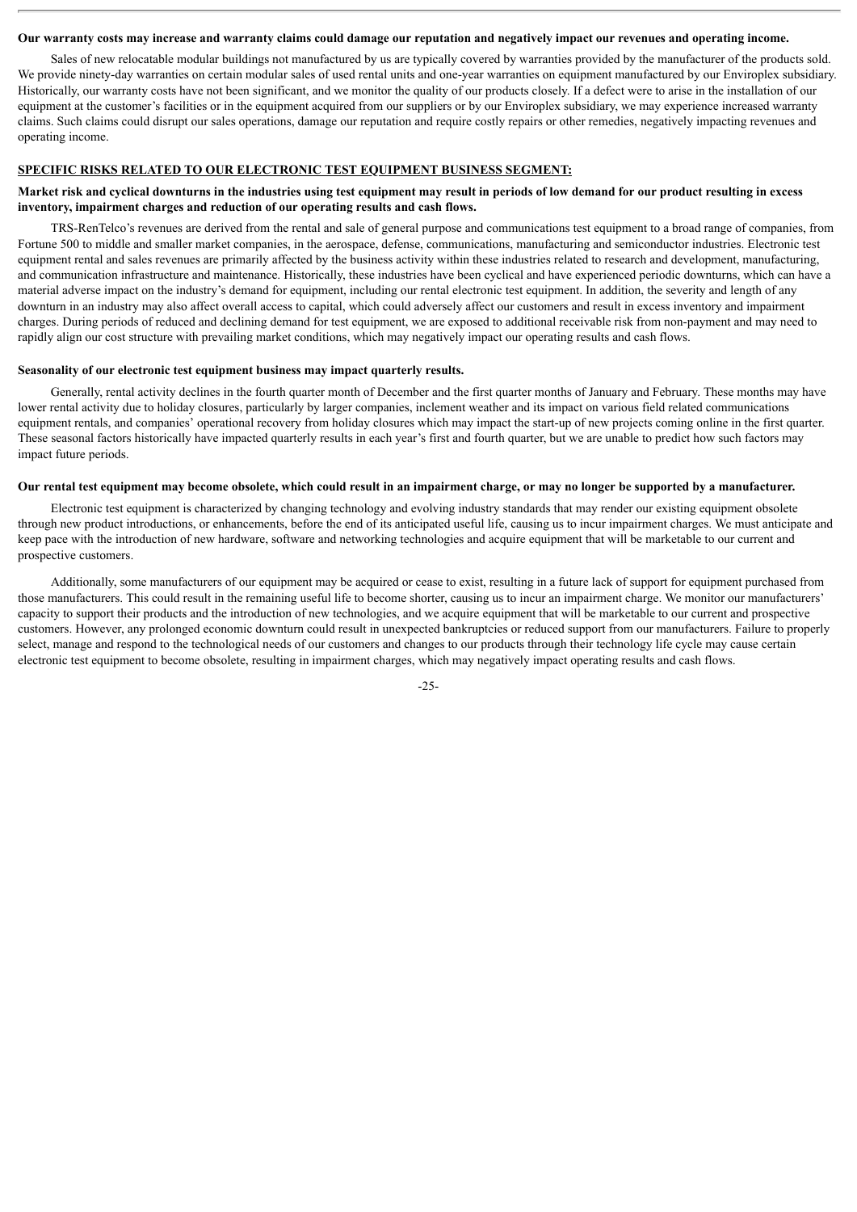#### **Our warranty costs may increase and warranty claims could damage our reputation and negatively impact our revenues and operating income.**

Sales of new relocatable modular buildings not manufactured by us are typically covered by warranties provided by the manufacturer of the products sold. We provide ninety-day warranties on certain modular sales of used rental units and one-year warranties on equipment manufactured by our Enviroplex subsidiary. Historically, our warranty costs have not been significant, and we monitor the quality of our products closely. If a defect were to arise in the installation of our equipment at the customer's facilities or in the equipment acquired from our suppliers or by our Enviroplex subsidiary, we may experience increased warranty claims. Such claims could disrupt our sales operations, damage our reputation and require costly repairs or other remedies, negatively impacting revenues and operating income.

## **SPECIFIC RISKS RELATED TO OUR ELECTRONIC TEST EQUIPMENT BUSINESS SEGMENT:**

## **Market risk and cyclical downturns in the industries using test equipment may result in periods of low demand for our product resulting in excess inventory, impairment charges and reduction of our operating results and cash flows.**

TRS-RenTelco's revenues are derived from the rental and sale of general purpose and communications test equipment to a broad range of companies, from Fortune 500 to middle and smaller market companies, in the aerospace, defense, communications, manufacturing and semiconductor industries. Electronic test equipment rental and sales revenues are primarily affected by the business activity within these industries related to research and development, manufacturing, and communication infrastructure and maintenance. Historically, these industries have been cyclical and have experienced periodic downturns, which can have a material adverse impact on the industry's demand for equipment, including our rental electronic test equipment. In addition, the severity and length of any downturn in an industry may also affect overall access to capital, which could adversely affect our customers and result in excess inventory and impairment charges. During periods of reduced and declining demand for test equipment, we are exposed to additional receivable risk from non-payment and may need to rapidly align our cost structure with prevailing market conditions, which may negatively impact our operating results and cash flows.

#### **Seasonality of our electronic test equipment business may impact quarterly results.**

Generally, rental activity declines in the fourth quarter month of December and the first quarter months of January and February. These months may have lower rental activity due to holiday closures, particularly by larger companies, inclement weather and its impact on various field related communications equipment rentals, and companies' operational recovery from holiday closures which may impact the start-up of new projects coming online in the first quarter. These seasonal factors historically have impacted quarterly results in each year's first and fourth quarter, but we are unable to predict how such factors may impact future periods.

#### **Our rental test equipment may become obsolete, which could result in an impairment charge, or may no longer be supported by a manufacturer.**

Electronic test equipment is characterized by changing technology and evolving industry standards that may render our existing equipment obsolete through new product introductions, or enhancements, before the end of its anticipated useful life, causing us to incur impairment charges. We must anticipate and keep pace with the introduction of new hardware, software and networking technologies and acquire equipment that will be marketable to our current and prospective customers.

Additionally, some manufacturers of our equipment may be acquired or cease to exist, resulting in a future lack of support for equipment purchased from those manufacturers. This could result in the remaining useful life to become shorter, causing us to incur an impairment charge. We monitor our manufacturers' capacity to support their products and the introduction of new technologies, and we acquire equipment that will be marketable to our current and prospective customers. However, any prolonged economic downturn could result in unexpected bankruptcies or reduced support from our manufacturers. Failure to properly select, manage and respond to the technological needs of our customers and changes to our products through their technology life cycle may cause certain electronic test equipment to become obsolete, resulting in impairment charges, which may negatively impact operating results and cash flows.

 $-25-$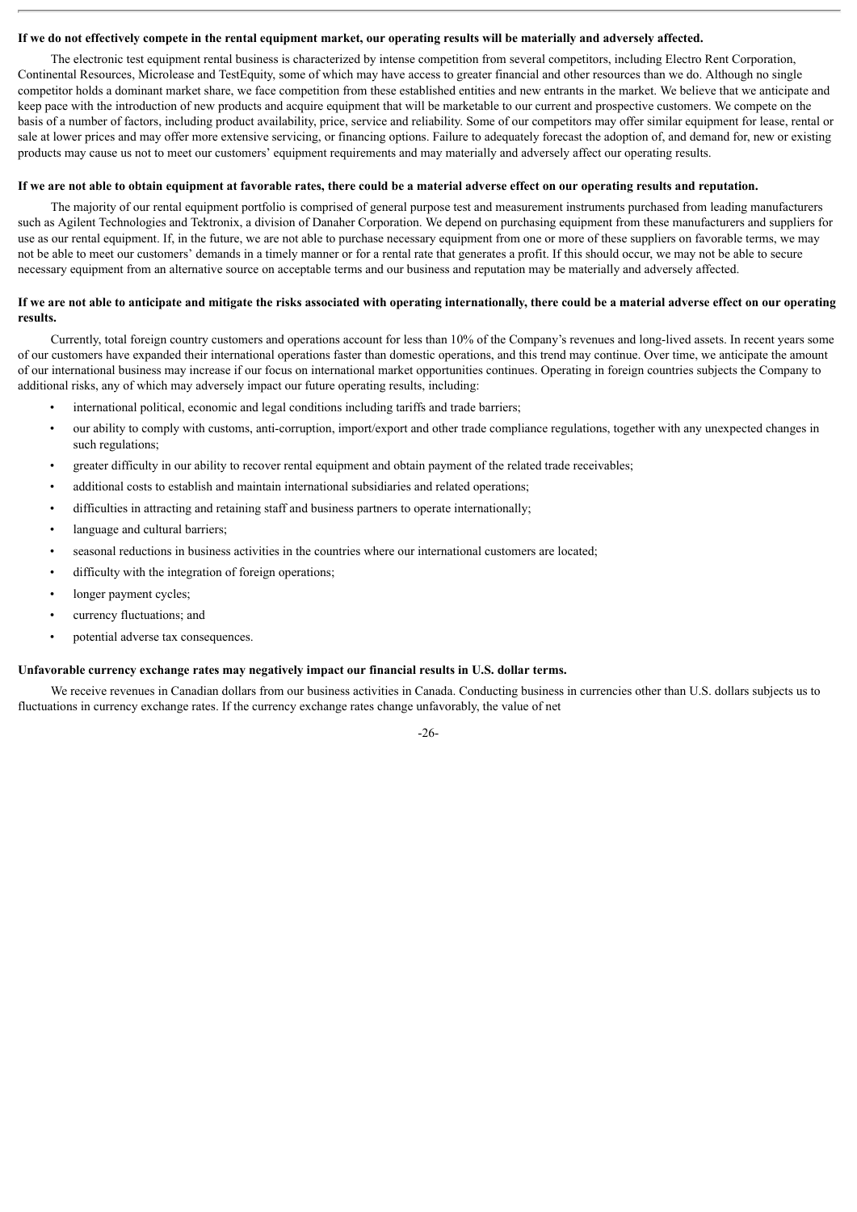## **If we do not effectively compete in the rental equipment market, our operating results will be materially and adversely affected.**

The electronic test equipment rental business is characterized by intense competition from several competitors, including Electro Rent Corporation, Continental Resources, Microlease and TestEquity, some of which may have access to greater financial and other resources than we do. Although no single competitor holds a dominant market share, we face competition from these established entities and new entrants in the market. We believe that we anticipate and keep pace with the introduction of new products and acquire equipment that will be marketable to our current and prospective customers. We compete on the basis of a number of factors, including product availability, price, service and reliability. Some of our competitors may offer similar equipment for lease, rental or sale at lower prices and may offer more extensive servicing, or financing options. Failure to adequately forecast the adoption of, and demand for, new or existing products may cause us not to meet our customers' equipment requirements and may materially and adversely affect our operating results.

## **If we are not able to obtain equipment at favorable rates, there could be a material adverse effect on our operating results and reputation.**

The majority of our rental equipment portfolio is comprised of general purpose test and measurement instruments purchased from leading manufacturers such as Agilent Technologies and Tektronix, a division of Danaher Corporation. We depend on purchasing equipment from these manufacturers and suppliers for use as our rental equipment. If, in the future, we are not able to purchase necessary equipment from one or more of these suppliers on favorable terms, we may not be able to meet our customers' demands in a timely manner or for a rental rate that generates a profit. If this should occur, we may not be able to secure necessary equipment from an alternative source on acceptable terms and our business and reputation may be materially and adversely affected.

## **If we are not able to anticipate and mitigate the risks associated with operating internationally, there could be a material adverse effect on our operating results.**

Currently, total foreign country customers and operations account for less than 10% of the Company's revenues and long-lived assets. In recent years some of our customers have expanded their international operations faster than domestic operations, and this trend may continue. Over time, we anticipate the amount of our international business may increase if our focus on international market opportunities continues. Operating in foreign countries subjects the Company to additional risks, any of which may adversely impact our future operating results, including:

- international political, economic and legal conditions including tariffs and trade barriers;
- our ability to comply with customs, anti-corruption, import/export and other trade compliance regulations, together with any unexpected changes in such regulations;
- greater difficulty in our ability to recover rental equipment and obtain payment of the related trade receivables;
- additional costs to establish and maintain international subsidiaries and related operations;
- difficulties in attracting and retaining staff and business partners to operate internationally;
- language and cultural barriers;
- seasonal reductions in business activities in the countries where our international customers are located;
- difficulty with the integration of foreign operations;
- longer payment cycles;
- currency fluctuations; and
- potential adverse tax consequences.

## **Unfavorable currency exchange rates may negatively impact our financial results in U.S. dollar terms.**

We receive revenues in Canadian dollars from our business activities in Canada. Conducting business in currencies other than U.S. dollars subjects us to fluctuations in currency exchange rates. If the currency exchange rates change unfavorably, the value of net

-26-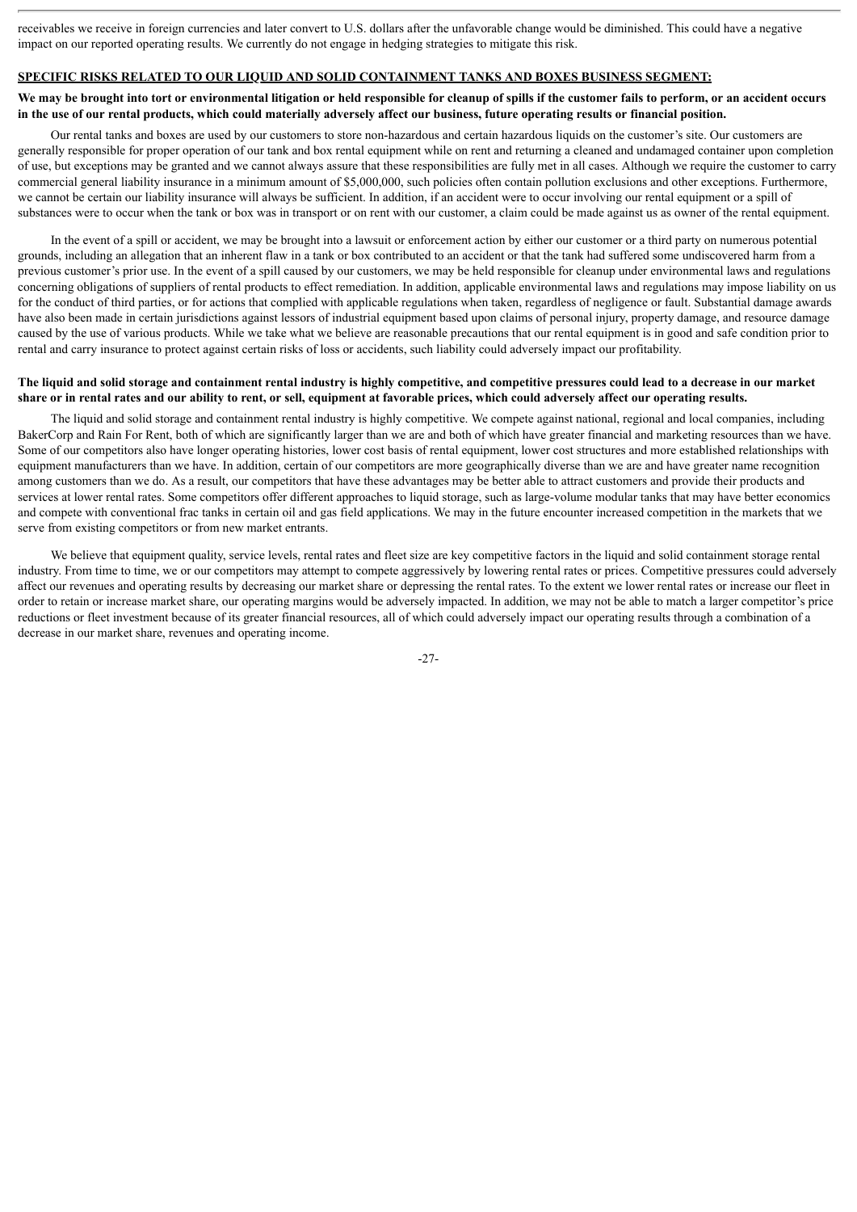receivables we receive in foreign currencies and later convert to U.S. dollars after the unfavorable change would be diminished. This could have a negative impact on our reported operating results. We currently do not engage in hedging strategies to mitigate this risk.

## **SPECIFIC RISKS RELATED TO OUR LIQUID AND SOLID CONTAINMENT TANKS AND BOXES BUSINESS SEGMENT:**

**We may be brought into tort or environmental litigation or held responsible for cleanup of spills if the customer fails to perform, or an accident occurs in the use of our rental products, which could materially adversely affect our business, future operating results or financial position.**

Our rental tanks and boxes are used by our customers to store non-hazardous and certain hazardous liquids on the customer's site. Our customers are generally responsible for proper operation of our tank and box rental equipment while on rent and returning a cleaned and undamaged container upon completion of use, but exceptions may be granted and we cannot always assure that these responsibilities are fully met in all cases. Although we require the customer to carry commercial general liability insurance in a minimum amount of \$5,000,000, such policies often contain pollution exclusions and other exceptions. Furthermore, we cannot be certain our liability insurance will always be sufficient. In addition, if an accident were to occur involving our rental equipment or a spill of substances were to occur when the tank or box was in transport or on rent with our customer, a claim could be made against us as owner of the rental equipment.

In the event of a spill or accident, we may be brought into a lawsuit or enforcement action by either our customer or a third party on numerous potential grounds, including an allegation that an inherent flaw in a tank or box contributed to an accident or that the tank had suffered some undiscovered harm from a previous customer's prior use. In the event of a spill caused by our customers, we may be held responsible for cleanup under environmental laws and regulations concerning obligations of suppliers of rental products to effect remediation. In addition, applicable environmental laws and regulations may impose liability on us for the conduct of third parties, or for actions that complied with applicable regulations when taken, regardless of negligence or fault. Substantial damage awards have also been made in certain jurisdictions against lessors of industrial equipment based upon claims of personal injury, property damage, and resource damage caused by the use of various products. While we take what we believe are reasonable precautions that our rental equipment is in good and safe condition prior to rental and carry insurance to protect against certain risks of loss or accidents, such liability could adversely impact our profitability.

#### **The liquid and solid storage and containment rental industry is highly competitive, and competitive pressures could lead to a decrease in our market share or in rental rates and our ability to rent, or sell, equipment at favorable prices, which could adversely affect our operating results.**

The liquid and solid storage and containment rental industry is highly competitive. We compete against national, regional and local companies, including BakerCorp and Rain For Rent, both of which are significantly larger than we are and both of which have greater financial and marketing resources than we have. Some of our competitors also have longer operating histories, lower cost basis of rental equipment, lower cost structures and more established relationships with equipment manufacturers than we have. In addition, certain of our competitors are more geographically diverse than we are and have greater name recognition among customers than we do. As a result, our competitors that have these advantages may be better able to attract customers and provide their products and services at lower rental rates. Some competitors offer different approaches to liquid storage, such as large-volume modular tanks that may have better economics and compete with conventional frac tanks in certain oil and gas field applications. We may in the future encounter increased competition in the markets that we serve from existing competitors or from new market entrants.

We believe that equipment quality, service levels, rental rates and fleet size are key competitive factors in the liquid and solid containment storage rental industry. From time to time, we or our competitors may attempt to compete aggressively by lowering rental rates or prices. Competitive pressures could adversely affect our revenues and operating results by decreasing our market share or depressing the rental rates. To the extent we lower rental rates or increase our fleet in order to retain or increase market share, our operating margins would be adversely impacted. In addition, we may not be able to match a larger competitor's price reductions or fleet investment because of its greater financial resources, all of which could adversely impact our operating results through a combination of a decrease in our market share, revenues and operating income.

-27-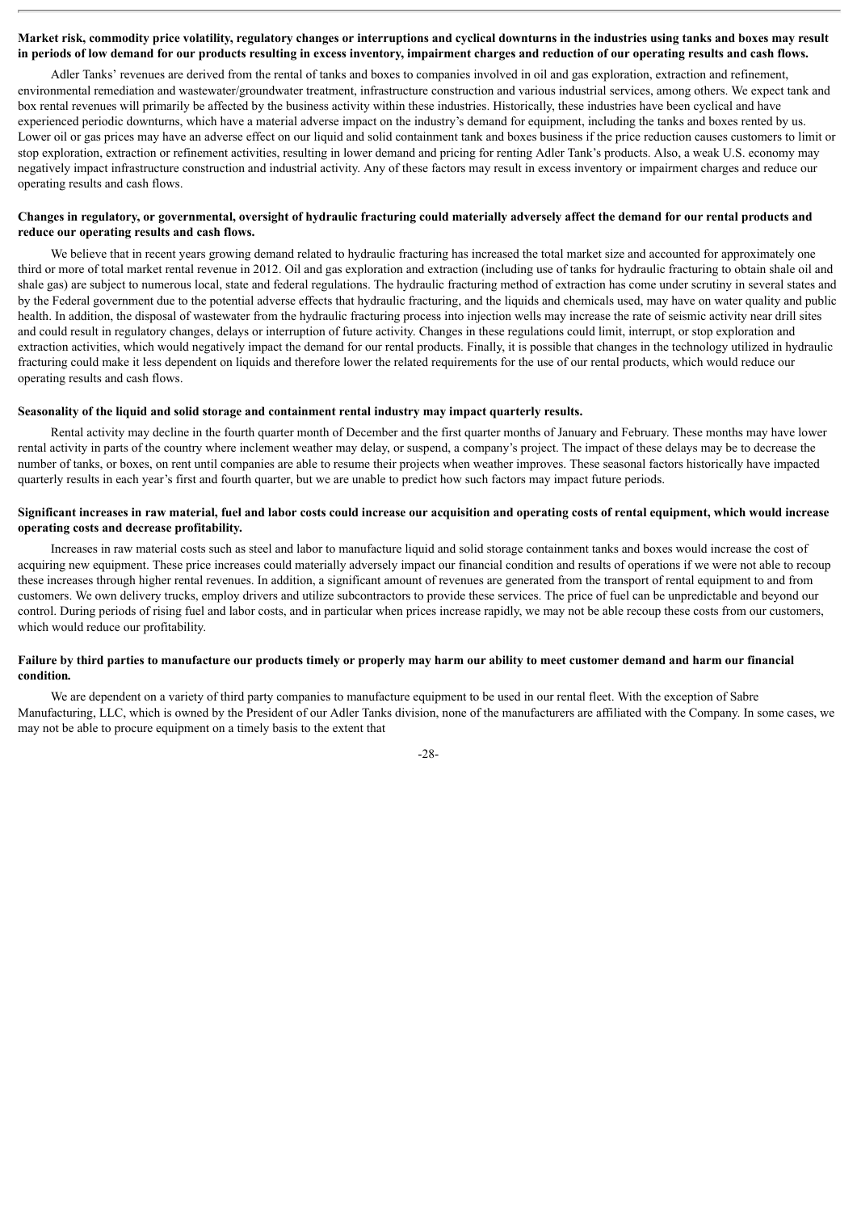## **Market risk, commodity price volatility, regulatory changes or interruptions and cyclical downturns in the industries using tanks and boxes may result in periods of low demand for our products resulting in excess inventory, impairment charges and reduction of our operating results and cash flows.**

Adler Tanks' revenues are derived from the rental of tanks and boxes to companies involved in oil and gas exploration, extraction and refinement, environmental remediation and wastewater/groundwater treatment, infrastructure construction and various industrial services, among others. We expect tank and box rental revenues will primarily be affected by the business activity within these industries. Historically, these industries have been cyclical and have experienced periodic downturns, which have a material adverse impact on the industry's demand for equipment, including the tanks and boxes rented by us. Lower oil or gas prices may have an adverse effect on our liquid and solid containment tank and boxes business if the price reduction causes customers to limit or stop exploration, extraction or refinement activities, resulting in lower demand and pricing for renting Adler Tank's products. Also, a weak U.S. economy may negatively impact infrastructure construction and industrial activity. Any of these factors may result in excess inventory or impairment charges and reduce our operating results and cash flows.

## **Changes in regulatory, or governmental, oversight of hydraulic fracturing could materially adversely affect the demand for our rental products and reduce our operating results and cash flows.**

We believe that in recent years growing demand related to hydraulic fracturing has increased the total market size and accounted for approximately one third or more of total market rental revenue in 2012. Oil and gas exploration and extraction (including use of tanks for hydraulic fracturing to obtain shale oil and shale gas) are subject to numerous local, state and federal regulations. The hydraulic fracturing method of extraction has come under scrutiny in several states and by the Federal government due to the potential adverse effects that hydraulic fracturing, and the liquids and chemicals used, may have on water quality and public health. In addition, the disposal of wastewater from the hydraulic fracturing process into injection wells may increase the rate of seismic activity near drill sites and could result in regulatory changes, delays or interruption of future activity. Changes in these regulations could limit, interrupt, or stop exploration and extraction activities, which would negatively impact the demand for our rental products. Finally, it is possible that changes in the technology utilized in hydraulic fracturing could make it less dependent on liquids and therefore lower the related requirements for the use of our rental products, which would reduce our operating results and cash flows.

#### **Seasonality of the liquid and solid storage and containment rental industry may impact quarterly results.**

Rental activity may decline in the fourth quarter month of December and the first quarter months of January and February. These months may have lower rental activity in parts of the country where inclement weather may delay, or suspend, a company's project. The impact of these delays may be to decrease the number of tanks, or boxes, on rent until companies are able to resume their projects when weather improves. These seasonal factors historically have impacted quarterly results in each year's first and fourth quarter, but we are unable to predict how such factors may impact future periods.

## **Significant increases in raw material, fuel and labor costs could increase our acquisition and operating costs of rental equipment, which would increase operating costs and decrease profitability.**

Increases in raw material costs such as steel and labor to manufacture liquid and solid storage containment tanks and boxes would increase the cost of acquiring new equipment. These price increases could materially adversely impact our financial condition and results of operations if we were not able to recoup these increases through higher rental revenues. In addition, a significant amount of revenues are generated from the transport of rental equipment to and from customers. We own delivery trucks, employ drivers and utilize subcontractors to provide these services. The price of fuel can be unpredictable and beyond our control. During periods of rising fuel and labor costs, and in particular when prices increase rapidly, we may not be able recoup these costs from our customers, which would reduce our profitability.

## **Failure by third parties to manufacture our products timely or properly may harm our ability to meet customer demand and harm our financial condition***.*

We are dependent on a variety of third party companies to manufacture equipment to be used in our rental fleet. With the exception of Sabre Manufacturing, LLC, which is owned by the President of our Adler Tanks division, none of the manufacturers are affiliated with the Company. In some cases, we may not be able to procure equipment on a timely basis to the extent that

-28-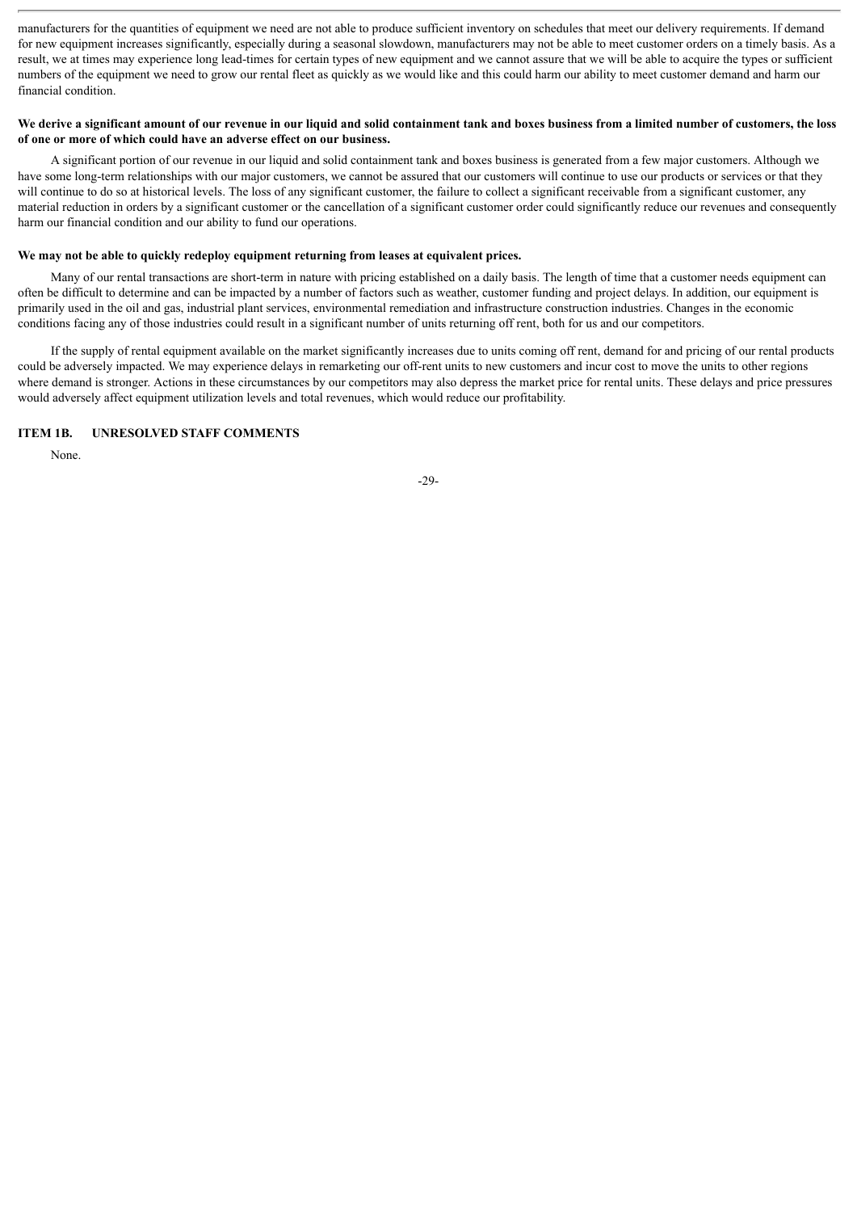manufacturers for the quantities of equipment we need are not able to produce sufficient inventory on schedules that meet our delivery requirements. If demand for new equipment increases significantly, especially during a seasonal slowdown, manufacturers may not be able to meet customer orders on a timely basis. As a result, we at times may experience long lead-times for certain types of new equipment and we cannot assure that we will be able to acquire the types or sufficient numbers of the equipment we need to grow our rental fleet as quickly as we would like and this could harm our ability to meet customer demand and harm our financial condition.

### **We derive a significant amount of our revenue in our liquid and solid containment tank and boxes business from a limited number of customers, the loss of one or more of which could have an adverse effect on our business.**

A significant portion of our revenue in our liquid and solid containment tank and boxes business is generated from a few major customers. Although we have some long-term relationships with our major customers, we cannot be assured that our customers will continue to use our products or services or that they will continue to do so at historical levels. The loss of any significant customer, the failure to collect a significant receivable from a significant customer, any material reduction in orders by a significant customer or the cancellation of a significant customer order could significantly reduce our revenues and consequently harm our financial condition and our ability to fund our operations.

#### **We may not be able to quickly redeploy equipment returning from leases at equivalent prices.**

Many of our rental transactions are short-term in nature with pricing established on a daily basis. The length of time that a customer needs equipment can often be difficult to determine and can be impacted by a number of factors such as weather, customer funding and project delays. In addition, our equipment is primarily used in the oil and gas, industrial plant services, environmental remediation and infrastructure construction industries. Changes in the economic conditions facing any of those industries could result in a significant number of units returning off rent, both for us and our competitors.

If the supply of rental equipment available on the market significantly increases due to units coming off rent, demand for and pricing of our rental products could be adversely impacted. We may experience delays in remarketing our off-rent units to new customers and incur cost to move the units to other regions where demand is stronger. Actions in these circumstances by our competitors may also depress the market price for rental units. These delays and price pressures would adversely affect equipment utilization levels and total revenues, which would reduce our profitability.

## **ITEM 1B. UNRESOLVED STAFF COMMENTS**

None.

-29-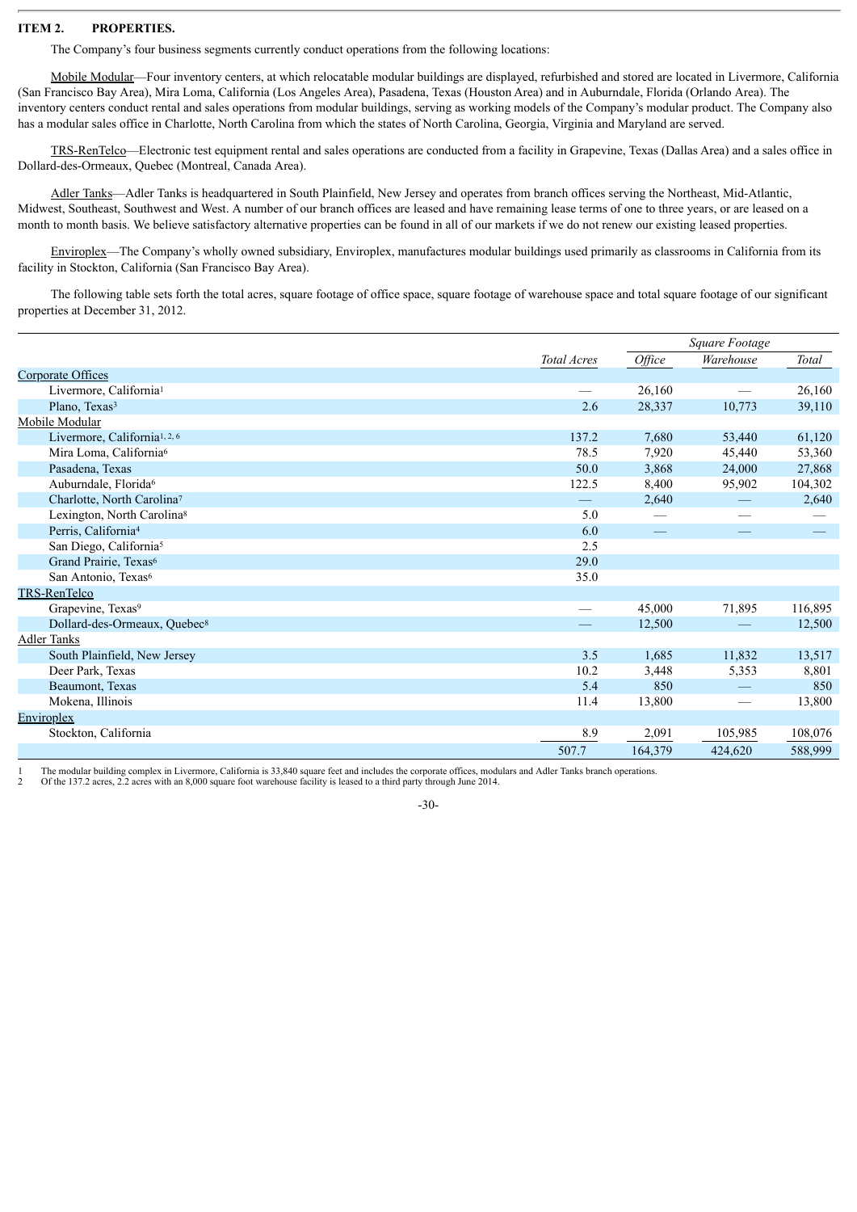## **ITEM 2. PROPERTIES.**

The Company's four business segments currently conduct operations from the following locations:

Mobile Modular—Four inventory centers, at which relocatable modular buildings are displayed, refurbished and stored are located in Livermore, California (San Francisco Bay Area), Mira Loma, California (Los Angeles Area), Pasadena, Texas (Houston Area) and in Auburndale, Florida (Orlando Area). The inventory centers conduct rental and sales operations from modular buildings, serving as working models of the Company's modular product. The Company also has a modular sales office in Charlotte, North Carolina from which the states of North Carolina, Georgia, Virginia and Maryland are served.

TRS-RenTelco—Electronic test equipment rental and sales operations are conducted from a facility in Grapevine, Texas (Dallas Area) and a sales office in Dollard-des-Ormeaux, Quebec (Montreal, Canada Area).

Adler Tanks—Adler Tanks is headquartered in South Plainfield, New Jersey and operates from branch offices serving the Northeast, Mid-Atlantic, Midwest, Southeast, Southwest and West. A number of our branch offices are leased and have remaining lease terms of one to three years, or are leased on a month to month basis. We believe satisfactory alternative properties can be found in all of our markets if we do not renew our existing leased properties.

Enviroplex—The Company's wholly owned subsidiary, Enviroplex, manufactures modular buildings used primarily as classrooms in California from its facility in Stockton, California (San Francisco Bay Area).

The following table sets forth the total acres, square footage of office space, square footage of warehouse space and total square footage of our significant properties at December 31, 2012.

|                                          |                          |                   | Square Footage    |         |  |
|------------------------------------------|--------------------------|-------------------|-------------------|---------|--|
|                                          | Total Acres              | Office            | Warehouse         | Total   |  |
| Corporate Offices                        |                          |                   |                   |         |  |
| Livermore, California <sup>1</sup>       | $\overline{\phantom{0}}$ | 26,160            |                   | 26,160  |  |
| Plano, Texas <sup>3</sup>                | 2.6                      | 28,337            | 10,773            | 39,110  |  |
| Mobile Modular                           |                          |                   |                   |         |  |
| Livermore, California <sup>1, 2, 6</sup> | 137.2                    | 7,680             | 53,440            | 61,120  |  |
| Mira Loma, California <sup>6</sup>       | 78.5                     | 7,920             | 45,440            | 53,360  |  |
| Pasadena, Texas                          | 50.0                     | 3,868             | 24,000            | 27,868  |  |
| Auburndale, Florida <sup>6</sup>         | 122.5                    | 8,400             | 95,902            | 104,302 |  |
| Charlotte, North Carolina7               |                          | 2,640             |                   | 2,640   |  |
| Lexington, North Carolina <sup>8</sup>   | 5.0                      |                   |                   |         |  |
| Perris, California <sup>4</sup>          | 6.0                      | $\hspace{0.05cm}$ | $\hspace{0.05cm}$ |         |  |
| San Diego, California <sup>5</sup>       | 2.5                      |                   |                   |         |  |
| Grand Prairie, Texas <sup>6</sup>        | 29.0                     |                   |                   |         |  |
| San Antonio, Texas <sup>6</sup>          | 35.0                     |                   |                   |         |  |
| <b>TRS-RenTelco</b>                      |                          |                   |                   |         |  |
| Grapevine, Texas <sup>9</sup>            |                          | 45,000            | 71,895            | 116,895 |  |
| Dollard-des-Ormeaux, Quebec <sup>8</sup> |                          | 12,500            |                   | 12,500  |  |
| <b>Adler Tanks</b>                       |                          |                   |                   |         |  |
| South Plainfield, New Jersey             | 3.5                      | 1,685             | 11,832            | 13,517  |  |
| Deer Park, Texas                         | 10.2                     | 3,448             | 5,353             | 8,801   |  |
| Beaumont, Texas                          | 5.4                      | 850               |                   | 850     |  |
| Mokena, Illinois                         | 11.4                     | 13,800            |                   | 13,800  |  |
| Enviroplex                               |                          |                   |                   |         |  |
| Stockton, California                     | 8.9                      | 2,091             | 105,985           | 108,076 |  |
|                                          | 507.7                    | 164,379           | 424,620           | 588,999 |  |

1 The modular building complex in Livermore, California is 33,840 square feet and includes the corporate offices, modulars and Adler Tanks branch operations.<br>
2. Of the 137.2 acres 2.2 acres with an 8.000 square foot wareh 2 Of the 137.2 acres, 2.2 acres with an 8,000 square foot warehouse facility is leased to a third party through June 2014.

-30-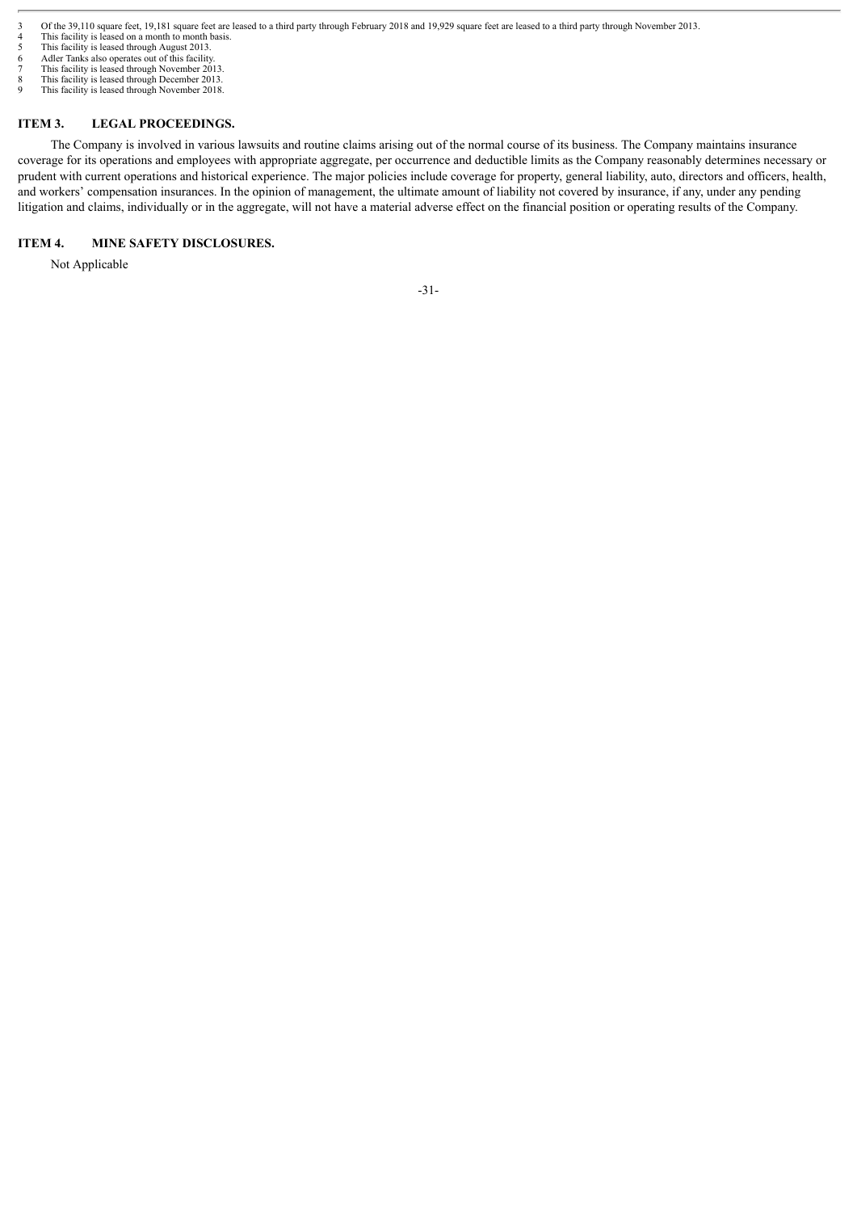3 Of the 39,110 square feet, 19,181 square feet are leased to a third party through February 2018 and 19,929 square feet are leased to a third party through November 2013.<br>This facility is leased on a month to month basis.

- 4 This facility is leased on a month to month basis.<br>5 This facility is leased through August 2013
- 5 This facility is leased through August 2013.<br>6 Adler Tanks also operates out of this facility<br>7 This facility is leased through November 20
- 6 Adler Tanks also operates out of this facility. 7 This facility is leased through November 2013.
- 8 This facility is leased through December 2013.<br>9 This facility is leased through November 2018.
- This facility is leased through November 2018.

#### **ITEM 3. LEGAL PROCEEDINGS.**

The Company is involved in various lawsuits and routine claims arising out of the normal course of its business. The Company maintains insurance coverage for its operations and employees with appropriate aggregate, per occurrence and deductible limits as the Company reasonably determines necessary or prudent with current operations and historical experience. The major policies include coverage for property, general liability, auto, directors and officers, health, and workers' compensation insurances. In the opinion of management, the ultimate amount of liability not covered by insurance, if any, under any pending litigation and claims, individually or in the aggregate, will not have a material adverse effect on the financial position or operating results of the Company.

## **ITEM 4. MINE SAFETY DISCLOSURES.**

Not Applicable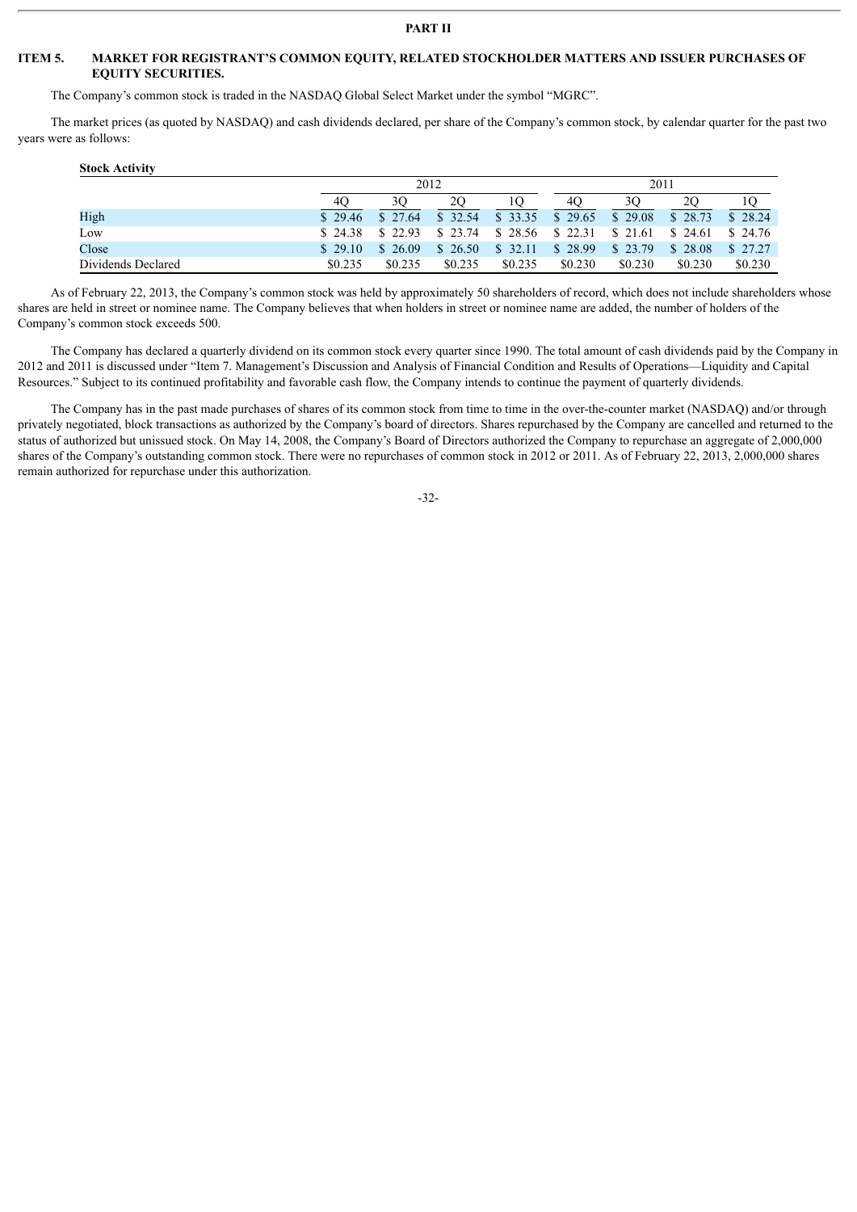#### **PART II**

#### **ITEM 5. MARKET FOR REGISTRANT'S COMMON EQUITY, RELATED STOCKHOLDER MATTERS AND ISSUER PURCHASES OF EQUITY SECURITIES.**

The Company's common stock is traded in the NASDAQ Global Select Market under the symbol "MGRC".

The market prices (as quoted by NASDAQ) and cash dividends declared, per share of the Company's common stock, by calendar quarter for the past two years were as follows:

| <b>Stock Activity</b> |         |         |         |          |         |          |         |          |  |  |
|-----------------------|---------|---------|---------|----------|---------|----------|---------|----------|--|--|
|                       |         | 2012    |         |          |         | 2011     |         |          |  |  |
|                       | 40      | 30      | 2Q      | 10       | 40      | 30       | 20      | 1Q       |  |  |
| High                  | \$29.46 | \$27.64 | \$32.54 | \$33.35  | \$29.65 | \$29.08  | \$28.73 | \$28.24  |  |  |
| Low                   | \$24.38 | \$22.93 | \$23.74 | \$28.56  | \$22.31 | \$ 21.61 | \$24.61 | \$24.76  |  |  |
| Close                 | \$29.10 | \$26.09 | \$26.50 | \$ 32.11 | \$28.99 | \$23.79  | \$28.08 | \$ 27.27 |  |  |
| Dividends Declared    | \$0.235 | \$0.235 | \$0.235 | \$0.235  | \$0.230 | \$0.230  | \$0.230 | \$0.230  |  |  |

As of February 22, 2013, the Company's common stock was held by approximately 50 shareholders of record, which does not include shareholders whose shares are held in street or nominee name. The Company believes that when holders in street or nominee name are added, the number of holders of the Company's common stock exceeds 500.

The Company has declared a quarterly dividend on its common stock every quarter since 1990. The total amount of cash dividends paid by the Company in 2012 and 2011 is discussed under "Item 7. Management's Discussion and Analysis of Financial Condition and Results of Operations—Liquidity and Capital Resources." Subject to its continued profitability and favorable cash flow, the Company intends to continue the payment of quarterly dividends.

The Company has in the past made purchases of shares of its common stock from time to time in the over-the-counter market (NASDAQ) and/or through privately negotiated, block transactions as authorized by the Company's board of directors. Shares repurchased by the Company are cancelled and returned to the status of authorized but unissued stock. On May 14, 2008, the Company's Board of Directors authorized the Company to repurchase an aggregate of 2,000,000 shares of the Company's outstanding common stock. There were no repurchases of common stock in 2012 or 2011. As of February 22, 2013, 2,000,000 shares remain authorized for repurchase under this authorization.

-32-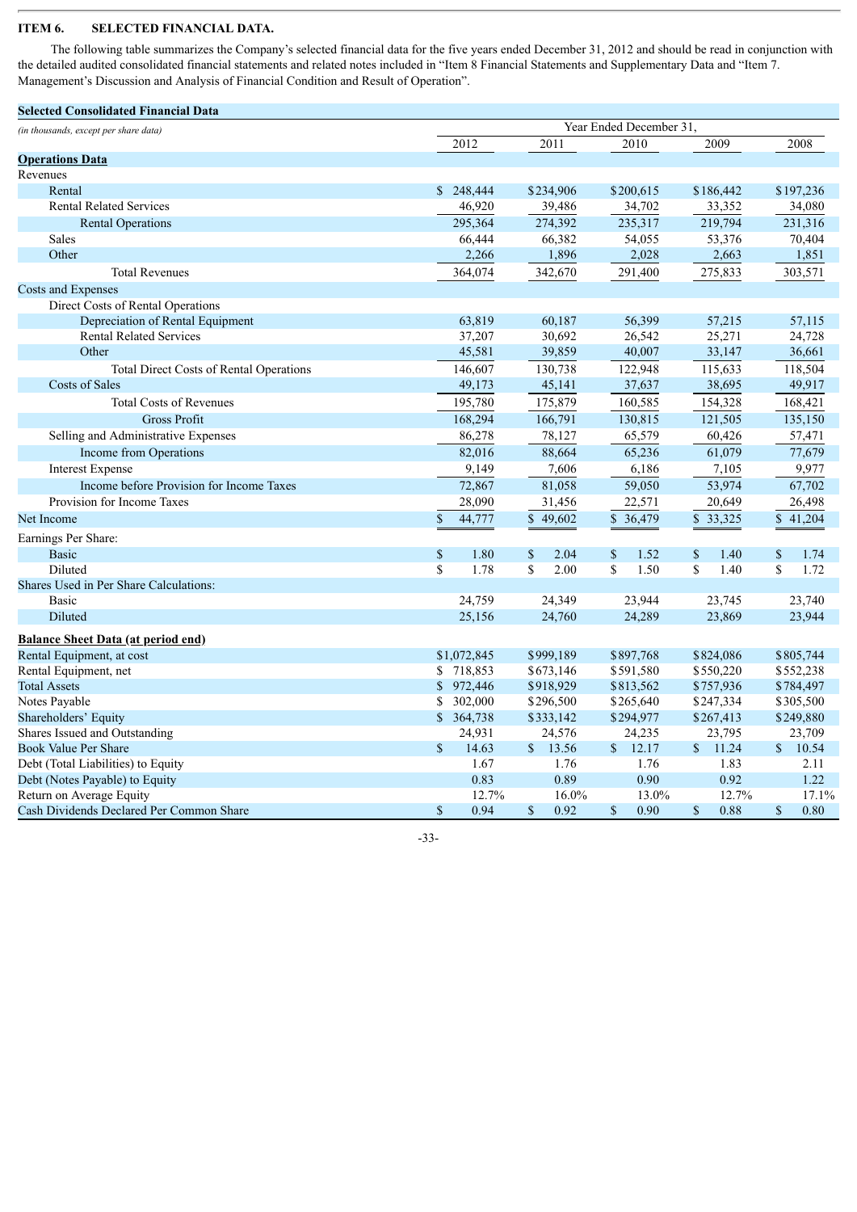## **ITEM 6. SELECTED FINANCIAL DATA.**

The following table summarizes the Company's selected financial data for the five years ended December 31, 2012 and should be read in conjunction with the detailed audited consolidated financial statements and related notes included in "Item 8 Financial Statements and Supplementary Data and "Item 7. Management's Discussion and Analysis of Financial Condition and Result of Operation".

| <b>Selected Consolidated Financial Data</b>     |              |                         |                           |           |                           |                  |              |           |    |           |
|-------------------------------------------------|--------------|-------------------------|---------------------------|-----------|---------------------------|------------------|--------------|-----------|----|-----------|
| (in thousands, except per share data)           |              | Year Ended December 31. |                           |           |                           |                  |              |           |    |           |
|                                                 |              | 2012                    |                           | 2011      |                           | $\frac{2010}{ }$ |              | 2009      |    | 2008      |
| <b>Operations Data</b>                          |              |                         |                           |           |                           |                  |              |           |    |           |
| Revenues                                        |              |                         |                           |           |                           |                  |              |           |    |           |
| Rental                                          |              | \$248,444               |                           | \$234,906 |                           | \$200,615        |              | \$186,442 |    | \$197,236 |
| <b>Rental Related Services</b>                  |              | 46,920                  |                           | 39,486    |                           | 34,702           |              | 33,352    |    | 34,080    |
| <b>Rental Operations</b>                        |              | 295,364                 |                           | 274,392   |                           | 235,317          |              | 219,794   |    | 231,316   |
| <b>Sales</b>                                    |              | 66,444                  |                           | 66,382    |                           | 54,055           |              | 53,376    |    | 70,404    |
| Other                                           |              | 2,266                   |                           | 1,896     |                           | 2,028            |              | 2,663     |    | 1,851     |
| <b>Total Revenues</b>                           |              | 364,074                 |                           | 342,670   |                           | 291,400          |              | 275,833   |    | 303,571   |
| <b>Costs and Expenses</b>                       |              |                         |                           |           |                           |                  |              |           |    |           |
| Direct Costs of Rental Operations               |              |                         |                           |           |                           |                  |              |           |    |           |
| Depreciation of Rental Equipment                |              | 63,819                  |                           | 60,187    |                           | 56,399           |              | 57,215    |    | 57,115    |
| <b>Rental Related Services</b>                  |              | 37,207                  |                           | 30,692    |                           | 26,542           |              | 25,271    |    | 24,728    |
| Other                                           |              | 45,581                  |                           | 39,859    |                           | 40,007           |              | 33,147    |    | 36,661    |
| <b>Total Direct Costs of Rental Operations</b>  |              | 146,607                 |                           | 130,738   |                           | 122,948          |              | 115,633   |    | 118,504   |
| <b>Costs of Sales</b>                           |              | 49,173                  |                           | 45,141    |                           | 37,637           |              | 38,695    |    | 49,917    |
| <b>Total Costs of Revenues</b>                  |              | 195,780                 |                           | 175,879   |                           | 160,585          |              | 154,328   |    | 168,421   |
| <b>Gross Profit</b>                             |              | 168,294                 |                           | 166,791   |                           | 130,815          |              | 121,505   |    | 135,150   |
| Selling and Administrative Expenses             |              | 86,278                  |                           | 78,127    |                           | 65,579           |              | 60,426    |    | 57,471    |
| Income from Operations                          |              | 82,016                  |                           | 88,664    |                           | 65,236           |              | 61,079    |    | 77,679    |
| <b>Interest Expense</b>                         |              | 9,149                   |                           | 7,606     |                           | 6,186            |              | 7,105     |    | 9,977     |
| Income before Provision for Income Taxes        |              | 72,867                  |                           | 81,058    |                           | 59,050           |              | 53,974    |    | 67,702    |
| Provision for Income Taxes                      |              | 28,090                  |                           | 31,456    |                           | 22,571           |              | 20,649    |    | 26,498    |
| Net Income                                      | \$           | 44,777                  | $\mathbb{S}$              | 49,602    |                           | \$ 36,479        |              | \$ 33,325 |    | \$41,204  |
|                                                 |              |                         |                           |           |                           |                  |              |           |    |           |
| Earnings Per Share:                             |              |                         |                           |           |                           |                  |              |           |    |           |
| <b>Basic</b>                                    | $\mathbb S$  | 1.80                    | $\boldsymbol{\mathsf{S}}$ | 2.04      | $\boldsymbol{\mathsf{S}}$ | 1.52             | $\mathbb{S}$ | 1.40      | \$ | 1.74      |
| Diluted                                         | $\mathbf S$  | 1.78                    | $\mathbf S$               | 2.00      | $\mathbf S$               | 1.50             | $\mathbf S$  | 1.40      | \$ | 1.72      |
| Shares Used in Per Share Calculations:<br>Basic |              | 24,759                  |                           | 24,349    |                           | 23,944           |              | 23,745    |    | 23,740    |
| Diluted                                         |              | 25,156                  |                           | 24,760    |                           | 24,289           |              | 23,869    |    | 23,944    |
|                                                 |              |                         |                           |           |                           |                  |              |           |    |           |
| <b>Balance Sheet Data (at period end)</b>       |              |                         |                           |           |                           |                  |              |           |    |           |
| Rental Equipment, at cost                       |              | \$1,072,845             |                           | \$999,189 |                           | \$897,768        |              | \$824,086 |    | \$805,744 |
| Rental Equipment, net                           |              | \$718,853               |                           | \$673,146 |                           | \$591,580        |              | \$550,220 |    | \$552,238 |
| <b>Total Assets</b>                             | $\mathbb{S}$ | 972,446                 |                           | \$918,929 |                           | \$813,562        |              | \$757,936 |    | \$784,497 |
| Notes Payable                                   | \$           | 302,000                 |                           | \$296,500 |                           | \$265,640        |              | \$247,334 |    | \$305,500 |
| Shareholders' Equity                            |              | \$364,738               |                           | \$333,142 |                           | \$294,977        |              | \$267,413 |    | \$249,880 |
| Shares Issued and Outstanding                   |              | 24,931                  |                           | 24,576    |                           | 24,235           |              | 23,795    |    | 23,709    |
| Book Value Per Share                            | $\mathbb{S}$ | 14.63                   |                           | \$13.56   |                           | \$12.17          |              | \$11.24   |    | \$10.54   |
| Debt (Total Liabilities) to Equity              |              | 1.67                    |                           | 1.76      |                           | 1.76             |              | 1.83      |    | 2.11      |
| Debt (Notes Payable) to Equity                  |              | 0.83                    |                           | 0.89      |                           | 0.90             |              | 0.92      |    | 1.22      |
| Return on Average Equity                        |              | 12.7%                   |                           | 16.0%     |                           | 13.0%            |              | 12.7%     |    | 17.1%     |
| Cash Dividends Declared Per Common Share        | $\mathbb{S}$ | 0.94                    | $\mathbf S$               | 0.92      | $\boldsymbol{\mathsf{S}}$ | 0.90             | $\mathbf S$  | 0.88      | \$ | 0.80      |

-33-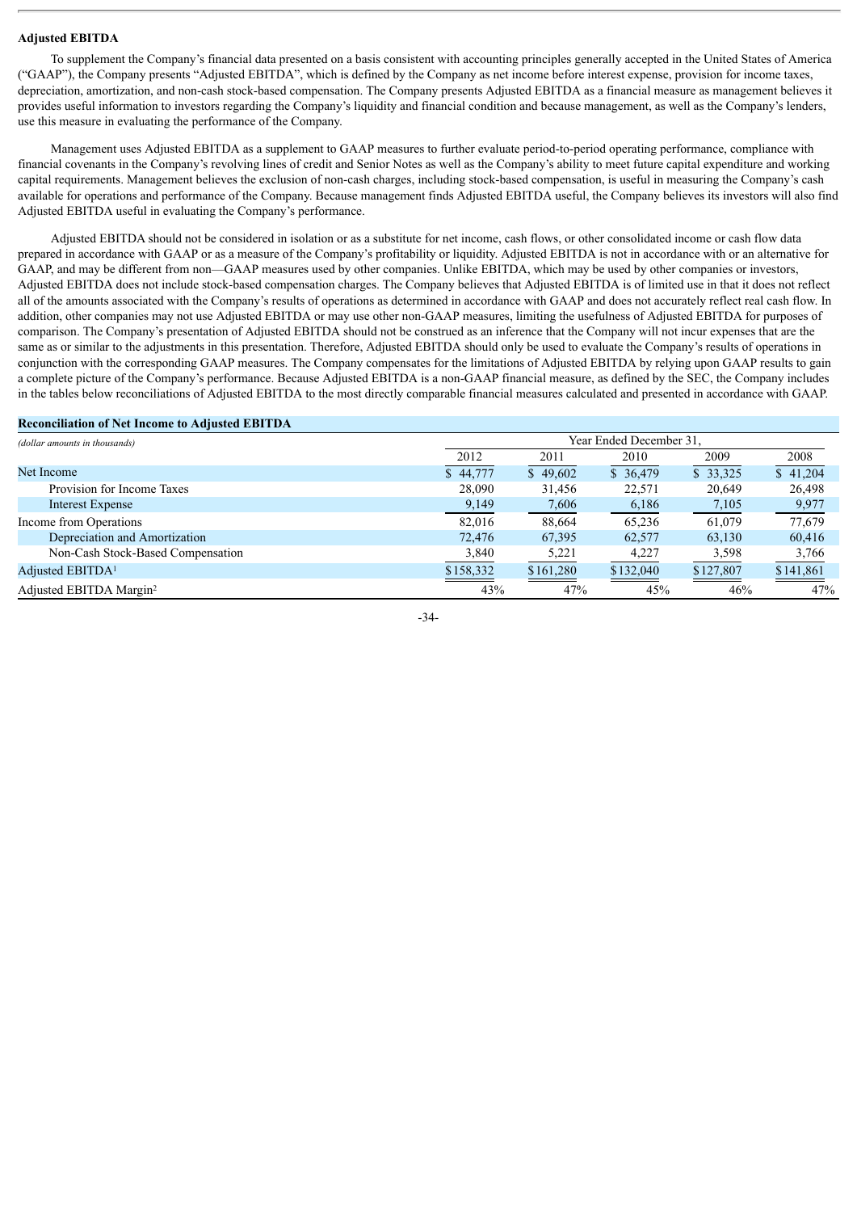## **Adjusted EBITDA**

To supplement the Company's financial data presented on a basis consistent with accounting principles generally accepted in the United States of America ("GAAP"), the Company presents "Adjusted EBITDA", which is defined by the Company as net income before interest expense, provision for income taxes, depreciation, amortization, and non-cash stock-based compensation. The Company presents Adjusted EBITDA as a financial measure as management believes it provides useful information to investors regarding the Company's liquidity and financial condition and because management, as well as the Company's lenders, use this measure in evaluating the performance of the Company.

Management uses Adjusted EBITDA as a supplement to GAAP measures to further evaluate period-to-period operating performance, compliance with financial covenants in the Company's revolving lines of credit and Senior Notes as well as the Company's ability to meet future capital expenditure and working capital requirements. Management believes the exclusion of non-cash charges, including stock-based compensation, is useful in measuring the Company's cash available for operations and performance of the Company. Because management finds Adjusted EBITDA useful, the Company believes its investors will also find Adjusted EBITDA useful in evaluating the Company's performance.

Adjusted EBITDA should not be considered in isolation or as a substitute for net income, cash flows, or other consolidated income or cash flow data prepared in accordance with GAAP or as a measure of the Company's profitability or liquidity. Adjusted EBITDA is not in accordance with or an alternative for GAAP, and may be different from non—GAAP measures used by other companies. Unlike EBITDA, which may be used by other companies or investors, Adjusted EBITDA does not include stock-based compensation charges. The Company believes that Adjusted EBITDA is of limited use in that it does not reflect all of the amounts associated with the Company's results of operations as determined in accordance with GAAP and does not accurately reflect real cash flow. In addition, other companies may not use Adjusted EBITDA or may use other non-GAAP measures, limiting the usefulness of Adjusted EBITDA for purposes of comparison. The Company's presentation of Adjusted EBITDA should not be construed as an inference that the Company will not incur expenses that are the same as or similar to the adjustments in this presentation. Therefore, Adjusted EBITDA should only be used to evaluate the Company's results of operations in conjunction with the corresponding GAAP measures. The Company compensates for the limitations of Adjusted EBITDA by relying upon GAAP results to gain a complete picture of the Company's performance. Because Adjusted EBITDA is a non-GAAP financial measure, as defined by the SEC, the Company includes in the tables below reconciliations of Adjusted EBITDA to the most directly comparable financial measures calculated and presented in accordance with GAAP.

## **Reconciliation of Net Income to Adjusted EBITDA**

| (dollar amounts in thousands)       | Year Ended December 31, |           |           |           |           |  |  |  |
|-------------------------------------|-------------------------|-----------|-----------|-----------|-----------|--|--|--|
|                                     | 2012                    | 2011      | 2010      | 2009      | 2008      |  |  |  |
| Net Income                          | \$44,777                | \$49,602  | \$36,479  | \$33,325  | \$41,204  |  |  |  |
| Provision for Income Taxes          | 28,090                  | 31,456    | 22,571    | 20,649    | 26,498    |  |  |  |
| Interest Expense                    | 9,149                   | 7,606     | 6,186     | 7,105     | 9,977     |  |  |  |
| Income from Operations              | 82,016                  | 88,664    | 65,236    | 61,079    | 77,679    |  |  |  |
| Depreciation and Amortization       | 72,476                  | 67,395    | 62,577    | 63,130    | 60,416    |  |  |  |
| Non-Cash Stock-Based Compensation   | 3,840                   | 5,221     | 4,227     | 3,598     | 3,766     |  |  |  |
| Adjusted EBITDA <sup>1</sup>        | \$158,332               | \$161,280 | \$132,040 | \$127,807 | \$141,861 |  |  |  |
| Adjusted EBITDA Margin <sup>2</sup> | 43%                     | 47%       | 45%       | 46%       | 47%       |  |  |  |

-34-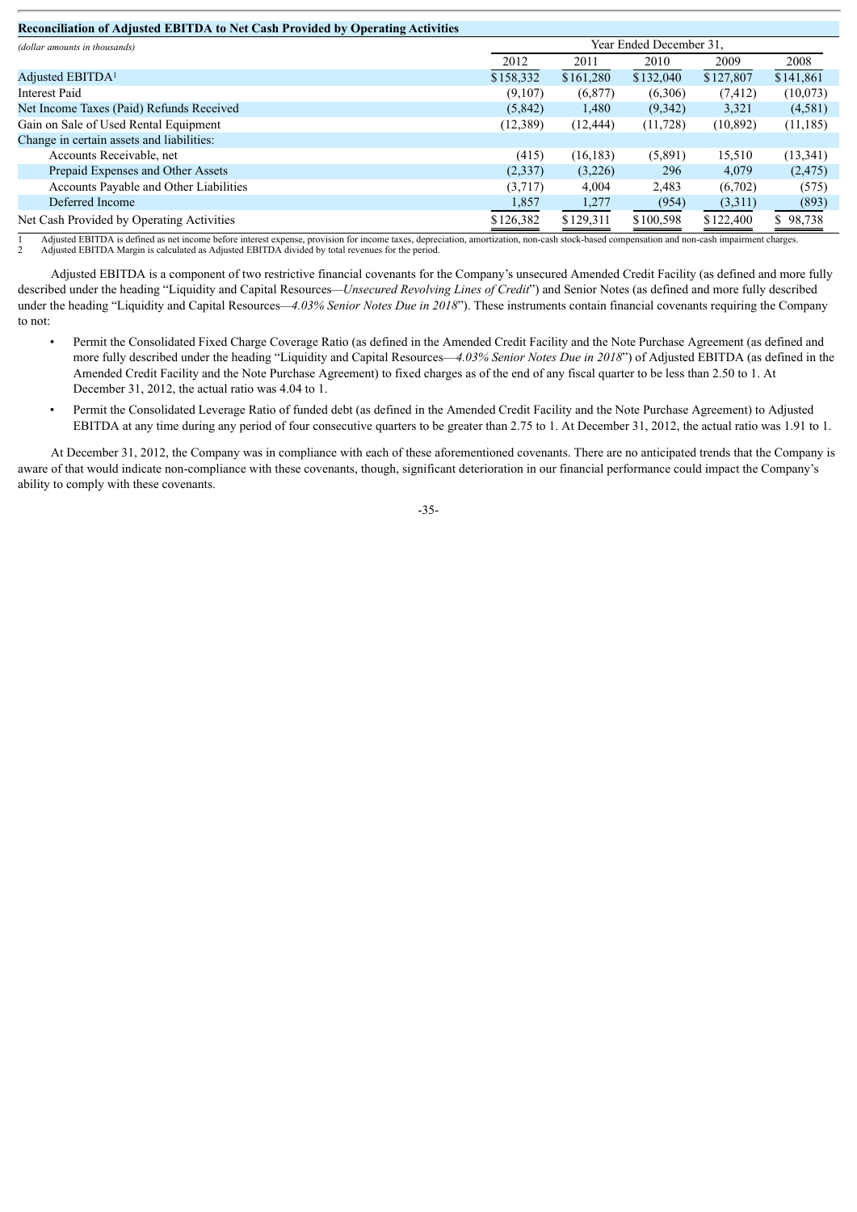| <b>Reconciliation of Adjusted EBITDA to Net Cash Provided by Operating Activities</b> |           |           |           |           |              |
|---------------------------------------------------------------------------------------|-----------|-----------|-----------|-----------|--------------|
| (dollar amounts in thousands)                                                         |           |           |           |           |              |
|                                                                                       | 2012      | 2011      | 2010      | 2009      | 2008         |
| Adjusted EBITDA <sup>1</sup>                                                          | \$158,332 | \$161,280 | \$132,040 | \$127,807 | \$141,861    |
| <b>Interest Paid</b>                                                                  | (9,107)   | (6,877)   | (6,306)   | (7, 412)  | (10,073)     |
| Net Income Taxes (Paid) Refunds Received                                              | (5,842)   | 1,480     | (9,342)   | 3,321     | (4,581)      |
| Gain on Sale of Used Rental Equipment                                                 | (12,389)  | (12, 444) | (11, 728) | (10, 892) | (11, 185)    |
| Change in certain assets and liabilities:                                             |           |           |           |           |              |
| Accounts Receivable, net                                                              | (415)     | (16, 183) | (5,891)   | 15,510    | (13,341)     |
| Prepaid Expenses and Other Assets                                                     | (2,337)   | (3,226)   | 296       | 4,079     | (2, 475)     |
| Accounts Payable and Other Liabilities                                                | (3,717)   | 4,004     | 2,483     | (6,702)   | (575)        |
| Deferred Income                                                                       | 1,857     | 1,277     | (954)     | (3,311)   | (893)        |
| Net Cash Provided by Operating Activities                                             | \$126,382 | \$129,311 | \$100,598 | \$122,400 | 98,738<br>S. |

Adjusted EBITDA is defined as net income before interest expense, provision for income taxes, depreciation, amortization, non-cash stock-based compensation and non-cash impairment charges.<br>Adjusted EBITDA Margin is calcula

Adjusted EBITDA is a component of two restrictive financial covenants for the Company's unsecured Amended Credit Facility (as defined and more fully described under the heading "Liquidity and Capital Resources*—Unsecured Revolving Lines of Credit*") and Senior Notes (as defined and more fully described under the heading "Liquidity and Capital Resources*—4.03% Senior Notes Due in 2018*"). These instruments contain financial covenants requiring the Company to not:

- Permit the Consolidated Fixed Charge Coverage Ratio (as defined in the Amended Credit Facility and the Note Purchase Agreement (as defined and more fully described under the heading "Liquidity and Capital Resources—4.03% Senior Notes Due in 2018") of Adjusted EBITDA (as defined in the Amended Credit Facility and the Note Purchase Agreement) to fixed charges as of the end of any fiscal quarter to be less than 2.50 to 1. At December 31, 2012, the actual ratio was 4.04 to 1.
- Permit the Consolidated Leverage Ratio of funded debt (as defined in the Amended Credit Facility and the Note Purchase Agreement) to Adjusted EBITDA at any time during any period of four consecutive quarters to be greater than 2.75 to 1. At December 31, 2012, the actual ratio was 1.91 to 1.

At December 31, 2012, the Company was in compliance with each of these aforementioned covenants. There are no anticipated trends that the Company is aware of that would indicate non-compliance with these covenants, though, significant deterioration in our financial performance could impact the Company's ability to comply with these covenants.

-35-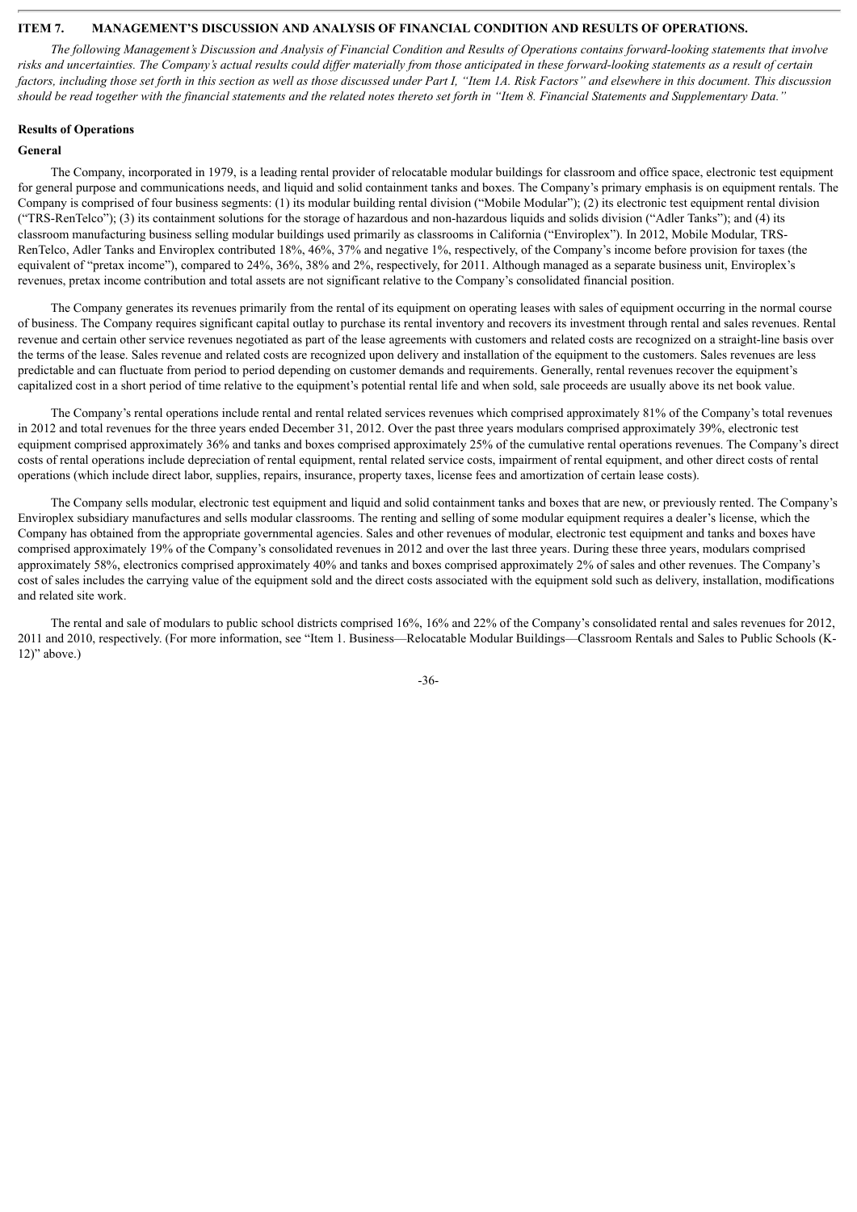## **ITEM 7. MANAGEMENT'S DISCUSSION AND ANALYSIS OF FINANCIAL CONDITION AND RESULTS OF OPERATIONS.**

*The following Management's Discussion and Analysis of Financial Condition and Results of Operations contains forward-looking statements that involve risks and uncertainties. The Company's actual results could differ materially from those anticipated in these forward-looking statements as a result of certain factors, including those set forth in this section as well as those discussed under Part I, "Item 1A. Risk Factors" and elsewhere in this document. This discussion should be read together with the financial statements and the related notes thereto set forth in "Item 8. Financial Statements and Supplementary Data."*

#### **Results of Operations**

## **General**

The Company, incorporated in 1979, is a leading rental provider of relocatable modular buildings for classroom and office space, electronic test equipment for general purpose and communications needs, and liquid and solid containment tanks and boxes. The Company's primary emphasis is on equipment rentals. The Company is comprised of four business segments: (1) its modular building rental division ("Mobile Modular"); (2) its electronic test equipment rental division ("TRS-RenTelco"); (3) its containment solutions for the storage of hazardous and non-hazardous liquids and solids division ("Adler Tanks"); and (4) its classroom manufacturing business selling modular buildings used primarily as classrooms in California ("Enviroplex"). In 2012, Mobile Modular, TRS-RenTelco, Adler Tanks and Enviroplex contributed 18%, 46%, 37% and negative 1%, respectively, of the Company's income before provision for taxes (the equivalent of "pretax income"), compared to 24%, 36%, 38% and 2%, respectively, for 2011. Although managed as a separate business unit, Enviroplex's revenues, pretax income contribution and total assets are not significant relative to the Company's consolidated financial position.

The Company generates its revenues primarily from the rental of its equipment on operating leases with sales of equipment occurring in the normal course of business. The Company requires significant capital outlay to purchase its rental inventory and recovers its investment through rental and sales revenues. Rental revenue and certain other service revenues negotiated as part of the lease agreements with customers and related costs are recognized on a straight-line basis over the terms of the lease. Sales revenue and related costs are recognized upon delivery and installation of the equipment to the customers. Sales revenues are less predictable and can fluctuate from period to period depending on customer demands and requirements. Generally, rental revenues recover the equipment's capitalized cost in a short period of time relative to the equipment's potential rental life and when sold, sale proceeds are usually above its net book value.

The Company's rental operations include rental and rental related services revenues which comprised approximately 81% of the Company's total revenues in 2012 and total revenues for the three years ended December 31, 2012. Over the past three years modulars comprised approximately 39%, electronic test equipment comprised approximately 36% and tanks and boxes comprised approximately 25% of the cumulative rental operations revenues. The Company's direct costs of rental operations include depreciation of rental equipment, rental related service costs, impairment of rental equipment, and other direct costs of rental operations (which include direct labor, supplies, repairs, insurance, property taxes, license fees and amortization of certain lease costs).

The Company sells modular, electronic test equipment and liquid and solid containment tanks and boxes that are new, or previously rented. The Company's Enviroplex subsidiary manufactures and sells modular classrooms. The renting and selling of some modular equipment requires a dealer's license, which the Company has obtained from the appropriate governmental agencies. Sales and other revenues of modular, electronic test equipment and tanks and boxes have comprised approximately 19% of the Company's consolidated revenues in 2012 and over the last three years. During these three years, modulars comprised approximately 58%, electronics comprised approximately 40% and tanks and boxes comprised approximately 2% of sales and other revenues. The Company's cost of sales includes the carrying value of the equipment sold and the direct costs associated with the equipment sold such as delivery, installation, modifications and related site work.

The rental and sale of modulars to public school districts comprised 16%, 16% and 22% of the Company's consolidated rental and sales revenues for 2012, 2011 and 2010, respectively. (For more information, see "Item 1. Business—Relocatable Modular Buildings—Classroom Rentals and Sales to Public Schools (K-12)" above.)

-36-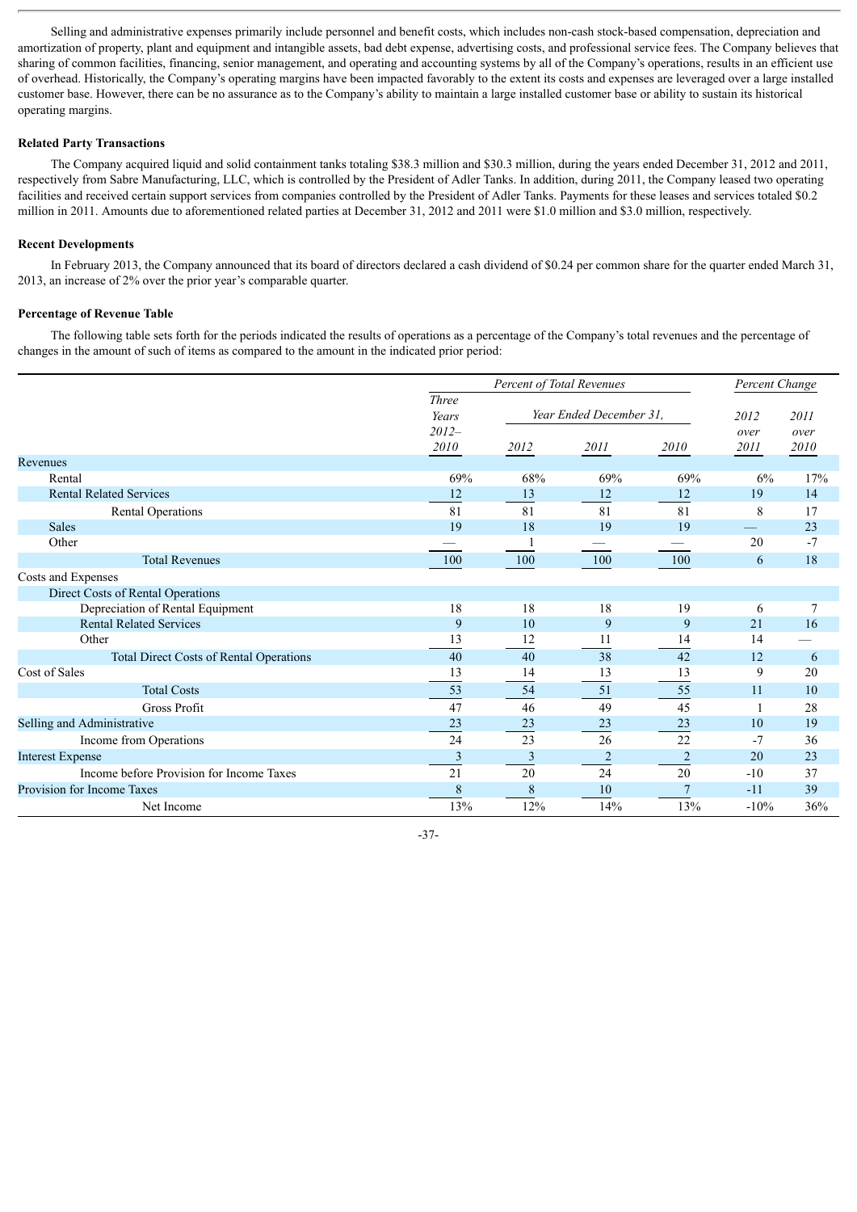Selling and administrative expenses primarily include personnel and benefit costs, which includes non-cash stock-based compensation, depreciation and amortization of property, plant and equipment and intangible assets, bad debt expense, advertising costs, and professional service fees. The Company believes that sharing of common facilities, financing, senior management, and operating and accounting systems by all of the Company's operations, results in an efficient use of overhead. Historically, the Company's operating margins have been impacted favorably to the extent its costs and expenses are leveraged over a large installed customer base. However, there can be no assurance as to the Company's ability to maintain a large installed customer base or ability to sustain its historical operating margins.

## **Related Party Transactions**

The Company acquired liquid and solid containment tanks totaling \$38.3 million and \$30.3 million, during the years ended December 31, 2012 and 2011, respectively from Sabre Manufacturing, LLC, which is controlled by the President of Adler Tanks. In addition, during 2011, the Company leased two operating facilities and received certain support services from companies controlled by the President of Adler Tanks. Payments for these leases and services totaled \$0.2 million in 2011. Amounts due to aforementioned related parties at December 31, 2012 and 2011 were \$1.0 million and \$3.0 million, respectively.

## **Recent Developments**

In February 2013, the Company announced that its board of directors declared a cash dividend of \$0.24 per common share for the quarter ended March 31, 2013, an increase of 2% over the prior year's comparable quarter.

#### **Percentage of Revenue Table**

The following table sets forth for the periods indicated the results of operations as a percentage of the Company's total revenues and the percentage of changes in the amount of such of items as compared to the amount in the indicated prior period:

|                                                | Percent of Total Revenues                 |      |                                 |                | Percent Change       |                      |
|------------------------------------------------|-------------------------------------------|------|---------------------------------|----------------|----------------------|----------------------|
|                                                | <b>Three</b><br>Years<br>$2012 -$<br>2010 | 2012 | Year Ended December 31.<br>2011 | 2010           | 2012<br>over<br>2011 | 2011<br>over<br>2010 |
| Revenues                                       |                                           |      |                                 |                |                      |                      |
| Rental                                         | 69%                                       | 68%  | 69%                             | 69%            | 6%                   | 17%                  |
| <b>Rental Related Services</b>                 | 12                                        | 13   | 12                              | 12             | 19                   | 14                   |
| <b>Rental Operations</b>                       | 81                                        | 81   | 81                              | 81             | 8                    | 17                   |
| <b>Sales</b>                                   | 19                                        | 18   | 19                              | 19             |                      | 23                   |
| Other                                          |                                           |      |                                 |                | 20                   | $-7$                 |
| <b>Total Revenues</b>                          | 100                                       | 100  | 100                             | 100            | 6                    | 18                   |
| Costs and Expenses                             |                                           |      |                                 |                |                      |                      |
| Direct Costs of Rental Operations              |                                           |      |                                 |                |                      |                      |
| Depreciation of Rental Equipment               | 18                                        | 18   | 18                              | 19             | 6                    | $\overline{7}$       |
| <b>Rental Related Services</b>                 | 9                                         | 10   | 9                               | 9              | 21                   | 16                   |
| Other                                          | 13                                        | 12   | 11                              | 14             | 14                   |                      |
| <b>Total Direct Costs of Rental Operations</b> | 40                                        | 40   | 38                              | 42             | 12                   | 6                    |
| Cost of Sales                                  | 13                                        | 14   | 13                              | 13             | 9                    | 20                   |
| <b>Total Costs</b>                             | 53                                        | 54   | 51                              | 55             | 11                   | 10                   |
| Gross Profit                                   | 47                                        | 46   | 49                              | 45             |                      | 28                   |
| Selling and Administrative                     | 23                                        | 23   | 23                              | 23             | 10                   | 19                   |
| Income from Operations                         | 24                                        | 23   | 26                              | 22             | $-7$                 | 36                   |
| <b>Interest Expense</b>                        | $\mathfrak{Z}$                            | 3    | $\overline{2}$                  | $\overline{2}$ | 20                   | 23                   |
| Income before Provision for Income Taxes       | 21                                        | 20   | 24                              | 20             | $-10$                | 37                   |
| Provision for Income Taxes                     | 8                                         | 8    | 10                              | 7              | $-11$                | 39                   |
| Net Income                                     | 13%                                       | 12%  | 14%                             | 13%            | $-10%$               | 36%                  |

-37-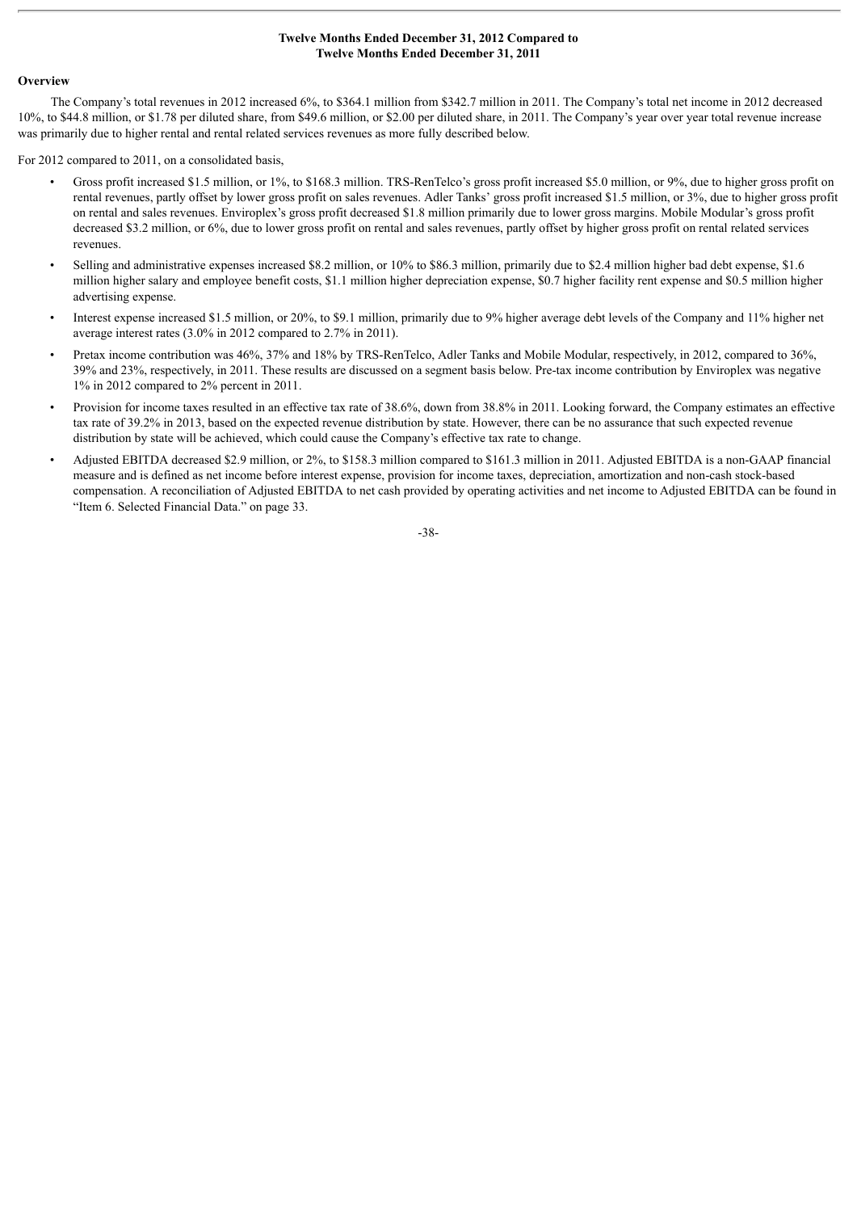## **Twelve Months Ended December 31, 2012 Compared to Twelve Months Ended December 31, 2011**

## **Overview**

The Company's total revenues in 2012 increased 6%, to \$364.1 million from \$342.7 million in 2011. The Company's total net income in 2012 decreased 10%, to \$44.8 million, or \$1.78 per diluted share, from \$49.6 million, or \$2.00 per diluted share, in 2011. The Company's year over year total revenue increase was primarily due to higher rental and rental related services revenues as more fully described below.

For 2012 compared to 2011, on a consolidated basis,

- Gross profit increased \$1.5 million, or 1%, to \$168.3 million. TRS-RenTelco's gross profit increased \$5.0 million, or 9%, due to higher gross profit on rental revenues, partly offset by lower gross profit on sales revenues. Adler Tanks' gross profit increased \$1.5 million, or 3%, due to higher gross profit on rental and sales revenues. Enviroplex's gross profit decreased \$1.8 million primarily due to lower gross margins. Mobile Modular's gross profit decreased \$3.2 million, or 6%, due to lower gross profit on rental and sales revenues, partly offset by higher gross profit on rental related services revenues.
- Selling and administrative expenses increased \$8.2 million, or 10% to \$86.3 million, primarily due to \$2.4 million higher bad debt expense, \$1.6 million higher salary and employee benefit costs, \$1.1 million higher depreciation expense, \$0.7 higher facility rent expense and \$0.5 million higher advertising expense.
- Interest expense increased \$1.5 million, or 20%, to \$9.1 million, primarily due to 9% higher average debt levels of the Company and 11% higher net average interest rates (3.0% in 2012 compared to 2.7% in 2011).
- Pretax income contribution was 46%, 37% and 18% by TRS-RenTelco, Adler Tanks and Mobile Modular, respectively, in 2012, compared to 36%, 39% and 23%, respectively, in 2011. These results are discussed on a segment basis below. Pre-tax income contribution by Enviroplex was negative 1% in 2012 compared to 2% percent in 2011.
- Provision for income taxes resulted in an effective tax rate of 38.6%, down from 38.8% in 2011. Looking forward, the Company estimates an effective tax rate of 39.2% in 2013, based on the expected revenue distribution by state. However, there can be no assurance that such expected revenue distribution by state will be achieved, which could cause the Company's effective tax rate to change.
- Adjusted EBITDA decreased \$2.9 million, or 2%, to \$158.3 million compared to \$161.3 million in 2011. Adjusted EBITDA is a non-GAAP financial measure and is defined as net income before interest expense, provision for income taxes, depreciation, amortization and non-cash stock-based compensation. A reconciliation of Adjusted EBITDA to net cash provided by operating activities and net income to Adjusted EBITDA can be found in "Item 6. Selected Financial Data." on page 33.

-38-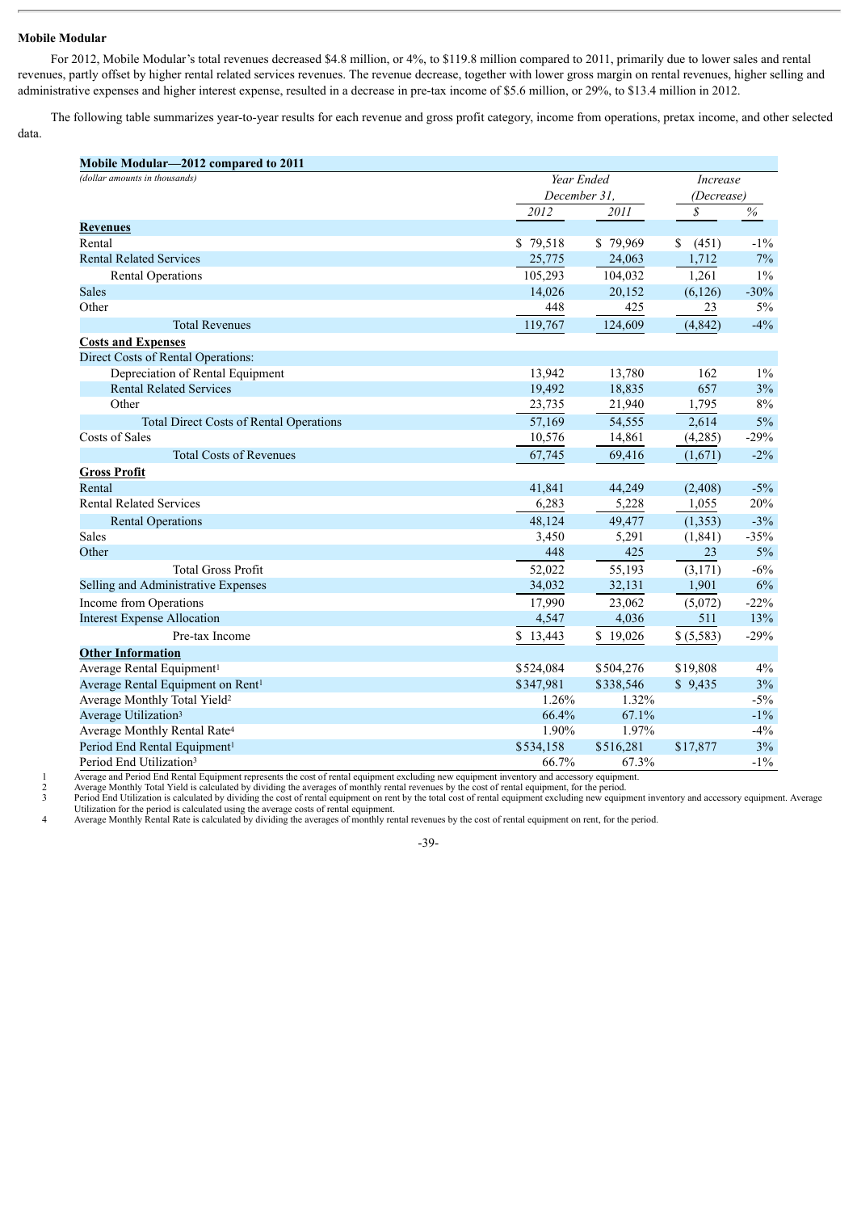#### **Mobile Modular**

For 2012, Mobile Modular's total revenues decreased \$4.8 million, or 4%, to \$119.8 million compared to 2011, primarily due to lower sales and rental revenues, partly offset by higher rental related services revenues. The revenue decrease, together with lower gross margin on rental revenues, higher selling and administrative expenses and higher interest expense, resulted in a decrease in pre-tax income of \$5.6 million, or 29%, to \$13.4 million in 2012.

The following table summarizes year-to-year results for each revenue and gross profit category, income from operations, pretax income, and other selected data.

| Mobile Modular-2012 compared to 2011           |              |           |                 |        |
|------------------------------------------------|--------------|-----------|-----------------|--------|
| (dollar amounts in thousands)                  | Year Ended   |           | <i>Increase</i> |        |
|                                                | December 31, |           | (Decrease)      |        |
|                                                | 2012         | 2011      | \$              | $\%$   |
| <b>Revenues</b>                                |              |           |                 |        |
| Rental                                         | \$79,518     | \$79,969  | \$<br>(451)     | $-1\%$ |
| <b>Rental Related Services</b>                 | 25,775       | 24,063    | 1,712           | 7%     |
| <b>Rental Operations</b>                       | 105,293      | 104,032   | 1,261           | $1\%$  |
| <b>Sales</b>                                   | 14,026       | 20,152    | (6,126)         | $-30%$ |
| Other                                          | 448          | 425       | 23              | 5%     |
| <b>Total Revenues</b>                          | 119,767      | 124,609   | (4, 842)        | $-4%$  |
| <b>Costs and Expenses</b>                      |              |           |                 |        |
| Direct Costs of Rental Operations:             |              |           |                 |        |
| Depreciation of Rental Equipment               | 13,942       | 13,780    | 162             | $1\%$  |
| <b>Rental Related Services</b>                 | 19,492       | 18,835    | 657             | 3%     |
| Other                                          | 23,735       | 21,940    | 1,795           | $8\%$  |
| <b>Total Direct Costs of Rental Operations</b> | 57,169       | 54,555    | 2,614           | 5%     |
| Costs of Sales                                 | 10,576       | 14,861    | (4,285)         | $-29%$ |
| <b>Total Costs of Revenues</b>                 | 67,745       | 69,416    | (1,671)         | $-2\%$ |
| <b>Gross Profit</b>                            |              |           |                 |        |
| Rental                                         | 41,841       | 44,249    | (2,408)         | $-5%$  |
| <b>Rental Related Services</b>                 | 6,283        | 5,228     | 1,055           | 20%    |
| <b>Rental Operations</b>                       | 48,124       | 49,477    | (1,353)         | $-3%$  |
| Sales                                          | 3,450        | 5,291     | (1, 841)        | $-35%$ |
| Other                                          | 448          | 425       | 23              | 5%     |
| <b>Total Gross Profit</b>                      | 52,022       | 55,193    | (3,171)         | $-6%$  |
| Selling and Administrative Expenses            | 34,032       | 32,131    | 1,901           | 6%     |
| Income from Operations                         | 17,990       | 23,062    | (5,072)         | $-22%$ |
| <b>Interest Expense Allocation</b>             | 4,547        | 4,036     | 511             | 13%    |
| Pre-tax Income                                 | \$13,443     | \$19,026  | \$ (5,583)      | $-29%$ |
| <b>Other Information</b>                       |              |           |                 |        |
| Average Rental Equipment <sup>1</sup>          | \$524,084    | \$504,276 | \$19,808        | 4%     |
| Average Rental Equipment on Rent <sup>1</sup>  | \$347,981    | \$338,546 | \$9,435         | 3%     |
| Average Monthly Total Yield <sup>2</sup>       | 1.26%        | 1.32%     |                 | $-5%$  |
| Average Utilization <sup>3</sup>               | 66.4%        | 67.1%     |                 | $-1\%$ |
| Average Monthly Rental Rate <sup>4</sup>       | 1.90%        | 1.97%     |                 | $-4%$  |
| Period End Rental Equipment <sup>1</sup>       | \$534,158    | \$516,281 | \$17,877        | 3%     |
| Period End Utilization <sup>3</sup>            | 66.7%        | 67.3%     |                 | $-1\%$ |

2 Average Monthly Total Yield is calculated by dividing the averages of monthly rental revenues by the cost of rental equipment, for the period.

1 Average and Period End Rental Equipment represents the cost of rental equipment excluding new equipment inventory and accessory equipment. Period End Utilization is calculated by dividing the cost of rental equipment on rent by the total cost of rental equipment excluding new equipment inventory and accessory equipment. Average<br>Utilization for the period is c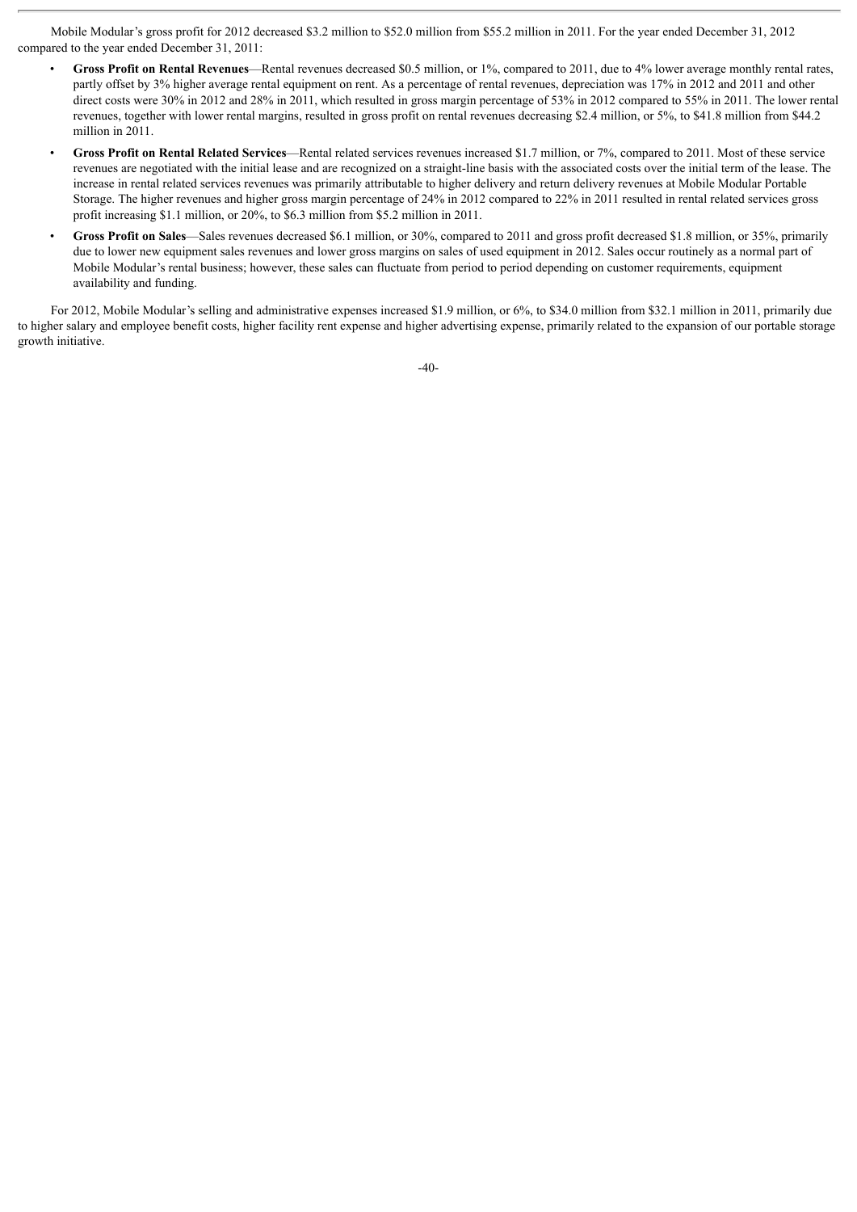Mobile Modular's gross profit for 2012 decreased \$3.2 million to \$52.0 million from \$55.2 million in 2011. For the year ended December 31, 2012 compared to the year ended December 31, 2011:

- **Gross Profit on Rental Revenues**—Rental revenues decreased \$0.5 million, or 1%, compared to 2011, due to 4% lower average monthly rental rates, partly offset by 3% higher average rental equipment on rent. As a percentage of rental revenues, depreciation was 17% in 2012 and 2011 and other direct costs were 30% in 2012 and 28% in 2011, which resulted in gross margin percentage of 53% in 2012 compared to 55% in 2011. The lower rental revenues, together with lower rental margins, resulted in gross profit on rental revenues decreasing \$2.4 million, or 5%, to \$41.8 million from \$44.2 million in 2011.
- **Gross Profit on Rental Related Services**—Rental related services revenues increased \$1.7 million, or 7%, compared to 2011. Most of these service revenues are negotiated with the initial lease and are recognized on a straight-line basis with the associated costs over the initial term of the lease. The increase in rental related services revenues was primarily attributable to higher delivery and return delivery revenues at Mobile Modular Portable Storage. The higher revenues and higher gross margin percentage of 24% in 2012 compared to 22% in 2011 resulted in rental related services gross profit increasing \$1.1 million, or 20%, to \$6.3 million from \$5.2 million in 2011.
- **Gross Profit on Sales**—Sales revenues decreased \$6.1 million, or 30%, compared to 2011 and gross profit decreased \$1.8 million, or 35%, primarily due to lower new equipment sales revenues and lower gross margins on sales of used equipment in 2012. Sales occur routinely as a normal part of Mobile Modular's rental business; however, these sales can fluctuate from period to period depending on customer requirements, equipment availability and funding.

For 2012, Mobile Modular's selling and administrative expenses increased \$1.9 million, or 6%, to \$34.0 million from \$32.1 million in 2011, primarily due to higher salary and employee benefit costs, higher facility rent expense and higher advertising expense, primarily related to the expansion of our portable storage growth initiative.

-40-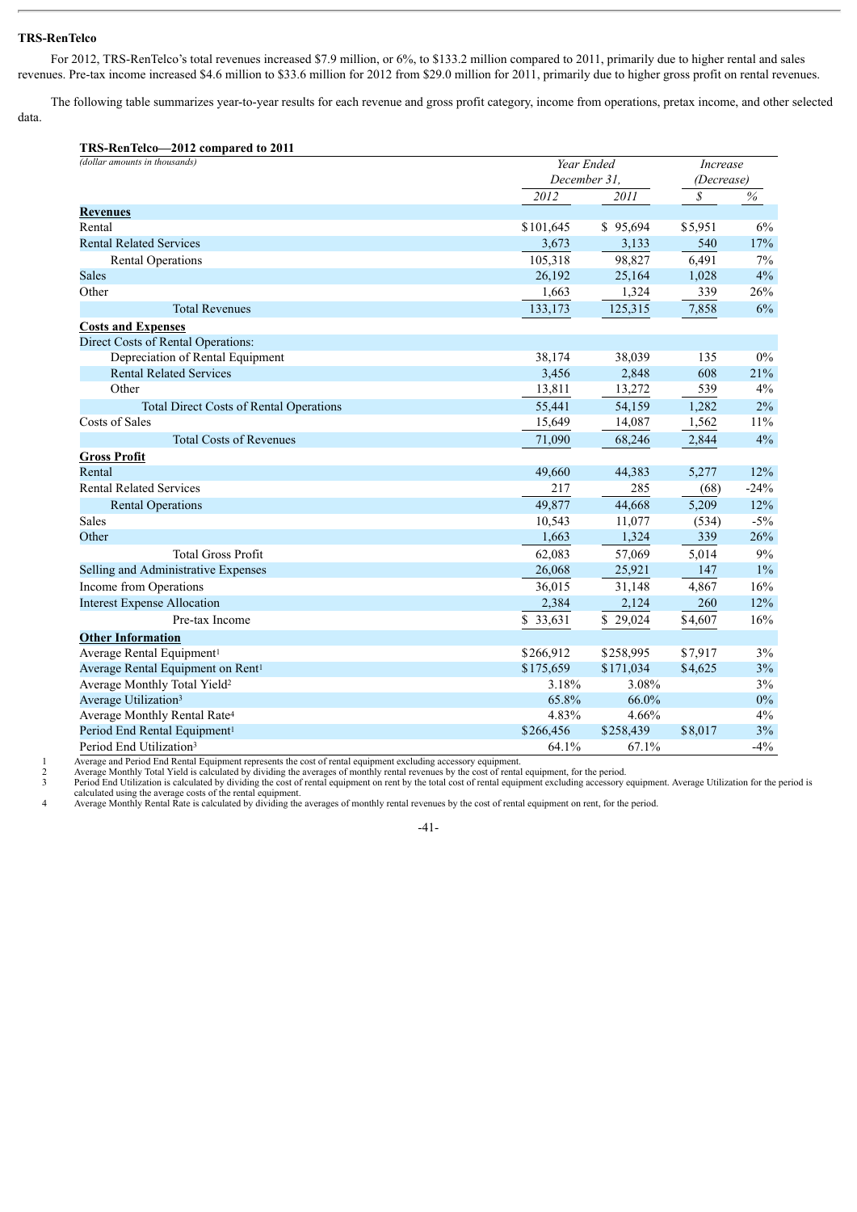## **TRS-RenTelco**

For 2012, TRS-RenTelco's total revenues increased \$7.9 million, or 6%, to \$133.2 million compared to 2011, primarily due to higher rental and sales revenues. Pre-tax income increased \$4.6 million to \$33.6 million for 2012 from \$29.0 million for 2011, primarily due to higher gross profit on rental revenues.

The following table summarizes year-to-year results for each revenue and gross profit category, income from operations, pretax income, and other selected data.

| (dollar amounts in thousands)                  |              |                   |            |          |
|------------------------------------------------|--------------|-------------------|------------|----------|
|                                                | Year Ended   |                   |            | Increase |
|                                                | December 31. |                   | (Decrease) |          |
|                                                | 2012         | 2011              | \$         | $\%$     |
| <b>Revenues</b>                                |              |                   |            |          |
| Rental                                         | \$101,645    | $\sqrt{8}$ 95,694 | \$5,951    | 6%       |
| <b>Rental Related Services</b>                 | 3,673        | 3,133             | 540        | 17%      |
| <b>Rental Operations</b>                       | 105,318      | 98,827            | 6,491      | 7%       |
| <b>Sales</b>                                   | 26,192       | 25,164            | 1,028      | 4%       |
| Other                                          | 1,663        | 1,324             | 339        | 26%      |
| <b>Total Revenues</b>                          | 133,173      | 125,315           | 7,858      | 6%       |
| <b>Costs and Expenses</b>                      |              |                   |            |          |
| Direct Costs of Rental Operations:             |              |                   |            |          |
| Depreciation of Rental Equipment               | 38,174       | 38,039            | 135        | $0\%$    |
| <b>Rental Related Services</b>                 | 3,456        | 2,848             | 608        | 21%      |
| Other                                          | 13,811       | 13,272            | 539        | 4%       |
| <b>Total Direct Costs of Rental Operations</b> | 55,441       | 54,159            | 1,282      | $2\%$    |
| <b>Costs of Sales</b>                          | 15,649       | 14,087            | 1,562      | 11%      |
| <b>Total Costs of Revenues</b>                 | 71,090       | 68,246            | 2,844      | 4%       |
| <b>Gross Profit</b>                            |              |                   |            |          |
| Rental                                         | 49,660       | 44,383            | 5,277      | 12%      |
| <b>Rental Related Services</b>                 | 217          | 285               | (68)       | $-24%$   |
| <b>Rental Operations</b>                       | 49,877       | 44,668            | 5,209      | 12%      |
| <b>Sales</b>                                   | 10,543       | 11,077            | (534)      | $-5\%$   |
| Other                                          | 1,663        | 1,324             | 339        | 26%      |
| <b>Total Gross Profit</b>                      | 62,083       | 57,069            | 5,014      | 9%       |
| Selling and Administrative Expenses            | 26,068       | 25,921            | 147        | $1\%$    |
| Income from Operations                         | 36,015       | 31,148            | 4,867      | 16%      |
| <b>Interest Expense Allocation</b>             | 2,384        | 2,124             | 260        | 12%      |
| Pre-tax Income                                 | \$33,631     | \$29,024          | \$4,607    | 16%      |
| <b>Other Information</b>                       |              |                   |            |          |
| Average Rental Equipment <sup>1</sup>          | \$266,912    | \$258,995         | \$7,917    | 3%       |
| Average Rental Equipment on Rent <sup>1</sup>  | \$175,659    | \$171,034         | \$4,625    | 3%       |
| Average Monthly Total Yield <sup>2</sup>       | 3.18%        | 3.08%             |            | 3%       |
| Average Utilization <sup>3</sup>               | 65.8%        | 66.0%             |            | $0\%$    |
| Average Monthly Rental Rate <sup>4</sup>       | 4.83%        | 4.66%             |            | 4%       |
| Period End Rental Equipment <sup>1</sup>       | \$266,456    | \$258,439         | \$8,017    | 3%       |
| Period End Utilization <sup>3</sup>            | 64.1%        | 67.1%             |            | $-4%$    |

1 Average and Period End Rental Equipment represents the cost of rental equipment excluding accessory equipment.<br>2 Average Monthly Total Yield is calculated by dividing the averages of monthly rental revenues by the cost o

2 Average Monthly Total Yield is calculated by dividing the averages of monthly rental revenues by the cost of rental equipment, for the period.<br>3 Period End Utilization is calculated by dividing the cost of rental equipme calculated using the average costs of the rental equipment. 4 Average Monthly Rental Rate is calculated by dividing the averages of monthly rental revenues by the cost of rental equipment on rent, for the period.

-41-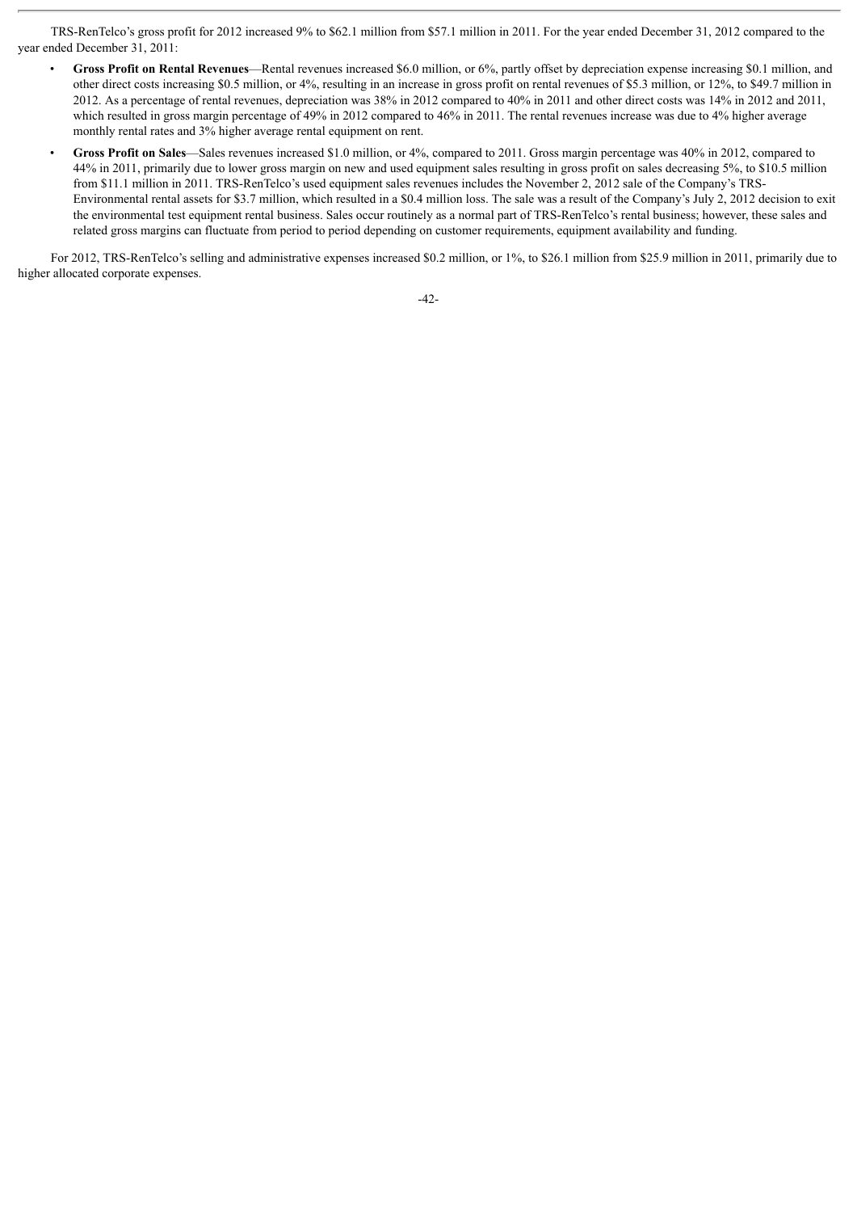TRS-RenTelco's gross profit for 2012 increased 9% to \$62.1 million from \$57.1 million in 2011. For the year ended December 31, 2012 compared to the year ended December 31, 2011:

- **Gross Profit on Rental Revenues**—Rental revenues increased \$6.0 million, or 6%, partly offset by depreciation expense increasing \$0.1 million, and other direct costs increasing \$0.5 million, or 4%, resulting in an increase in gross profit on rental revenues of \$5.3 million, or 12%, to \$49.7 million in 2012. As a percentage of rental revenues, depreciation was 38% in 2012 compared to 40% in 2011 and other direct costs was 14% in 2012 and 2011, which resulted in gross margin percentage of 49% in 2012 compared to 46% in 2011. The rental revenues increase was due to 4% higher average monthly rental rates and 3% higher average rental equipment on rent.
- **Gross Profit on Sales**—Sales revenues increased \$1.0 million, or 4%, compared to 2011. Gross margin percentage was 40% in 2012, compared to 44% in 2011, primarily due to lower gross margin on new and used equipment sales resulting in gross profit on sales decreasing 5%, to \$10.5 million from \$11.1 million in 2011. TRS-RenTelco's used equipment sales revenues includes the November 2, 2012 sale of the Company's TRS-Environmental rental assets for \$3.7 million, which resulted in a \$0.4 million loss. The sale was a result of the Company's July 2, 2012 decision to exit the environmental test equipment rental business. Sales occur routinely as a normal part of TRS-RenTelco's rental business; however, these sales and related gross margins can fluctuate from period to period depending on customer requirements, equipment availability and funding.

For 2012, TRS-RenTelco's selling and administrative expenses increased \$0.2 million, or 1%, to \$26.1 million from \$25.9 million in 2011, primarily due to higher allocated corporate expenses.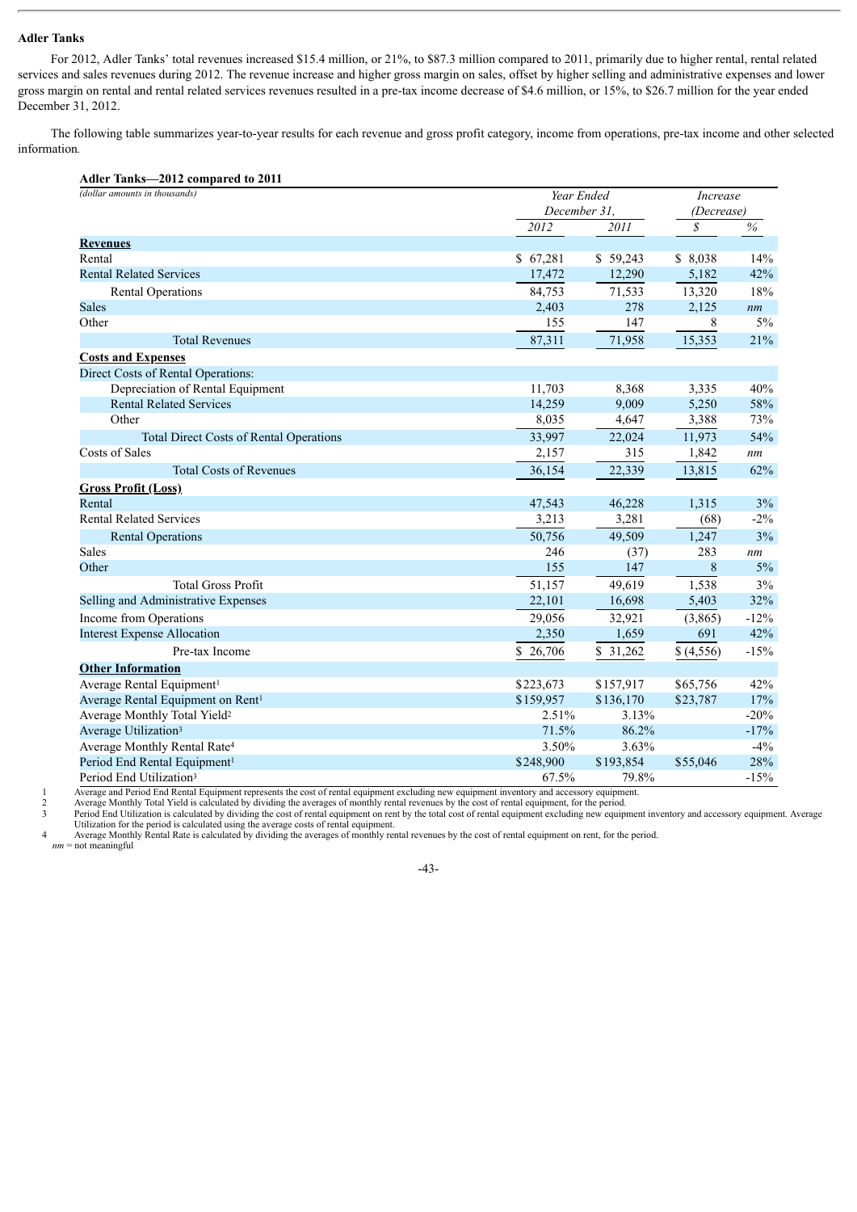## **Adler Tanks**

For 2012, Adler Tanks' total revenues increased \$15.4 million, or 21%, to \$87.3 million compared to 2011, primarily due to higher rental, rental related services and sales revenues during 2012. The revenue increase and higher gross margin on sales, offset by higher selling and administrative expenses and lower gross margin on rental and rental related services revenues resulted in a pre-tax income decrease of \$4.6 million, or 15%, to \$26.7 million for the year ended December 31, 2012.

The following table summarizes year-to-year results for each revenue and gross profit category, income from operations, pre-tax income and other selected information*.*

| Adler Tanks-2012 compared to 2011              |              |           |                         |        |
|------------------------------------------------|--------------|-----------|-------------------------|--------|
| (dollar amounts in thousands)                  | Year Ended   |           | Increase                |        |
|                                                | December 31, |           | (Decrease)              |        |
|                                                | 2012         | 2011      | $\mathcal{S}_{0}^{(n)}$ | $\%$   |
| <b>Revenues</b>                                |              |           |                         |        |
| Rental                                         | \$67,281     | \$59,243  | \$8,038                 | 14%    |
| <b>Rental Related Services</b>                 | 17,472       | 12,290    | 5,182                   | 42%    |
| <b>Rental Operations</b>                       | 84,753       | 71,533    | 13,320                  | 18%    |
| <b>Sales</b>                                   | 2,403        | 278       | 2,125                   | nm     |
| Other                                          | 155          | 147       | 8                       | 5%     |
| <b>Total Revenues</b>                          | 87,311       | 71,958    | 15,353                  | 21%    |
| <b>Costs and Expenses</b>                      |              |           |                         |        |
| Direct Costs of Rental Operations:             |              |           |                         |        |
| Depreciation of Rental Equipment               | 11,703       | 8,368     | 3,335                   | 40%    |
| <b>Rental Related Services</b>                 | 14,259       | 9,009     | 5,250                   | 58%    |
| Other                                          | 8,035        | 4,647     | 3,388                   | 73%    |
| <b>Total Direct Costs of Rental Operations</b> | 33,997       | 22,024    | 11,973                  | 54%    |
| <b>Costs of Sales</b>                          | 2,157        | 315       | 1,842                   | nm     |
| <b>Total Costs of Revenues</b>                 | 36,154       | 22,339    | 13,815                  | 62%    |
| <b>Gross Profit (Loss)</b>                     |              |           |                         |        |
| Rental                                         | 47,543       | 46,228    | 1,315                   | 3%     |
| <b>Rental Related Services</b>                 | 3,213        | 3,281     | (68)                    | $-2\%$ |
| <b>Rental Operations</b>                       | 50,756       | 49,509    | 1,247                   | 3%     |
| Sales                                          | 246          | (37)      | 283                     | nm     |
| Other                                          | 155          | 147       | 8                       | 5%     |
| <b>Total Gross Profit</b>                      | 51,157       | 49,619    | 1,538                   | 3%     |
| Selling and Administrative Expenses            | 22,101       | 16,698    | 5,403                   | 32%    |
| Income from Operations                         | 29,056       | 32,921    | (3,865)                 | $-12%$ |
| <b>Interest Expense Allocation</b>             | 2,350        | 1,659     | 691                     | 42%    |
| Pre-tax Income                                 | \$26,706     | \$31,262  | \$(4,556)               | $-15%$ |
| <b>Other Information</b>                       |              |           |                         |        |
| Average Rental Equipment <sup>1</sup>          | \$223,673    | \$157,917 | \$65,756                | 42%    |
| Average Rental Equipment on Rent <sup>1</sup>  | \$159,957    | \$136,170 | \$23,787                | 17%    |
| Average Monthly Total Yield <sup>2</sup>       | 2.51%        | 3.13%     |                         | $-20%$ |
| Average Utilization <sup>3</sup>               | 71.5%        | 86.2%     |                         | $-17%$ |
| Average Monthly Rental Rate <sup>4</sup>       | 3.50%        | 3.63%     |                         | $-4\%$ |
| Period End Rental Equipment <sup>1</sup>       | \$248,900    | \$193,854 | \$55,046                | 28%    |
| Period End Utilization <sup>3</sup>            | 67.5%        | 79.8%     |                         | $-15%$ |

1 Average and Period End Rental Equipment represents the cost of rental equipment excluding new equipment inventory and accessory equipment. Average Monthly Total Yield is calculated by dividing the averages of monthly rental revenues by the cost of rental equipment, for the period.<br>Period End Utilization is calculated by dividing the cost of rental equipment o

4 Average Monthly Rental Rate is calculated by dividing the averages of monthly rental revenues by the cost of rental equipment on rent, for the period.

 $nm = not meaningful$ 

-43-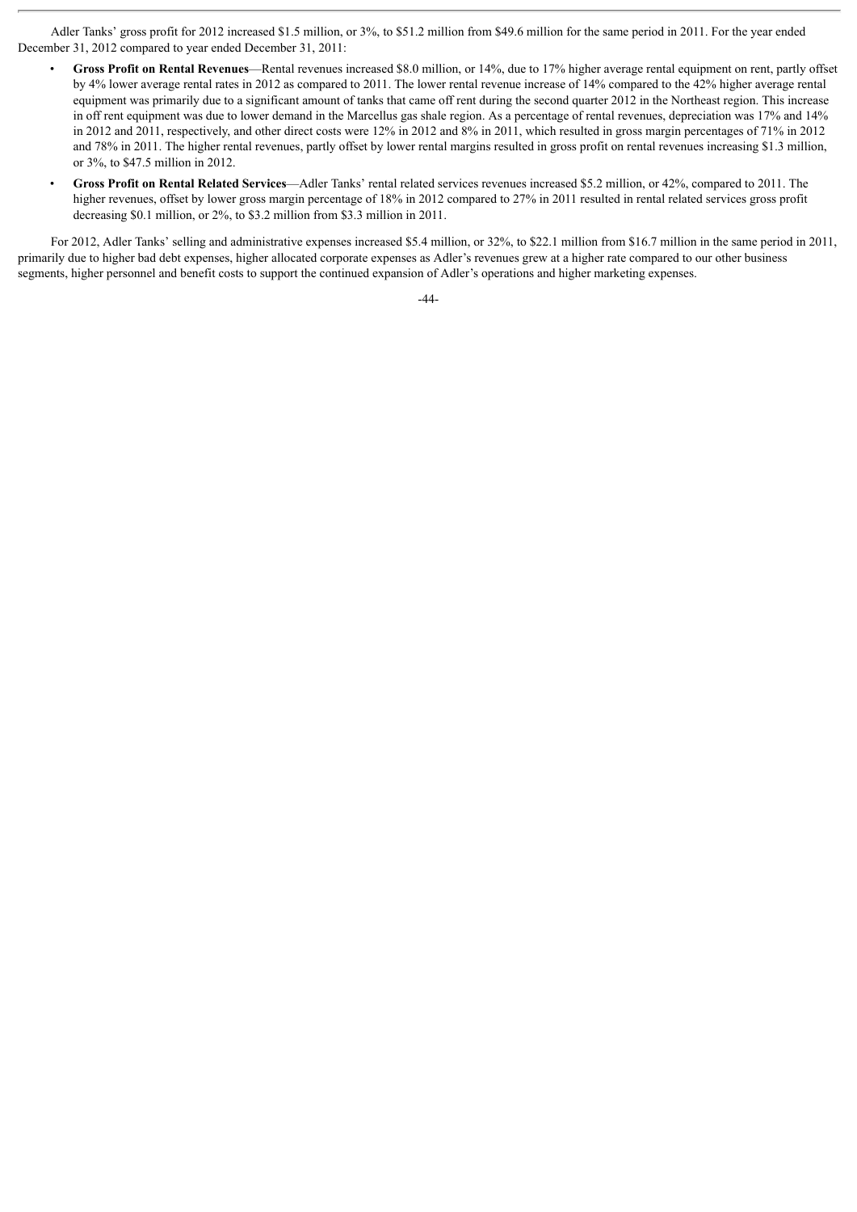Adler Tanks' gross profit for 2012 increased \$1.5 million, or 3%, to \$51.2 million from \$49.6 million for the same period in 2011. For the year ended December 31, 2012 compared to year ended December 31, 2011:

- **Gross Profit on Rental Revenues**—Rental revenues increased \$8.0 million, or 14%, due to 17% higher average rental equipment on rent, partly offset by 4% lower average rental rates in 2012 as compared to 2011. The lower rental revenue increase of 14% compared to the 42% higher average rental equipment was primarily due to a significant amount of tanks that came off rent during the second quarter 2012 in the Northeast region. This increase in off rent equipment was due to lower demand in the Marcellus gas shale region. As a percentage of rental revenues, depreciation was 17% and 14% in 2012 and 2011, respectively, and other direct costs were 12% in 2012 and 8% in 2011, which resulted in gross margin percentages of 71% in 2012 and 78% in 2011. The higher rental revenues, partly offset by lower rental margins resulted in gross profit on rental revenues increasing \$1.3 million, or 3%, to \$47.5 million in 2012.
- **Gross Profit on Rental Related Services**—Adler Tanks' rental related services revenues increased \$5.2 million, or 42%, compared to 2011. The higher revenues, offset by lower gross margin percentage of 18% in 2012 compared to 27% in 2011 resulted in rental related services gross profit decreasing \$0.1 million, or 2%, to \$3.2 million from \$3.3 million in 2011.

For 2012, Adler Tanks' selling and administrative expenses increased \$5.4 million, or 32%, to \$22.1 million from \$16.7 million in the same period in 2011, primarily due to higher bad debt expenses, higher allocated corporate expenses as Adler's revenues grew at a higher rate compared to our other business segments, higher personnel and benefit costs to support the continued expansion of Adler's operations and higher marketing expenses.

-44-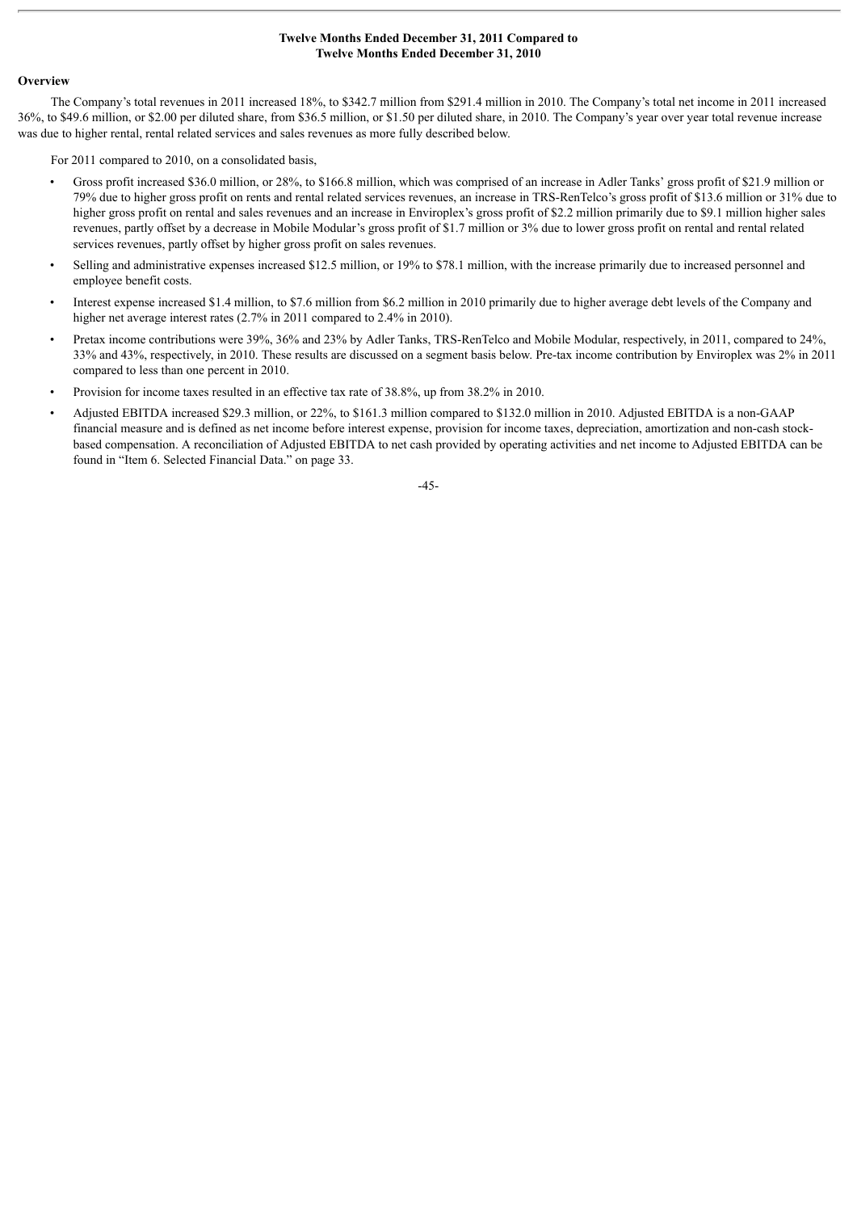## **Twelve Months Ended December 31, 2011 Compared to Twelve Months Ended December 31, 2010**

## **Overview**

The Company's total revenues in 2011 increased 18%, to \$342.7 million from \$291.4 million in 2010. The Company's total net income in 2011 increased 36%, to \$49.6 million, or \$2.00 per diluted share, from \$36.5 million, or \$1.50 per diluted share, in 2010. The Company's year over year total revenue increase was due to higher rental, rental related services and sales revenues as more fully described below.

For 2011 compared to 2010, on a consolidated basis,

- Gross profit increased \$36.0 million, or 28%, to \$166.8 million, which was comprised of an increase in Adler Tanks' gross profit of \$21.9 million or 79% due to higher gross profit on rents and rental related services revenues, an increase in TRS-RenTelco's gross profit of \$13.6 million or 31% due to higher gross profit on rental and sales revenues and an increase in Enviroplex's gross profit of \$2.2 million primarily due to \$9.1 million higher sales revenues, partly offset by a decrease in Mobile Modular's gross profit of \$1.7 million or 3% due to lower gross profit on rental and rental related services revenues, partly offset by higher gross profit on sales revenues.
- Selling and administrative expenses increased \$12.5 million, or 19% to \$78.1 million, with the increase primarily due to increased personnel and employee benefit costs.
- Interest expense increased \$1.4 million, to \$7.6 million from \$6.2 million in 2010 primarily due to higher average debt levels of the Company and higher net average interest rates  $(2.7\%$  in 2011 compared to 2.4% in 2010).
- Pretax income contributions were 39%, 36% and 23% by Adler Tanks, TRS-RenTelco and Mobile Modular, respectively, in 2011, compared to 24%, 33% and 43%, respectively, in 2010. These results are discussed on a segment basis below. Pre-tax income contribution by Enviroplex was 2% in 2011 compared to less than one percent in 2010.
- Provision for income taxes resulted in an effective tax rate of 38.8%, up from 38.2% in 2010.
- Adjusted EBITDA increased \$29.3 million, or 22%, to \$161.3 million compared to \$132.0 million in 2010. Adjusted EBITDA is a non-GAAP financial measure and is defined as net income before interest expense, provision for income taxes, depreciation, amortization and non-cash stockbased compensation. A reconciliation of Adjusted EBITDA to net cash provided by operating activities and net income to Adjusted EBITDA can be found in "Item 6. Selected Financial Data." on page 33.

-45-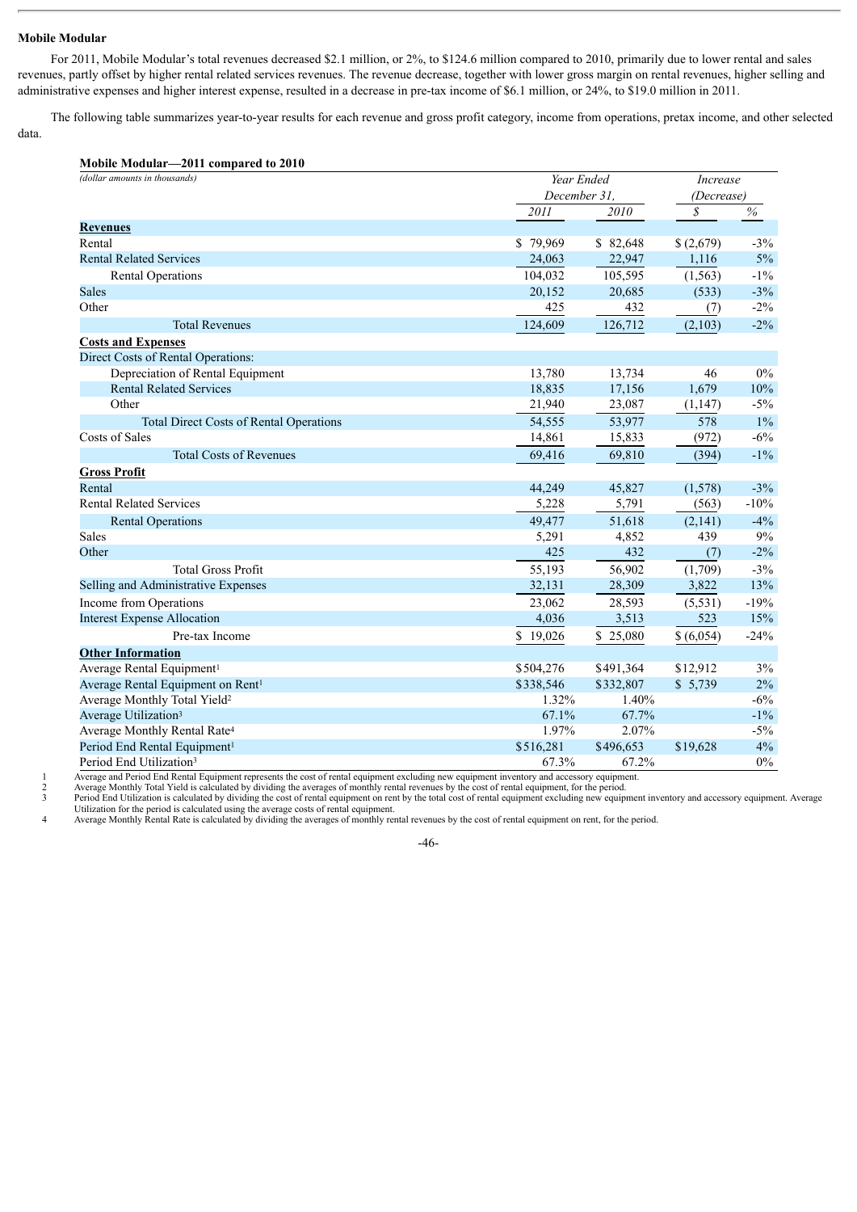#### **Mobile Modular**

For 2011, Mobile Modular's total revenues decreased \$2.1 million, or 2%, to \$124.6 million compared to 2010, primarily due to lower rental and sales revenues, partly offset by higher rental related services revenues. The revenue decrease, together with lower gross margin on rental revenues, higher selling and administrative expenses and higher interest expense, resulted in a decrease in pre-tax income of \$6.1 million, or 24%, to \$19.0 million in 2011.

The following table summarizes year-to-year results for each revenue and gross profit category, income from operations, pretax income, and other selected data.

| (dollar amounts in thousands)                  |              | Year Ended | Increase   |        |
|------------------------------------------------|--------------|------------|------------|--------|
|                                                | December 31. |            | (Decrease) |        |
|                                                | 2011         | 2010       | \$         | $\%$   |
| <b>Revenues</b>                                |              |            |            |        |
| Rental                                         | \$79,969     | \$82,648   | \$(2,679)  | $-3%$  |
| <b>Rental Related Services</b>                 | 24,063       | 22,947     | 1,116      | $5\%$  |
| <b>Rental Operations</b>                       | 104,032      | 105,595    | (1, 563)   | $-1\%$ |
| <b>Sales</b>                                   | 20,152       | 20,685     | (533)      | $-3%$  |
| Other                                          | 425          | 432        | (7)        | $-2\%$ |
| <b>Total Revenues</b>                          | 124,609      | 126,712    | (2,103)    | $-2\%$ |
| <b>Costs and Expenses</b>                      |              |            |            |        |
| Direct Costs of Rental Operations:             |              |            |            |        |
| Depreciation of Rental Equipment               | 13,780       | 13,734     | 46         | $0\%$  |
| <b>Rental Related Services</b>                 | 18,835       | 17,156     | 1,679      | 10%    |
| Other                                          | 21,940       | 23,087     | (1,147)    | $-5%$  |
| <b>Total Direct Costs of Rental Operations</b> | 54,555       | 53,977     | 578        | $1\%$  |
| <b>Costs of Sales</b>                          | 14,861       | 15,833     | (972)      | $-6\%$ |
| <b>Total Costs of Revenues</b>                 | 69,416       | 69,810     | (394)      | $-1\%$ |
| <b>Gross Profit</b>                            |              |            |            |        |
| Rental                                         | 44,249       | 45,827     | (1,578)    | $-3%$  |
| <b>Rental Related Services</b>                 | 5,228        | 5,791      | (563)      | $-10%$ |
| <b>Rental Operations</b>                       | 49,477       | 51,618     | (2,141)    | $-4%$  |
| Sales                                          | 5,291        | 4,852      | 439        | 9%     |
| Other                                          | 425          | 432        | (7)        | $-2\%$ |
| <b>Total Gross Profit</b>                      | 55,193       | 56,902     | (1,709)    | $-3%$  |
| Selling and Administrative Expenses            | 32,131       | 28,309     | 3,822      | 13%    |
| Income from Operations                         | 23,062       | 28,593     | (5,531)    | $-19%$ |
| <b>Interest Expense Allocation</b>             | 4,036        | 3,513      | 523        | 15%    |
| Pre-tax Income                                 | \$19,026     | \$25,080   | \$(6,054)  | $-24%$ |
| <b>Other Information</b>                       |              |            |            |        |
| Average Rental Equipment <sup>1</sup>          | \$504,276    | \$491,364  | \$12,912   | 3%     |
| Average Rental Equipment on Rent <sup>1</sup>  | \$338,546    | \$332,807  | \$5,739    | $2\%$  |
| Average Monthly Total Yield <sup>2</sup>       | 1.32%        | 1.40%      |            | $-6\%$ |
| Average Utilization <sup>3</sup>               | 67.1%        | 67.7%      |            | $-1\%$ |
| Average Monthly Rental Rate <sup>4</sup>       | 1.97%        | 2.07%      |            | $-5%$  |
| Period End Rental Equipment <sup>1</sup>       | \$516,281    | \$496,653  | \$19,628   | 4%     |
| Period End Utilization <sup>3</sup>            | 67.3%        | 67.2%      |            | $0\%$  |

1 Average and Period End Rental Equipment represents the cost of rental equipment excluding new equipment inventory and accessory equipment.

Average Monthly Total Yield is calculated by dividing the averages of monthly rental revenues by the cost of rental equipment, for the period.<br>Period End Utilization is calculated by dividing the cost of rental equipment o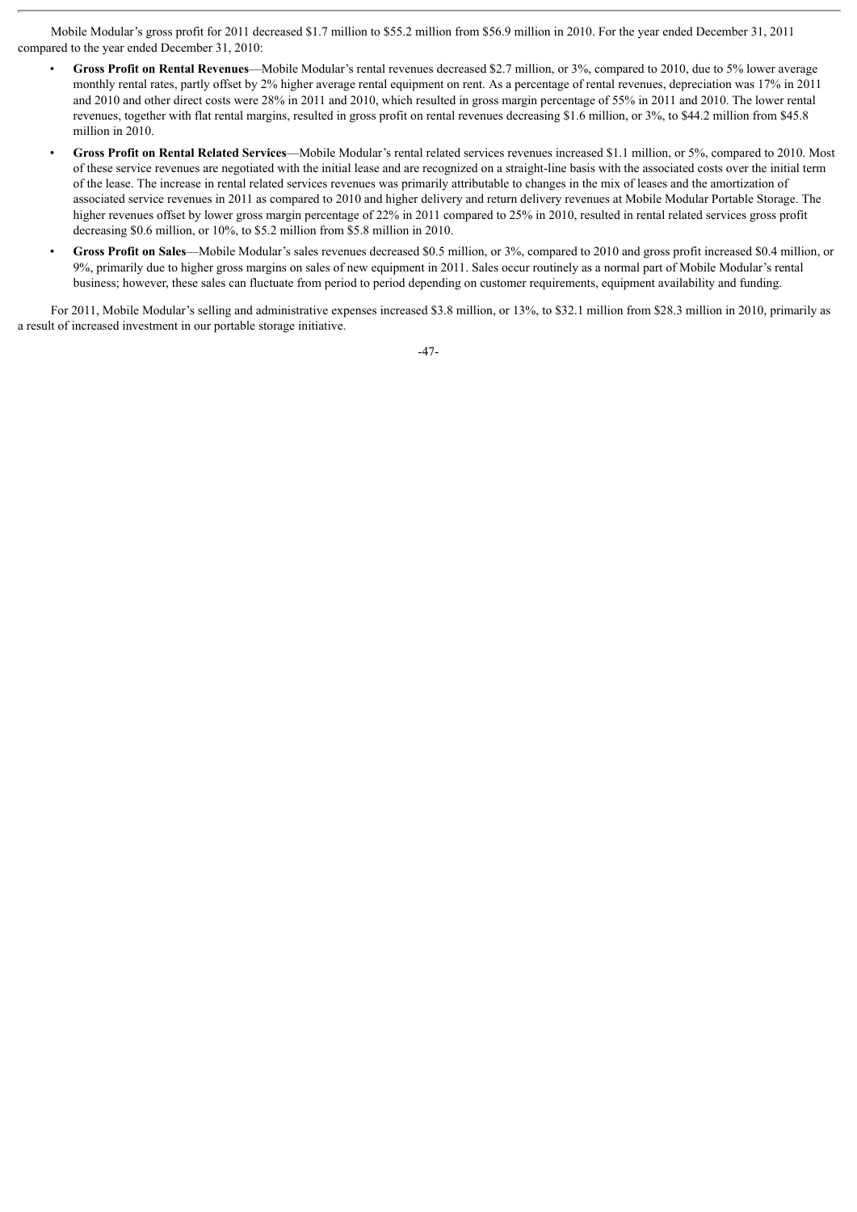Mobile Modular's gross profit for 2011 decreased \$1.7 million to \$55.2 million from \$56.9 million in 2010. For the year ended December 31, 2011 compared to the year ended December 31, 2010:

- **Gross Profit on Rental Revenues**—Mobile Modular's rental revenues decreased \$2.7 million, or 3%, compared to 2010, due to 5% lower average monthly rental rates, partly offset by 2% higher average rental equipment on rent. As a percentage of rental revenues, depreciation was 17% in 2011 and 2010 and other direct costs were 28% in 2011 and 2010, which resulted in gross margin percentage of 55% in 2011 and 2010. The lower rental revenues, together with flat rental margins, resulted in gross profit on rental revenues decreasing \$1.6 million, or 3%, to \$44.2 million from \$45.8 million in 2010.
- **Gross Profit on Rental Related Services**—Mobile Modular's rental related services revenues increased \$1.1 million, or 5%, compared to 2010. Most of these service revenues are negotiated with the initial lease and are recognized on a straight-line basis with the associated costs over the initial term of the lease. The increase in rental related services revenues was primarily attributable to changes in the mix of leases and the amortization of associated service revenues in 2011 as compared to 2010 and higher delivery and return delivery revenues at Mobile Modular Portable Storage. The higher revenues offset by lower gross margin percentage of 22% in 2011 compared to 25% in 2010, resulted in rental related services gross profit decreasing \$0.6 million, or 10%, to \$5.2 million from \$5.8 million in 2010.
- **Gross Profit on Sales**—Mobile Modular's sales revenues decreased \$0.5 million, or 3%, compared to 2010 and gross profit increased \$0.4 million, or 9%, primarily due to higher gross margins on sales of new equipment in 2011. Sales occur routinely as a normal part of Mobile Modular's rental business; however, these sales can fluctuate from period to period depending on customer requirements, equipment availability and funding.

For 2011, Mobile Modular's selling and administrative expenses increased \$3.8 million, or 13%, to \$32.1 million from \$28.3 million in 2010, primarily as a result of increased investment in our portable storage initiative.

-47-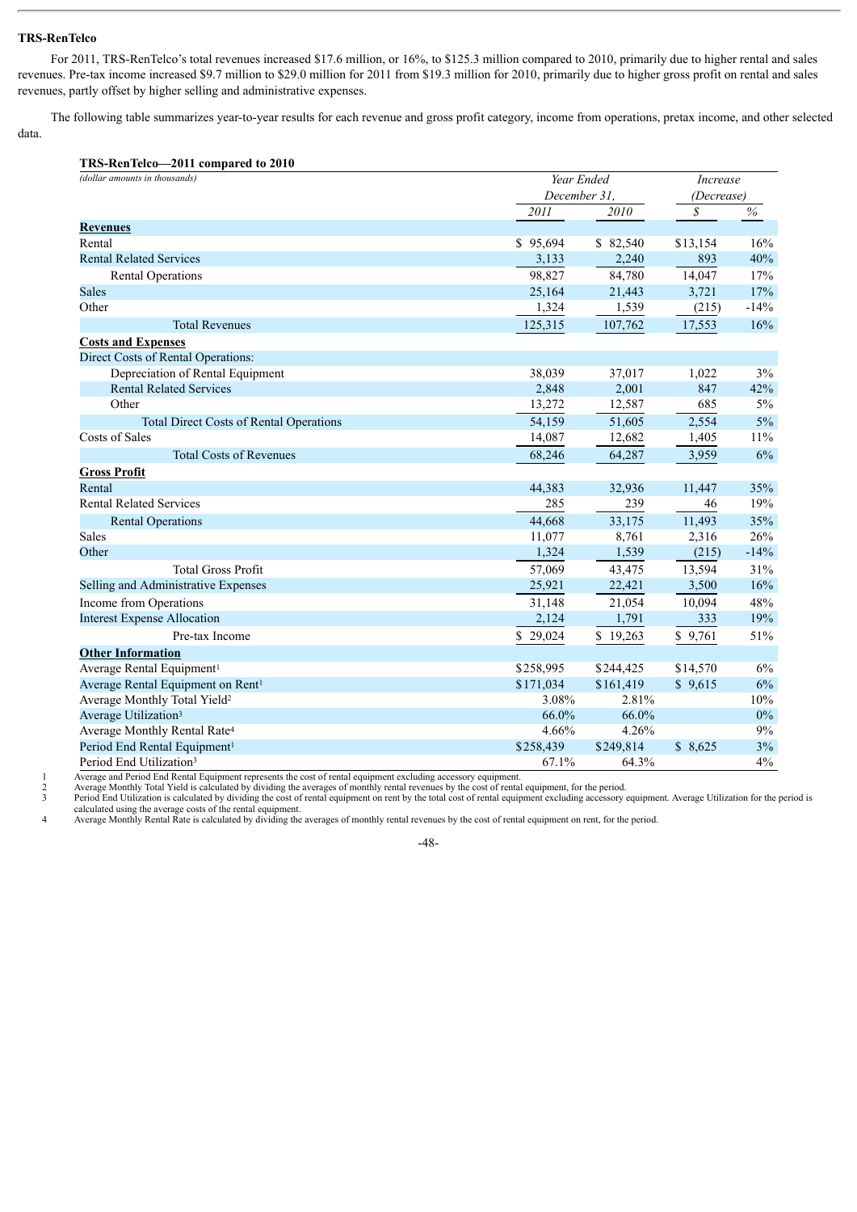## **TRS-RenTelco**

For 2011, TRS-RenTelco's total revenues increased \$17.6 million, or 16%, to \$125.3 million compared to 2010, primarily due to higher rental and sales revenues. Pre-tax income increased \$9.7 million to \$29.0 million for 2011 from \$19.3 million for 2010, primarily due to higher gross profit on rental and sales revenues, partly offset by higher selling and administrative expenses.

The following table summarizes year-to-year results for each revenue and gross profit category, income from operations, pretax income, and other selected data.

| (dollar amounts in thousands)                  |              | Year Ended |               |        |
|------------------------------------------------|--------------|------------|---------------|--------|
|                                                | December 31. |            | (Decrease)    |        |
|                                                | 2011         | 2010       | $\mathcal{S}$ | $\%$   |
| <b>Revenues</b>                                |              |            |               |        |
| Rental                                         | \$95,694     | \$82,540   | \$13,154      | 16%    |
| <b>Rental Related Services</b>                 | 3,133        | 2.240      | 893           | 40%    |
| <b>Rental Operations</b>                       | 98,827       | 84,780     | 14,047        | 17%    |
| <b>Sales</b>                                   | 25,164       | 21,443     | 3,721         | 17%    |
| Other                                          | 1,324        | 1,539      | (215)         | $-14%$ |
| <b>Total Revenues</b>                          | 125,315      | 107,762    | 17,553        | 16%    |
| <b>Costs and Expenses</b>                      |              |            |               |        |
| Direct Costs of Rental Operations:             |              |            |               |        |
| Depreciation of Rental Equipment               | 38,039       | 37,017     | 1,022         | 3%     |
| <b>Rental Related Services</b>                 | 2,848        | 2,001      | 847           | 42%    |
| Other                                          | 13,272       | 12,587     | 685           | 5%     |
| <b>Total Direct Costs of Rental Operations</b> | 54,159       | 51,605     | 2,554         | $5\%$  |
| <b>Costs of Sales</b>                          | 14,087       | 12,682     | 1,405         | $11\%$ |
| <b>Total Costs of Revenues</b>                 | 68,246       | 64,287     | 3,959         | 6%     |
| <b>Gross Profit</b>                            |              |            |               |        |
| Rental                                         | 44,383       | 32,936     | 11,447        | 35%    |
| <b>Rental Related Services</b>                 | 285          | 239        | 46            | 19%    |
| <b>Rental Operations</b>                       | 44,668       | 33,175     | 11,493        | 35%    |
| Sales                                          | 11,077       | 8,761      | 2,316         | 26%    |
| Other                                          | 1,324        | 1,539      | (215)         | $-14%$ |
| <b>Total Gross Profit</b>                      | 57,069       | 43,475     | 13,594        | 31%    |
| Selling and Administrative Expenses            | 25,921       | 22,421     | 3,500         | 16%    |
| Income from Operations                         | 31,148       | 21,054     | 10,094        | 48%    |
| <b>Interest Expense Allocation</b>             | 2,124        | 1,791      | 333           | 19%    |
| Pre-tax Income                                 | \$29,024     | \$19,263   | \$9,761       | 51%    |
| <b>Other Information</b>                       |              |            |               |        |
| Average Rental Equipment <sup>1</sup>          | \$258,995    | \$244,425  | \$14,570      | 6%     |
| Average Rental Equipment on Rent <sup>1</sup>  | \$171,034    | \$161,419  | \$9,615       | 6%     |
| Average Monthly Total Yield <sup>2</sup>       | 3.08%        | 2.81%      |               | 10%    |
| Average Utilization <sup>3</sup>               | 66.0%        | 66.0%      |               | $0\%$  |
| Average Monthly Rental Rate <sup>4</sup>       | 4.66%        | 4.26%      |               | 9%     |
| Period End Rental Equipment <sup>1</sup>       | \$258,439    | \$249,814  | \$8,625       | 3%     |
| Period End Utilization <sup>3</sup>            | 67.1%        | 64.3%      |               | 4%     |

1 Average and Period End Rental Equipment represents the cost of rental equipment excluding accessory equipment. Average Monthly Total Yield is calculated by dividing the averages of monthly rental revenues by the cost of rental equipment, for the period.<br>Period End Utilization is calculated by dividing the cost of rental equipment o

4 Average Monthly Rental Rate is calculated by dividing the averages of monthly rental revenues by the cost of rental equipment on rent, for the period.

-48-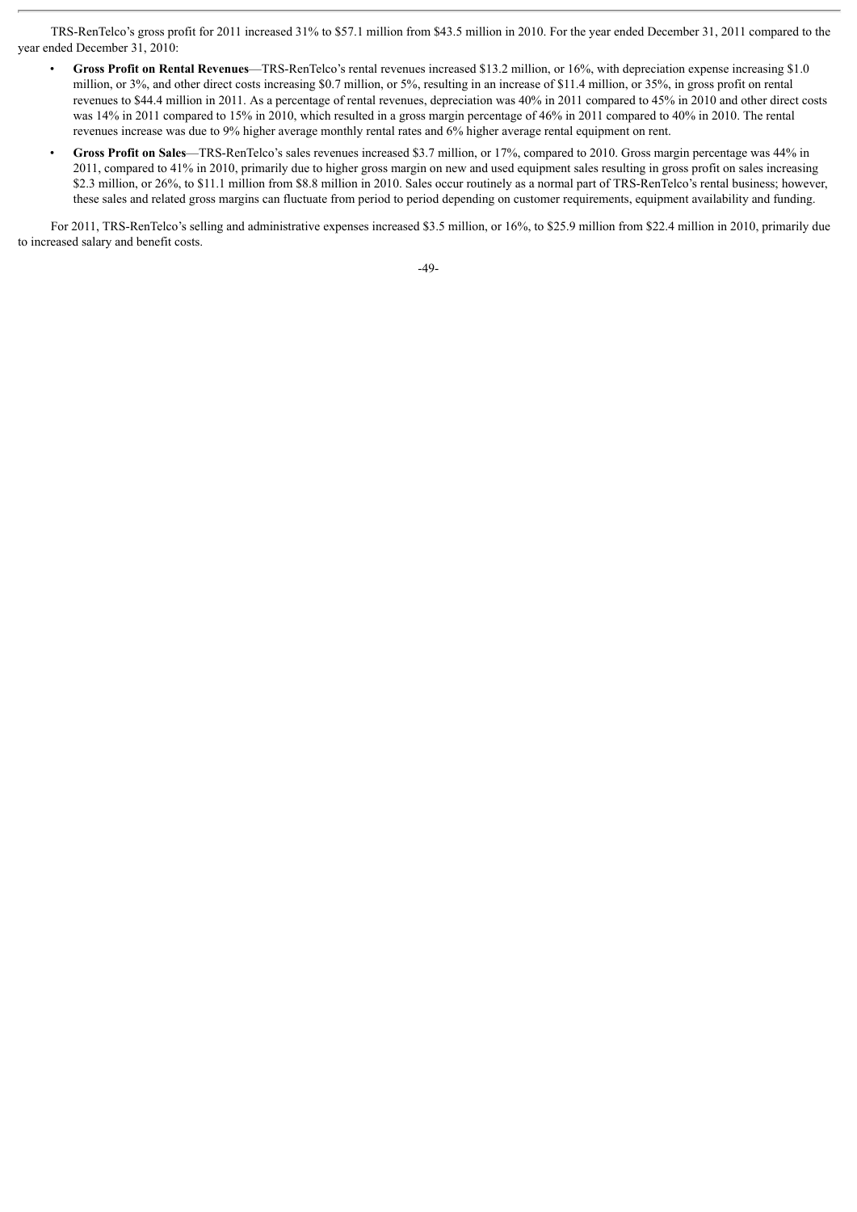TRS-RenTelco's gross profit for 2011 increased 31% to \$57.1 million from \$43.5 million in 2010. For the year ended December 31, 2011 compared to the year ended December 31, 2010:

- **Gross Profit on Rental Revenues**—TRS-RenTelco's rental revenues increased \$13.2 million, or 16%, with depreciation expense increasing \$1.0 million, or 3%, and other direct costs increasing \$0.7 million, or 5%, resulting in an increase of \$11.4 million, or 35%, in gross profit on rental revenues to \$44.4 million in 2011. As a percentage of rental revenues, depreciation was 40% in 2011 compared to 45% in 2010 and other direct costs was 14% in 2011 compared to 15% in 2010, which resulted in a gross margin percentage of 46% in 2011 compared to 40% in 2010. The rental revenues increase was due to 9% higher average monthly rental rates and 6% higher average rental equipment on rent.
- **Gross Profit on Sales**—TRS-RenTelco's sales revenues increased \$3.7 million, or 17%, compared to 2010. Gross margin percentage was 44% in 2011, compared to 41% in 2010, primarily due to higher gross margin on new and used equipment sales resulting in gross profit on sales increasing \$2.3 million, or 26%, to \$11.1 million from \$8.8 million in 2010. Sales occur routinely as a normal part of TRS-RenTelco's rental business; however, these sales and related gross margins can fluctuate from period to period depending on customer requirements, equipment availability and funding.

For 2011, TRS-RenTelco's selling and administrative expenses increased \$3.5 million, or 16%, to \$25.9 million from \$22.4 million in 2010, primarily due to increased salary and benefit costs.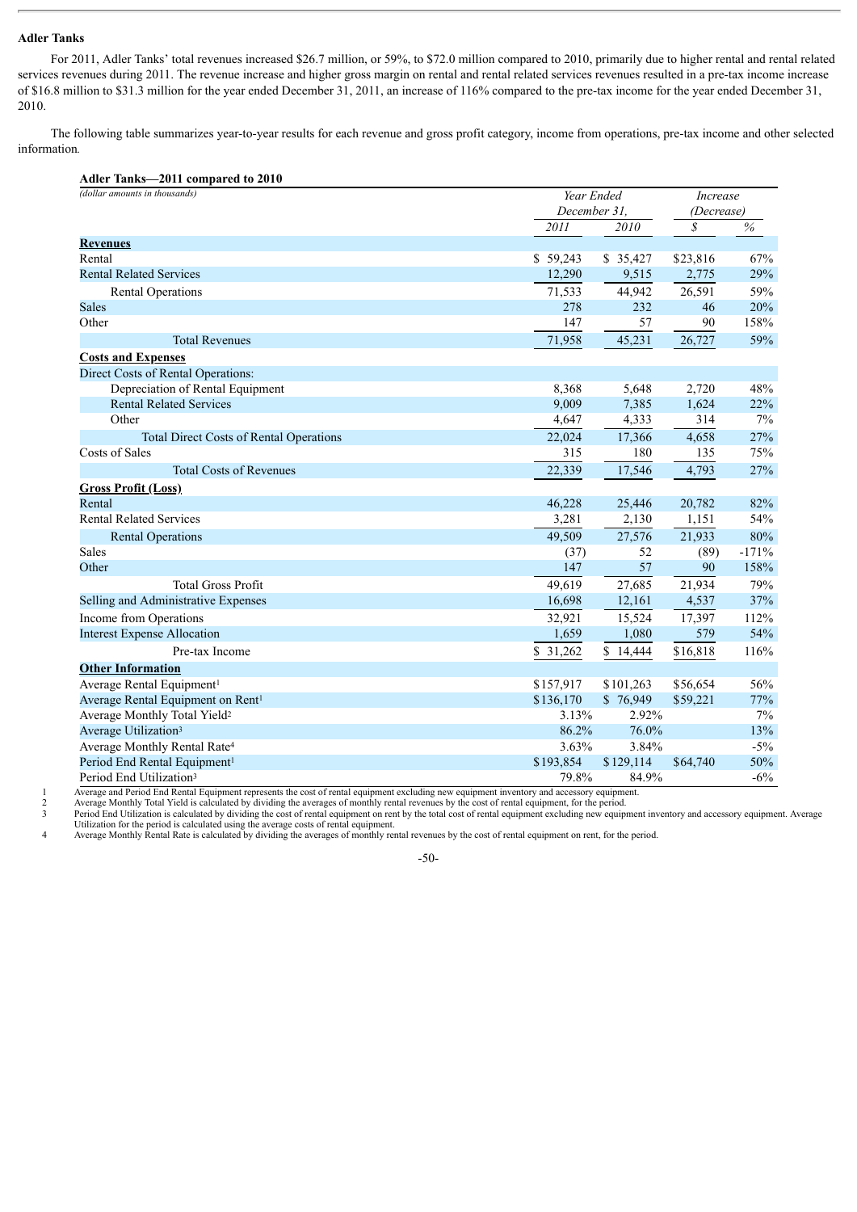## **Adler Tanks**

For 2011, Adler Tanks' total revenues increased \$26.7 million, or 59%, to \$72.0 million compared to 2010, primarily due to higher rental and rental related services revenues during 2011. The revenue increase and higher gross margin on rental and rental related services revenues resulted in a pre-tax income increase of \$16.8 million to \$31.3 million for the year ended December 31, 2011, an increase of 116% compared to the pre-tax income for the year ended December 31, 2010.

The following table summarizes year-to-year results for each revenue and gross profit category, income from operations, pre-tax income and other selected information*.*

| Adler Tanks-2011 compared to 2010              |              |           |                         |            |
|------------------------------------------------|--------------|-----------|-------------------------|------------|
| (dollar amounts in thousands)                  | Year Ended   |           | Increase                |            |
|                                                | December 31. |           | (Decrease)              |            |
|                                                | 2011         | 2010      | $\mathcal{S}_{0}^{(n)}$ | $\%$       |
| <b>Revenues</b><br>Rental                      |              |           |                         |            |
| <b>Rental Related Services</b>                 | \$59,243     | \$ 35,427 | \$23,816                | 67%<br>29% |
|                                                | 12,290       | 9,515     | 2,775                   |            |
| <b>Rental Operations</b>                       | 71,533       | 44,942    | 26,591                  | 59%        |
| <b>Sales</b>                                   | 278          | 232       | 46                      | 20%        |
| Other                                          | 147          | 57        | 90                      | 158%       |
| <b>Total Revenues</b>                          | 71,958       | 45,231    | 26,727                  | 59%        |
| <b>Costs and Expenses</b>                      |              |           |                         |            |
| Direct Costs of Rental Operations:             |              |           |                         |            |
| Depreciation of Rental Equipment               | 8,368        | 5,648     | 2,720                   | 48%        |
| <b>Rental Related Services</b>                 | 9,009        | 7,385     | 1,624                   | 22%        |
| Other                                          | 4,647        | 4,333     | 314                     | 7%         |
| <b>Total Direct Costs of Rental Operations</b> | 22,024       | 17,366    | 4,658                   | 27%        |
| <b>Costs of Sales</b>                          | 315          | 180       | 135                     | 75%        |
| <b>Total Costs of Revenues</b>                 | 22,339       | 17,546    | 4,793                   | 27%        |
| <b>Gross Profit (Loss)</b>                     |              |           |                         |            |
| Rental                                         | 46,228       | 25,446    | 20,782                  | 82%        |
| <b>Rental Related Services</b>                 | 3,281        | 2,130     | 1,151                   | 54%        |
| <b>Rental Operations</b>                       | 49,509       | 27,576    | 21,933                  | 80%        |
| Sales                                          | (37)         | 52        | (89)                    | $-171%$    |
| Other                                          | 147          | 57        | 90                      | 158%       |
| <b>Total Gross Profit</b>                      | 49,619       | 27,685    | 21,934                  | 79%        |
| Selling and Administrative Expenses            | 16,698       | 12,161    | 4,537                   | 37%        |
| Income from Operations                         | 32,921       | 15,524    | 17,397                  | 112%       |
| <b>Interest Expense Allocation</b>             | 1,659        | 1,080     | 579                     | 54%        |
| Pre-tax Income                                 | \$31,262     | \$14,444  | \$16,818                | 116%       |
| <b>Other Information</b>                       |              |           |                         |            |
| Average Rental Equipment <sup>1</sup>          | \$157,917    | \$101,263 | \$56,654                | 56%        |
| Average Rental Equipment on Rent <sup>1</sup>  | \$136,170    | \$76,949  | \$59,221                | 77%        |
| Average Monthly Total Yield <sup>2</sup>       | 3.13%        | 2.92%     |                         | 7%         |
| Average Utilization <sup>3</sup>               | 86.2%        | 76.0%     |                         | 13%        |
| Average Monthly Rental Rate <sup>4</sup>       | 3.63%        | 3.84%     |                         | $-5\%$     |
| Period End Rental Equipment <sup>1</sup>       | \$193,854    | \$129,114 | \$64,740                | 50%        |
| Period End Utilization <sup>3</sup>            | 79.8%        | 84.9%     |                         | $-6%$      |

1 Average and Period End Rental Equipment represents the cost of rental equipment excluding new equipment inventory and accessory equipment.<br>
2 Average Monthly Total Yield is calculated by dividing the averages of monthly Average Monthly Total Yield is calculated by dividing the averages of monthly rental revenues by the cost of rental equipment, for the period.<br>Period End Utilization is calculated by dividing the cost of rental equipment o

Average Monthly Rental Rate is calculated by dividing the averages of monthly rental revenues by the cost of rental equipment on rent, for the period.

-50-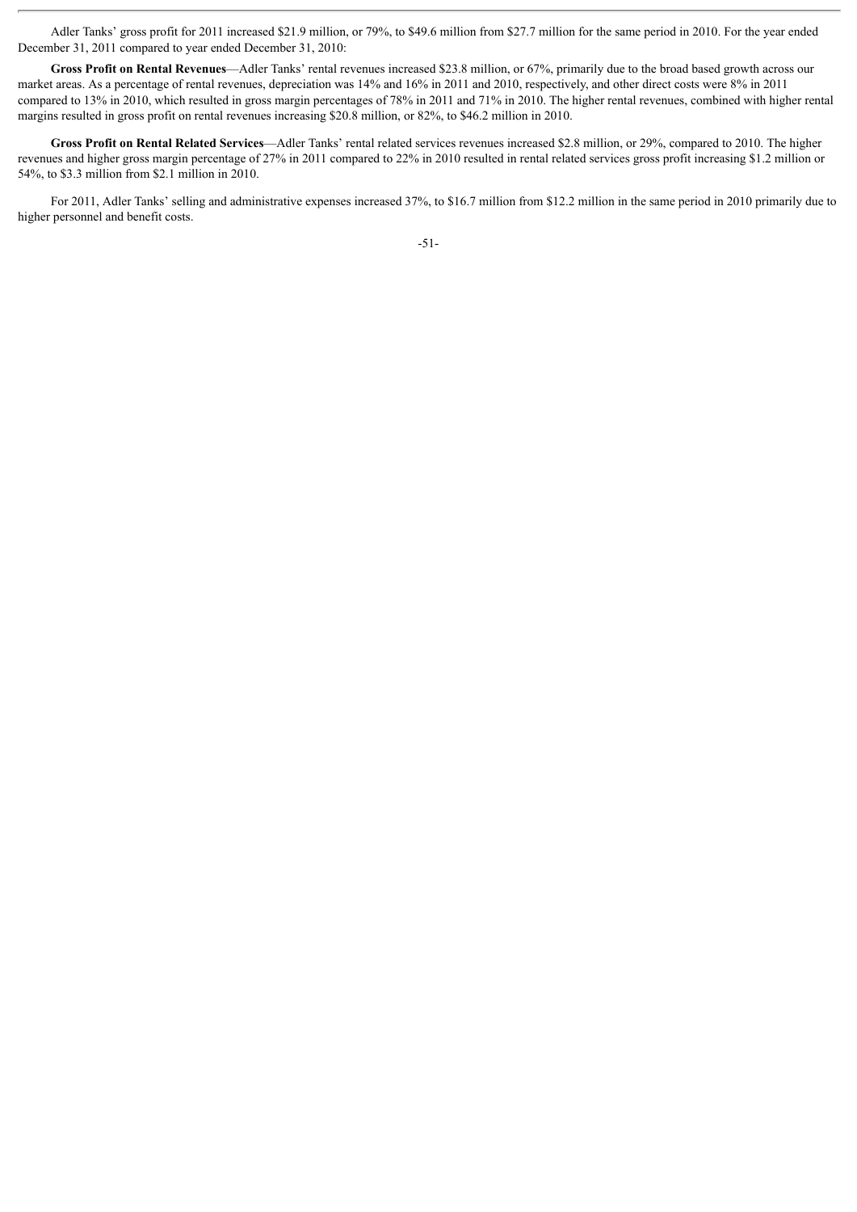Adler Tanks' gross profit for 2011 increased \$21.9 million, or 79%, to \$49.6 million from \$27.7 million for the same period in 2010. For the year ended December 31, 2011 compared to year ended December 31, 2010:

**Gross Profit on Rental Revenues**—Adler Tanks' rental revenues increased \$23.8 million, or 67%, primarily due to the broad based growth across our market areas. As a percentage of rental revenues, depreciation was 14% and 16% in 2011 and 2010, respectively, and other direct costs were 8% in 2011 compared to 13% in 2010, which resulted in gross margin percentages of 78% in 2011 and 71% in 2010. The higher rental revenues, combined with higher rental margins resulted in gross profit on rental revenues increasing \$20.8 million, or 82%, to \$46.2 million in 2010.

**Gross Profit on Rental Related Services**—Adler Tanks' rental related services revenues increased \$2.8 million, or 29%, compared to 2010. The higher revenues and higher gross margin percentage of 27% in 2011 compared to 22% in 2010 resulted in rental related services gross profit increasing \$1.2 million or 54%, to \$3.3 million from \$2.1 million in 2010.

For 2011, Adler Tanks' selling and administrative expenses increased 37%, to \$16.7 million from \$12.2 million in the same period in 2010 primarily due to higher personnel and benefit costs.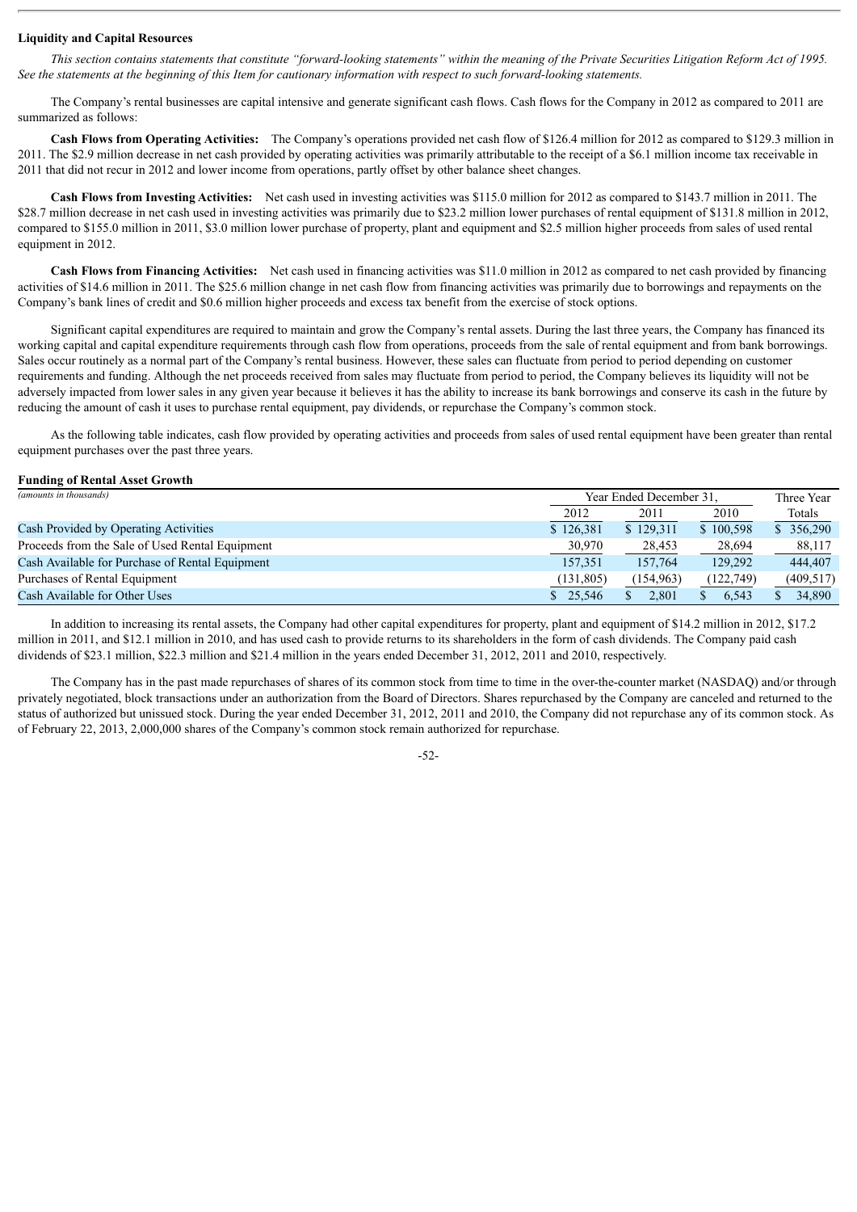## **Liquidity and Capital Resources**

*This section contains statements that constitute "forward-looking statements" within the meaning of the Private Securities Litigation Reform Act of 1995. See the statements at the beginning of this Item for cautionary information with respect to such forward-looking statements.*

The Company's rental businesses are capital intensive and generate significant cash flows. Cash flows for the Company in 2012 as compared to 2011 are summarized as follows:

**Cash Flows from Operating Activities:** The Company's operations provided net cash flow of \$126.4 million for 2012 as compared to \$129.3 million in 2011. The \$2.9 million decrease in net cash provided by operating activities was primarily attributable to the receipt of a \$6.1 million income tax receivable in 2011 that did not recur in 2012 and lower income from operations, partly offset by other balance sheet changes.

**Cash Flows from Investing Activities:** Net cash used in investing activities was \$115.0 million for 2012 as compared to \$143.7 million in 2011. The \$28.7 million decrease in net cash used in investing activities was primarily due to \$23.2 million lower purchases of rental equipment of \$131.8 million in 2012, compared to \$155.0 million in 2011, \$3.0 million lower purchase of property, plant and equipment and \$2.5 million higher proceeds from sales of used rental equipment in 2012.

**Cash Flows from Financing Activities:** Net cash used in financing activities was \$11.0 million in 2012 as compared to net cash provided by financing activities of \$14.6 million in 2011. The \$25.6 million change in net cash flow from financing activities was primarily due to borrowings and repayments on the Company's bank lines of credit and \$0.6 million higher proceeds and excess tax benefit from the exercise of stock options.

Significant capital expenditures are required to maintain and grow the Company's rental assets. During the last three years, the Company has financed its working capital and capital expenditure requirements through cash flow from operations, proceeds from the sale of rental equipment and from bank borrowings. Sales occur routinely as a normal part of the Company's rental business. However, these sales can fluctuate from period to period depending on customer requirements and funding. Although the net proceeds received from sales may fluctuate from period to period, the Company believes its liquidity will not be adversely impacted from lower sales in any given year because it believes it has the ability to increase its bank borrowings and conserve its cash in the future by reducing the amount of cash it uses to purchase rental equipment, pay dividends, or repurchase the Company's common stock.

As the following table indicates, cash flow provided by operating activities and proceeds from sales of used rental equipment have been greater than rental equipment purchases over the past three years.

## **Funding of Rental Asset Growth**

| (amounts in thousands)                          |           | Year Ended December 31, |            |            |
|-------------------------------------------------|-----------|-------------------------|------------|------------|
|                                                 | 2012      | 2011                    | 2010       | Totals     |
| Cash Provided by Operating Activities           | \$126,381 | \$129,311               | \$100,598  | \$356,290  |
| Proceeds from the Sale of Used Rental Equipment | 30,970    | 28,453                  | 28,694     | 88,117     |
| Cash Available for Purchase of Rental Equipment | 157,351   | 157.764                 | 129.292    | 444,407    |
| Purchases of Rental Equipment                   | (131,805) | (154, 963)              | (122, 749) | (409, 517) |
| Cash Available for Other Uses                   | \$25,546  | 2.801                   | 6.543      | 34,890     |

In addition to increasing its rental assets, the Company had other capital expenditures for property, plant and equipment of \$14.2 million in 2012, \$17.2 million in 2011, and \$12.1 million in 2010, and has used cash to provide returns to its shareholders in the form of cash dividends. The Company paid cash dividends of \$23.1 million, \$22.3 million and \$21.4 million in the years ended December 31, 2012, 2011 and 2010, respectively.

The Company has in the past made repurchases of shares of its common stock from time to time in the over-the-counter market (NASDAQ) and/or through privately negotiated, block transactions under an authorization from the Board of Directors. Shares repurchased by the Company are canceled and returned to the status of authorized but unissued stock. During the year ended December 31, 2012, 2011 and 2010, the Company did not repurchase any of its common stock. As of February 22, 2013, 2,000,000 shares of the Company's common stock remain authorized for repurchase.

-52-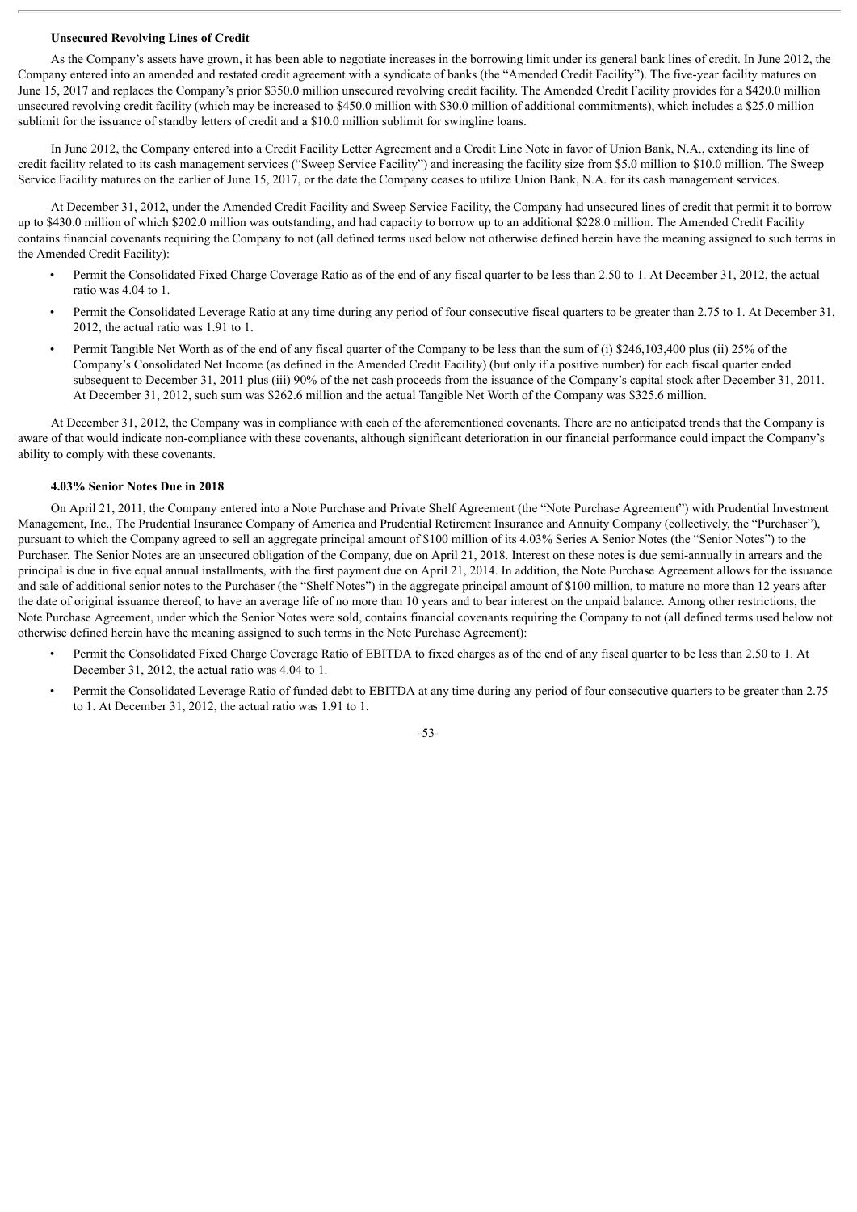## **Unsecured Revolving Lines of Credit**

As the Company's assets have grown, it has been able to negotiate increases in the borrowing limit under its general bank lines of credit. In June 2012, the Company entered into an amended and restated credit agreement with a syndicate of banks (the "Amended Credit Facility"). The five-year facility matures on June 15, 2017 and replaces the Company's prior \$350.0 million unsecured revolving credit facility. The Amended Credit Facility provides for a \$420.0 million unsecured revolving credit facility (which may be increased to \$450.0 million with \$30.0 million of additional commitments), which includes a \$25.0 million sublimit for the issuance of standby letters of credit and a \$10.0 million sublimit for swingline loans.

In June 2012, the Company entered into a Credit Facility Letter Agreement and a Credit Line Note in favor of Union Bank, N.A., extending its line of credit facility related to its cash management services ("Sweep Service Facility") and increasing the facility size from \$5.0 million to \$10.0 million. The Sweep Service Facility matures on the earlier of June 15, 2017, or the date the Company ceases to utilize Union Bank, N.A. for its cash management services.

At December 31, 2012, under the Amended Credit Facility and Sweep Service Facility, the Company had unsecured lines of credit that permit it to borrow up to \$430.0 million of which \$202.0 million was outstanding, and had capacity to borrow up to an additional \$228.0 million. The Amended Credit Facility contains financial covenants requiring the Company to not (all defined terms used below not otherwise defined herein have the meaning assigned to such terms in the Amended Credit Facility):

- Permit the Consolidated Fixed Charge Coverage Ratio as of the end of any fiscal quarter to be less than 2.50 to 1. At December 31, 2012, the actual ratio was 4.04 to 1.
- Permit the Consolidated Leverage Ratio at any time during any period of four consecutive fiscal quarters to be greater than 2.75 to 1. At December 31, 2012, the actual ratio was 1.91 to 1.
- Permit Tangible Net Worth as of the end of any fiscal quarter of the Company to be less than the sum of (i) \$246,103,400 plus (ii) 25% of the Company's Consolidated Net Income (as defined in the Amended Credit Facility) (but only if a positive number) for each fiscal quarter ended subsequent to December 31, 2011 plus (iii) 90% of the net cash proceeds from the issuance of the Company's capital stock after December 31, 2011. At December 31, 2012, such sum was \$262.6 million and the actual Tangible Net Worth of the Company was \$325.6 million.

At December 31, 2012, the Company was in compliance with each of the aforementioned covenants. There are no anticipated trends that the Company is aware of that would indicate non-compliance with these covenants, although significant deterioration in our financial performance could impact the Company's ability to comply with these covenants.

#### **4.03% Senior Notes Due in 2018**

On April 21, 2011, the Company entered into a Note Purchase and Private Shelf Agreement (the "Note Purchase Agreement") with Prudential Investment Management, Inc., The Prudential Insurance Company of America and Prudential Retirement Insurance and Annuity Company (collectively, the "Purchaser"), pursuant to which the Company agreed to sell an aggregate principal amount of \$100 million of its 4.03% Series A Senior Notes (the "Senior Notes") to the Purchaser. The Senior Notes are an unsecured obligation of the Company, due on April 21, 2018. Interest on these notes is due semi-annually in arrears and the principal is due in five equal annual installments, with the first payment due on April 21, 2014. In addition, the Note Purchase Agreement allows for the issuance and sale of additional senior notes to the Purchaser (the "Shelf Notes") in the aggregate principal amount of \$100 million, to mature no more than 12 years after the date of original issuance thereof, to have an average life of no more than 10 years and to bear interest on the unpaid balance. Among other restrictions, the Note Purchase Agreement, under which the Senior Notes were sold, contains financial covenants requiring the Company to not (all defined terms used below not otherwise defined herein have the meaning assigned to such terms in the Note Purchase Agreement):

- Permit the Consolidated Fixed Charge Coverage Ratio of EBITDA to fixed charges as of the end of any fiscal quarter to be less than 2.50 to 1. At December 31, 2012, the actual ratio was 4.04 to 1.
- Permit the Consolidated Leverage Ratio of funded debt to EBITDA at any time during any period of four consecutive quarters to be greater than 2.75 to 1. At December 31, 2012, the actual ratio was 1.91 to 1.

-53-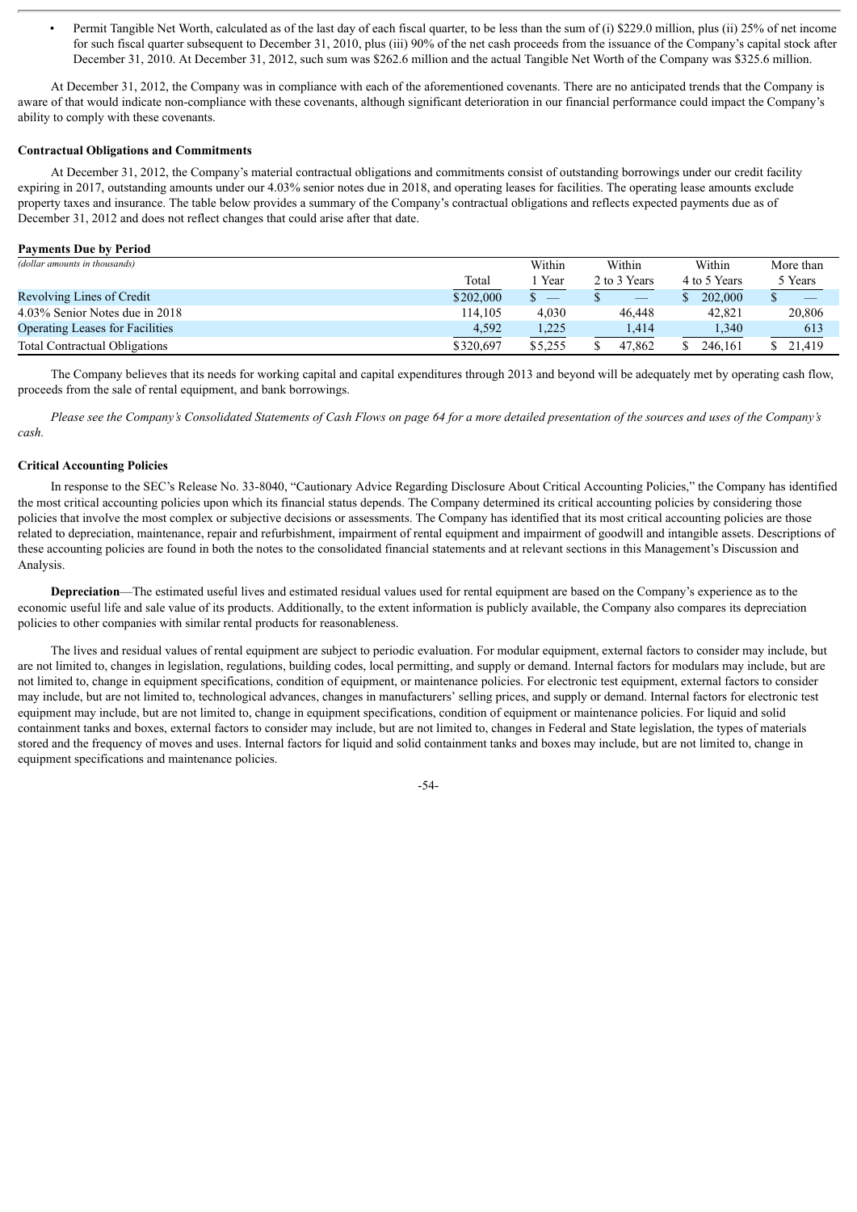• Permit Tangible Net Worth, calculated as of the last day of each fiscal quarter, to be less than the sum of (i) \$229.0 million, plus (ii) 25% of net income for such fiscal quarter subsequent to December 31, 2010, plus (iii) 90% of the net cash proceeds from the issuance of the Company's capital stock after December 31, 2010. At December 31, 2012, such sum was \$262.6 million and the actual Tangible Net Worth of the Company was \$325.6 million.

At December 31, 2012, the Company was in compliance with each of the aforementioned covenants. There are no anticipated trends that the Company is aware of that would indicate non-compliance with these covenants, although significant deterioration in our financial performance could impact the Company's ability to comply with these covenants.

## **Contractual Obligations and Commitments**

At December 31, 2012, the Company's material contractual obligations and commitments consist of outstanding borrowings under our credit facility expiring in 2017, outstanding amounts under our 4.03% senior notes due in 2018, and operating leases for facilities. The operating lease amounts exclude property taxes and insurance. The table below provides a summary of the Company's contractual obligations and reflects expected payments due as of December 31, 2012 and does not reflect changes that could arise after that date.

## **Payments Due by Period**

| (dollar amounts in thousands)          |           | Within  | Within                         | Within       | More than |
|----------------------------------------|-----------|---------|--------------------------------|--------------|-----------|
|                                        | Total     | Year    | 2 to 3 Years                   | 4 to 5 Years | 5 Years   |
| Revolving Lines of Credit              | \$202,000 |         | $\overbrace{\hspace{25mm}}^{}$ | 202,000      |           |
| 4.03% Senior Notes due in 2018         | 114.105   | 4.030   | 46.448                         | 42.821       | 20,806    |
| <b>Operating Leases for Facilities</b> | 4,592     | 1,225   | .414                           | .340         | 613       |
| <b>Total Contractual Obligations</b>   | \$320,697 | \$5.255 | 47.862                         | 246.161      | 21.419    |

The Company believes that its needs for working capital and capital expenditures through 2013 and beyond will be adequately met by operating cash flow, proceeds from the sale of rental equipment, and bank borrowings.

*Please see the Company's Consolidated Statements of Cash Flows on page 64 for a more detailed presentation of the sources and uses of the Company's cash.*

## **Critical Accounting Policies**

In response to the SEC's Release No. 33-8040, "Cautionary Advice Regarding Disclosure About Critical Accounting Policies," the Company has identified the most critical accounting policies upon which its financial status depends. The Company determined its critical accounting policies by considering those policies that involve the most complex or subjective decisions or assessments. The Company has identified that its most critical accounting policies are those related to depreciation, maintenance, repair and refurbishment, impairment of rental equipment and impairment of goodwill and intangible assets. Descriptions of these accounting policies are found in both the notes to the consolidated financial statements and at relevant sections in this Management's Discussion and Analysis.

**Depreciation**—The estimated useful lives and estimated residual values used for rental equipment are based on the Company's experience as to the economic useful life and sale value of its products. Additionally, to the extent information is publicly available, the Company also compares its depreciation policies to other companies with similar rental products for reasonableness.

The lives and residual values of rental equipment are subject to periodic evaluation. For modular equipment, external factors to consider may include, but are not limited to, changes in legislation, regulations, building codes, local permitting, and supply or demand. Internal factors for modulars may include, but are not limited to, change in equipment specifications, condition of equipment, or maintenance policies. For electronic test equipment, external factors to consider may include, but are not limited to, technological advances, changes in manufacturers' selling prices, and supply or demand. Internal factors for electronic test equipment may include, but are not limited to, change in equipment specifications, condition of equipment or maintenance policies. For liquid and solid containment tanks and boxes, external factors to consider may include, but are not limited to, changes in Federal and State legislation, the types of materials stored and the frequency of moves and uses. Internal factors for liquid and solid containment tanks and boxes may include, but are not limited to, change in equipment specifications and maintenance policies.

#### -54-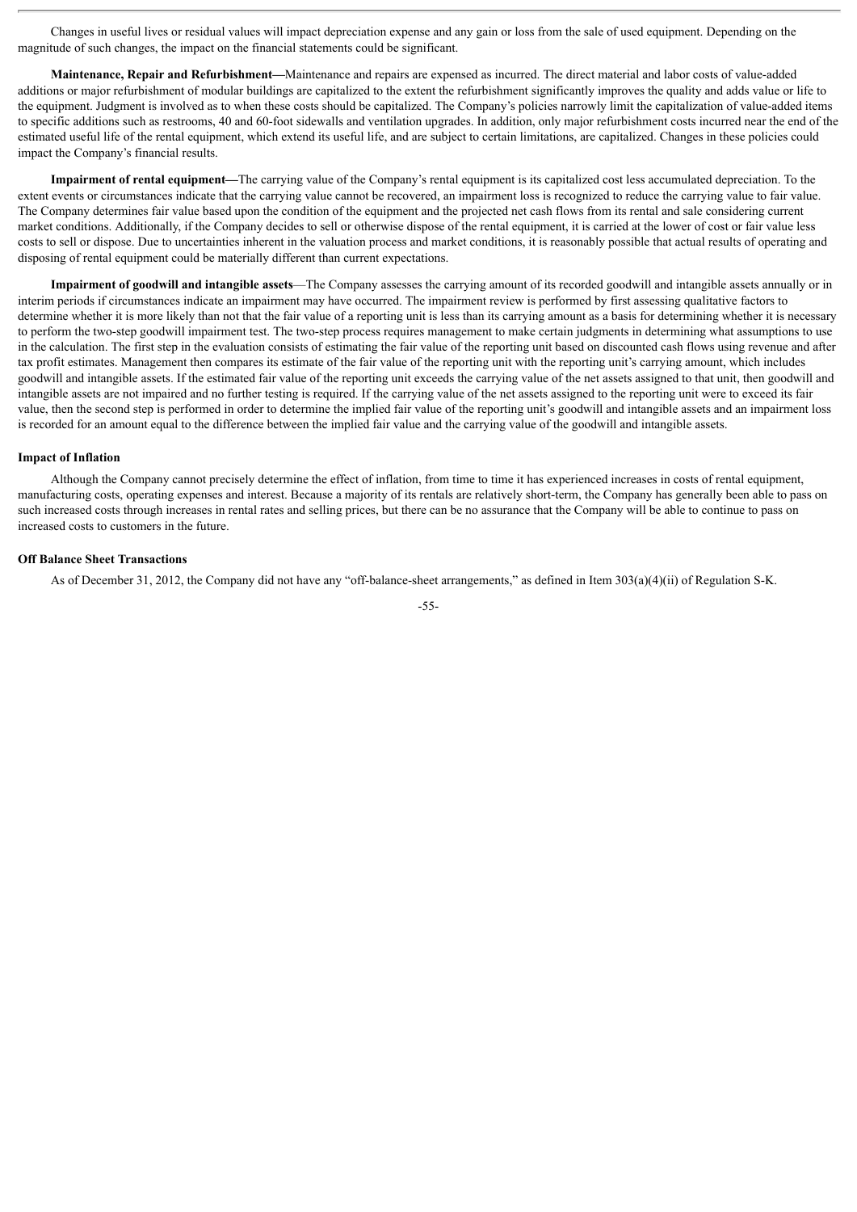Changes in useful lives or residual values will impact depreciation expense and any gain or loss from the sale of used equipment. Depending on the magnitude of such changes, the impact on the financial statements could be significant.

**Maintenance, Repair and Refurbishment—**Maintenance and repairs are expensed as incurred. The direct material and labor costs of value-added additions or major refurbishment of modular buildings are capitalized to the extent the refurbishment significantly improves the quality and adds value or life to the equipment. Judgment is involved as to when these costs should be capitalized. The Company's policies narrowly limit the capitalization of value-added items to specific additions such as restrooms, 40 and 60-foot sidewalls and ventilation upgrades. In addition, only major refurbishment costs incurred near the end of the estimated useful life of the rental equipment, which extend its useful life, and are subject to certain limitations, are capitalized. Changes in these policies could impact the Company's financial results.

**Impairment of rental equipment—**The carrying value of the Company's rental equipment is its capitalized cost less accumulated depreciation. To the extent events or circumstances indicate that the carrying value cannot be recovered, an impairment loss is recognized to reduce the carrying value to fair value. The Company determines fair value based upon the condition of the equipment and the projected net cash flows from its rental and sale considering current market conditions. Additionally, if the Company decides to sell or otherwise dispose of the rental equipment, it is carried at the lower of cost or fair value less costs to sell or dispose. Due to uncertainties inherent in the valuation process and market conditions, it is reasonably possible that actual results of operating and disposing of rental equipment could be materially different than current expectations.

**Impairment of goodwill and intangible assets**—The Company assesses the carrying amount of its recorded goodwill and intangible assets annually or in interim periods if circumstances indicate an impairment may have occurred. The impairment review is performed by first assessing qualitative factors to determine whether it is more likely than not that the fair value of a reporting unit is less than its carrying amount as a basis for determining whether it is necessary to perform the two-step goodwill impairment test. The two-step process requires management to make certain judgments in determining what assumptions to use in the calculation. The first step in the evaluation consists of estimating the fair value of the reporting unit based on discounted cash flows using revenue and after tax profit estimates. Management then compares its estimate of the fair value of the reporting unit with the reporting unit's carrying amount, which includes goodwill and intangible assets. If the estimated fair value of the reporting unit exceeds the carrying value of the net assets assigned to that unit, then goodwill and intangible assets are not impaired and no further testing is required. If the carrying value of the net assets assigned to the reporting unit were to exceed its fair value, then the second step is performed in order to determine the implied fair value of the reporting unit's goodwill and intangible assets and an impairment loss is recorded for an amount equal to the difference between the implied fair value and the carrying value of the goodwill and intangible assets.

#### **Impact of Inflation**

Although the Company cannot precisely determine the effect of inflation, from time to time it has experienced increases in costs of rental equipment, manufacturing costs, operating expenses and interest. Because a majority of its rentals are relatively short-term, the Company has generally been able to pass on such increased costs through increases in rental rates and selling prices, but there can be no assurance that the Company will be able to continue to pass on increased costs to customers in the future.

## **Off Balance Sheet Transactions**

As of December 31, 2012, the Company did not have any "off-balance-sheet arrangements," as defined in Item 303(a)(4)(ii) of Regulation S-K.

-55-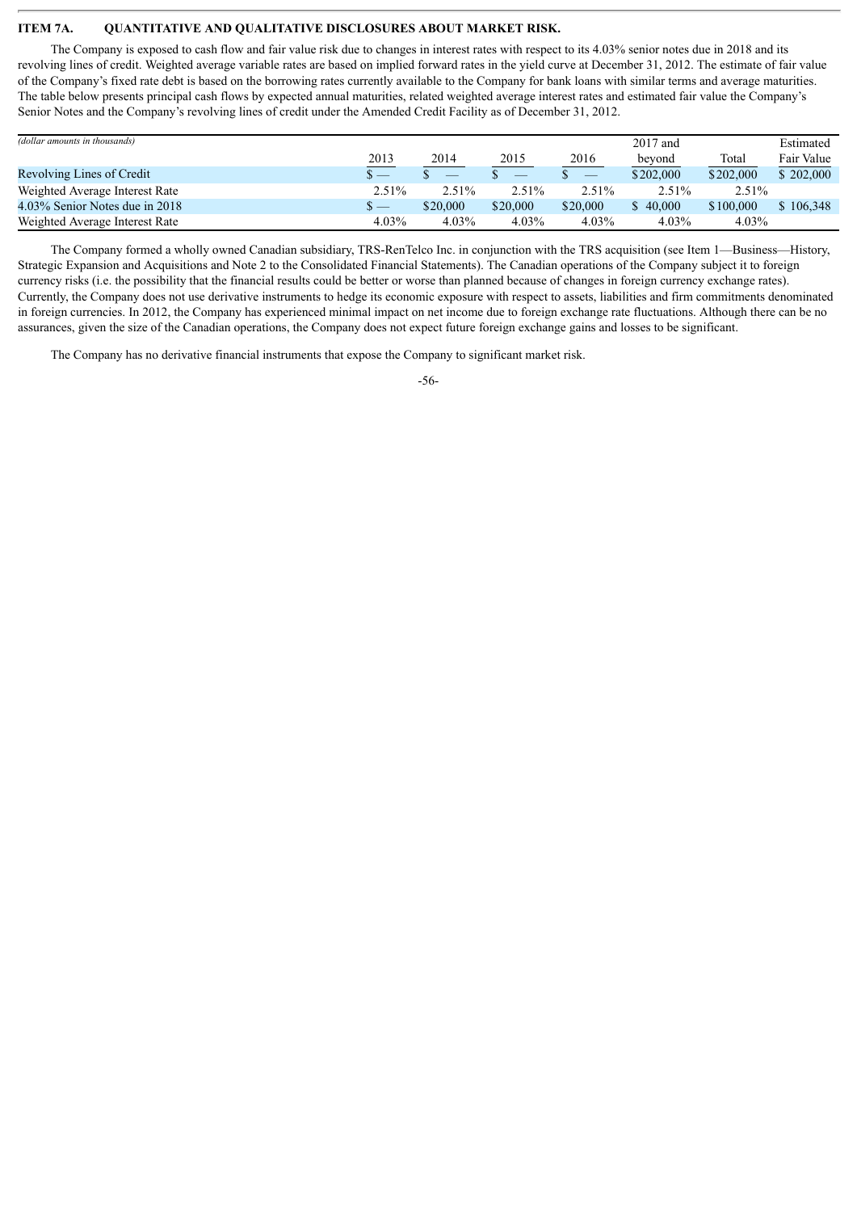## **ITEM 7A. QUANTITATIVE AND QUALITATIVE DISCLOSURES ABOUT MARKET RISK.**

The Company is exposed to cash flow and fair value risk due to changes in interest rates with respect to its 4.03% senior notes due in 2018 and its revolving lines of credit. Weighted average variable rates are based on implied forward rates in the yield curve at December 31, 2012. The estimate of fair value of the Company's fixed rate debt is based on the borrowing rates currently available to the Company for bank loans with similar terms and average maturities. The table below presents principal cash flows by expected annual maturities, related weighted average interest rates and estimated fair value the Company's Senior Notes and the Company's revolving lines of credit under the Amended Credit Facility as of December 31, 2012.

| (dollar amounts in thousands)  |        |          |          |          | 2017 and  |           | Estimated  |
|--------------------------------|--------|----------|----------|----------|-----------|-----------|------------|
|                                | 2013   | 2014     | 2015     | 2016     | beyond    | Total     | Fair Value |
| Revolving Lines of Credit      |        |          |          |          | \$202,000 | \$202,000 | \$202,000  |
| Weighted Average Interest Rate | 2.51%  | $2.51\%$ | 2.51%    | 2.51%    | $2.51\%$  | 2.51%     |            |
| 4.03% Senior Notes due in 2018 | $\sim$ | \$20,000 | \$20,000 | \$20,000 | \$40,000  | \$100,000 | \$106.348  |
| Weighted Average Interest Rate | 4.03%  | 4.03%    | 4.03%    | 4.03%    | 4.03%     | 4.03%     |            |

The Company formed a wholly owned Canadian subsidiary, TRS-RenTelco Inc. in conjunction with the TRS acquisition (see Item 1—Business—History, Strategic Expansion and Acquisitions and Note 2 to the Consolidated Financial Statements). The Canadian operations of the Company subject it to foreign currency risks (i.e. the possibility that the financial results could be better or worse than planned because of changes in foreign currency exchange rates). Currently, the Company does not use derivative instruments to hedge its economic exposure with respect to assets, liabilities and firm commitments denominated in foreign currencies. In 2012, the Company has experienced minimal impact on net income due to foreign exchange rate fluctuations. Although there can be no assurances, given the size of the Canadian operations, the Company does not expect future foreign exchange gains and losses to be significant.

The Company has no derivative financial instruments that expose the Company to significant market risk.

#### -56-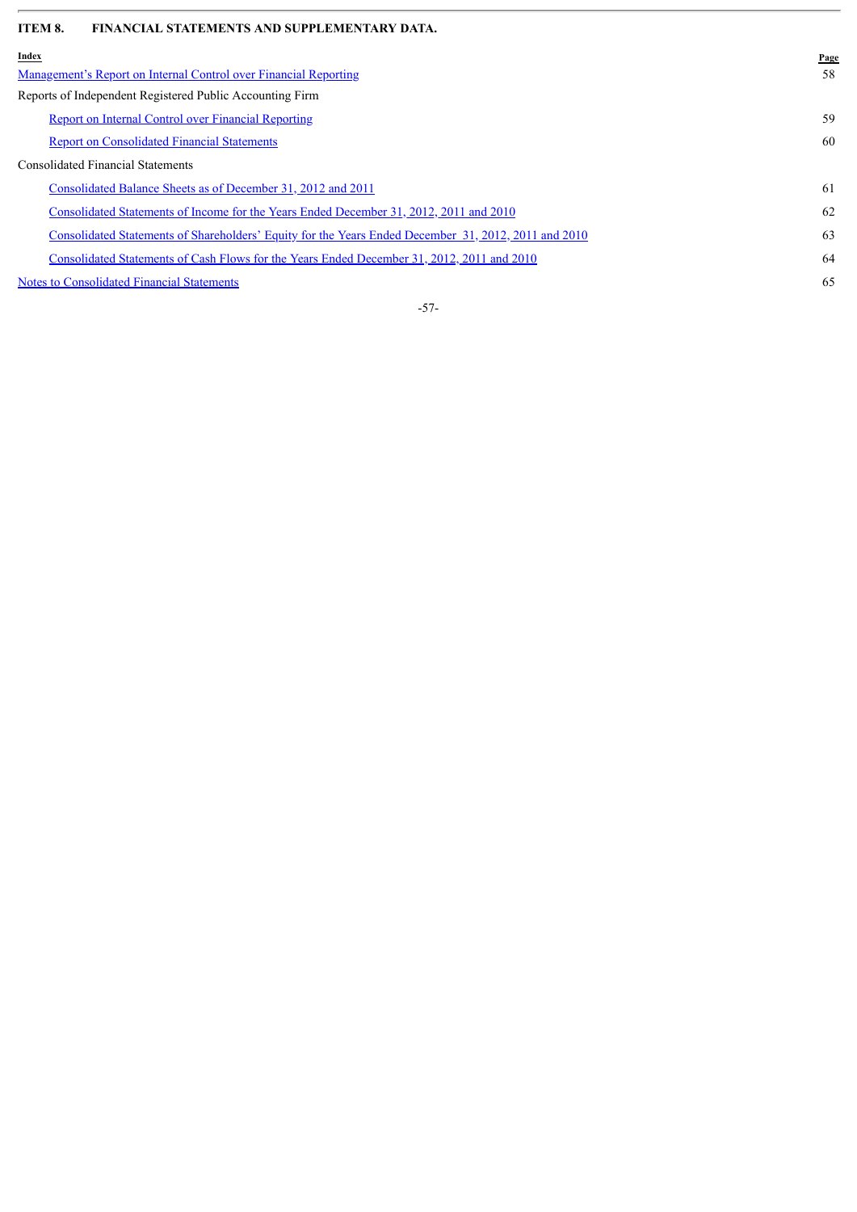## **ITEM 8. FINANCIAL STATEMENTS AND SUPPLEMENTARY DATA.**

| Index                                                                                                | Page |
|------------------------------------------------------------------------------------------------------|------|
| Management's Report on Internal Control over Financial Reporting                                     | 58   |
| Reports of Independent Registered Public Accounting Firm                                             |      |
| <b>Report on Internal Control over Financial Reporting</b>                                           | 59   |
| <b>Report on Consolidated Financial Statements</b>                                                   | 60   |
| <b>Consolidated Financial Statements</b>                                                             |      |
| Consolidated Balance Sheets as of December 31, 2012 and 2011                                         | -61  |
| Consolidated Statements of Income for the Years Ended December 31, 2012, 2011 and 2010               | 62   |
| Consolidated Statements of Shareholders' Equity for the Years Ended December 31, 2012, 2011 and 2010 | 63   |
| Consolidated Statements of Cash Flows for the Years Ended December 31, 2012, 2011 and 2010           | 64   |
| <b>Notes to Consolidated Financial Statements</b>                                                    | 65   |
|                                                                                                      |      |

-57-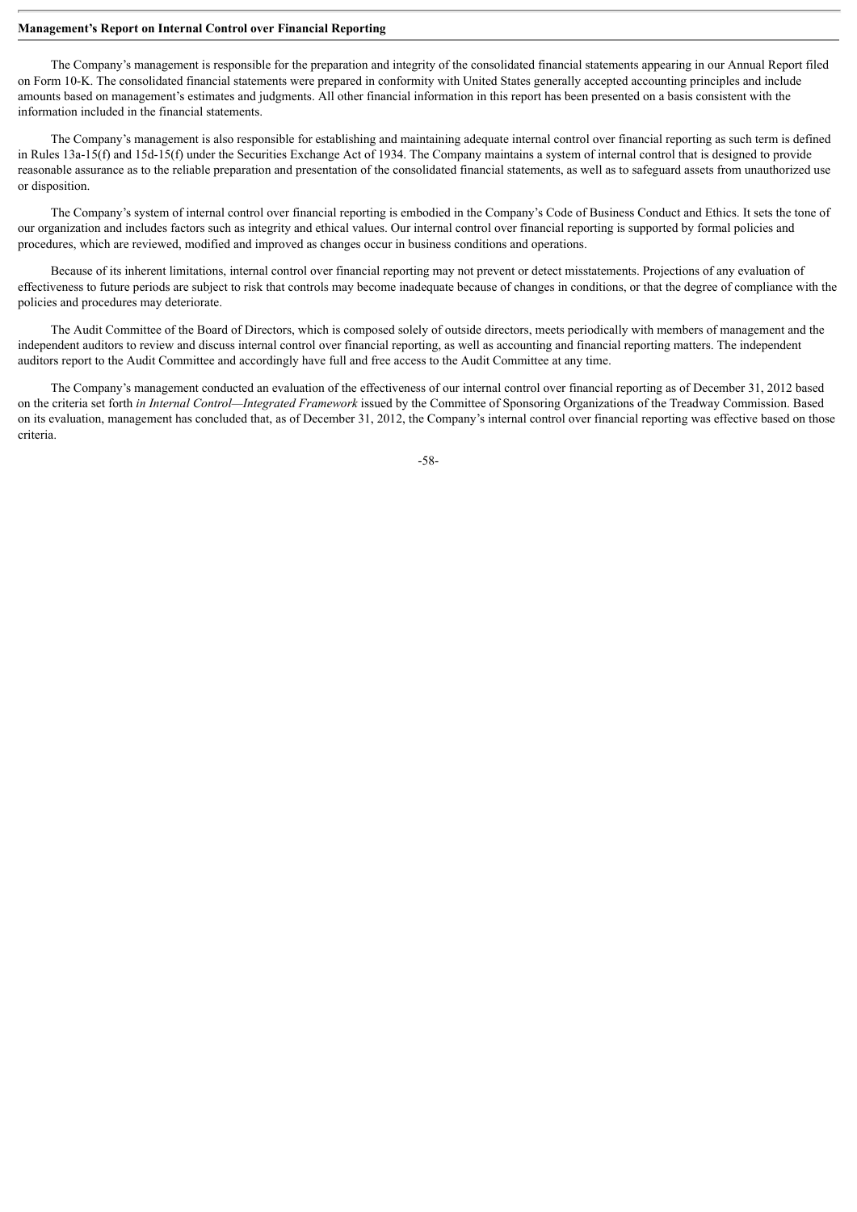### <span id="page-58-0"></span>**Management's Report on Internal Control over Financial Reporting**

The Company's management is responsible for the preparation and integrity of the consolidated financial statements appearing in our Annual Report filed on Form 10-K. The consolidated financial statements were prepared in conformity with United States generally accepted accounting principles and include amounts based on management's estimates and judgments. All other financial information in this report has been presented on a basis consistent with the information included in the financial statements.

The Company's management is also responsible for establishing and maintaining adequate internal control over financial reporting as such term is defined in Rules 13a-15(f) and 15d-15(f) under the Securities Exchange Act of 1934. The Company maintains a system of internal control that is designed to provide reasonable assurance as to the reliable preparation and presentation of the consolidated financial statements, as well as to safeguard assets from unauthorized use or disposition.

The Company's system of internal control over financial reporting is embodied in the Company's Code of Business Conduct and Ethics. It sets the tone of our organization and includes factors such as integrity and ethical values. Our internal control over financial reporting is supported by formal policies and procedures, which are reviewed, modified and improved as changes occur in business conditions and operations.

Because of its inherent limitations, internal control over financial reporting may not prevent or detect misstatements. Projections of any evaluation of effectiveness to future periods are subject to risk that controls may become inadequate because of changes in conditions, or that the degree of compliance with the policies and procedures may deteriorate.

The Audit Committee of the Board of Directors, which is composed solely of outside directors, meets periodically with members of management and the independent auditors to review and discuss internal control over financial reporting, as well as accounting and financial reporting matters. The independent auditors report to the Audit Committee and accordingly have full and free access to the Audit Committee at any time.

The Company's management conducted an evaluation of the effectiveness of our internal control over financial reporting as of December 31, 2012 based on the criteria set forth *in Internal Control—Integrated Framework* issued by the Committee of Sponsoring Organizations of the Treadway Commission. Based on its evaluation, management has concluded that, as of December 31, 2012, the Company's internal control over financial reporting was effective based on those criteria.

-58-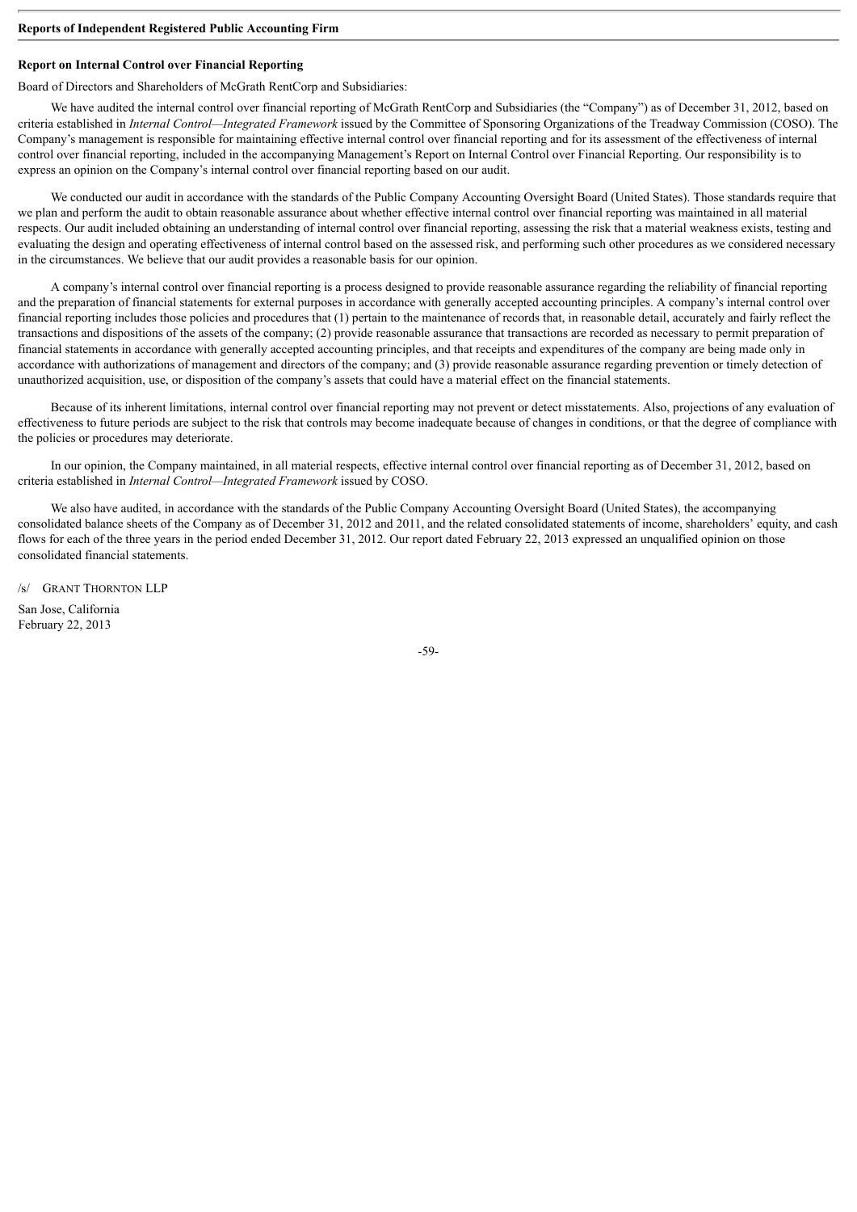## <span id="page-59-0"></span>**Report on Internal Control over Financial Reporting**

Board of Directors and Shareholders of McGrath RentCorp and Subsidiaries:

We have audited the internal control over financial reporting of McGrath RentCorp and Subsidiaries (the "Company") as of December 31, 2012, based on criteria established in *Internal Control—Integrated Framework* issued by the Committee of Sponsoring Organizations of the Treadway Commission (COSO). The Company's management is responsible for maintaining effective internal control over financial reporting and for its assessment of the effectiveness of internal control over financial reporting, included in the accompanying Management's Report on Internal Control over Financial Reporting. Our responsibility is to express an opinion on the Company's internal control over financial reporting based on our audit.

We conducted our audit in accordance with the standards of the Public Company Accounting Oversight Board (United States). Those standards require that we plan and perform the audit to obtain reasonable assurance about whether effective internal control over financial reporting was maintained in all material respects. Our audit included obtaining an understanding of internal control over financial reporting, assessing the risk that a material weakness exists, testing and evaluating the design and operating effectiveness of internal control based on the assessed risk, and performing such other procedures as we considered necessary in the circumstances. We believe that our audit provides a reasonable basis for our opinion.

A company's internal control over financial reporting is a process designed to provide reasonable assurance regarding the reliability of financial reporting and the preparation of financial statements for external purposes in accordance with generally accepted accounting principles. A company's internal control over financial reporting includes those policies and procedures that (1) pertain to the maintenance of records that, in reasonable detail, accurately and fairly reflect the transactions and dispositions of the assets of the company; (2) provide reasonable assurance that transactions are recorded as necessary to permit preparation of financial statements in accordance with generally accepted accounting principles, and that receipts and expenditures of the company are being made only in accordance with authorizations of management and directors of the company; and (3) provide reasonable assurance regarding prevention or timely detection of unauthorized acquisition, use, or disposition of the company's assets that could have a material effect on the financial statements.

Because of its inherent limitations, internal control over financial reporting may not prevent or detect misstatements. Also, projections of any evaluation of effectiveness to future periods are subject to the risk that controls may become inadequate because of changes in conditions, or that the degree of compliance with the policies or procedures may deteriorate.

In our opinion, the Company maintained, in all material respects, effective internal control over financial reporting as of December 31, 2012, based on criteria established in *Internal Control—Integrated Framework* issued by COSO.

We also have audited, in accordance with the standards of the Public Company Accounting Oversight Board (United States), the accompanying consolidated balance sheets of the Company as of December 31, 2012 and 2011, and the related consolidated statements of income, shareholders' equity, and cash flows for each of the three years in the period ended December 31, 2012. Our report dated February 22, 2013 expressed an unqualified opinion on those consolidated financial statements.

/s/ GRANT THORNTON LLP

San Jose, California February 22, 2013

-59-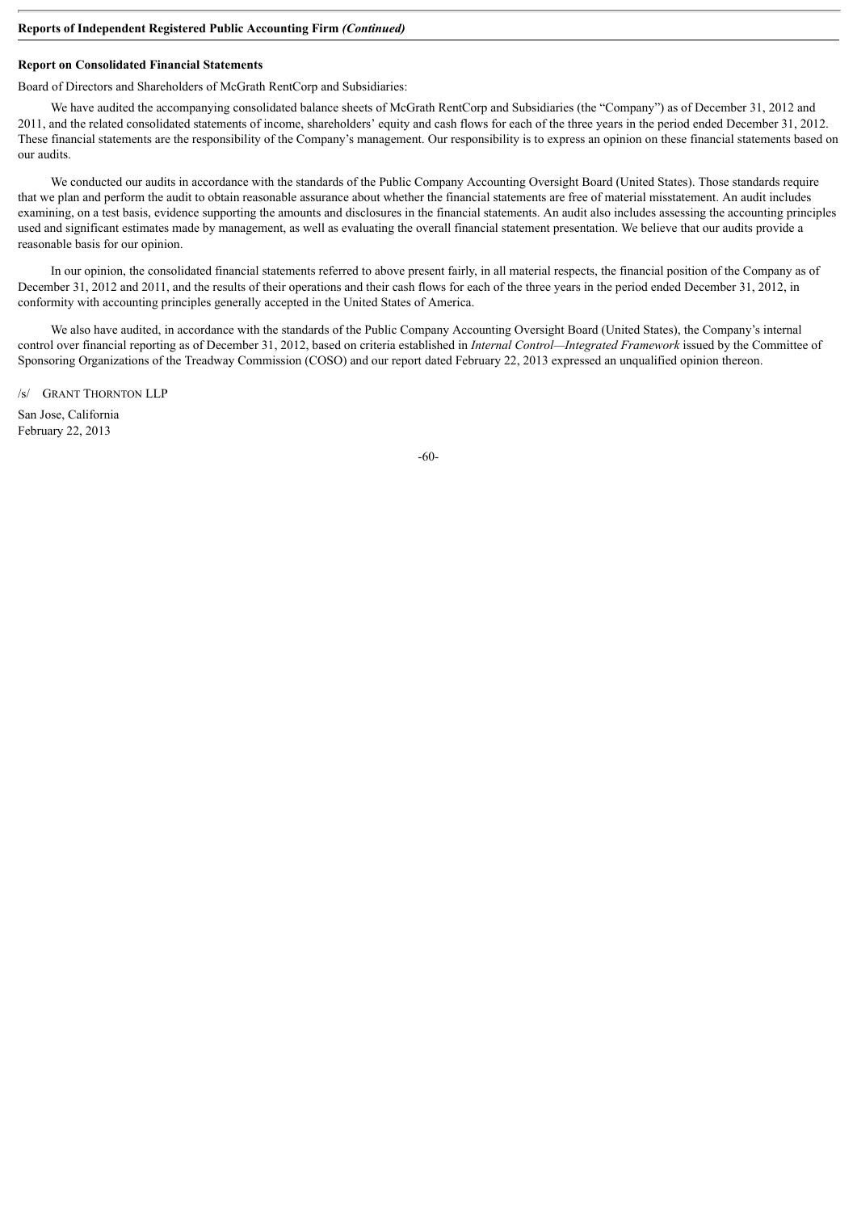## **Reports of Independent Registered Public Accounting Firm** *(Continued)*

## <span id="page-60-0"></span>**Report on Consolidated Financial Statements**

Board of Directors and Shareholders of McGrath RentCorp and Subsidiaries:

We have audited the accompanying consolidated balance sheets of McGrath RentCorp and Subsidiaries (the "Company") as of December 31, 2012 and 2011, and the related consolidated statements of income, shareholders' equity and cash flows for each of the three years in the period ended December 31, 2012. These financial statements are the responsibility of the Company's management. Our responsibility is to express an opinion on these financial statements based on our audits.

We conducted our audits in accordance with the standards of the Public Company Accounting Oversight Board (United States). Those standards require that we plan and perform the audit to obtain reasonable assurance about whether the financial statements are free of material misstatement. An audit includes examining, on a test basis, evidence supporting the amounts and disclosures in the financial statements. An audit also includes assessing the accounting principles used and significant estimates made by management, as well as evaluating the overall financial statement presentation. We believe that our audits provide a reasonable basis for our opinion.

In our opinion, the consolidated financial statements referred to above present fairly, in all material respects, the financial position of the Company as of December 31, 2012 and 2011, and the results of their operations and their cash flows for each of the three years in the period ended December 31, 2012, in conformity with accounting principles generally accepted in the United States of America.

We also have audited, in accordance with the standards of the Public Company Accounting Oversight Board (United States), the Company's internal control over financial reporting as of December 31, 2012, based on criteria established in *Internal Control—Integrated Framework* issued by the Committee of Sponsoring Organizations of the Treadway Commission (COSO) and our report dated February 22, 2013 expressed an unqualified opinion thereon.

/s/ GRANT THORNTON LLP

San Jose, California February 22, 2013

-60-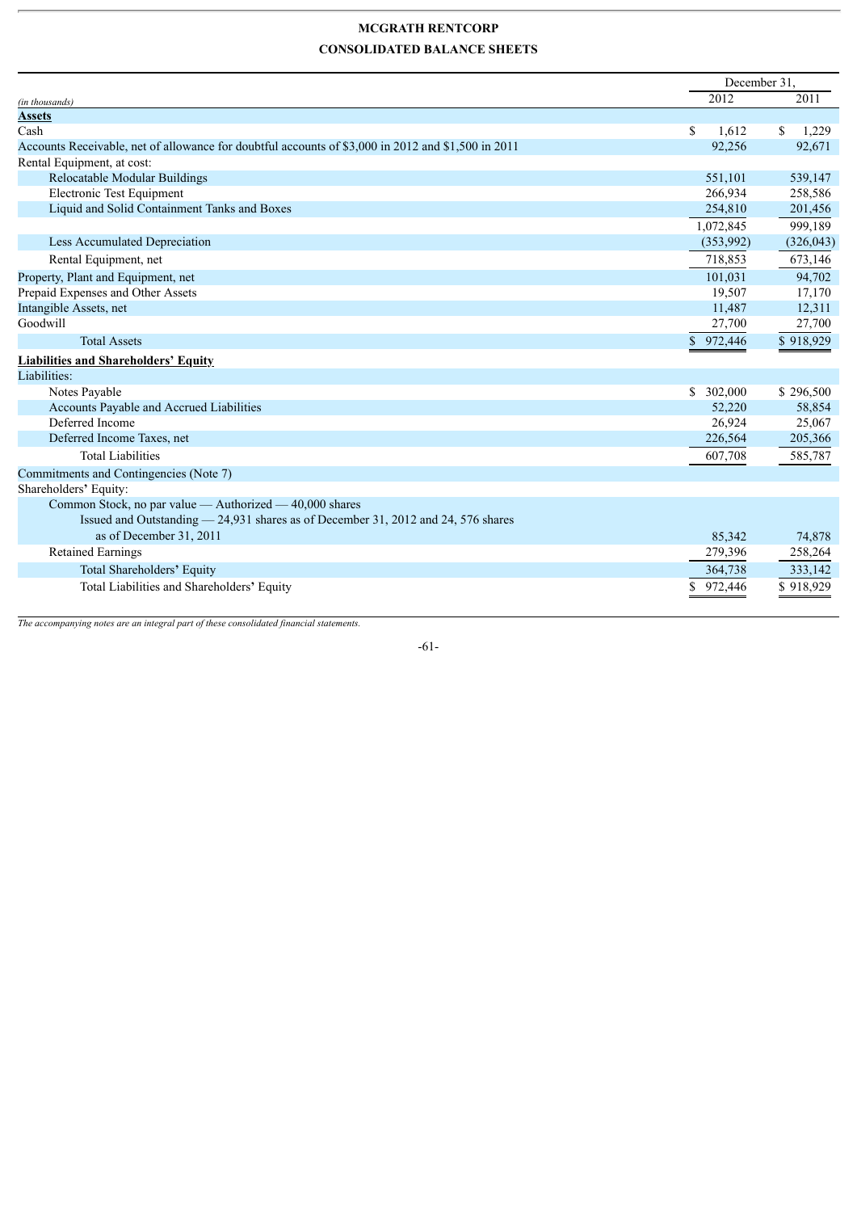## **CONSOLIDATED BALANCE SHEETS**

<span id="page-61-0"></span>

|                                                                                                    | December 31.  |            |
|----------------------------------------------------------------------------------------------------|---------------|------------|
| (in thousands)                                                                                     | 2012          | 2011       |
| <b>Assets</b>                                                                                      |               |            |
| Cash                                                                                               | \$<br>1,612   | S<br>1,229 |
| Accounts Receivable, net of allowance for doubtful accounts of \$3,000 in 2012 and \$1,500 in 2011 | 92,256        | 92,671     |
| Rental Equipment, at cost:                                                                         |               |            |
| Relocatable Modular Buildings                                                                      | 551,101       | 539,147    |
| Electronic Test Equipment                                                                          | 266,934       | 258,586    |
| Liquid and Solid Containment Tanks and Boxes                                                       | 254,810       | 201,456    |
|                                                                                                    | 1,072,845     | 999,189    |
| Less Accumulated Depreciation                                                                      | (353,992)     | (326, 043) |
| Rental Equipment, net                                                                              | 718,853       | 673,146    |
| Property, Plant and Equipment, net                                                                 | 101,031       | 94,702     |
| Prepaid Expenses and Other Assets                                                                  | 19,507        | 17,170     |
| Intangible Assets, net                                                                             | 11,487        | 12,311     |
| Goodwill                                                                                           | 27,700        | 27,700     |
| <b>Total Assets</b>                                                                                | \$972,446     | \$918,929  |
| <b>Liabilities and Shareholders' Equity</b>                                                        |               |            |
| Liabilities:                                                                                       |               |            |
| Notes Payable                                                                                      | \$302,000     | \$296,500  |
| Accounts Payable and Accrued Liabilities                                                           | 52,220        | 58,854     |
| Deferred Income                                                                                    | 26,924        | 25,067     |
| Deferred Income Taxes, net                                                                         | 226,564       | 205,366    |
| <b>Total Liabilities</b>                                                                           | 607,708       | 585,787    |
| Commitments and Contingencies (Note 7)                                                             |               |            |
| Shareholders' Equity:                                                                              |               |            |
| Common Stock, no par value — Authorized — 40,000 shares                                            |               |            |
| Issued and Outstanding — 24,931 shares as of December 31, 2012 and 24, 576 shares                  |               |            |
| as of December 31, 2011                                                                            | 85,342        | 74,878     |
| <b>Retained Earnings</b>                                                                           | 279,396       | 258,264    |
| Total Shareholders' Equity                                                                         | 364,738       | 333,142    |
| Total Liabilities and Shareholders' Equity                                                         | 972,446<br>\$ | \$918,929  |
|                                                                                                    |               |            |

*The accompanying notes are an integral part of these consolidated financial statements.*

-61-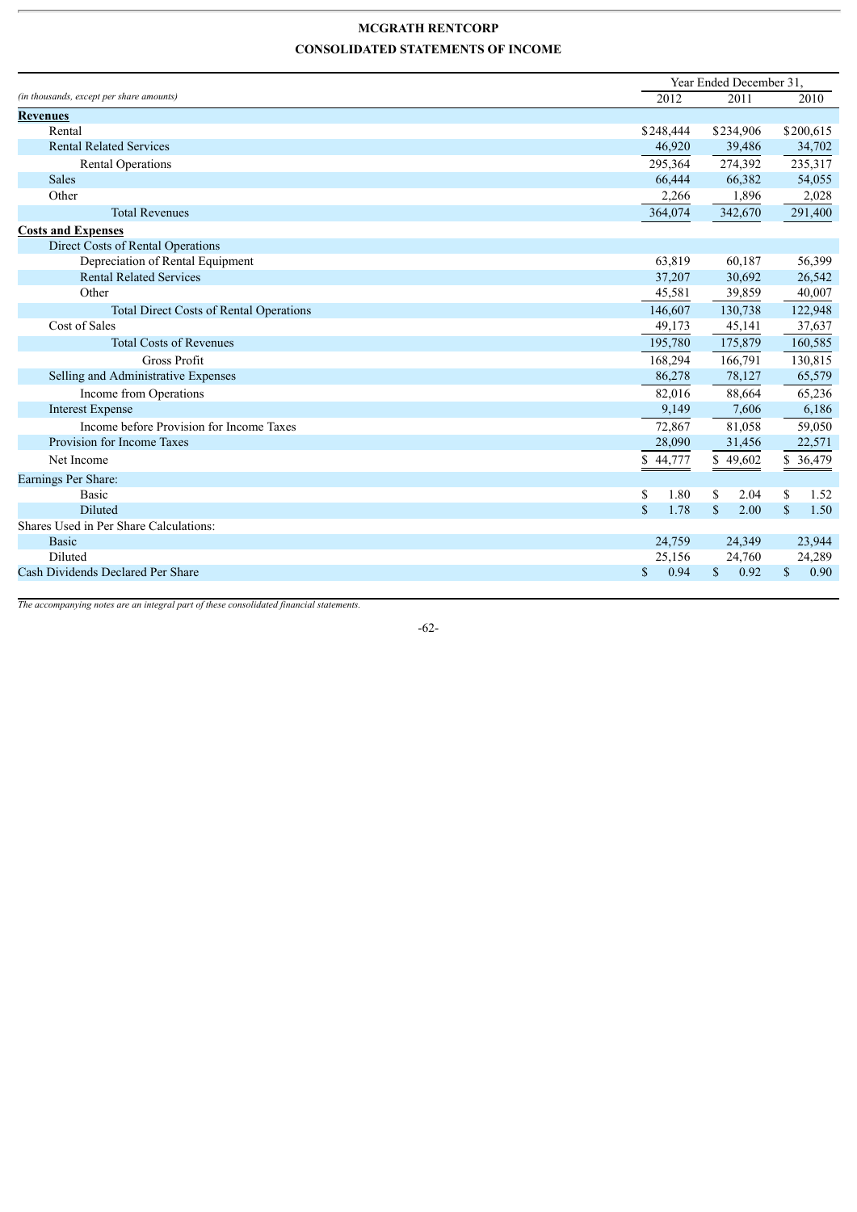# **MCGRATH RENTCORP CONSOLIDATED STATEMENTS OF INCOME**

<span id="page-62-0"></span>

|                                                | Year Ended December 31. |                      |                      |
|------------------------------------------------|-------------------------|----------------------|----------------------|
| (in thousands, except per share amounts)       | 2012                    | 2011                 | 2010                 |
| <b>Revenues</b>                                |                         |                      |                      |
| Rental                                         | \$248,444               | \$234,906            | \$200,615            |
| <b>Rental Related Services</b>                 | 46,920                  | 39,486               | 34,702               |
| <b>Rental Operations</b>                       | 295,364                 | 274,392              | 235,317              |
| <b>Sales</b>                                   | 66,444                  | 66,382               | 54,055               |
| Other                                          | 2,266                   | 1,896                | 2,028                |
| <b>Total Revenues</b>                          | 364,074                 | 342,670              | 291,400              |
| <b>Costs and Expenses</b>                      |                         |                      |                      |
| Direct Costs of Rental Operations              |                         |                      |                      |
| Depreciation of Rental Equipment               | 63,819                  | 60,187               | 56,399               |
| <b>Rental Related Services</b>                 | 37,207                  | 30,692               | 26,542               |
| Other                                          | 45,581                  | 39,859               | 40,007               |
| <b>Total Direct Costs of Rental Operations</b> | 146,607                 | 130,738              | 122,948              |
| Cost of Sales                                  | 49,173                  | 45,141               | 37,637               |
| <b>Total Costs of Revenues</b>                 | 195,780                 | 175,879              | 160,585              |
| <b>Gross Profit</b>                            | 168,294                 | 166,791              | 130,815              |
| Selling and Administrative Expenses            | 86,278                  | 78,127               | 65,579               |
| Income from Operations                         | 82,016                  | 88,664               | 65,236               |
| <b>Interest Expense</b>                        | 9,149                   | 7,606                | 6,186                |
| Income before Provision for Income Taxes       | 72,867                  | 81,058               | 59,050               |
| Provision for Income Taxes                     | 28,090                  | 31,456               | 22,571               |
| Net Income                                     | \$44,777                | \$49,602             | \$ 36,479            |
| Earnings Per Share:                            |                         |                      |                      |
| Basic                                          | 1.80<br>\$              | 2.04<br>\$           | \$<br>1.52           |
| <b>Diluted</b>                                 | $\mathcal{S}$<br>1.78   | $\mathbb{S}$<br>2.00 | $\mathbb{S}$<br>1.50 |
| Shares Used in Per Share Calculations:         |                         |                      |                      |
| <b>Basic</b>                                   | 24,759                  | 24,349               | 23,944               |
| Diluted                                        | 25,156                  | 24,760               | 24,289               |
| Cash Dividends Declared Per Share              | 0.94<br>$\mathbb{S}$    | $\mathbb{S}$<br>0.92 | $\mathbb{S}$<br>0.90 |

*The accompanying notes are an integral part of these consolidated financial statements.*

-62-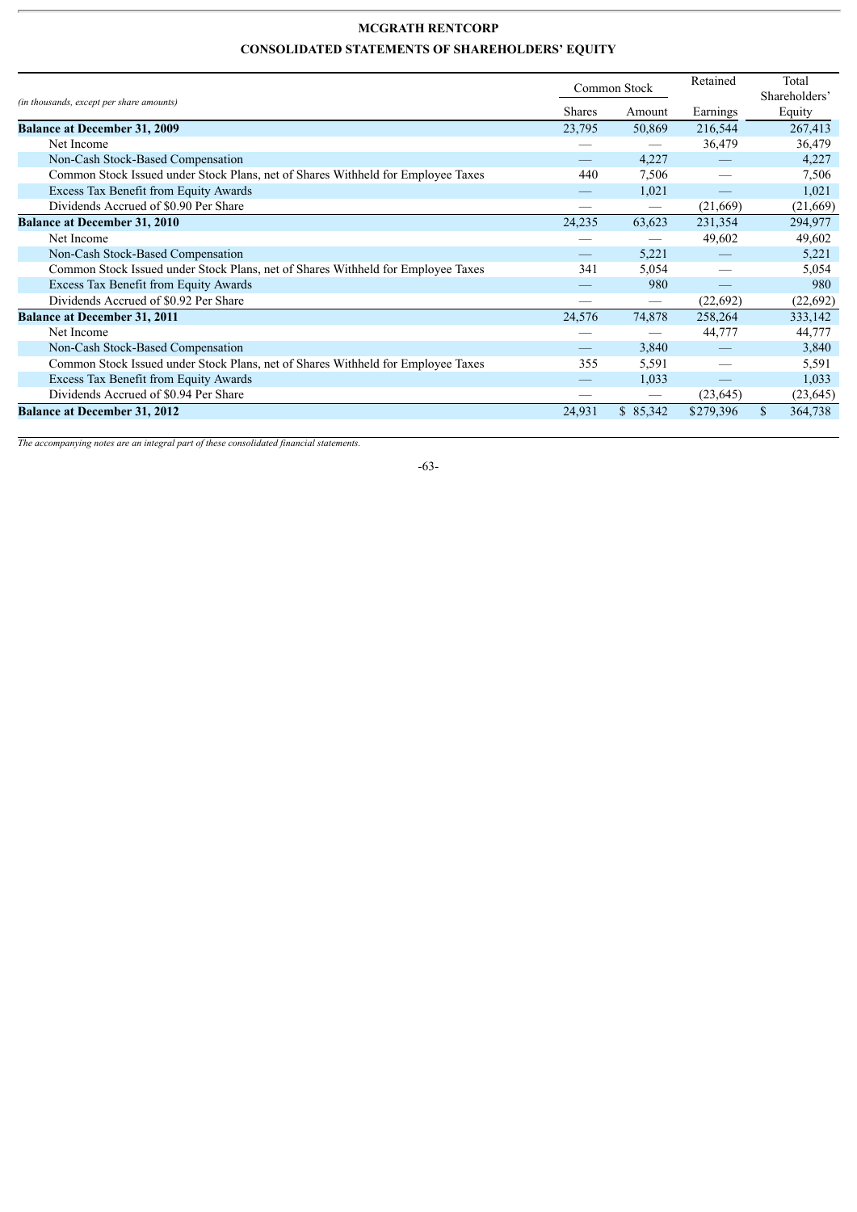## **CONSOLIDATED STATEMENTS OF SHAREHOLDERS' EQUITY**

<span id="page-63-0"></span>

|                                                                                  |                                | Common Stock      | Retained  | Total         |
|----------------------------------------------------------------------------------|--------------------------------|-------------------|-----------|---------------|
| (in thousands, except per share amounts)                                         |                                |                   |           | Shareholders' |
|                                                                                  | <b>Shares</b>                  | Amount            | Earnings  | Equity        |
| <b>Balance at December 31, 2009</b>                                              | 23,795                         | 50,869            | 216,544   | 267,413       |
| Net Income                                                                       |                                |                   | 36,479    | 36,479        |
| Non-Cash Stock-Based Compensation                                                |                                | 4,227             |           | 4,227         |
| Common Stock Issued under Stock Plans, net of Shares Withheld for Employee Taxes | 440                            | 7,506             |           | 7,506         |
| Excess Tax Benefit from Equity Awards                                            |                                | 1,021             |           | 1,021         |
| Dividends Accrued of \$0.90 Per Share                                            |                                | $\hspace{0.05cm}$ | (21,669)  | (21,669)      |
| <b>Balance at December 31, 2010</b>                                              | 24,235                         | 63,623            | 231,354   | 294,977       |
| Net Income                                                                       |                                |                   | 49,602    | 49,602        |
| Non-Cash Stock-Based Compensation                                                |                                | 5,221             |           | 5,221         |
| Common Stock Issued under Stock Plans, net of Shares Withheld for Employee Taxes | 341                            | 5,054             |           | 5,054         |
| Excess Tax Benefit from Equity Awards                                            |                                | 980               |           | 980           |
| Dividends Accrued of \$0.92 Per Share                                            |                                | $\hspace{0.05cm}$ | (22,692)  | (22,692)      |
| <b>Balance at December 31, 2011</b>                                              | 24,576                         | 74,878            | 258,264   | 333,142       |
| Net Income                                                                       |                                |                   | 44,777    | 44,777        |
| Non-Cash Stock-Based Compensation                                                | $\qquad \qquad \longleftarrow$ | 3,840             |           | 3,840         |
| Common Stock Issued under Stock Plans, net of Shares Withheld for Employee Taxes | 355                            | 5,591             |           | 5,591         |
| Excess Tax Benefit from Equity Awards                                            |                                | 1,033             |           | 1,033         |
| Dividends Accrued of \$0.94 Per Share                                            |                                | $\hspace{0.05cm}$ | (23, 645) | (23, 645)     |
| <b>Balance at December 31, 2012</b>                                              | 24,931                         | \$85,342          | \$279,396 | \$<br>364,738 |
|                                                                                  |                                |                   |           |               |

*The accompanying notes are an integral part of these consolidated financial statements.*

-63-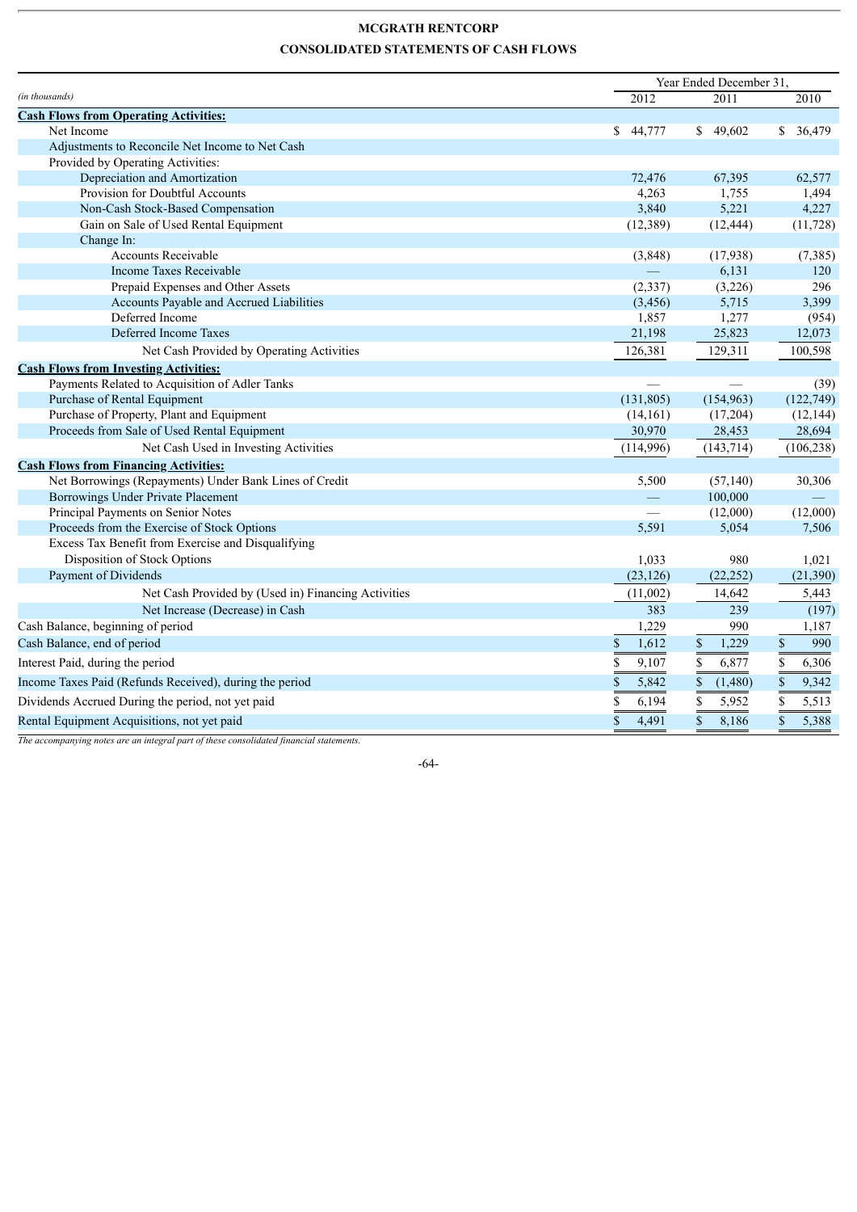# **MCGRATH RENTCORP CONSOLIDATED STATEMENTS OF CASH FLOWS**

<span id="page-64-0"></span>

|                                                         | Year Ended December 31.  |                      |                          |
|---------------------------------------------------------|--------------------------|----------------------|--------------------------|
| (in thousands)                                          | 2012                     | 2011                 | 2010                     |
| <b>Cash Flows from Operating Activities:</b>            |                          |                      |                          |
| Net Income                                              | \$44,777                 | \$49,602             | \$36,479                 |
| Adjustments to Reconcile Net Income to Net Cash         |                          |                      |                          |
| Provided by Operating Activities:                       |                          |                      |                          |
| Depreciation and Amortization                           | 72,476                   | 67,395               | 62,577                   |
| Provision for Doubtful Accounts                         | 4,263                    | 1,755                | 1,494                    |
| Non-Cash Stock-Based Compensation                       | 3,840                    | 5,221                | 4,227                    |
| Gain on Sale of Used Rental Equipment                   | (12, 389)                | (12, 444)            | (11, 728)                |
| Change In:                                              |                          |                      |                          |
| <b>Accounts Receivable</b>                              | (3,848)                  | (17,938)             | (7,385)                  |
| Income Taxes Receivable                                 |                          | 6,131                | 120                      |
| Prepaid Expenses and Other Assets                       | (2, 337)                 | (3,226)              | 296                      |
| Accounts Payable and Accrued Liabilities                | (3, 456)                 | 5,715                | 3,399                    |
| Deferred Income                                         | 1,857                    | 1,277                | (954)                    |
| Deferred Income Taxes                                   | 21,198                   | 25,823               | 12,073                   |
| Net Cash Provided by Operating Activities               | 126,381                  | 129,311              | 100,598                  |
| <b>Cash Flows from Investing Activities:</b>            |                          |                      |                          |
| Payments Related to Acquisition of Adler Tanks          |                          |                      | (39)                     |
| Purchase of Rental Equipment                            | (131, 805)               | (154, 963)           | (122, 749)               |
| Purchase of Property, Plant and Equipment               | (14,161)                 | (17,204)             | (12, 144)                |
| Proceeds from Sale of Used Rental Equipment             | 30,970                   | 28,453               | 28,694                   |
| Net Cash Used in Investing Activities                   | (114,996)                | (143, 714)           | (106, 238)               |
| <b>Cash Flows from Financing Activities:</b>            |                          |                      |                          |
| Net Borrowings (Repayments) Under Bank Lines of Credit  | 5,500                    | (57, 140)            | 30,306                   |
| Borrowings Under Private Placement                      |                          | 100,000              | $\overline{\phantom{0}}$ |
| Principal Payments on Senior Notes                      | $\overline{\phantom{0}}$ | (12,000)             | (12,000)                 |
| Proceeds from the Exercise of Stock Options             | 5,591                    | 5,054                | 7,506                    |
| Excess Tax Benefit from Exercise and Disqualifying      |                          |                      |                          |
| Disposition of Stock Options                            | 1,033                    | 980                  | 1,021                    |
| Payment of Dividends                                    | (23, 126)                | (22, 252)            | (21, 390)                |
| Net Cash Provided by (Used in) Financing Activities     | (11,002)                 | 14,642               | 5,443                    |
| Net Increase (Decrease) in Cash                         | 383                      | 239                  | (197)                    |
| Cash Balance, beginning of period                       | 1,229                    | 990                  | 1,187                    |
| Cash Balance, end of period                             | \$<br>1,612              | $\$$<br>1,229        | \$<br>990                |
| Interest Paid, during the period                        | \$<br>9,107              | \$<br>6,877          | \$<br>6,306              |
| Income Taxes Paid (Refunds Received), during the period | \$<br>5,842              | \$<br>(1,480)        | \$<br>9,342              |
| Dividends Accrued During the period, not yet paid       | \$<br>6,194              | \$<br>5,952          | \$<br>5,513              |
| Rental Equipment Acquisitions, not yet paid             | \$<br>4,491              | $\mathbf S$<br>8,186 | \$<br>5,388              |

*The accompanying notes are an integral part of these consolidated financial statements.*

-64-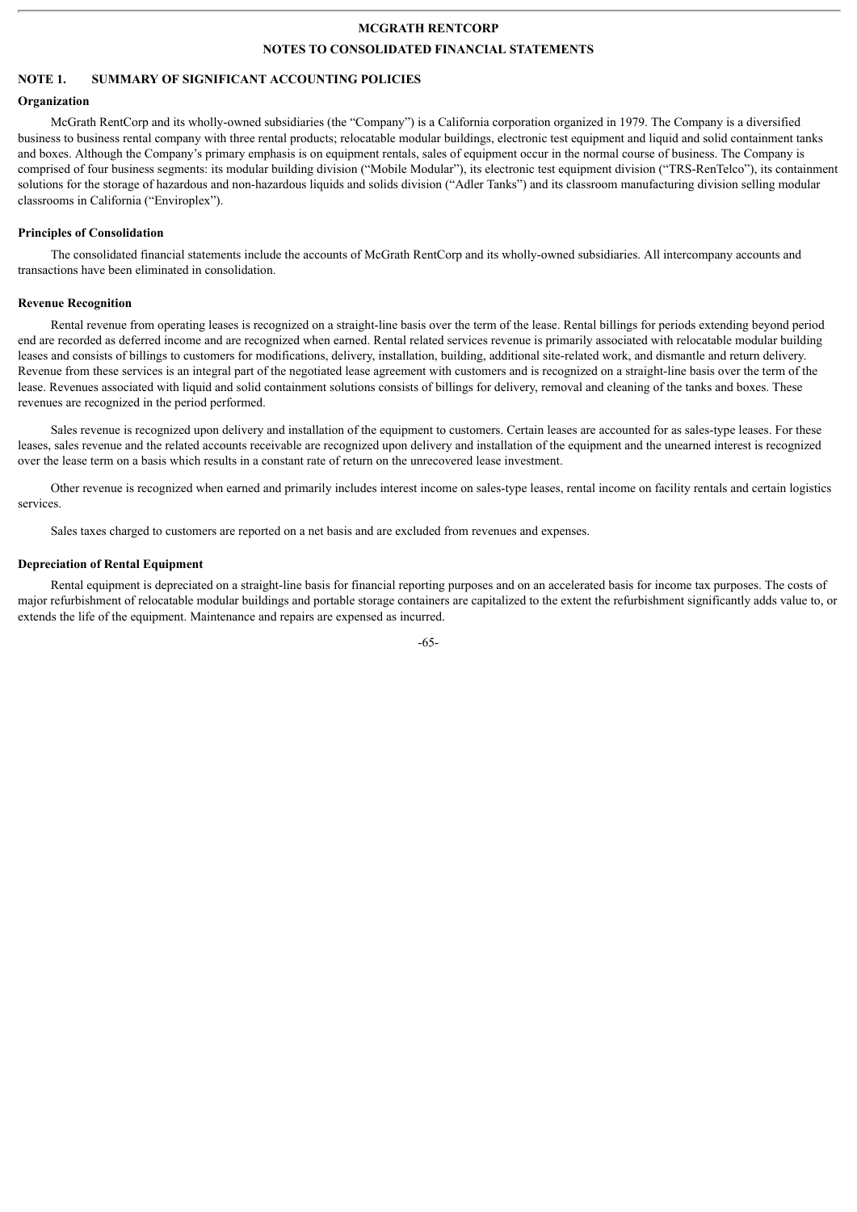## **NOTES TO CONSOLIDATED FINANCIAL STATEMENTS**

## <span id="page-65-0"></span>**NOTE 1. SUMMARY OF SIGNIFICANT ACCOUNTING POLICIES**

## **Organization**

McGrath RentCorp and its wholly-owned subsidiaries (the "Company") is a California corporation organized in 1979. The Company is a diversified business to business rental company with three rental products; relocatable modular buildings, electronic test equipment and liquid and solid containment tanks and boxes. Although the Company's primary emphasis is on equipment rentals, sales of equipment occur in the normal course of business. The Company is comprised of four business segments: its modular building division ("Mobile Modular"), its electronic test equipment division ("TRS-RenTelco"), its containment solutions for the storage of hazardous and non-hazardous liquids and solids division ("Adler Tanks") and its classroom manufacturing division selling modular classrooms in California ("Enviroplex").

#### **Principles of Consolidation**

The consolidated financial statements include the accounts of McGrath RentCorp and its wholly-owned subsidiaries. All intercompany accounts and transactions have been eliminated in consolidation.

#### **Revenue Recognition**

Rental revenue from operating leases is recognized on a straight-line basis over the term of the lease. Rental billings for periods extending beyond period end are recorded as deferred income and are recognized when earned. Rental related services revenue is primarily associated with relocatable modular building leases and consists of billings to customers for modifications, delivery, installation, building, additional site-related work, and dismantle and return delivery. Revenue from these services is an integral part of the negotiated lease agreement with customers and is recognized on a straight-line basis over the term of the lease. Revenues associated with liquid and solid containment solutions consists of billings for delivery, removal and cleaning of the tanks and boxes. These revenues are recognized in the period performed.

Sales revenue is recognized upon delivery and installation of the equipment to customers. Certain leases are accounted for as sales-type leases. For these leases, sales revenue and the related accounts receivable are recognized upon delivery and installation of the equipment and the unearned interest is recognized over the lease term on a basis which results in a constant rate of return on the unrecovered lease investment.

Other revenue is recognized when earned and primarily includes interest income on sales-type leases, rental income on facility rentals and certain logistics services.

Sales taxes charged to customers are reported on a net basis and are excluded from revenues and expenses.

## **Depreciation of Rental Equipment**

Rental equipment is depreciated on a straight-line basis for financial reporting purposes and on an accelerated basis for income tax purposes. The costs of major refurbishment of relocatable modular buildings and portable storage containers are capitalized to the extent the refurbishment significantly adds value to, or extends the life of the equipment. Maintenance and repairs are expensed as incurred.

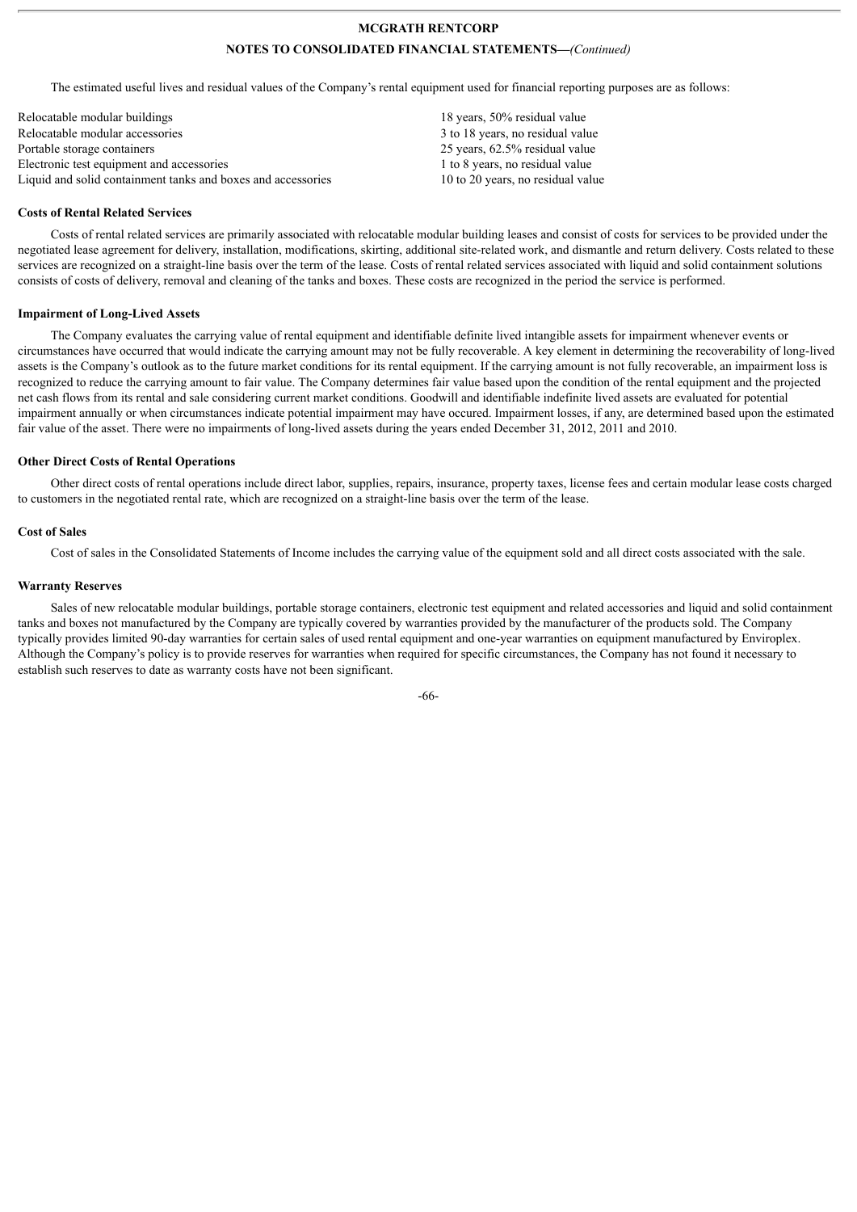#### **NOTES TO CONSOLIDATED FINANCIAL STATEMENTS—***(Continued)*

The estimated useful lives and residual values of the Company's rental equipment used for financial reporting purposes are as follows:

Relocatable modular buildings and the state of the state of the state of the state of the state of the state of the state of the state of the state of the state of the state of the state of the state of the state of the st Relocatable modular accessories 3 to 18 years, no residual value Portable storage containers 25 years, 62.5% residual value Electronic test equipment and accessories 1 to 8 years, no residual value Liquid and solid containment tanks and boxes and accessories 10 to 20 years, no residual value

#### **Costs of Rental Related Services**

Costs of rental related services are primarily associated with relocatable modular building leases and consist of costs for services to be provided under the negotiated lease agreement for delivery, installation, modifications, skirting, additional site-related work, and dismantle and return delivery. Costs related to these services are recognized on a straight-line basis over the term of the lease. Costs of rental related services associated with liquid and solid containment solutions consists of costs of delivery, removal and cleaning of the tanks and boxes. These costs are recognized in the period the service is performed.

#### **Impairment of Long-Lived Assets**

The Company evaluates the carrying value of rental equipment and identifiable definite lived intangible assets for impairment whenever events or circumstances have occurred that would indicate the carrying amount may not be fully recoverable. A key element in determining the recoverability of long-lived assets is the Company's outlook as to the future market conditions for its rental equipment. If the carrying amount is not fully recoverable, an impairment loss is recognized to reduce the carrying amount to fair value. The Company determines fair value based upon the condition of the rental equipment and the projected net cash flows from its rental and sale considering current market conditions. Goodwill and identifiable indefinite lived assets are evaluated for potential impairment annually or when circumstances indicate potential impairment may have occured. Impairment losses, if any, are determined based upon the estimated fair value of the asset. There were no impairments of long-lived assets during the years ended December 31, 2012, 2011 and 2010.

## **Other Direct Costs of Rental Operations**

Other direct costs of rental operations include direct labor, supplies, repairs, insurance, property taxes, license fees and certain modular lease costs charged to customers in the negotiated rental rate, which are recognized on a straight-line basis over the term of the lease.

#### **Cost of Sales**

Cost of sales in the Consolidated Statements of Income includes the carrying value of the equipment sold and all direct costs associated with the sale.

#### **Warranty Reserves**

Sales of new relocatable modular buildings, portable storage containers, electronic test equipment and related accessories and liquid and solid containment tanks and boxes not manufactured by the Company are typically covered by warranties provided by the manufacturer of the products sold. The Company typically provides limited 90-day warranties for certain sales of used rental equipment and one-year warranties on equipment manufactured by Enviroplex. Although the Company's policy is to provide reserves for warranties when required for specific circumstances, the Company has not found it necessary to establish such reserves to date as warranty costs have not been significant.

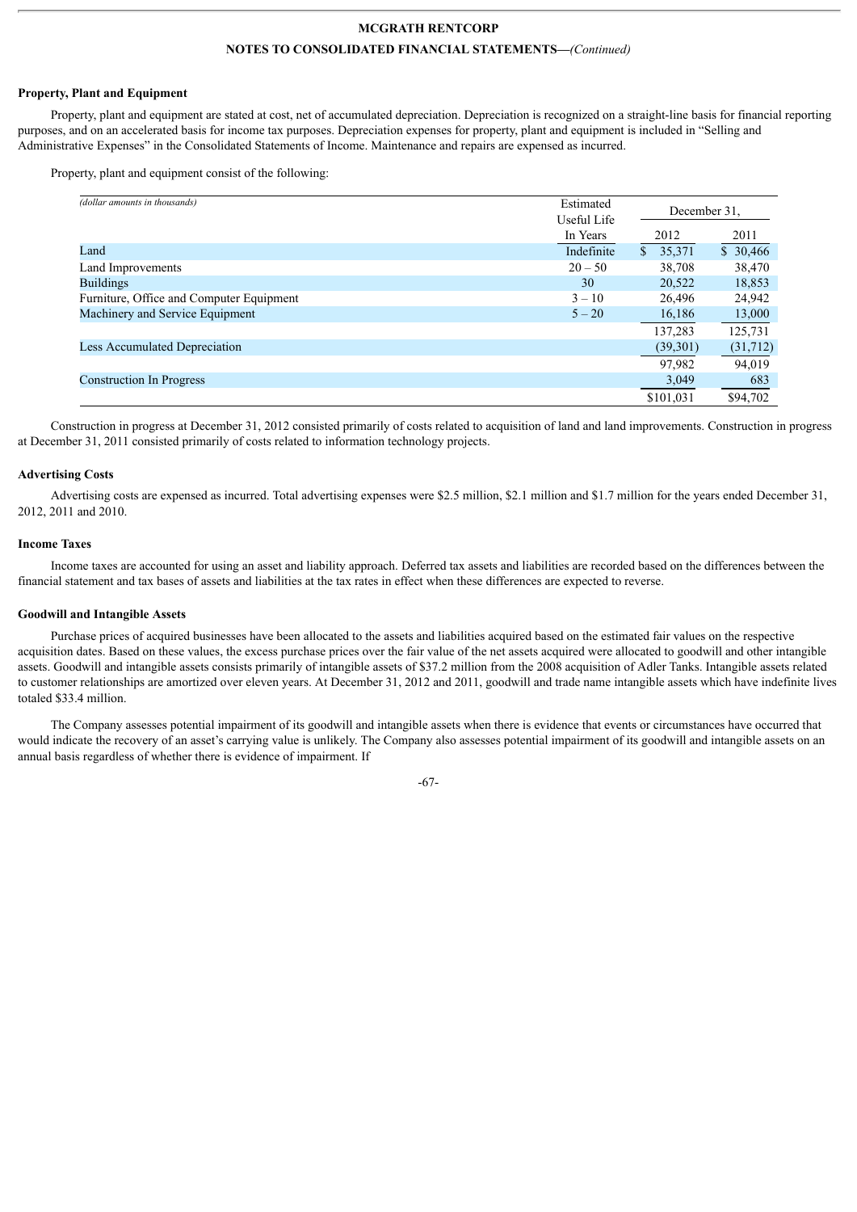## **NOTES TO CONSOLIDATED FINANCIAL STATEMENTS—***(Continued)*

#### **Property, Plant and Equipment**

Property, plant and equipment are stated at cost, net of accumulated depreciation. Depreciation is recognized on a straight-line basis for financial reporting purposes, and on an accelerated basis for income tax purposes. Depreciation expenses for property, plant and equipment is included in "Selling and Administrative Expenses" in the Consolidated Statements of Income. Maintenance and repairs are expensed as incurred.

Property, plant and equipment consist of the following:

| (dollar amounts in thousands)            | Estimated<br>Useful Life | December 31. |          |
|------------------------------------------|--------------------------|--------------|----------|
|                                          | In Years                 | 2012         | 2011     |
| Land                                     | Indefinite               | 35,371<br>\$ | \$30,466 |
| Land Improvements                        | $20 - 50$                | 38,708       | 38,470   |
| <b>Buildings</b>                         | 30                       | 20,522       | 18,853   |
| Furniture, Office and Computer Equipment | $3 - 10$                 | 26,496       | 24,942   |
| Machinery and Service Equipment          | $5 - 20$                 | 16,186       | 13,000   |
|                                          |                          | 137.283      | 125,731  |
| Less Accumulated Depreciation            |                          | (39,301)     | (31,712) |
|                                          |                          | 97,982       | 94,019   |
| <b>Construction In Progress</b>          |                          | 3,049        | 683      |
|                                          |                          | \$101,031    | \$94,702 |

Construction in progress at December 31, 2012 consisted primarily of costs related to acquisition of land and land improvements. Construction in progress at December 31, 2011 consisted primarily of costs related to information technology projects.

#### **Advertising Costs**

Advertising costs are expensed as incurred. Total advertising expenses were \$2.5 million, \$2.1 million and \$1.7 million for the years ended December 31, 2012, 2011 and 2010.

#### **Income Taxes**

Income taxes are accounted for using an asset and liability approach. Deferred tax assets and liabilities are recorded based on the differences between the financial statement and tax bases of assets and liabilities at the tax rates in effect when these differences are expected to reverse.

#### **Goodwill and Intangible Assets**

Purchase prices of acquired businesses have been allocated to the assets and liabilities acquired based on the estimated fair values on the respective acquisition dates. Based on these values, the excess purchase prices over the fair value of the net assets acquired were allocated to goodwill and other intangible assets. Goodwill and intangible assets consists primarily of intangible assets of \$37.2 million from the 2008 acquisition of Adler Tanks. Intangible assets related to customer relationships are amortized over eleven years. At December 31, 2012 and 2011, goodwill and trade name intangible assets which have indefinite lives totaled \$33.4 million.

The Company assesses potential impairment of its goodwill and intangible assets when there is evidence that events or circumstances have occurred that would indicate the recovery of an asset's carrying value is unlikely. The Company also assesses potential impairment of its goodwill and intangible assets on an annual basis regardless of whether there is evidence of impairment. If

-67-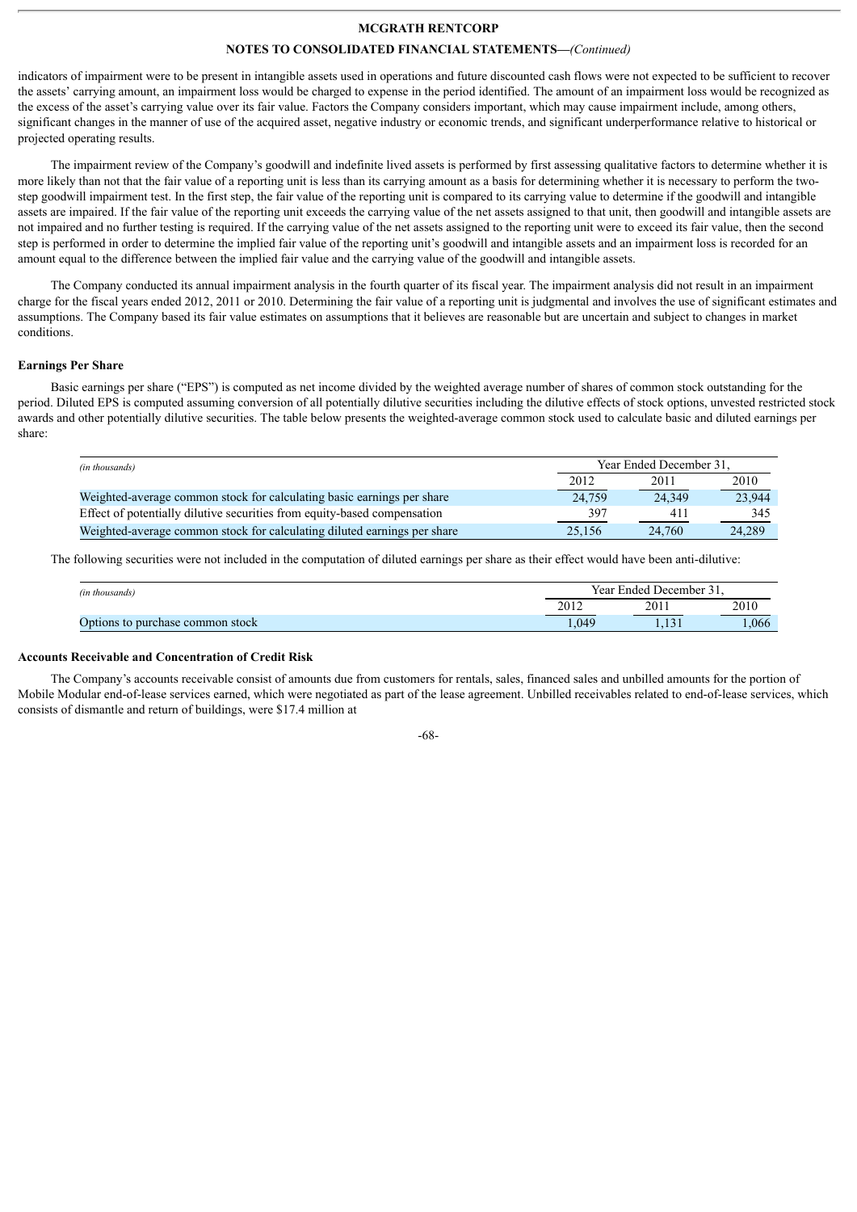## **NOTES TO CONSOLIDATED FINANCIAL STATEMENTS—***(Continued)*

indicators of impairment were to be present in intangible assets used in operations and future discounted cash flows were not expected to be sufficient to recover the assets' carrying amount, an impairment loss would be charged to expense in the period identified. The amount of an impairment loss would be recognized as the excess of the asset's carrying value over its fair value. Factors the Company considers important, which may cause impairment include, among others, significant changes in the manner of use of the acquired asset, negative industry or economic trends, and significant underperformance relative to historical or projected operating results.

The impairment review of the Company's goodwill and indefinite lived assets is performed by first assessing qualitative factors to determine whether it is more likely than not that the fair value of a reporting unit is less than its carrying amount as a basis for determining whether it is necessary to perform the twostep goodwill impairment test. In the first step, the fair value of the reporting unit is compared to its carrying value to determine if the goodwill and intangible assets are impaired. If the fair value of the reporting unit exceeds the carrying value of the net assets assigned to that unit, then goodwill and intangible assets are not impaired and no further testing is required. If the carrying value of the net assets assigned to the reporting unit were to exceed its fair value, then the second step is performed in order to determine the implied fair value of the reporting unit's goodwill and intangible assets and an impairment loss is recorded for an amount equal to the difference between the implied fair value and the carrying value of the goodwill and intangible assets.

The Company conducted its annual impairment analysis in the fourth quarter of its fiscal year. The impairment analysis did not result in an impairment charge for the fiscal years ended 2012, 2011 or 2010. Determining the fair value of a reporting unit is judgmental and involves the use of significant estimates and assumptions. The Company based its fair value estimates on assumptions that it believes are reasonable but are uncertain and subject to changes in market conditions.

#### **Earnings Per Share**

Basic earnings per share ("EPS") is computed as net income divided by the weighted average number of shares of common stock outstanding for the period. Diluted EPS is computed assuming conversion of all potentially dilutive securities including the dilutive effects of stock options, unvested restricted stock awards and other potentially dilutive securities. The table below presents the weighted-average common stock used to calculate basic and diluted earnings per share:

| (in thousands)                                                           |        | Year Ended December 31. |        |
|--------------------------------------------------------------------------|--------|-------------------------|--------|
|                                                                          | 2012   | 2011                    | 2010   |
| Weighted-average common stock for calculating basic earnings per share   | 24.759 | 24.349                  | 23.944 |
| Effect of potentially dilutive securities from equity-based compensation | 397    | 411                     | 345    |
| Weighted-average common stock for calculating diluted earnings per share | 25.156 | 24.760                  | 24.289 |

The following securities were not included in the computation of diluted earnings per share as their effect would have been anti-dilutive:

| (in thousands)                   |       | Year Ended December 31. |      |  |
|----------------------------------|-------|-------------------------|------|--|
|                                  | 2012  | 2011                    | 2010 |  |
| Options to purchase common stock | 1.049 | 101<br>.                | .066 |  |

#### **Accounts Receivable and Concentration of Credit Risk**

The Company's accounts receivable consist of amounts due from customers for rentals, sales, financed sales and unbilled amounts for the portion of Mobile Modular end-of-lease services earned, which were negotiated as part of the lease agreement. Unbilled receivables related to end-of-lease services, which consists of dismantle and return of buildings, were \$17.4 million at

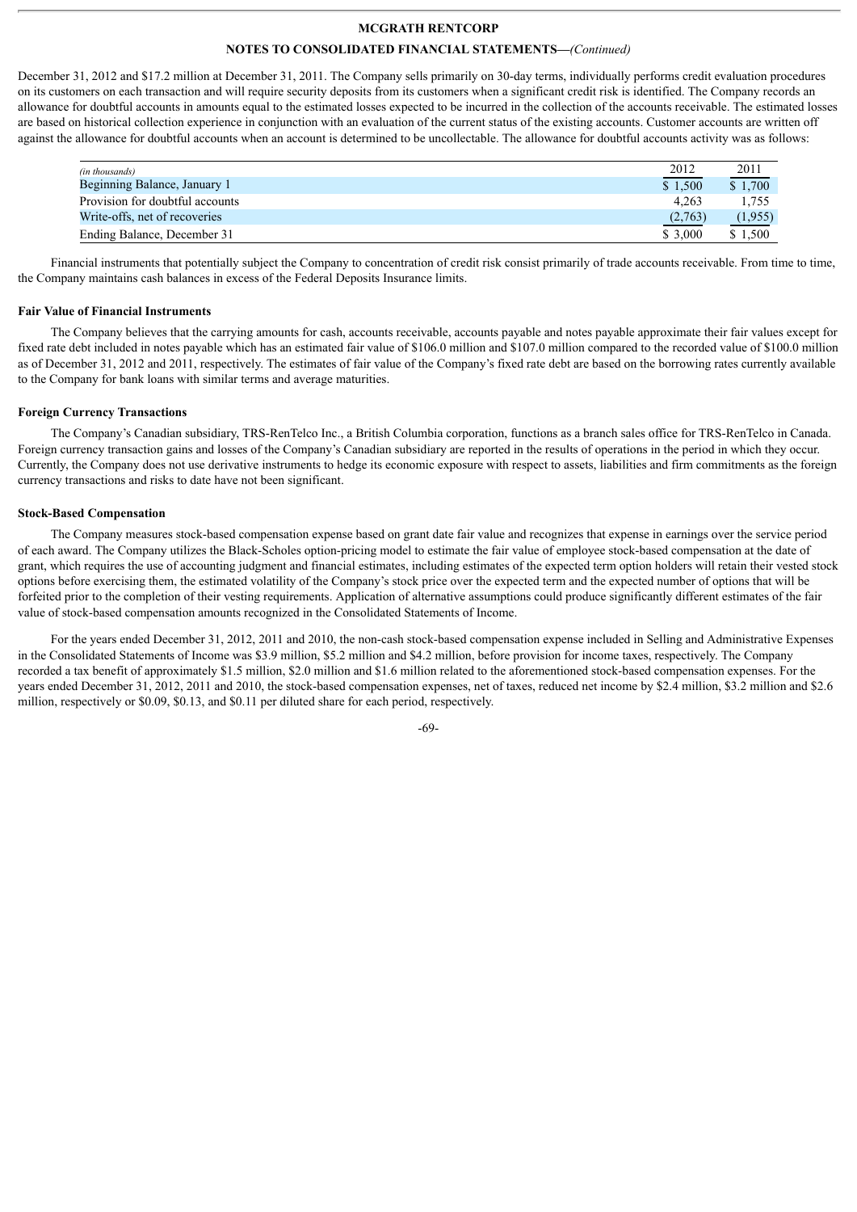## **NOTES TO CONSOLIDATED FINANCIAL STATEMENTS—***(Continued)*

December 31, 2012 and \$17.2 million at December 31, 2011. The Company sells primarily on 30-day terms, individually performs credit evaluation procedures on its customers on each transaction and will require security deposits from its customers when a significant credit risk is identified. The Company records an allowance for doubtful accounts in amounts equal to the estimated losses expected to be incurred in the collection of the accounts receivable. The estimated losses are based on historical collection experience in conjunction with an evaluation of the current status of the existing accounts. Customer accounts are written off against the allowance for doubtful accounts when an account is determined to be uncollectable. The allowance for doubtful accounts activity was as follows:

| (in thousands)                  | 2012    | 2011    |
|---------------------------------|---------|---------|
| Beginning Balance, January 1    | \$1,500 | \$1,700 |
| Provision for doubtful accounts | 4.263   | 1.755   |
| Write-offs, net of recoveries   | (2,763) | (1,955) |
| Ending Balance, December 31     | \$3.000 | \$1,500 |

Financial instruments that potentially subject the Company to concentration of credit risk consist primarily of trade accounts receivable. From time to time, the Company maintains cash balances in excess of the Federal Deposits Insurance limits.

#### **Fair Value of Financial Instruments**

The Company believes that the carrying amounts for cash, accounts receivable, accounts payable and notes payable approximate their fair values except for fixed rate debt included in notes payable which has an estimated fair value of \$106.0 million and \$107.0 million compared to the recorded value of \$100.0 million as of December 31, 2012 and 2011, respectively. The estimates of fair value of the Company's fixed rate debt are based on the borrowing rates currently available to the Company for bank loans with similar terms and average maturities.

#### **Foreign Currency Transactions**

The Company's Canadian subsidiary, TRS-RenTelco Inc., a British Columbia corporation, functions as a branch sales office for TRS-RenTelco in Canada. Foreign currency transaction gains and losses of the Company's Canadian subsidiary are reported in the results of operations in the period in which they occur. Currently, the Company does not use derivative instruments to hedge its economic exposure with respect to assets, liabilities and firm commitments as the foreign currency transactions and risks to date have not been significant.

#### **Stock-Based Compensation**

The Company measures stock-based compensation expense based on grant date fair value and recognizes that expense in earnings over the service period of each award. The Company utilizes the Black-Scholes option-pricing model to estimate the fair value of employee stock-based compensation at the date of grant, which requires the use of accounting judgment and financial estimates, including estimates of the expected term option holders will retain their vested stock options before exercising them, the estimated volatility of the Company's stock price over the expected term and the expected number of options that will be forfeited prior to the completion of their vesting requirements. Application of alternative assumptions could produce significantly different estimates of the fair value of stock-based compensation amounts recognized in the Consolidated Statements of Income.

For the years ended December 31, 2012, 2011 and 2010, the non-cash stock-based compensation expense included in Selling and Administrative Expenses in the Consolidated Statements of Income was \$3.9 million, \$5.2 million and \$4.2 million, before provision for income taxes, respectively. The Company recorded a tax benefit of approximately \$1.5 million, \$2.0 million and \$1.6 million related to the aforementioned stock-based compensation expenses. For the years ended December 31, 2012, 2011 and 2010, the stock-based compensation expenses, net of taxes, reduced net income by \$2.4 million, \$3.2 million and \$2.6 million, respectively or \$0.09, \$0.13, and \$0.11 per diluted share for each period, respectively.

-69-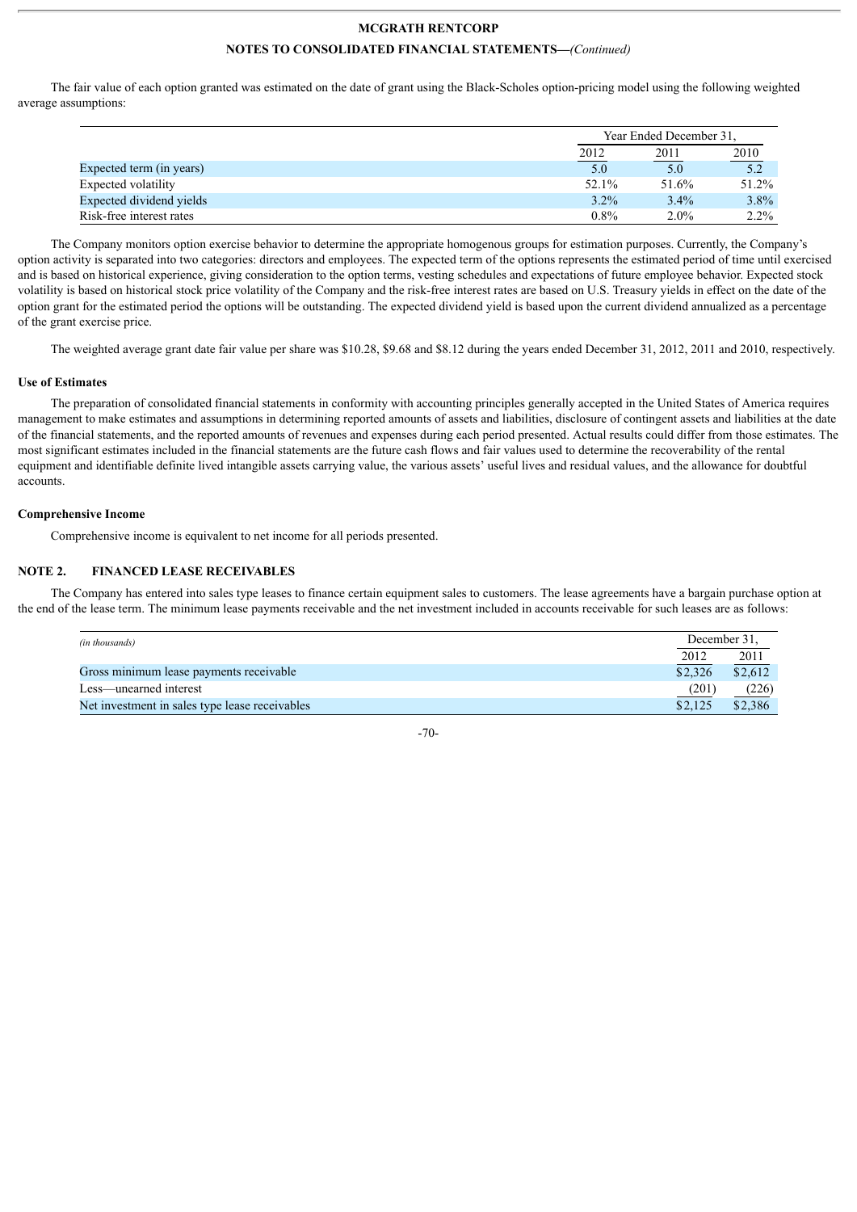## **NOTES TO CONSOLIDATED FINANCIAL STATEMENTS—***(Continued)*

The fair value of each option granted was estimated on the date of grant using the Black-Scholes option-pricing model using the following weighted average assumptions:

|                          |         | Year Ended December 31. |                  |  |
|--------------------------|---------|-------------------------|------------------|--|
|                          | 2012    | 2010<br>2011            |                  |  |
| Expected term (in years) | 5.0     | 5.0                     | $\overline{5.2}$ |  |
| Expected volatility      | 52.1%   | 51.6%                   | 51.2%            |  |
| Expected dividend yields | $3.2\%$ | $3.4\%$                 | $3.8\%$          |  |
| Risk-free interest rates | $0.8\%$ | $2.0\%$                 | $2.2\%$          |  |

The Company monitors option exercise behavior to determine the appropriate homogenous groups for estimation purposes. Currently, the Company's option activity is separated into two categories: directors and employees. The expected term of the options represents the estimated period of time until exercised and is based on historical experience, giving consideration to the option terms, vesting schedules and expectations of future employee behavior. Expected stock volatility is based on historical stock price volatility of the Company and the risk-free interest rates are based on U.S. Treasury yields in effect on the date of the option grant for the estimated period the options will be outstanding. The expected dividend yield is based upon the current dividend annualized as a percentage of the grant exercise price.

The weighted average grant date fair value per share was \$10.28, \$9.68 and \$8.12 during the years ended December 31, 2012, 2011 and 2010, respectively.

#### **Use of Estimates**

The preparation of consolidated financial statements in conformity with accounting principles generally accepted in the United States of America requires management to make estimates and assumptions in determining reported amounts of assets and liabilities, disclosure of contingent assets and liabilities at the date of the financial statements, and the reported amounts of revenues and expenses during each period presented. Actual results could differ from those estimates. The most significant estimates included in the financial statements are the future cash flows and fair values used to determine the recoverability of the rental equipment and identifiable definite lived intangible assets carrying value, the various assets' useful lives and residual values, and the allowance for doubtful accounts.

## **Comprehensive Income**

Comprehensive income is equivalent to net income for all periods presented.

## **NOTE 2. FINANCED LEASE RECEIVABLES**

The Company has entered into sales type leases to finance certain equipment sales to customers. The lease agreements have a bargain purchase option at the end of the lease term. The minimum lease payments receivable and the net investment included in accounts receivable for such leases are as follows:

| (in thousands)                                 | December 31. |                 |
|------------------------------------------------|--------------|-----------------|
|                                                | 2012         | 2011            |
| Gross minimum lease payments receivable        | \$2,326      | $\sqrt{$2,612}$ |
| Less—unearned interest                         | (201)        | (226)           |
| Net investment in sales type lease receivables | \$2,125      | \$2,386         |

-70-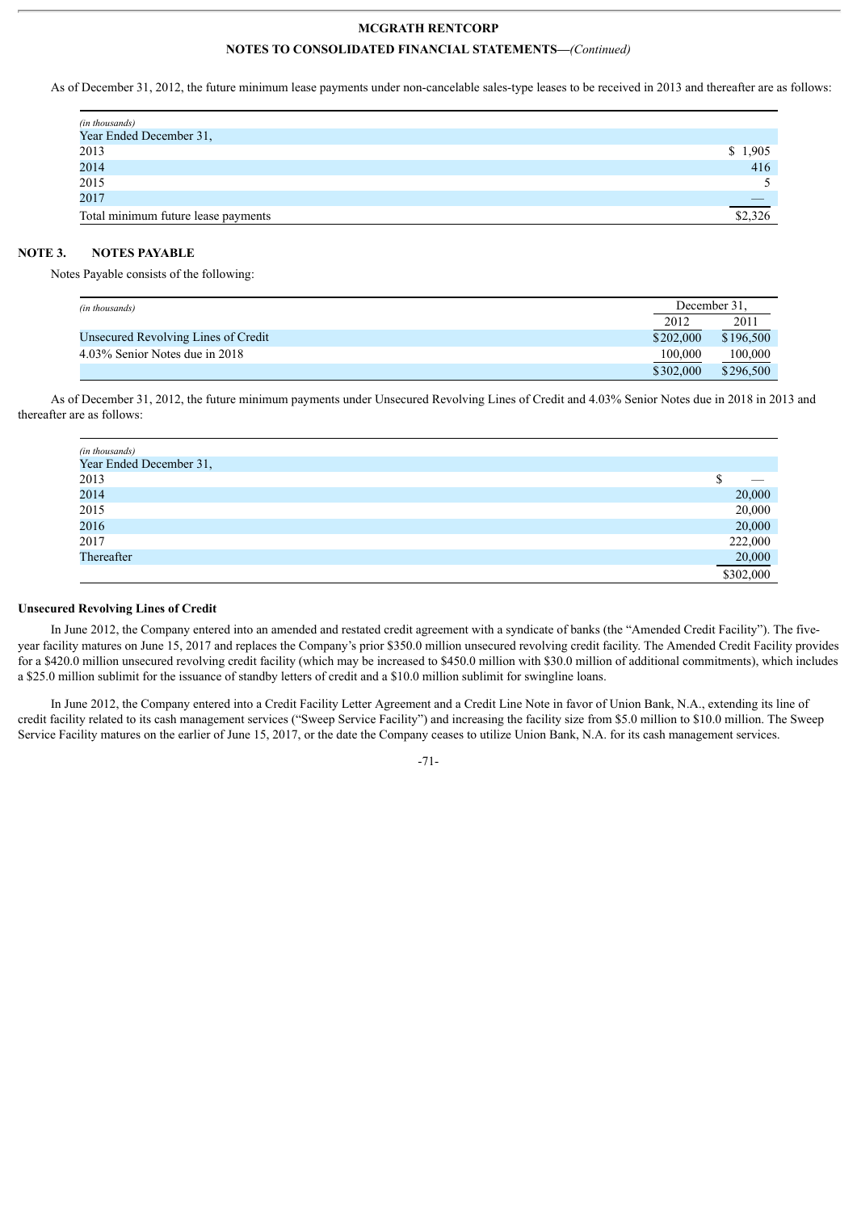#### **NOTES TO CONSOLIDATED FINANCIAL STATEMENTS—***(Continued)*

As of December 31, 2012, the future minimum lease payments under non-cancelable sales-type leases to be received in 2013 and thereafter are as follows:

| (in thousands)                      |                    |
|-------------------------------------|--------------------|
| Year Ended December 31,             |                    |
| 2013                                | \$1,905            |
| 2014                                | 416                |
| 2015                                |                    |
| 2017                                |                    |
| Total minimum future lease payments | $\frac{1}{22.326}$ |

## **NOTE 3. NOTES PAYABLE**

Notes Payable consists of the following:

| (in thousands)                      |           | December 31. |  |
|-------------------------------------|-----------|--------------|--|
|                                     | 2012      | 2011         |  |
| Unsecured Revolving Lines of Credit | \$202,000 | \$196,500    |  |
| 4.03% Senior Notes due in 2018      | 100.000   | 100,000      |  |
|                                     | \$302,000 | \$296,500    |  |

As of December 31, 2012, the future minimum payments under Unsecured Revolving Lines of Credit and 4.03% Senior Notes due in 2018 in 2013 and thereafter are as follows:

| (in thousands)          |           |
|-------------------------|-----------|
| Year Ended December 31, |           |
| 2013                    |           |
| 2014                    | 20,000    |
| 2015                    | 20,000    |
| 2016                    | 20,000    |
| 2017                    | 222,000   |
| Thereafter              | 20,000    |
|                         | \$302,000 |

#### **Unsecured Revolving Lines of Credit**

In June 2012, the Company entered into an amended and restated credit agreement with a syndicate of banks (the "Amended Credit Facility"). The fiveyear facility matures on June 15, 2017 and replaces the Company's prior \$350.0 million unsecured revolving credit facility. The Amended Credit Facility provides for a \$420.0 million unsecured revolving credit facility (which may be increased to \$450.0 million with \$30.0 million of additional commitments), which includes a \$25.0 million sublimit for the issuance of standby letters of credit and a \$10.0 million sublimit for swingline loans.

In June 2012, the Company entered into a Credit Facility Letter Agreement and a Credit Line Note in favor of Union Bank, N.A., extending its line of credit facility related to its cash management services ("Sweep Service Facility") and increasing the facility size from \$5.0 million to \$10.0 million. The Sweep Service Facility matures on the earlier of June 15, 2017, or the date the Company ceases to utilize Union Bank, N.A. for its cash management services.

-71-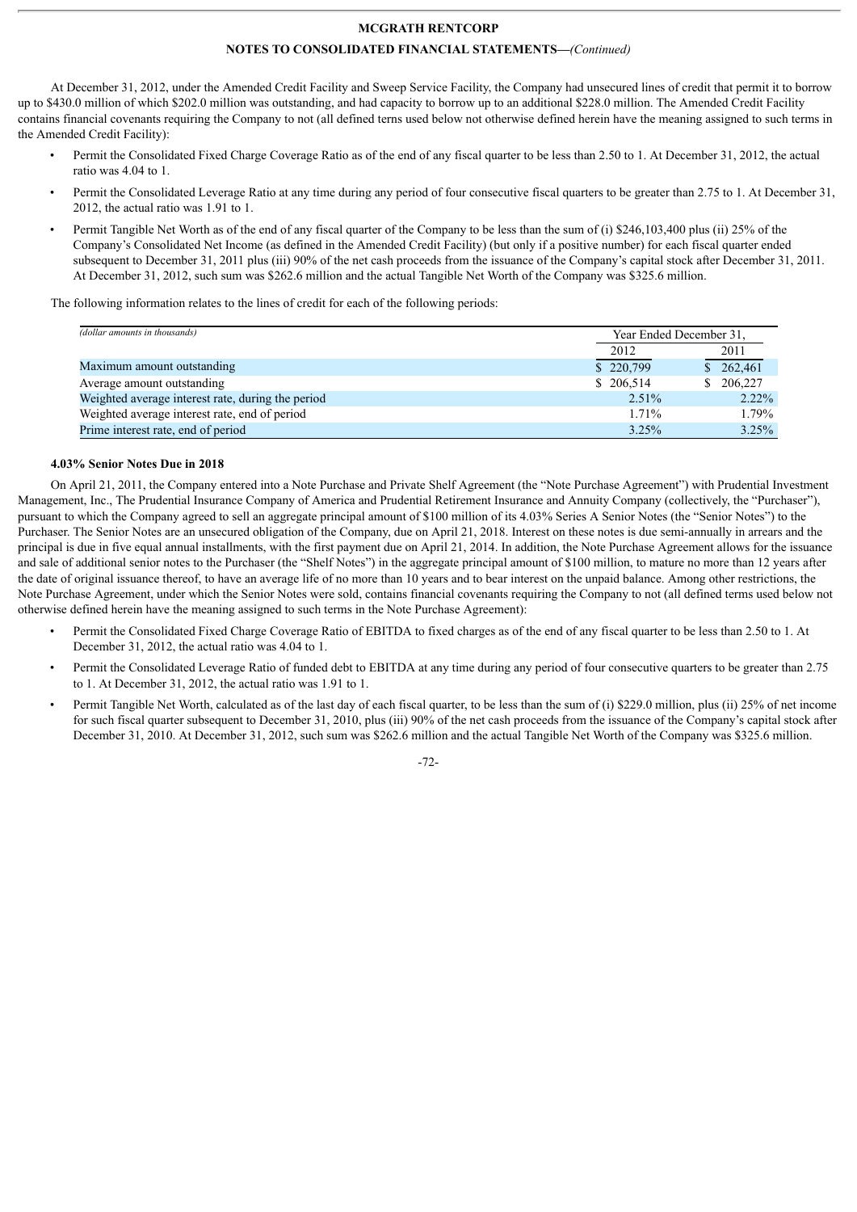### **NOTES TO CONSOLIDATED FINANCIAL STATEMENTS—***(Continued)*

At December 31, 2012, under the Amended Credit Facility and Sweep Service Facility, the Company had unsecured lines of credit that permit it to borrow up to \$430.0 million of which \$202.0 million was outstanding, and had capacity to borrow up to an additional \$228.0 million. The Amended Credit Facility contains financial covenants requiring the Company to not (all defined terns used below not otherwise defined herein have the meaning assigned to such terms in the Amended Credit Facility):

- Permit the Consolidated Fixed Charge Coverage Ratio as of the end of any fiscal quarter to be less than 2.50 to 1. At December 31, 2012, the actual ratio was 4.04 to 1.
- Permit the Consolidated Leverage Ratio at any time during any period of four consecutive fiscal quarters to be greater than 2.75 to 1. At December 31, 2012, the actual ratio was 1.91 to 1.
- Permit Tangible Net Worth as of the end of any fiscal quarter of the Company to be less than the sum of (i) \$246,103,400 plus (ii) 25% of the Company's Consolidated Net Income (as defined in the Amended Credit Facility) (but only if a positive number) for each fiscal quarter ended subsequent to December 31, 2011 plus (iii) 90% of the net cash proceeds from the issuance of the Company's capital stock after December 31, 2011. At December 31, 2012, such sum was \$262.6 million and the actual Tangible Net Worth of the Company was \$325.6 million.

The following information relates to the lines of credit for each of the following periods:

| (dollar amounts in thousands)                     | Year Ended December 31. |                |  |  |
|---------------------------------------------------|-------------------------|----------------|--|--|
|                                                   | 2012                    | 2011           |  |  |
| Maximum amount outstanding                        | \$220,799               | \$262,461      |  |  |
| Average amount outstanding                        | \$206,514               | 206.227<br>SS. |  |  |
| Weighted average interest rate, during the period | $2.51\%$                | $2.22\%$       |  |  |
| Weighted average interest rate, end of period     | $1.71\%$                | 1.79%          |  |  |
| Prime interest rate, end of period                | $3.25\%$                | 3.25%          |  |  |

### **4.03% Senior Notes Due in 2018**

On April 21, 2011, the Company entered into a Note Purchase and Private Shelf Agreement (the "Note Purchase Agreement") with Prudential Investment Management, Inc., The Prudential Insurance Company of America and Prudential Retirement Insurance and Annuity Company (collectively, the "Purchaser"), pursuant to which the Company agreed to sell an aggregate principal amount of \$100 million of its 4.03% Series A Senior Notes (the "Senior Notes") to the Purchaser. The Senior Notes are an unsecured obligation of the Company, due on April 21, 2018. Interest on these notes is due semi-annually in arrears and the principal is due in five equal annual installments, with the first payment due on April 21, 2014. In addition, the Note Purchase Agreement allows for the issuance and sale of additional senior notes to the Purchaser (the "Shelf Notes") in the aggregate principal amount of \$100 million, to mature no more than 12 years after the date of original issuance thereof, to have an average life of no more than 10 years and to bear interest on the unpaid balance. Among other restrictions, the Note Purchase Agreement, under which the Senior Notes were sold, contains financial covenants requiring the Company to not (all defined terms used below not otherwise defined herein have the meaning assigned to such terms in the Note Purchase Agreement):

- Permit the Consolidated Fixed Charge Coverage Ratio of EBITDA to fixed charges as of the end of any fiscal quarter to be less than 2.50 to 1. At December 31, 2012, the actual ratio was 4.04 to 1.
- Permit the Consolidated Leverage Ratio of funded debt to EBITDA at any time during any period of four consecutive quarters to be greater than 2.75 to 1. At December 31, 2012, the actual ratio was 1.91 to 1.
- Permit Tangible Net Worth, calculated as of the last day of each fiscal quarter, to be less than the sum of (i) \$229.0 million, plus (ii) 25% of net income for such fiscal quarter subsequent to December 31, 2010, plus (iii) 90% of the net cash proceeds from the issuance of the Company's capital stock after December 31, 2010. At December 31, 2012, such sum was \$262.6 million and the actual Tangible Net Worth of the Company was \$325.6 million.

-72-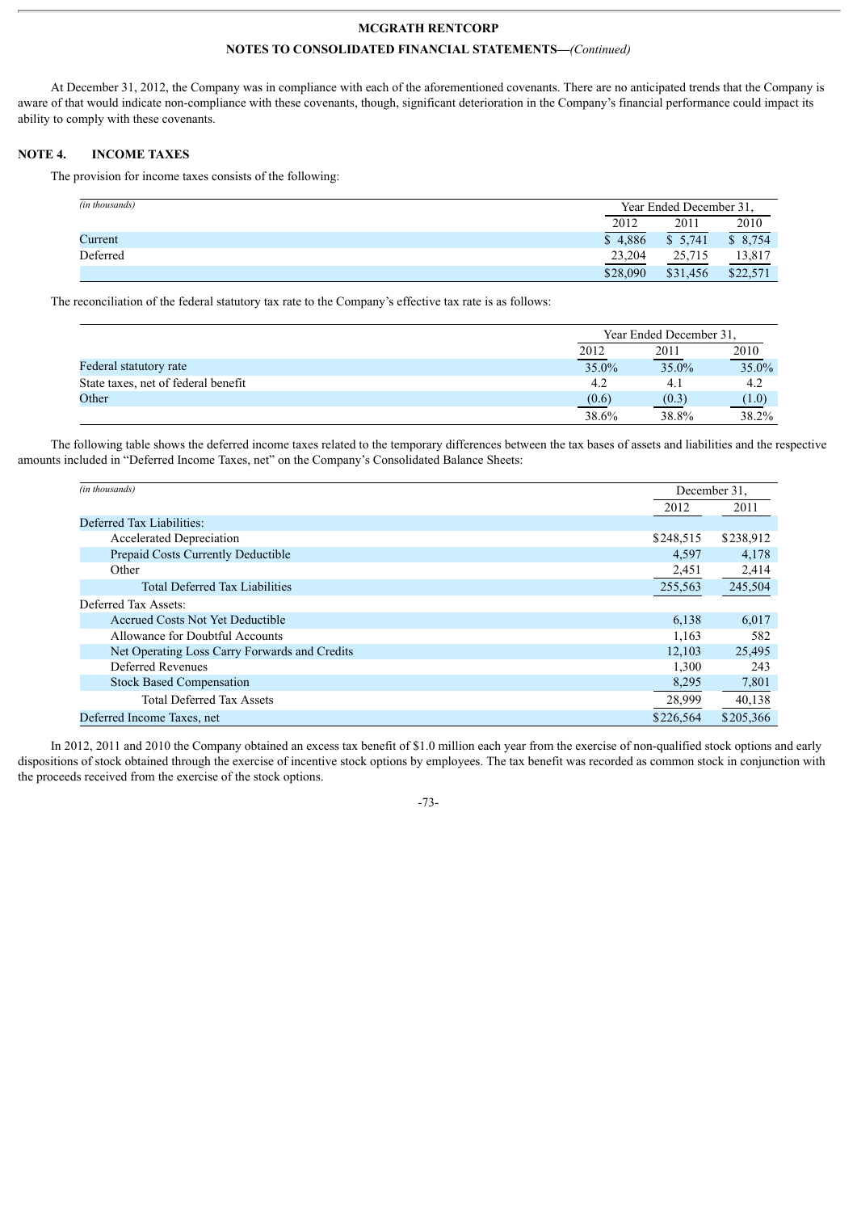### **NOTES TO CONSOLIDATED FINANCIAL STATEMENTS—***(Continued)*

At December 31, 2012, the Company was in compliance with each of the aforementioned covenants. There are no anticipated trends that the Company is aware of that would indicate non-compliance with these covenants, though, significant deterioration in the Company's financial performance could impact its ability to comply with these covenants.

# **NOTE 4. INCOME TAXES**

The provision for income taxes consists of the following:

| (in thousands) |          | Year Ended December 31, |                            |  |  |
|----------------|----------|-------------------------|----------------------------|--|--|
|                | 2012     | 2011                    | 2010                       |  |  |
| Current        | \$4,886  | \$5,741                 | \$8,754                    |  |  |
| Deferred       | 23,204   | 25,715                  | 13,817                     |  |  |
|                | \$28,090 | \$31,456                | ぐつつ<br>$J_{44}$ , $J_{14}$ |  |  |

The reconciliation of the federal statutory tax rate to the Company's effective tax rate is as follows:

|                                     |       | Year Ended December 31. |                         |  |  |
|-------------------------------------|-------|-------------------------|-------------------------|--|--|
|                                     | 2012  | 2011                    | 2010                    |  |  |
| Federal statutory rate              | 35.0% | 35.0%                   | $\frac{35.0\%}{25.0\%}$ |  |  |
| State taxes, net of federal benefit | 4.2   | 4.1                     | 4.2                     |  |  |
| Other                               | (0.6) | (0.3)                   | (1.0)                   |  |  |
|                                     | 38.6% | 38.8%                   | 38.2%                   |  |  |

The following table shows the deferred income taxes related to the temporary differences between the tax bases of assets and liabilities and the respective amounts included in "Deferred Income Taxes, net" on the Company's Consolidated Balance Sheets:

| (in thousands)                                |           | December 31. |
|-----------------------------------------------|-----------|--------------|
|                                               | 2012      | 2011         |
| Deferred Tax Liabilities:                     |           |              |
| Accelerated Depreciation                      | \$248,515 | \$238,912    |
| <b>Prepaid Costs Currently Deductible</b>     | 4,597     | 4,178        |
| Other                                         | 2,451     | 2,414        |
| <b>Total Deferred Tax Liabilities</b>         | 255,563   | 245,504      |
| Deferred Tax Assets:                          |           |              |
| <b>Accrued Costs Not Yet Deductible</b>       | 6,138     | 6,017        |
| Allowance for Doubtful Accounts               | 1,163     | 582          |
| Net Operating Loss Carry Forwards and Credits | 12,103    | 25,495       |
| Deferred Revenues                             | 1,300     | 243          |
| <b>Stock Based Compensation</b>               | 8,295     | 7,801        |
| <b>Total Deferred Tax Assets</b>              | 28,999    | 40,138       |
| Deferred Income Taxes, net                    | \$226,564 | \$205,366    |

In 2012, 2011 and 2010 the Company obtained an excess tax benefit of \$1.0 million each year from the exercise of non-qualified stock options and early dispositions of stock obtained through the exercise of incentive stock options by employees. The tax benefit was recorded as common stock in conjunction with the proceeds received from the exercise of the stock options.

-73-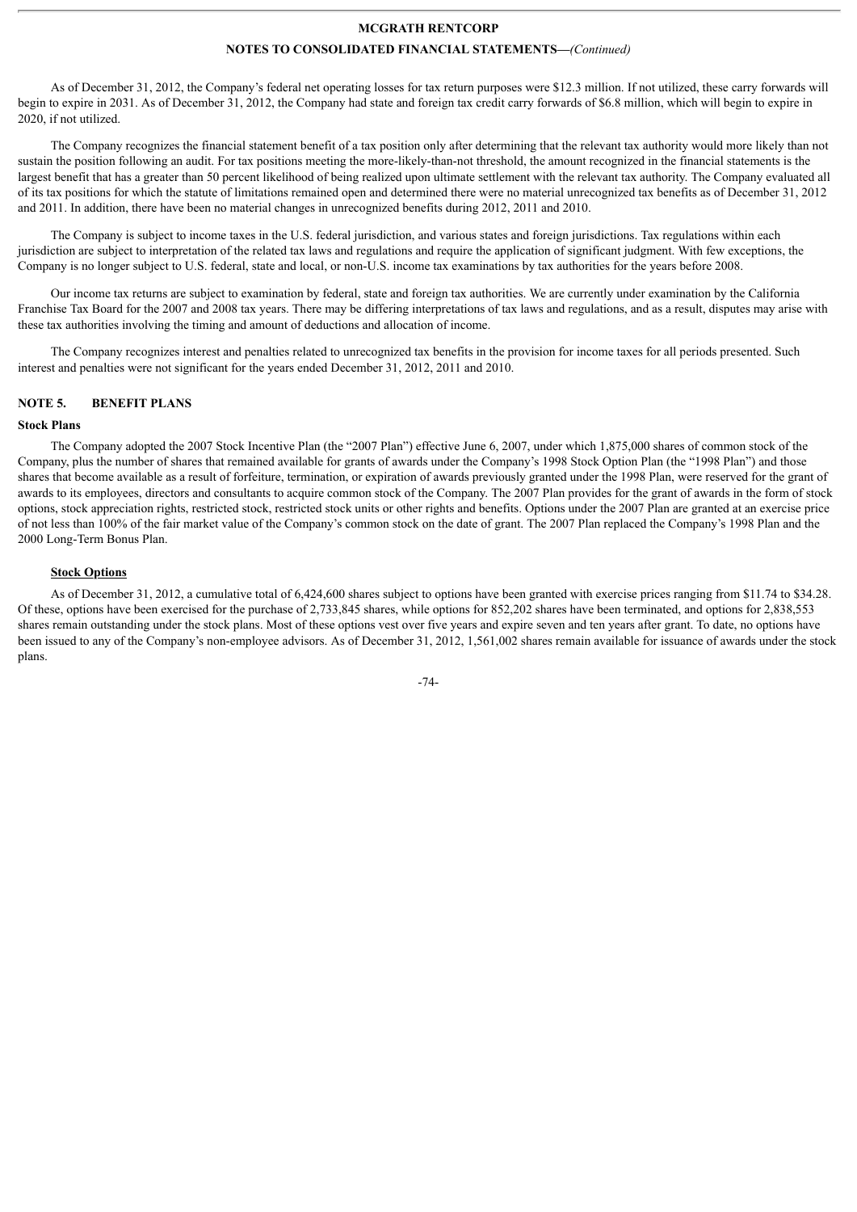### **NOTES TO CONSOLIDATED FINANCIAL STATEMENTS—***(Continued)*

As of December 31, 2012, the Company's federal net operating losses for tax return purposes were \$12.3 million. If not utilized, these carry forwards will begin to expire in 2031. As of December 31, 2012, the Company had state and foreign tax credit carry forwards of \$6.8 million, which will begin to expire in 2020, if not utilized.

The Company recognizes the financial statement benefit of a tax position only after determining that the relevant tax authority would more likely than not sustain the position following an audit. For tax positions meeting the more-likely-than-not threshold, the amount recognized in the financial statements is the largest benefit that has a greater than 50 percent likelihood of being realized upon ultimate settlement with the relevant tax authority. The Company evaluated all of its tax positions for which the statute of limitations remained open and determined there were no material unrecognized tax benefits as of December 31, 2012 and 2011. In addition, there have been no material changes in unrecognized benefits during 2012, 2011 and 2010.

The Company is subject to income taxes in the U.S. federal jurisdiction, and various states and foreign jurisdictions. Tax regulations within each jurisdiction are subject to interpretation of the related tax laws and regulations and require the application of significant judgment. With few exceptions, the Company is no longer subject to U.S. federal, state and local, or non-U.S. income tax examinations by tax authorities for the years before 2008.

Our income tax returns are subject to examination by federal, state and foreign tax authorities. We are currently under examination by the California Franchise Tax Board for the 2007 and 2008 tax years. There may be differing interpretations of tax laws and regulations, and as a result, disputes may arise with these tax authorities involving the timing and amount of deductions and allocation of income.

The Company recognizes interest and penalties related to unrecognized tax benefits in the provision for income taxes for all periods presented. Such interest and penalties were not significant for the years ended December 31, 2012, 2011 and 2010.

### **NOTE 5. BENEFIT PLANS**

#### **Stock Plans**

The Company adopted the 2007 Stock Incentive Plan (the "2007 Plan") effective June 6, 2007, under which 1,875,000 shares of common stock of the Company, plus the number of shares that remained available for grants of awards under the Company's 1998 Stock Option Plan (the "1998 Plan") and those shares that become available as a result of forfeiture, termination, or expiration of awards previously granted under the 1998 Plan, were reserved for the grant of awards to its employees, directors and consultants to acquire common stock of the Company. The 2007 Plan provides for the grant of awards in the form of stock options, stock appreciation rights, restricted stock, restricted stock units or other rights and benefits. Options under the 2007 Plan are granted at an exercise price of not less than 100% of the fair market value of the Company's common stock on the date of grant. The 2007 Plan replaced the Company's 1998 Plan and the 2000 Long-Term Bonus Plan.

### **Stock Options**

As of December 31, 2012, a cumulative total of 6,424,600 shares subject to options have been granted with exercise prices ranging from \$11.74 to \$34.28. Of these, options have been exercised for the purchase of 2,733,845 shares, while options for 852,202 shares have been terminated, and options for 2,838,553 shares remain outstanding under the stock plans. Most of these options vest over five years and expire seven and ten years after grant. To date, no options have been issued to any of the Company's non-employee advisors. As of December 31, 2012, 1,561,002 shares remain available for issuance of awards under the stock plans.

$$
-74-
$$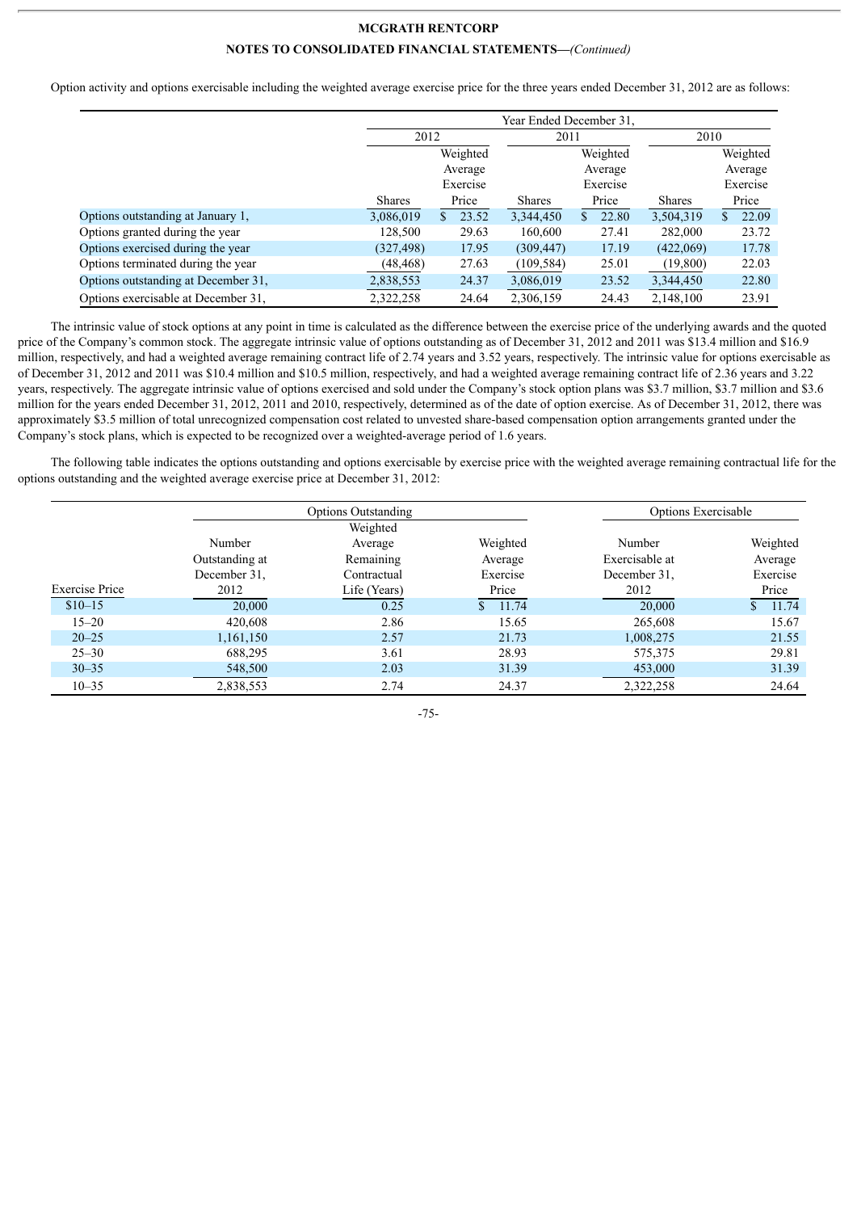### **NOTES TO CONSOLIDATED FINANCIAL STATEMENTS—***(Continued)*

Option activity and options exercisable including the weighted average exercise price for the three years ended December 31, 2012 are as follows:

|                                     |               | Year Ended December 31,         |               |                     |               |                     |  |  |  |  |
|-------------------------------------|---------------|---------------------------------|---------------|---------------------|---------------|---------------------|--|--|--|--|
|                                     | 2012          |                                 | 2011          |                     | 2010          |                     |  |  |  |  |
|                                     |               | Weighted<br>Average<br>Exercise |               | Weighted            |               | Weighted            |  |  |  |  |
|                                     |               |                                 |               | Average<br>Exercise |               | Average<br>Exercise |  |  |  |  |
|                                     |               |                                 |               |                     |               |                     |  |  |  |  |
|                                     | <b>Shares</b> | Price                           | <b>Shares</b> | Price               | <b>Shares</b> | Price               |  |  |  |  |
| Options outstanding at January 1,   | 3,086,019     | 23.52<br>\$.                    | 3,344,450     | 22.80<br>S.         | 3,504,319     | 22.09<br>\$.        |  |  |  |  |
| Options granted during the year     | 128,500       | 29.63                           | 160,600       | 27.41               | 282,000       | 23.72               |  |  |  |  |
| Options exercised during the year   | (327, 498)    | 17.95                           | (309, 447)    | 17.19               | (422,069)     | 17.78               |  |  |  |  |
| Options terminated during the year  | (48, 468)     | 27.63                           | (109, 584)    | 25.01               | (19, 800)     | 22.03               |  |  |  |  |
| Options outstanding at December 31, | 2,838,553     | 24.37                           | 3,086,019     | 23.52               | 3,344,450     | 22.80               |  |  |  |  |
| Options exercisable at December 31. | 2,322,258     | 24.64                           | 2,306,159     | 24.43               | 2,148,100     | 23.91               |  |  |  |  |

The intrinsic value of stock options at any point in time is calculated as the difference between the exercise price of the underlying awards and the quoted price of the Company's common stock. The aggregate intrinsic value of options outstanding as of December 31, 2012 and 2011 was \$13.4 million and \$16.9 million, respectively, and had a weighted average remaining contract life of 2.74 years and 3.52 years, respectively. The intrinsic value for options exercisable as of December 31, 2012 and 2011 was \$10.4 million and \$10.5 million, respectively, and had a weighted average remaining contract life of 2.36 years and 3.22 years, respectively. The aggregate intrinsic value of options exercised and sold under the Company's stock option plans was \$3.7 million, \$3.7 million and \$3.6 million for the years ended December 31, 2012, 2011 and 2010, respectively, determined as of the date of option exercise. As of December 31, 2012, there was approximately \$3.5 million of total unrecognized compensation cost related to unvested share-based compensation option arrangements granted under the Company's stock plans, which is expected to be recognized over a weighted-average period of 1.6 years.

The following table indicates the options outstanding and options exercisable by exercise price with the weighted average remaining contractual life for the options outstanding and the weighted average exercise price at December 31, 2012:

|                       |                | <b>Options Exercisable</b> |          |                |          |
|-----------------------|----------------|----------------------------|----------|----------------|----------|
|                       |                | Weighted                   |          |                |          |
|                       | Number         | Average                    | Weighted | Number         | Weighted |
|                       | Outstanding at | Remaining                  | Average  | Exercisable at | Average  |
|                       | December 31.   | Contractual                | Exercise |                | Exercise |
| <b>Exercise Price</b> | 2012           | Life (Years)               | Price    | 2012           | Price    |
| $$10-15$              | 20,000         | 0.25                       | 11.74    | 20,000         | 11.74    |
| $15 - 20$             | 420.608        | 2.86                       | 15.65    | 265,608        | 15.67    |
| $20 - 25$             | 1,161,150      | 2.57                       | 21.73    | 1,008,275      | 21.55    |
| $25 - 30$             | 688,295        | 3.61                       | 28.93    | 575,375        | 29.81    |
| $30 - 35$             | 548,500        | 2.03                       | 31.39    | 453,000        | 31.39    |
| $10 - 35$             | 2,838,553      | 2.74                       | 24.37    | 2,322,258      | 24.64    |

-75-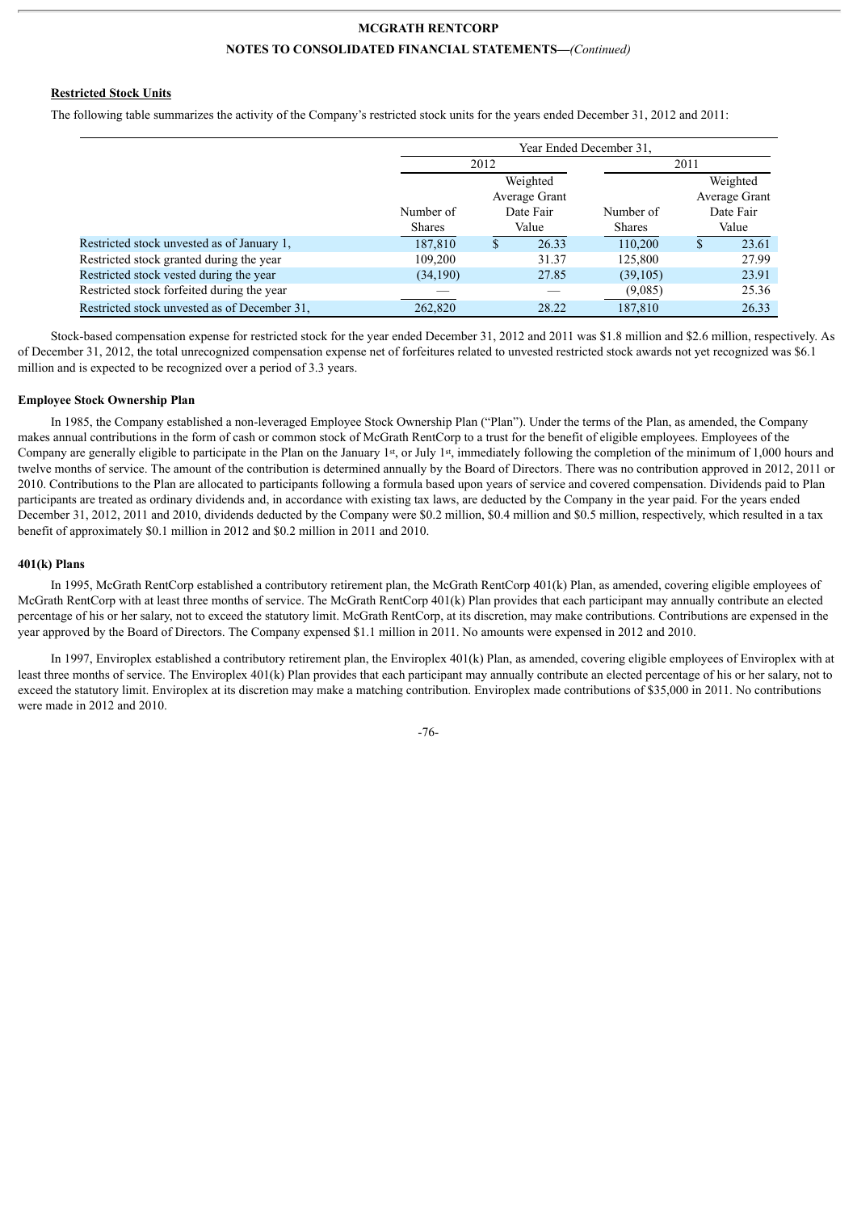### **NOTES TO CONSOLIDATED FINANCIAL STATEMENTS—***(Continued)*

### **Restricted Stock Units**

The following table summarizes the activity of the Company's restricted stock units for the years ended December 31, 2012 and 2011:

|                                              | Year Ended December 31. |                                                                                    |       |           |   |               |  |  |  |  |
|----------------------------------------------|-------------------------|------------------------------------------------------------------------------------|-------|-----------|---|---------------|--|--|--|--|
|                                              |                         | 2012                                                                               |       |           |   |               |  |  |  |  |
|                                              |                         | Weighted                                                                           |       |           |   | Weighted      |  |  |  |  |
|                                              |                         | Average Grant<br>Date Fair<br>Number of<br>Value<br><b>Shares</b><br><b>Shares</b> |       |           |   | Average Grant |  |  |  |  |
|                                              | Number of               |                                                                                    |       |           |   | Date Fair     |  |  |  |  |
|                                              |                         |                                                                                    |       |           |   | Value         |  |  |  |  |
| Restricted stock unvested as of January 1,   | 187,810                 | S                                                                                  | 26.33 | 110,200   | S | 23.61         |  |  |  |  |
| Restricted stock granted during the year     | 109,200                 |                                                                                    | 31.37 | 125,800   |   | 27.99         |  |  |  |  |
| Restricted stock vested during the year      | (34, 190)               |                                                                                    | 27.85 | (39, 105) |   | 23.91         |  |  |  |  |
| Restricted stock forfeited during the year   |                         |                                                                                    |       | (9,085)   |   | 25.36         |  |  |  |  |
| Restricted stock unvested as of December 31. | 262,820                 |                                                                                    | 28.22 | 187.810   |   | 26.33         |  |  |  |  |

Stock-based compensation expense for restricted stock for the year ended December 31, 2012 and 2011 was \$1.8 million and \$2.6 million, respectively. As of December 31, 2012, the total unrecognized compensation expense net of forfeitures related to unvested restricted stock awards not yet recognized was \$6.1 million and is expected to be recognized over a period of 3.3 years.

### **Employee Stock Ownership Plan**

In 1985, the Company established a non-leveraged Employee Stock Ownership Plan ("Plan"). Under the terms of the Plan, as amended, the Company makes annual contributions in the form of cash or common stock of McGrath RentCorp to a trust for the benefit of eligible employees. Employees of the Company are generally eligible to participate in the Plan on the January 1st, or July 1st, immediately following the completion of the minimum of 1,000 hours and twelve months of service. The amount of the contribution is determined annually by the Board of Directors. There was no contribution approved in 2012, 2011 or 2010. Contributions to the Plan are allocated to participants following a formula based upon years of service and covered compensation. Dividends paid to Plan participants are treated as ordinary dividends and, in accordance with existing tax laws, are deducted by the Company in the year paid. For the years ended December 31, 2012, 2011 and 2010, dividends deducted by the Company were \$0.2 million, \$0.4 million and \$0.5 million, respectively, which resulted in a tax benefit of approximately \$0.1 million in 2012 and \$0.2 million in 2011 and 2010.

### **401(k) Plans**

In 1995, McGrath RentCorp established a contributory retirement plan, the McGrath RentCorp 401(k) Plan, as amended, covering eligible employees of McGrath RentCorp with at least three months of service. The McGrath RentCorp 401(k) Plan provides that each participant may annually contribute an elected percentage of his or her salary, not to exceed the statutory limit. McGrath RentCorp, at its discretion, may make contributions. Contributions are expensed in the year approved by the Board of Directors. The Company expensed \$1.1 million in 2011. No amounts were expensed in 2012 and 2010.

In 1997, Enviroplex established a contributory retirement plan, the Enviroplex 401(k) Plan, as amended, covering eligible employees of Enviroplex with at least three months of service. The Enviroplex 401(k) Plan provides that each participant may annually contribute an elected percentage of his or her salary, not to exceed the statutory limit. Enviroplex at its discretion may make a matching contribution. Enviroplex made contributions of \$35,000 in 2011. No contributions were made in 2012 and 2010.

-76-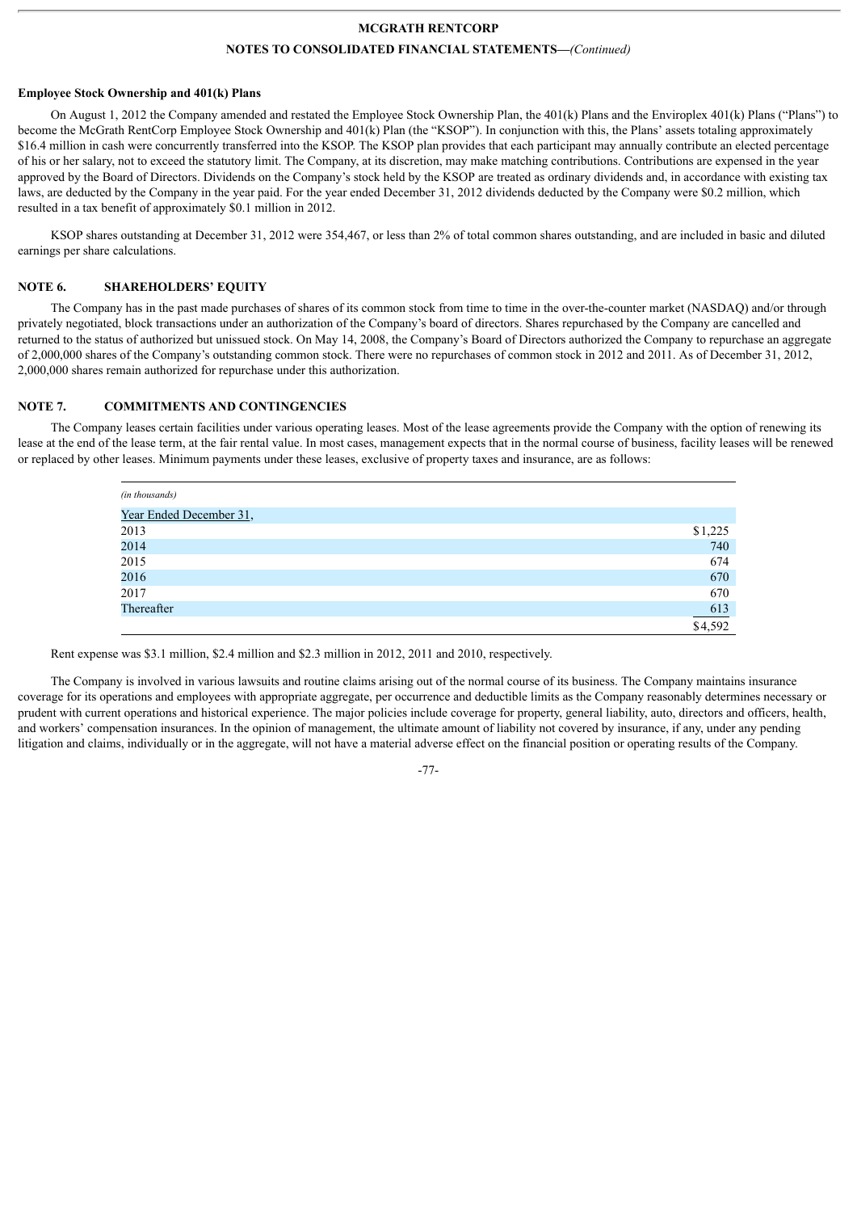### **NOTES TO CONSOLIDATED FINANCIAL STATEMENTS—***(Continued)*

#### **Employee Stock Ownership and 401(k) Plans**

On August 1, 2012 the Company amended and restated the Employee Stock Ownership Plan, the 401(k) Plans and the Enviroplex 401(k) Plans ("Plans") to become the McGrath RentCorp Employee Stock Ownership and 401(k) Plan (the "KSOP"). In conjunction with this, the Plans' assets totaling approximately \$16.4 million in cash were concurrently transferred into the KSOP. The KSOP plan provides that each participant may annually contribute an elected percentage of his or her salary, not to exceed the statutory limit. The Company, at its discretion, may make matching contributions. Contributions are expensed in the year approved by the Board of Directors. Dividends on the Company's stock held by the KSOP are treated as ordinary dividends and, in accordance with existing tax laws, are deducted by the Company in the year paid. For the year ended December 31, 2012 dividends deducted by the Company were \$0.2 million, which resulted in a tax benefit of approximately \$0.1 million in 2012.

KSOP shares outstanding at December 31, 2012 were 354,467, or less than 2% of total common shares outstanding, and are included in basic and diluted earnings per share calculations.

### **NOTE 6. SHAREHOLDERS' EQUITY**

The Company has in the past made purchases of shares of its common stock from time to time in the over-the-counter market (NASDAQ) and/or through privately negotiated, block transactions under an authorization of the Company's board of directors. Shares repurchased by the Company are cancelled and returned to the status of authorized but unissued stock. On May 14, 2008, the Company's Board of Directors authorized the Company to repurchase an aggregate of 2,000,000 shares of the Company's outstanding common stock. There were no repurchases of common stock in 2012 and 2011. As of December 31, 2012, 2,000,000 shares remain authorized for repurchase under this authorization.

# **NOTE 7. COMMITMENTS AND CONTINGENCIES**

The Company leases certain facilities under various operating leases. Most of the lease agreements provide the Company with the option of renewing its lease at the end of the lease term, at the fair rental value. In most cases, management expects that in the normal course of business, facility leases will be renewed or replaced by other leases. Minimum payments under these leases, exclusive of property taxes and insurance, are as follows:

| (in thousands)          |                     |
|-------------------------|---------------------|
| Year Ended December 31, |                     |
| 2013                    | \$1,225             |
| 2014                    | 740                 |
| 2015                    | 674                 |
| 2016                    | 670                 |
| 2017                    | 670                 |
| Thereafter              |                     |
|                         | $rac{613}{\$4,592}$ |

Rent expense was \$3.1 million, \$2.4 million and \$2.3 million in 2012, 2011 and 2010, respectively.

The Company is involved in various lawsuits and routine claims arising out of the normal course of its business. The Company maintains insurance coverage for its operations and employees with appropriate aggregate, per occurrence and deductible limits as the Company reasonably determines necessary or prudent with current operations and historical experience. The major policies include coverage for property, general liability, auto, directors and officers, health, and workers' compensation insurances. In the opinion of management, the ultimate amount of liability not covered by insurance, if any, under any pending litigation and claims, individually or in the aggregate, will not have a material adverse effect on the financial position or operating results of the Company.

-77-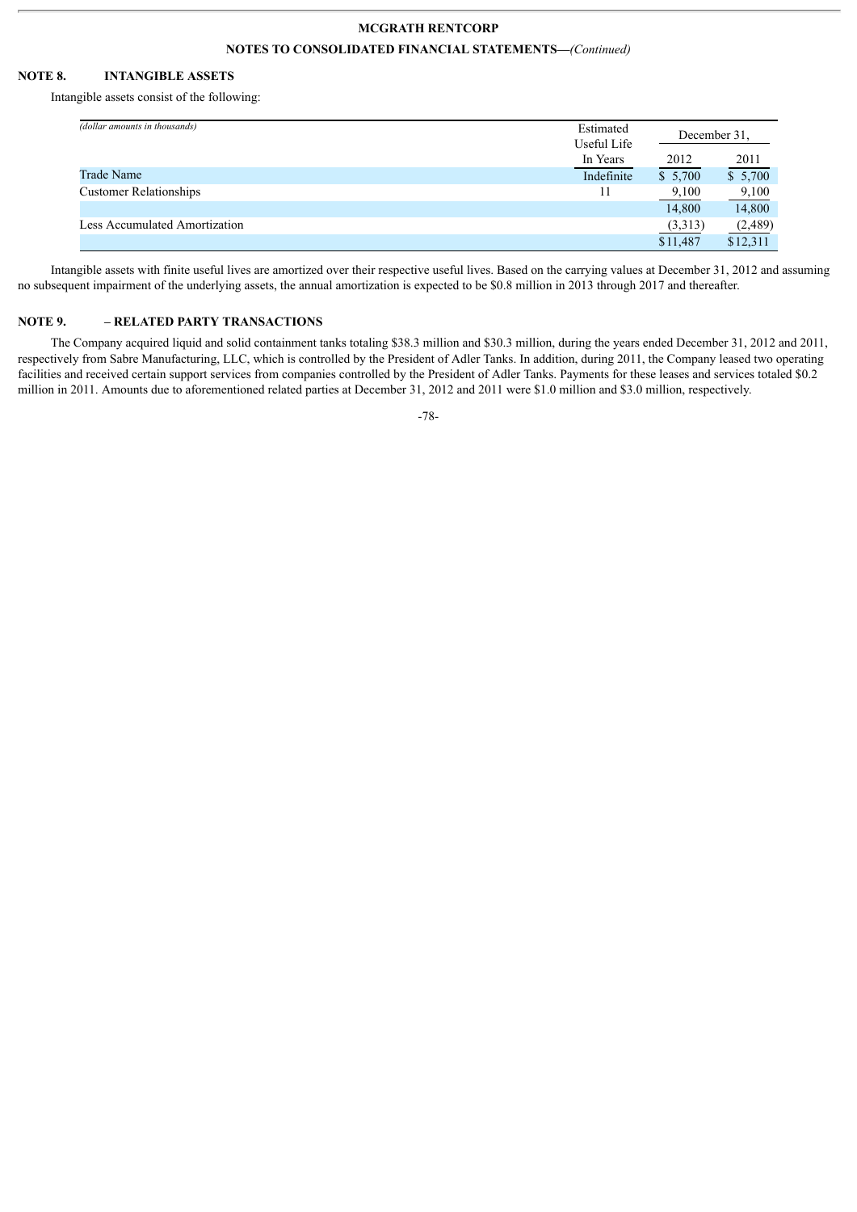### **NOTES TO CONSOLIDATED FINANCIAL STATEMENTS—***(Continued)*

# **NOTE 8. INTANGIBLE ASSETS**

Intangible assets consist of the following:

| (dollar amounts in thousands)        | Estimated<br>Useful Life | December 31. |                     |  |
|--------------------------------------|--------------------------|--------------|---------------------|--|
|                                      | In Years                 | 2012         | 2011                |  |
| <b>Trade Name</b>                    | Indefinite               | \$5,700      | $\overline{$}5,700$ |  |
| <b>Customer Relationships</b>        | 11                       | 9,100        | 9,100               |  |
|                                      |                          | 14,800       | 14,800              |  |
| <b>Less Accumulated Amortization</b> |                          | (3,313)      | (2, 489)            |  |
|                                      |                          | \$11,487     | \$12,311            |  |

Intangible assets with finite useful lives are amortized over their respective useful lives. Based on the carrying values at December 31, 2012 and assuming no subsequent impairment of the underlying assets, the annual amortization is expected to be \$0.8 million in 2013 through 2017 and thereafter.

# **NOTE 9. – RELATED PARTY TRANSACTIONS**

The Company acquired liquid and solid containment tanks totaling \$38.3 million and \$30.3 million, during the years ended December 31, 2012 and 2011, respectively from Sabre Manufacturing, LLC, which is controlled by the President of Adler Tanks. In addition, during 2011, the Company leased two operating facilities and received certain support services from companies controlled by the President of Adler Tanks. Payments for these leases and services totaled \$0.2 million in 2011. Amounts due to aforementioned related parties at December 31, 2012 and 2011 were \$1.0 million and \$3.0 million, respectively.

-78-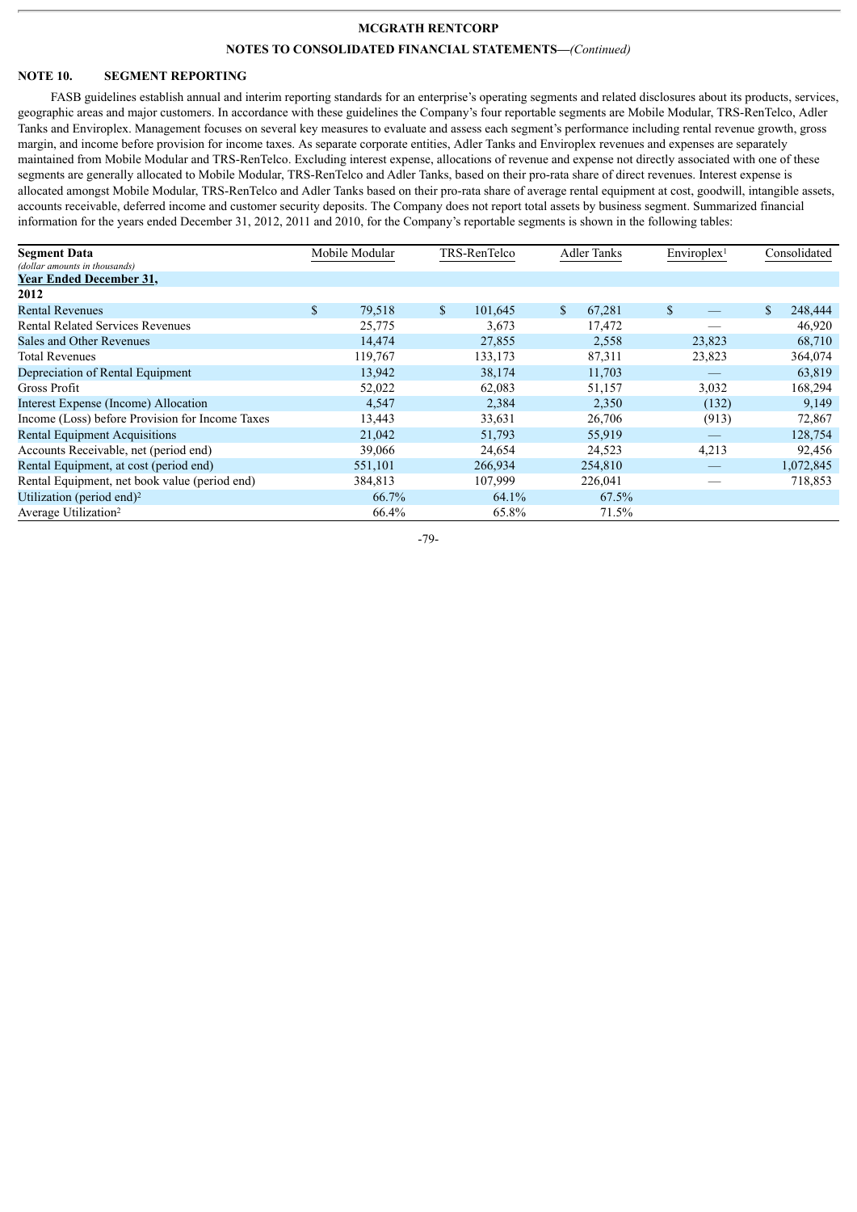### **NOTES TO CONSOLIDATED FINANCIAL STATEMENTS—***(Continued)*

# **NOTE 10. SEGMENT REPORTING**

FASB guidelines establish annual and interim reporting standards for an enterprise's operating segments and related disclosures about its products, services, geographic areas and major customers. In accordance with these guidelines the Company's four reportable segments are Mobile Modular, TRS-RenTelco, Adler Tanks and Enviroplex. Management focuses on several key measures to evaluate and assess each segment's performance including rental revenue growth, gross margin, and income before provision for income taxes. As separate corporate entities, Adler Tanks and Enviroplex revenues and expenses are separately maintained from Mobile Modular and TRS-RenTelco. Excluding interest expense, allocations of revenue and expense not directly associated with one of these segments are generally allocated to Mobile Modular, TRS-RenTelco and Adler Tanks, based on their pro-rata share of direct revenues. Interest expense is allocated amongst Mobile Modular, TRS-RenTelco and Adler Tanks based on their pro-rata share of average rental equipment at cost, goodwill, intangible assets, accounts receivable, deferred income and customer security deposits. The Company does not report total assets by business segment. Summarized financial information for the years ended December 31, 2012, 2011 and 2010, for the Company's reportable segments is shown in the following tables:

| <b>Segment Data</b>                             | Mobile Modular |               | TRS-RenTelco |    | <b>Adler Tanks</b> | Environlex <sup>1</sup> | Consolidated  |
|-------------------------------------------------|----------------|---------------|--------------|----|--------------------|-------------------------|---------------|
| (dollar amounts in thousands)                   |                |               |              |    |                    |                         |               |
| <b>Year Ended December 31,</b>                  |                |               |              |    |                    |                         |               |
| 2012                                            |                |               |              |    |                    |                         |               |
| <b>Rental Revenues</b>                          | \$<br>79,518   | <sup>\$</sup> | 101,645      | S. | 67,281             | \$                      | \$<br>248,444 |
| <b>Rental Related Services Revenues</b>         | 25,775         |               | 3,673        |    | 17,472             |                         | 46,920        |
| Sales and Other Revenues                        | 14,474         |               | 27,855       |    | 2,558              | 23,823                  | 68,710        |
| <b>Total Revenues</b>                           | 119,767        |               | 133,173      |    | 87,311             | 23,823                  | 364,074       |
| Depreciation of Rental Equipment                | 13,942         |               | 38,174       |    | 11,703             | —                       | 63,819        |
| Gross Profit                                    | 52,022         |               | 62,083       |    | 51,157             | 3,032                   | 168,294       |
| Interest Expense (Income) Allocation            | 4,547          |               | 2,384        |    | 2,350              | (132)                   | 9,149         |
| Income (Loss) before Provision for Income Taxes | 13,443         |               | 33,631       |    | 26,706             | (913)                   | 72,867        |
| <b>Rental Equipment Acquisitions</b>            | 21,042         |               | 51,793       |    | 55,919             |                         | 128,754       |
| Accounts Receivable, net (period end)           | 39,066         |               | 24,654       |    | 24,523             | 4,213                   | 92,456        |
| Rental Equipment, at cost (period end)          | 551,101        |               | 266,934      |    | 254,810            |                         | 1,072,845     |
| Rental Equipment, net book value (period end)   | 384,813        |               | 107,999      |    | 226,041            |                         | 718,853       |
| Utilization (period end) <sup>2</sup>           | 66.7%          |               | 64.1%        |    | 67.5%              |                         |               |
| Average Utilization <sup>2</sup>                | 66.4%          |               | 65.8%        |    | 71.5%              |                         |               |

-79-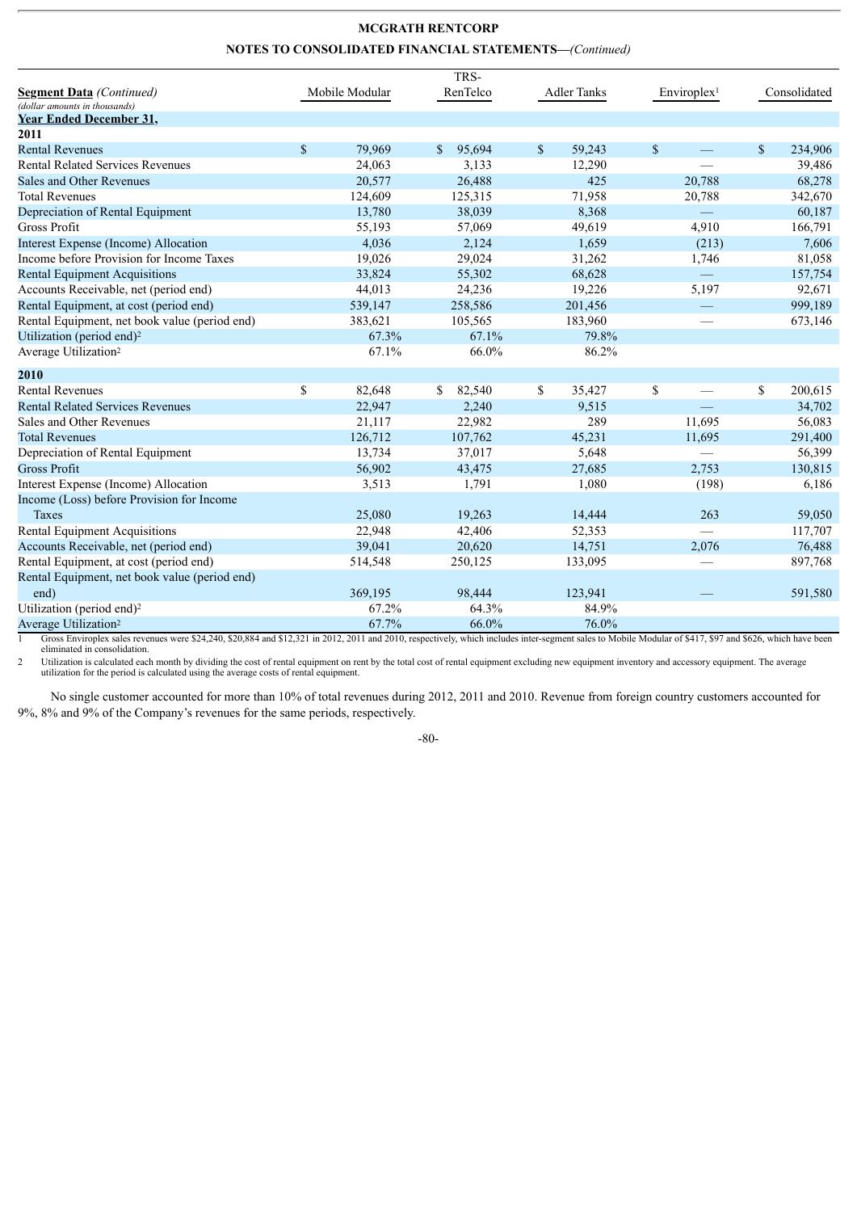# **MCGRATH RENTCORP NOTES TO CONSOLIDATED FINANCIAL STATEMENTS—***(Continued)*

|                                                                  |              |                | TRS-                   |              |                                               |              |          |              |              |
|------------------------------------------------------------------|--------------|----------------|------------------------|--------------|-----------------------------------------------|--------------|----------|--------------|--------------|
| <b>Segment Data</b> (Continued)<br>(dollar amounts in thousands) |              | Mobile Modular | RenTelco               |              | <b>Adler Tanks</b><br>Enviroplex <sup>1</sup> |              |          |              | Consolidated |
| <b>Year Ended December 31,</b>                                   |              |                |                        |              |                                               |              |          |              |              |
| 2011                                                             |              |                |                        |              |                                               |              |          |              |              |
| <b>Rental Revenues</b>                                           | $\mathbb{S}$ | 79,969         | $\mathbb{S}$<br>95,694 | $\mathbf{s}$ | 59,243                                        | $\mathbb{S}$ |          | $\mathbb{S}$ | 234,906      |
| <b>Rental Related Services Revenues</b>                          |              | 24,063         | 3,133                  |              | 12,290                                        |              |          |              | 39,486       |
| Sales and Other Revenues                                         |              | 20,577         | 26,488                 |              | 425                                           |              | 20,788   |              | 68,278       |
| <b>Total Revenues</b>                                            |              | 124,609        | 125,315                |              | 71,958                                        |              | 20,788   |              | 342,670      |
| Depreciation of Rental Equipment                                 |              | 13,780         | 38,039                 |              | 8,368                                         |              |          |              | 60,187       |
| Gross Profit                                                     |              | 55,193         | 57,069                 |              | 49,619                                        |              | 4,910    |              | 166,791      |
| Interest Expense (Income) Allocation                             |              | 4,036          | 2,124                  |              | 1,659                                         |              | (213)    |              | 7,606        |
| Income before Provision for Income Taxes                         |              | 19,026         | 29,024                 |              | 31,262                                        |              | 1,746    |              | 81,058       |
| <b>Rental Equipment Acquisitions</b>                             |              | 33,824         | 55,302                 |              | 68,628                                        |              | $\equiv$ |              | 157,754      |
| Accounts Receivable, net (period end)                            |              | 44,013         | 24,236                 |              | 19,226                                        |              | 5,197    |              | 92,671       |
| Rental Equipment, at cost (period end)                           |              | 539,147        | 258,586                |              | 201,456                                       |              |          |              | 999,189      |
| Rental Equipment, net book value (period end)                    |              | 383,621        | 105,565                |              | 183,960                                       |              |          |              | 673,146      |
| Utilization (period end) <sup>2</sup>                            |              | 67.3%          | 67.1%                  |              | 79.8%                                         |              |          |              |              |
| Average Utilization <sup>2</sup>                                 |              | 67.1%          | 66.0%                  |              | 86.2%                                         |              |          |              |              |
| 2010                                                             |              |                |                        |              |                                               |              |          |              |              |
| <b>Rental Revenues</b>                                           | \$           | 82,648         | 82,540<br>S.           | \$           | 35,427                                        | \$           |          | \$           | 200,615      |
| <b>Rental Related Services Revenues</b>                          |              | 22,947         | 2,240                  |              | 9,515                                         |              |          |              | 34,702       |
| Sales and Other Revenues                                         |              | 21,117         | 22,982                 |              | 289                                           |              | 11,695   |              | 56,083       |
| <b>Total Revenues</b>                                            |              | 126,712        | 107,762                |              | 45,231                                        |              | 11,695   |              | 291,400      |
| Depreciation of Rental Equipment                                 |              | 13,734         | 37,017                 |              | 5,648                                         |              |          |              | 56,399       |
| <b>Gross Profit</b>                                              |              | 56,902         | 43,475                 |              | 27,685                                        |              | 2,753    |              | 130,815      |
| Interest Expense (Income) Allocation                             |              | 3,513          | 1,791                  |              | 1,080                                         |              | (198)    |              | 6,186        |
| Income (Loss) before Provision for Income                        |              |                |                        |              |                                               |              |          |              |              |
| Taxes                                                            |              | 25,080         | 19,263                 |              | 14,444                                        |              | 263      |              | 59,050       |
| Rental Equipment Acquisitions                                    |              | 22,948         | 42,406                 |              | 52,353                                        |              |          |              | 117,707      |
| Accounts Receivable, net (period end)                            |              | 39,041         | 20,620                 |              | 14,751                                        |              | 2,076    |              | 76,488       |
| Rental Equipment, at cost (period end)                           |              | 514,548        | 250,125                |              | 133,095                                       |              |          |              | 897,768      |
| Rental Equipment, net book value (period end)                    |              |                |                        |              |                                               |              |          |              |              |
| end)                                                             |              | 369,195        | 98,444                 |              | 123,941                                       |              |          |              | 591,580      |
| Utilization (period end) <sup>2</sup>                            |              | 67.2%          | 64.3%                  |              | 84.9%                                         |              |          |              |              |
| Average Utilization <sup>2</sup>                                 |              | 67.7%          | 66.0%                  |              | 76.0%                                         |              |          |              |              |

Gross Enviroplex sales revenues were \$24,240, \$20,884 and \$12,321 in 2012, 2011 and 2010, respectively, which includes inter-segment sales to Mobile Modular of \$417, \$97 and \$626, which have been eliminated in consolidation.

2 Utilization is calculated each month by dividing the cost of rental equipment on rent by the total cost of rental equipment excluding new equipment inventory and accessory equipment. The average utilization for the perio

No single customer accounted for more than 10% of total revenues during 2012, 2011 and 2010. Revenue from foreign country customers accounted for 9%, 8% and 9% of the Company's revenues for the same periods, respectively.

-80-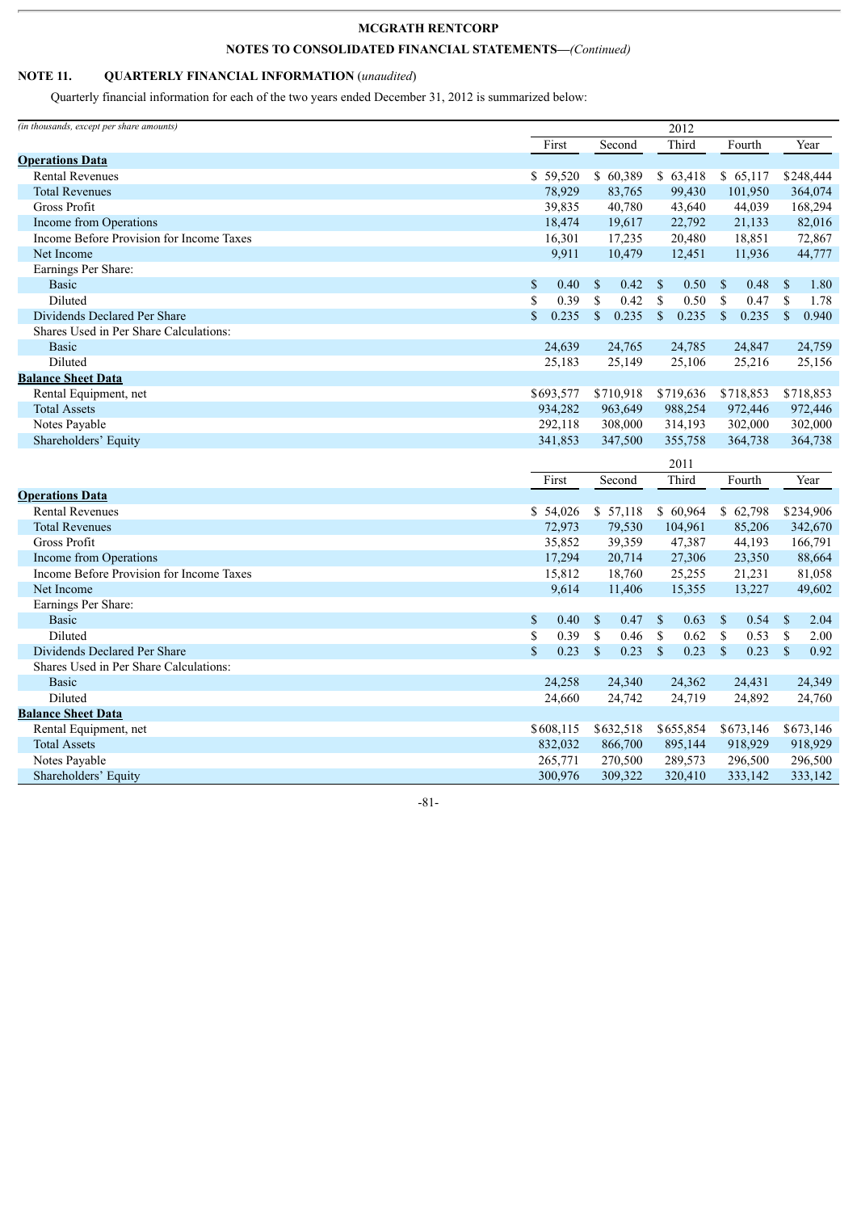# **NOTES TO CONSOLIDATED FINANCIAL STATEMENTS—***(Continued)*

# **NOTE 11. QUARTERLY FINANCIAL INFORMATION** (*unaudited*)

Quarterly financial information for each of the two years ended December 31, 2012 is summarized below:

| (in thousands, except per share amounts)                           |                      |                       | 2012                              |                                   |                       |
|--------------------------------------------------------------------|----------------------|-----------------------|-----------------------------------|-----------------------------------|-----------------------|
|                                                                    | First                | Second                | Third                             | Fourth                            | Year                  |
| <b>Operations Data</b>                                             |                      |                       |                                   |                                   |                       |
| <b>Rental Revenues</b>                                             | \$59,520             | \$60,389              | \$63,418                          | \$65,117                          | \$248,444             |
| <b>Total Revenues</b>                                              | 78,929               | 83,765                | 99,430                            | 101,950                           | 364,074               |
| <b>Gross Profit</b>                                                | 39,835               | 40,780                | 43,640                            | 44,039                            | 168,294               |
| Income from Operations                                             | 18,474               | 19,617                | 22,792                            | 21,133                            | 82,016                |
| Income Before Provision for Income Taxes                           | 16,301               | 17,235                | 20,480                            | 18,851                            | 72,867                |
| Net Income                                                         | 9,911                | 10,479                | 12,451                            | 11,936                            | 44,777                |
| Earnings Per Share:                                                |                      |                       |                                   |                                   |                       |
| <b>Basic</b>                                                       | \$<br>0.40           | $\mathcal{S}$<br>0.42 | $\boldsymbol{\mathsf{S}}$<br>0.50 | $\mathbb S$<br>0.48               | $\mathbb{S}$<br>1.80  |
| Diluted                                                            | \$<br>0.39           | $\mathbf S$<br>0.42   | <sup>\$</sup><br>0.50             | $\mathbf S$<br>0.47               | <sup>\$</sup><br>1.78 |
| Dividends Declared Per Share                                       | $\mathbf S$<br>0.235 | $\sqrt{\ }$<br>0.235  | $\mathbb{S}$<br>0.235             | $\mathbb{S}$<br>0.235             | $\mathbf{s}$<br>0.940 |
| Shares Used in Per Share Calculations:                             |                      |                       |                                   |                                   |                       |
| <b>Basic</b>                                                       | 24,639               | 24,765                | 24,785                            | 24,847                            | 24,759                |
| Diluted                                                            | 25,183               | 25,149                | 25,106                            | 25,216                            | 25,156                |
| <b>Balance Sheet Data</b>                                          |                      |                       |                                   |                                   |                       |
| Rental Equipment, net                                              | \$693,577            | \$710,918             | \$719,636                         | \$718,853                         | \$718,853             |
| <b>Total Assets</b>                                                | 934,282              | 963,649               | 988,254                           | 972,446                           | 972,446               |
| Notes Payable                                                      | 292,118              | 308,000               | 314,193                           | 302,000                           | 302,000               |
| Shareholders' Equity                                               | 341,853              | 347,500               | 355,758                           | 364,738                           | 364,738               |
|                                                                    |                      |                       | 2011                              |                                   |                       |
|                                                                    | First                |                       | Third                             |                                   | Year                  |
|                                                                    |                      | Second                |                                   | Fourth                            |                       |
| <b>Operations Data</b><br><b>Rental Revenues</b>                   | \$54,026             | \$57,118              | \$60,964                          | \$62,798                          | \$234,906             |
| <b>Total Revenues</b>                                              | 72,973               | 79,530                | 104,961                           | 85,206                            | 342,670               |
| Gross Profit                                                       | 35,852               | 39,359                |                                   |                                   |                       |
|                                                                    | 17,294               | 20,714                | 47,387<br>27,306                  | 44,193<br>23,350                  | 166,791<br>88,664     |
| Income from Operations<br>Income Before Provision for Income Taxes | 15,812               |                       |                                   |                                   |                       |
| Net Income                                                         | 9,614                | 18,760                | 25,255<br>15,355                  | 21,231<br>13,227                  | 81,058<br>49,602      |
| Earnings Per Share:                                                |                      | 11,406                |                                   |                                   |                       |
| <b>Basic</b>                                                       | \$<br>0.40           | $\mathcal{S}$<br>0.47 | $\mathbb{S}$<br>0.63              | $\mathbb{S}$<br>0.54              | $\mathcal{S}$<br>2.04 |
| Diluted                                                            | \$<br>0.39           | \$<br>0.46            | $\mathcal{S}$<br>0.62             | \$<br>0.53                        | $\mathbb{S}$<br>2.00  |
| Dividends Declared Per Share                                       | $\mathbb{S}$<br>0.23 | $\mathsf{\$}$<br>0.23 | $\mathbb{S}$<br>0.23              | $\boldsymbol{\mathsf{S}}$<br>0.23 | $\mathbb{S}$<br>0.92  |
| Shares Used in Per Share Calculations:                             |                      |                       |                                   |                                   |                       |
| <b>Basic</b>                                                       | 24,258               | 24,340                | 24,362                            | 24,431                            | 24,349                |
| Diluted                                                            |                      |                       |                                   |                                   |                       |
|                                                                    | 24,660               | 24,742                | 24,719                            | 24,892                            | 24,760                |
| <b>Balance Sheet Data</b>                                          |                      |                       |                                   |                                   |                       |
| Rental Equipment, net                                              | \$608,115            | \$632,518             | \$655,854                         | \$673,146                         | \$673,146             |
| <b>Total Assets</b>                                                | 832,032              | 866,700               | 895,144                           | 918,929                           | 918,929               |
| Notes Payable<br>Shareholders' Equity                              | 265,771              | 270,500               | 289,573<br>320,410                | 296,500<br>333,142                | 296,500<br>333,142    |
|                                                                    | 300,976              | 309,322               |                                   |                                   |                       |

-81-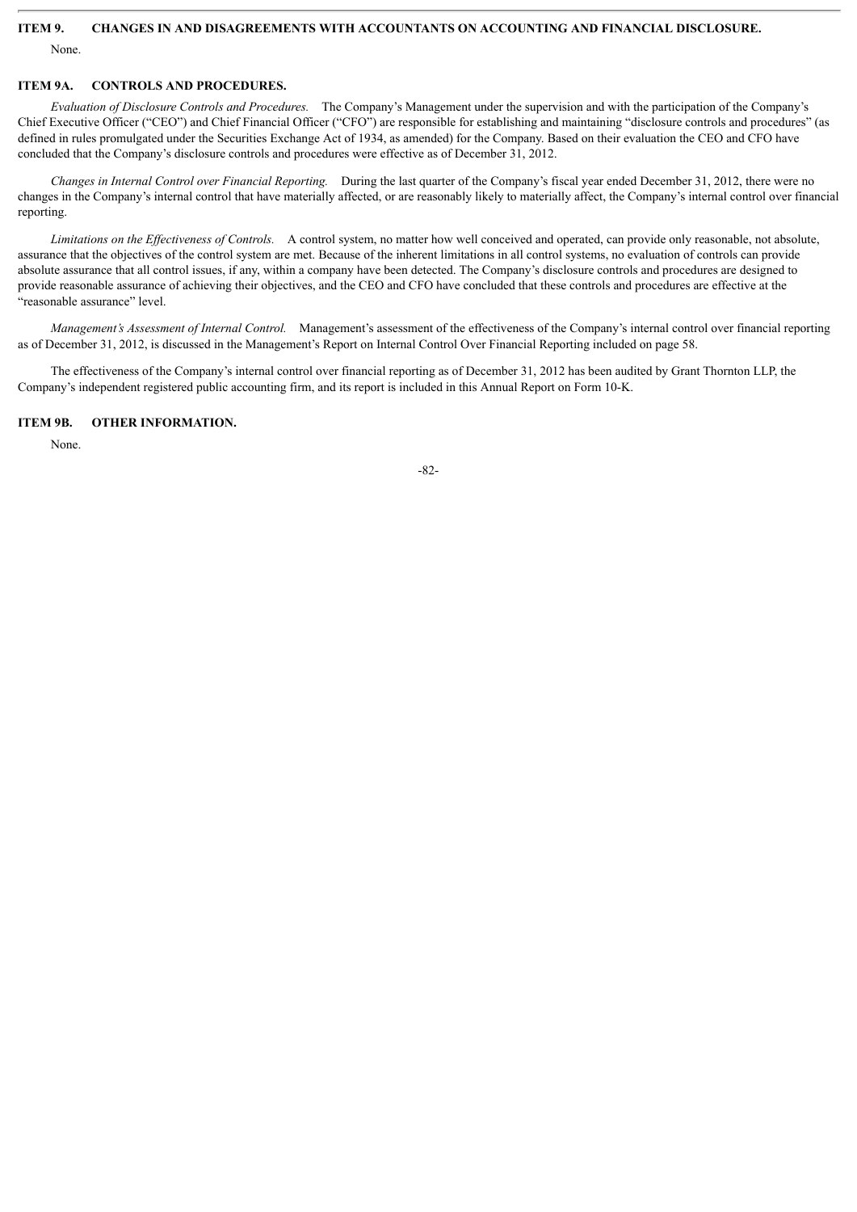# **ITEM 9. CHANGES IN AND DISAGREEMENTS WITH ACCOUNTANTS ON ACCOUNTING AND FINANCIAL DISCLOSURE.**

None.

# **ITEM 9A. CONTROLS AND PROCEDURES.**

*Evaluation of Disclosure Controls and Procedures.* The Company's Management under the supervision and with the participation of the Company's Chief Executive Officer ("CEO") and Chief Financial Officer ("CFO") are responsible for establishing and maintaining "disclosure controls and procedures" (as defined in rules promulgated under the Securities Exchange Act of 1934, as amended) for the Company. Based on their evaluation the CEO and CFO have concluded that the Company's disclosure controls and procedures were effective as of December 31, 2012.

*Changes in Internal Control over Financial Reporting.* During the last quarter of the Company's fiscal year ended December 31, 2012, there were no changes in the Company's internal control that have materially affected, or are reasonably likely to materially affect, the Company's internal control over financial reporting.

*Limitations on the Effectiveness of Controls.* A control system, no matter how well conceived and operated, can provide only reasonable, not absolute, assurance that the objectives of the control system are met. Because of the inherent limitations in all control systems, no evaluation of controls can provide absolute assurance that all control issues, if any, within a company have been detected. The Company's disclosure controls and procedures are designed to provide reasonable assurance of achieving their objectives, and the CEO and CFO have concluded that these controls and procedures are effective at the "reasonable assurance" level.

*Management's Assessment of Internal Control.* Management's assessment of the effectiveness of the Company's internal control over financial reporting as of December 31, 2012, is discussed in the Management's Report on Internal Control Over Financial Reporting included on page 58.

The effectiveness of the Company's internal control over financial reporting as of December 31, 2012 has been audited by Grant Thornton LLP, the Company's independent registered public accounting firm, and its report is included in this Annual Report on Form 10-K.

# **ITEM 9B. OTHER INFORMATION.**

None.

-82-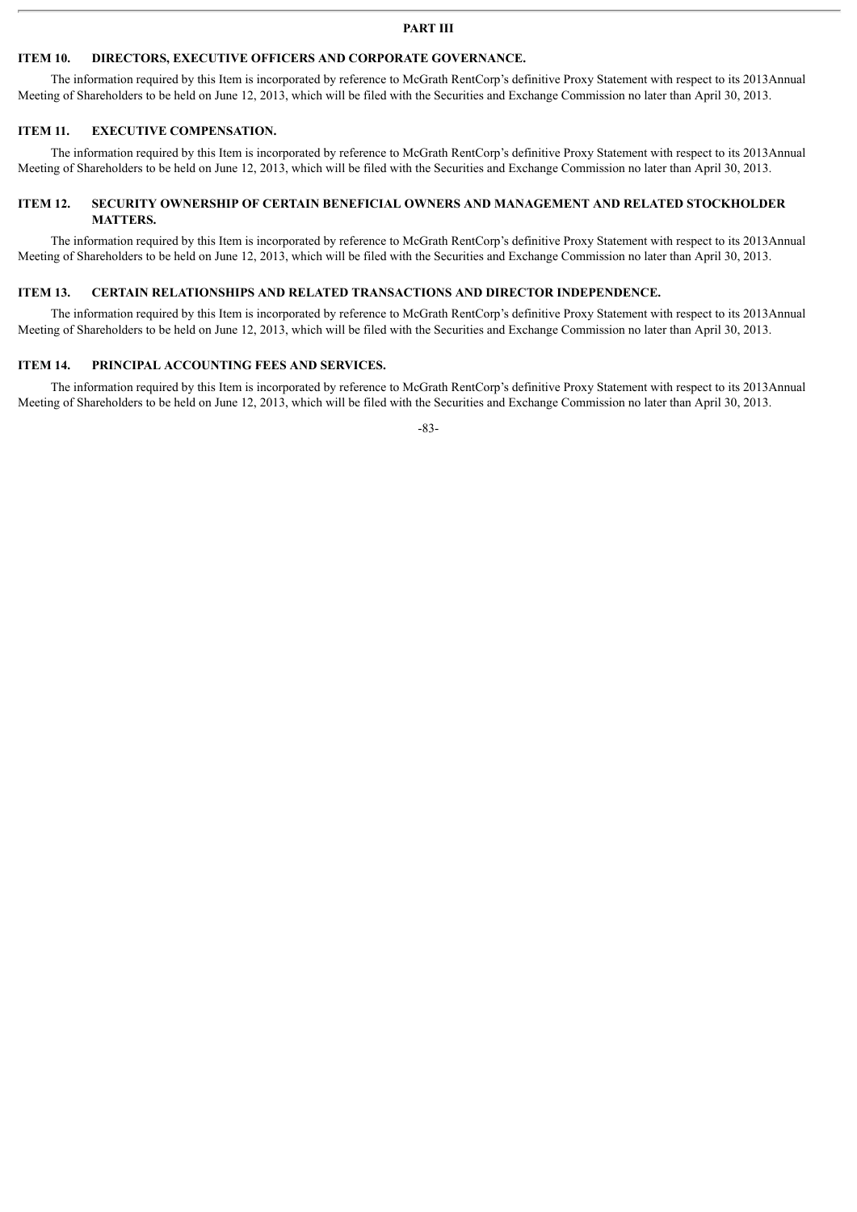#### **PART III**

# **ITEM 10. DIRECTORS, EXECUTIVE OFFICERS AND CORPORATE GOVERNANCE.**

The information required by this Item is incorporated by reference to McGrath RentCorp's definitive Proxy Statement with respect to its 2013Annual Meeting of Shareholders to be held on June 12, 2013, which will be filed with the Securities and Exchange Commission no later than April 30, 2013.

### **ITEM 11. EXECUTIVE COMPENSATION.**

The information required by this Item is incorporated by reference to McGrath RentCorp's definitive Proxy Statement with respect to its 2013Annual Meeting of Shareholders to be held on June 12, 2013, which will be filed with the Securities and Exchange Commission no later than April 30, 2013.

### **ITEM 12. SECURITY OWNERSHIP OF CERTAIN BENEFICIAL OWNERS AND MANAGEMENT AND RELATED STOCKHOLDER MATTERS.**

The information required by this Item is incorporated by reference to McGrath RentCorp's definitive Proxy Statement with respect to its 2013Annual Meeting of Shareholders to be held on June 12, 2013, which will be filed with the Securities and Exchange Commission no later than April 30, 2013.

# **ITEM 13. CERTAIN RELATIONSHIPS AND RELATED TRANSACTIONS AND DIRECTOR INDEPENDENCE.**

The information required by this Item is incorporated by reference to McGrath RentCorp's definitive Proxy Statement with respect to its 2013Annual Meeting of Shareholders to be held on June 12, 2013, which will be filed with the Securities and Exchange Commission no later than April 30, 2013.

# **ITEM 14. PRINCIPAL ACCOUNTING FEES AND SERVICES.**

The information required by this Item is incorporated by reference to McGrath RentCorp's definitive Proxy Statement with respect to its 2013Annual Meeting of Shareholders to be held on June 12, 2013, which will be filed with the Securities and Exchange Commission no later than April 30, 2013.

-83-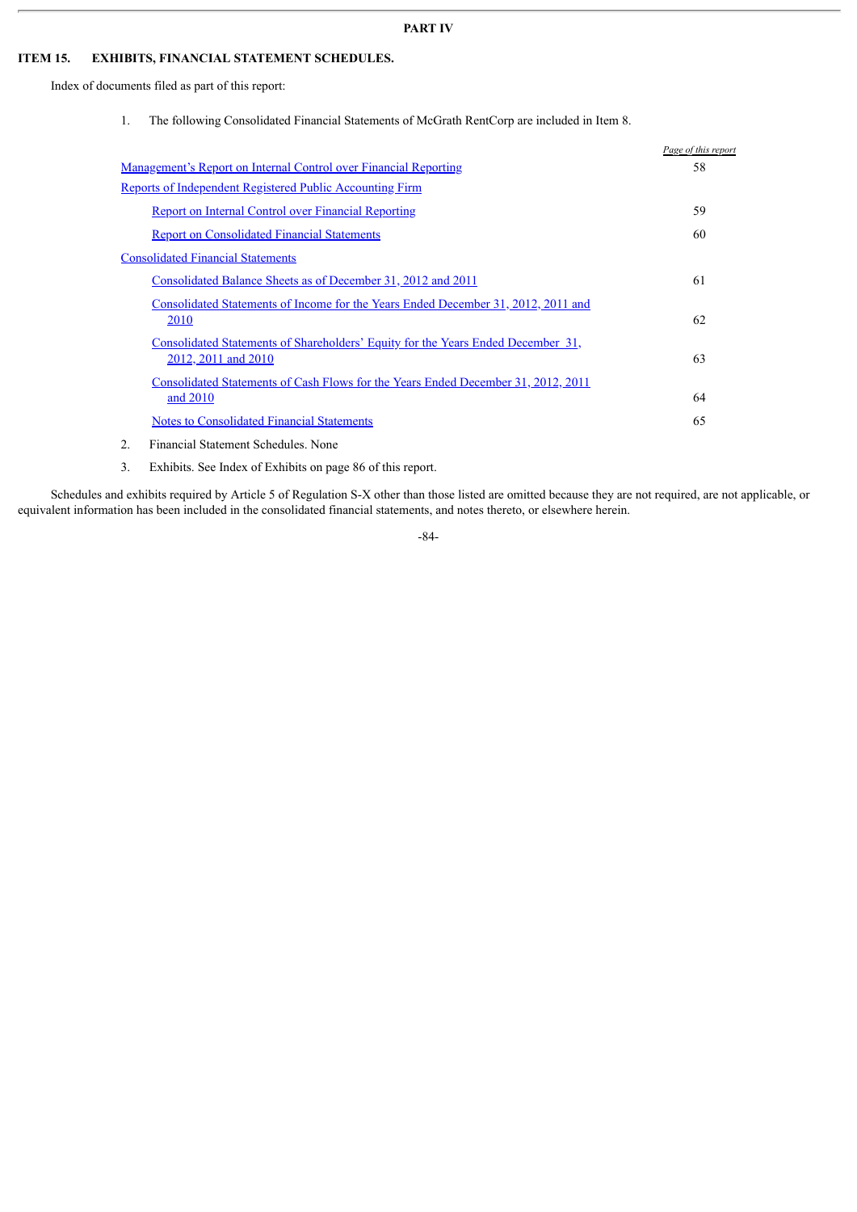# **PART IV**

# **ITEM 15. EXHIBITS, FINANCIAL STATEMENT SCHEDULES.**

Index of documents filed as part of this report:

### 1. The following Consolidated Financial Statements of McGrath RentCorp are included in Item 8.

|                                                                                                         | Page of this report |
|---------------------------------------------------------------------------------------------------------|---------------------|
| <u>Management's Report on Internal Control over Financial Reporting</u>                                 | 58                  |
| <u>Reports of Independent Registered Public Accounting Firm</u>                                         |                     |
| <b>Report on Internal Control over Financial Reporting</b>                                              | 59                  |
| <b>Report on Consolidated Financial Statements</b>                                                      | 60                  |
| <b>Consolidated Financial Statements</b>                                                                |                     |
| Consolidated Balance Sheets as of December 31, 2012 and 2011                                            | 61                  |
| Consolidated Statements of Income for the Years Ended December 31, 2012, 2011 and<br>2010               | 62                  |
| Consolidated Statements of Shareholders' Equity for the Years Ended December 31,<br>2012, 2011 and 2010 | 63                  |
| Consolidated Statements of Cash Flows for the Years Ended December 31, 2012, 2011<br>and 2010           | 64                  |
| <b>Notes to Consolidated Financial Statements</b>                                                       | 65                  |
| Financial Statement Schedules. None<br>$\overline{2}$ .                                                 |                     |

3. Exhibits. See Index of Exhibits on page 86 of this report.

Schedules and exhibits required by Article 5 of Regulation S-X other than those listed are omitted because they are not required, are not applicable, or equivalent information has been included in the consolidated financial statements, and notes thereto, or elsewhere herein.

-84-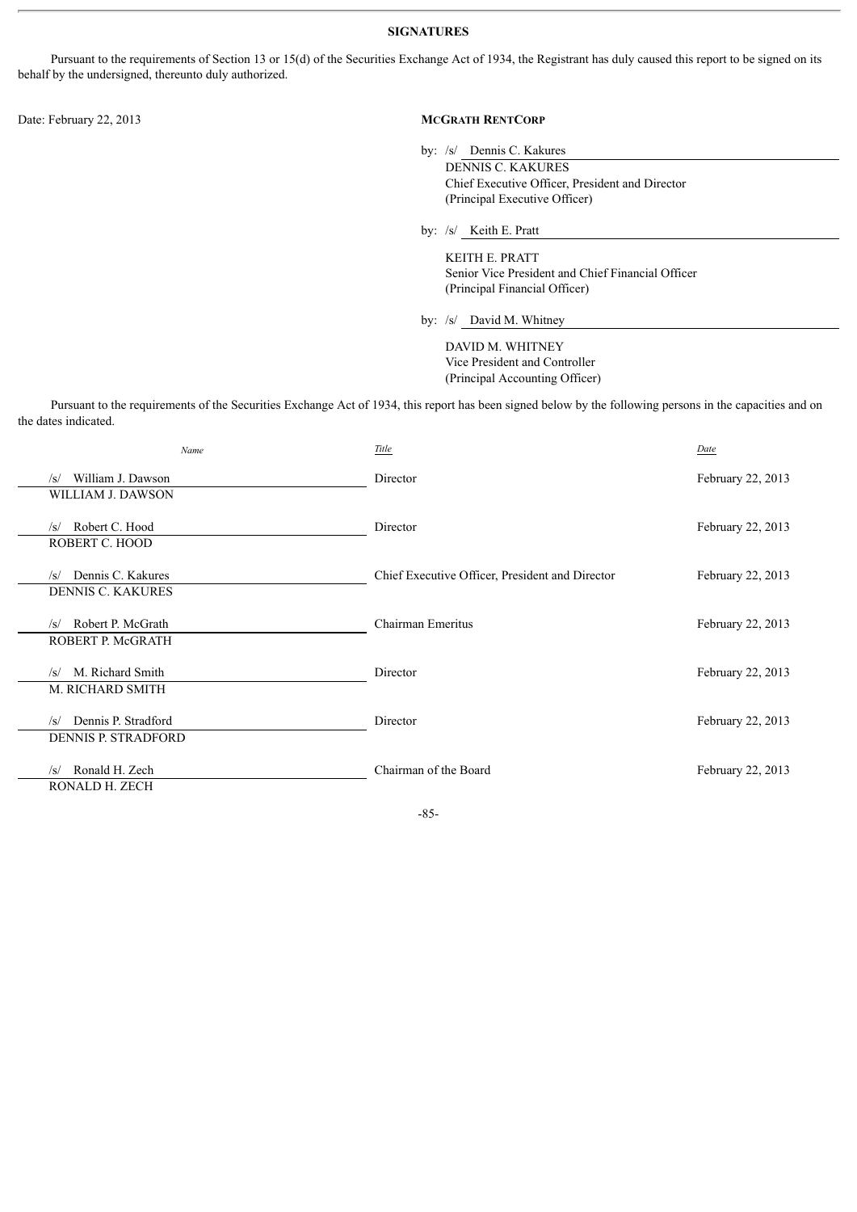### **SIGNATURES**

Pursuant to the requirements of Section 13 or 15(d) of the Securities Exchange Act of 1934, the Registrant has duly caused this report to be signed on its behalf by the undersigned, thereunto duly authorized.

# Date: February 22, 2013 **MCGRATH RENTCORP**

by: /s/ Dennis C. Kakures DENNIS C. KAKURES Chief Executive Officer, President and Director (Principal Executive Officer)

by: /s/ Keith E. Pratt

KEITH E. PRATT Senior Vice President and Chief Financial Officer (Principal Financial Officer)

by: /s/ David M. Whitney

DAVID M. WHITNEY Vice President and Controller (Principal Accounting Officer)

Pursuant to the requirements of the Securities Exchange Act of 1934, this report has been signed below by the following persons in the capacities and on the dates indicated.

| Name                                                     | Title                                           | Date              |
|----------------------------------------------------------|-------------------------------------------------|-------------------|
| William J. Dawson<br>$\sqrt{s}$                          | Director                                        | February 22, 2013 |
| WILLIAM J. DAWSON                                        |                                                 |                   |
| Robert C. Hood<br>/S/                                    | Director                                        | February 22, 2013 |
| ROBERT C. HOOD                                           |                                                 |                   |
| Dennis C. Kakures<br>$\sqrt{s}$                          | Chief Executive Officer, President and Director | February 22, 2013 |
| <b>DENNIS C. KAKURES</b>                                 |                                                 |                   |
| Robert P. McGrath<br>$\sqrt{s}$                          | Chairman Emeritus                               | February 22, 2013 |
| ROBERT P. McGRATH                                        |                                                 |                   |
| M. Richard Smith<br>$\sqrt{s}$                           | Director                                        | February 22, 2013 |
| M. RICHARD SMITH                                         |                                                 |                   |
|                                                          |                                                 |                   |
| Dennis P. Stradford<br>$\sqrt{s}$<br>DENNIS P. STRADFORD | Director                                        | February 22, 2013 |
|                                                          |                                                 |                   |
| Ronald H. Zech<br>$\sqrt{s}$<br>RONALD H. ZECH           | Chairman of the Board                           | February 22, 2013 |
|                                                          |                                                 |                   |

-85-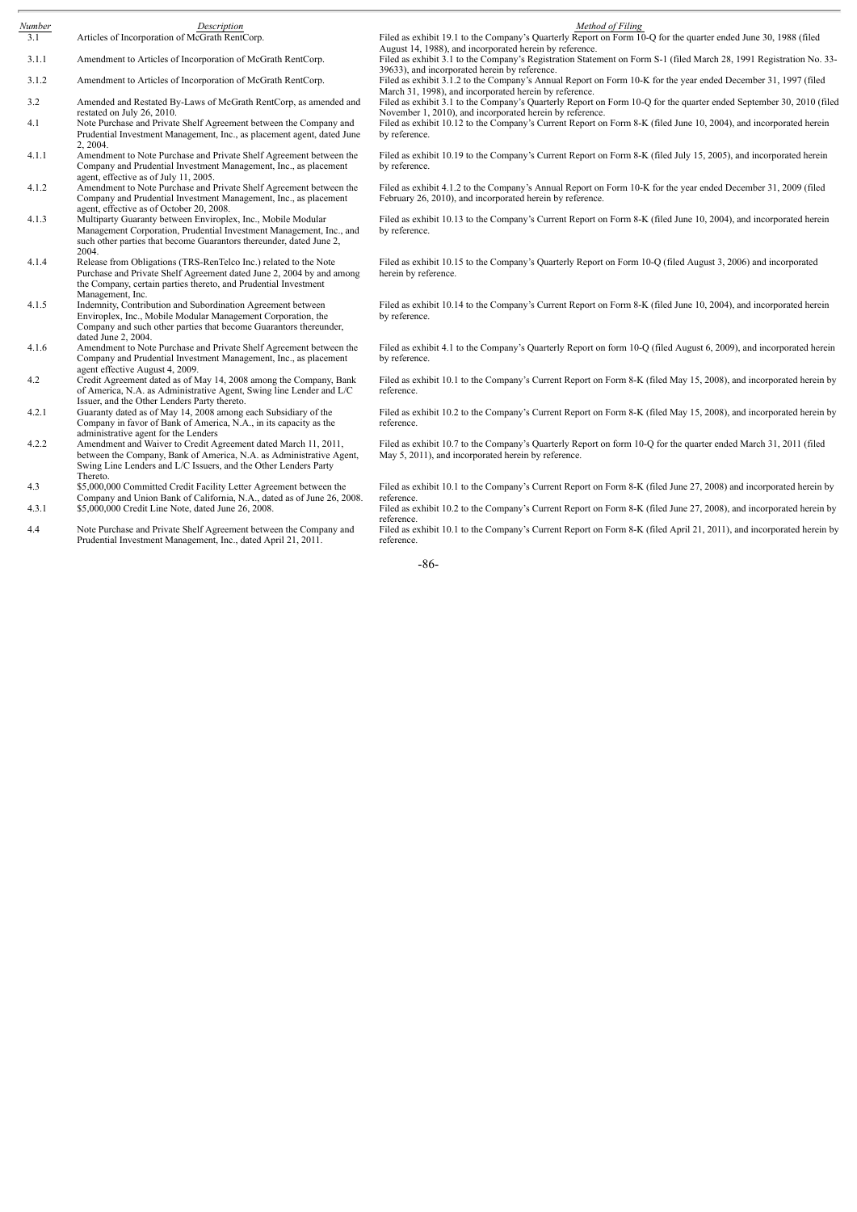| <b>Number</b> | Description                                                                                                                                                                                                                     | Method of Filing                                                                                                                                                                |
|---------------|---------------------------------------------------------------------------------------------------------------------------------------------------------------------------------------------------------------------------------|---------------------------------------------------------------------------------------------------------------------------------------------------------------------------------|
| 3.1           | Articles of Incorporation of McGrath RentCorp.                                                                                                                                                                                  | Filed as exhibit 19.1 to the Company's Quarterly Report on Form 10-Q for the quarter ended June 30, 1988 (filed<br>August 14, 1988), and incorporated herein by reference.      |
| 3.1.1         | Amendment to Articles of Incorporation of McGrath RentCorp.                                                                                                                                                                     | Filed as exhibit 3.1 to the Company's Registration Statement on Form S-1 (filed March 28, 1991 Registration No. 33-<br>39633), and incorporated herein by reference.            |
| 3.1.2         | Amendment to Articles of Incorporation of McGrath RentCorp.                                                                                                                                                                     | Filed as exhibit 3.1.2 to the Company's Annual Report on Form 10-K for the year ended December 31, 1997 (filed<br>March 31, 1998), and incorporated herein by reference.        |
| 3.2           | Amended and Restated By-Laws of McGrath RentCorp, as amended and<br>restated on July 26, 2010.                                                                                                                                  | Filed as exhibit 3.1 to the Company's Quarterly Report on Form 10-Q for the quarter ended September 30, 2010 (filed<br>November 1, 2010), and incorporated herein by reference. |
| 4.1           | Note Purchase and Private Shelf Agreement between the Company and<br>Prudential Investment Management, Inc., as placement agent, dated June<br>2, 2004.                                                                         | Filed as exhibit 10.12 to the Company's Current Report on Form 8-K (filed June 10, 2004), and incorporated herein<br>by reference.                                              |
| 4.1.1         | Amendment to Note Purchase and Private Shelf Agreement between the<br>Company and Prudential Investment Management, Inc., as placement<br>agent, effective as of July 11, 2005.                                                 | Filed as exhibit 10.19 to the Company's Current Report on Form 8-K (filed July 15, 2005), and incorporated herein<br>by reference.                                              |
| 4.1.2         | Amendment to Note Purchase and Private Shelf Agreement between the<br>Company and Prudential Investment Management, Inc., as placement<br>agent, effective as of October 20, 2008.                                              | Filed as exhibit 4.1.2 to the Company's Annual Report on Form 10-K for the year ended December 31, 2009 (filed<br>February 26, 2010), and incorporated herein by reference.     |
| 4.1.3         | Multiparty Guaranty between Enviroplex, Inc., Mobile Modular<br>Management Corporation, Prudential Investment Management, Inc., and<br>such other parties that become Guarantors thereunder, dated June 2,<br>2004.             | Filed as exhibit 10.13 to the Company's Current Report on Form 8-K (filed June 10, 2004), and incorporated herein<br>by reference.                                              |
| 4.1.4         | Release from Obligations (TRS-RenTelco Inc.) related to the Note<br>Purchase and Private Shelf Agreement dated June 2, 2004 by and among<br>the Company, certain parties thereto, and Prudential Investment<br>Management, Inc. | Filed as exhibit 10.15 to the Company's Quarterly Report on Form 10-Q (filed August 3, 2006) and incorporated<br>herein by reference.                                           |
| 4.1.5         | Indemnity, Contribution and Subordination Agreement between<br>Enviroplex, Inc., Mobile Modular Management Corporation, the<br>Company and such other parties that become Guarantors thereunder,<br>dated June 2, 2004.         | Filed as exhibit 10.14 to the Company's Current Report on Form 8-K (filed June 10, 2004), and incorporated herein<br>by reference.                                              |
| 4.1.6         | Amendment to Note Purchase and Private Shelf Agreement between the<br>Company and Prudential Investment Management, Inc., as placement<br>agent effective August 4, 2009.                                                       | Filed as exhibit 4.1 to the Company's Quarterly Report on form 10-Q (filed August 6, 2009), and incorporated herein<br>by reference.                                            |
| 4.2           | Credit Agreement dated as of May 14, 2008 among the Company, Bank<br>of America, N.A. as Administrative Agent, Swing line Lender and L/C<br>Issuer, and the Other Lenders Party thereto.                                        | Filed as exhibit 10.1 to the Company's Current Report on Form 8-K (filed May 15, 2008), and incorporated herein by<br>reference.                                                |
| 4.2.1         | Guaranty dated as of May 14, 2008 among each Subsidiary of the<br>Company in favor of Bank of America, N.A., in its capacity as the<br>administrative agent for the Lenders                                                     | Filed as exhibit 10.2 to the Company's Current Report on Form 8-K (filed May 15, 2008), and incorporated herein by<br>reference.                                                |
| 4.2.2         | Amendment and Waiver to Credit Agreement dated March 11, 2011,<br>between the Company, Bank of America, N.A. as Administrative Agent,<br>Swing Line Lenders and L/C Issuers, and the Other Lenders Party<br>Thereto.            | Filed as exhibit 10.7 to the Company's Quarterly Report on form 10-Q for the quarter ended March 31, 2011 (filed<br>May 5, 2011), and incorporated herein by reference.         |
| 4.3           | \$5,000,000 Committed Credit Facility Letter Agreement between the                                                                                                                                                              | Filed as exhibit 10.1 to the Company's Current Report on Form 8-K (filed June 27, 2008) and incorporated herein by                                                              |

- \$5,000,000 Committed Credit Facility Letter Agreement between the Company and Union Bank of California, N.A., dated as of June 26, 2008. \$5,000,000 Credit Line Note, dated June 26, 2008. 4.3.1
- 4.4 Note Purchase and Private Shelf Agreement between the Company and Prudential Investment Management, Inc., dated April 21, 2011.

 $\overline{\phantom{0}}$ 

Filed as exhibit 10.1 to the Company's Current Report on Form 8-K (filed June 27, 2008) and incorporated herein by<br>reference.<br>Filed as exhibit 10.2 to the Company's Current Report on Form 8-K (filed June 27, 2008), and inc reference. Filed as exhibit 10.1 to the Company's Current Report on Form 8-K (filed April 21, 2011), and incorporated herein by reference.

-86-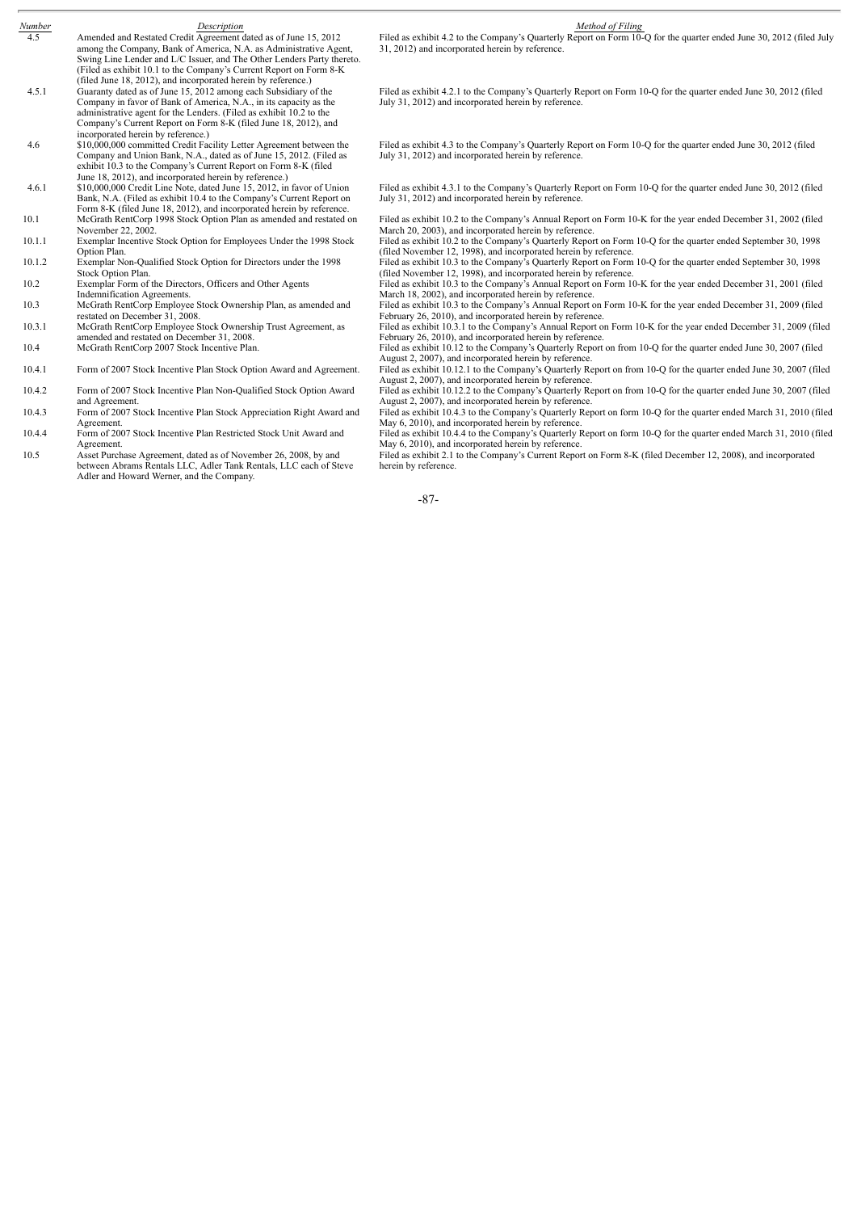| Number | Description                                                                                                                                                                                                    | Method of Filing                                                                                                                                                             |
|--------|----------------------------------------------------------------------------------------------------------------------------------------------------------------------------------------------------------------|------------------------------------------------------------------------------------------------------------------------------------------------------------------------------|
| 4.5    | Amended and Restated Credit Agreement dated as of June 15, 2012<br>among the Company, Bank of America, N.A. as Administrative Agent,                                                                           | Filed as exhibit 4.2 to the Company's Quarterly Report on Form 10-Q for the quarter ended June 30, 2012 (filed July<br>31, 2012) and incorporated herein by reference.       |
|        | Swing Line Lender and L/C Issuer, and The Other Lenders Party thereto.<br>(Filed as exhibit 10.1 to the Company's Current Report on Form 8-K)<br>(filed June 18, 2012), and incorporated herein by reference.) |                                                                                                                                                                              |
| 4.5.1  | Guaranty dated as of June 15, 2012 among each Subsidiary of the<br>Company in favor of Bank of America, N.A., in its capacity as the                                                                           | Filed as exhibit 4.2.1 to the Company's Quarterly Report on Form 10-Q for the quarter ended June 30, 2012 (filed<br>July 31, 2012) and incorporated herein by reference.     |
|        | administrative agent for the Lenders. (Filed as exhibit 10.2 to the<br>Company's Current Report on Form 8-K (filed June 18, 2012), and                                                                         |                                                                                                                                                                              |
|        | incorporated herein by reference.)                                                                                                                                                                             |                                                                                                                                                                              |
| 4.6    | \$10,000,000 committed Credit Facility Letter Agreement between the<br>Company and Union Bank, N.A., dated as of June 15, 2012. (Filed as                                                                      | Filed as exhibit 4.3 to the Company's Quarterly Report on Form 10-Q for the quarter ended June 30, 2012 (filed<br>July 31, 2012) and incorporated herein by reference.       |
|        | exhibit 10.3 to the Company's Current Report on Form 8-K (filed                                                                                                                                                |                                                                                                                                                                              |
|        | June 18, 2012), and incorporated herein by reference.)                                                                                                                                                         |                                                                                                                                                                              |
| 4.6.1  | \$10,000,000 Credit Line Note, dated June 15, 2012, in favor of Union                                                                                                                                          | Filed as exhibit 4.3.1 to the Company's Quarterly Report on Form 10-Q for the quarter ended June 30, 2012 (filed                                                             |
|        | Bank, N.A. (Filed as exhibit 10.4 to the Company's Current Report on                                                                                                                                           | July 31, 2012) and incorporated herein by reference.                                                                                                                         |
|        | Form 8-K (filed June 18, 2012), and incorporated herein by reference.                                                                                                                                          |                                                                                                                                                                              |
| 10.1   | McGrath RentCorp 1998 Stock Option Plan as amended and restated on                                                                                                                                             | Filed as exhibit 10.2 to the Company's Annual Report on Form 10-K for the year ended December 31, 2002 (filed                                                                |
|        | November 22, 2002.                                                                                                                                                                                             | March 20, 2003), and incorporated herein by reference.                                                                                                                       |
| 10.1.1 | Exemplar Incentive Stock Option for Employees Under the 1998 Stock                                                                                                                                             | Filed as exhibit 10.2 to the Company's Quarterly Report on Form 10-Q for the quarter ended September 30, 1998                                                                |
|        | Option Plan.                                                                                                                                                                                                   | (filed November 12, 1998), and incorporated herein by reference.                                                                                                             |
| 10.1.2 | Exemplar Non-Qualified Stock Option for Directors under the 1998                                                                                                                                               | Filed as exhibit 10.3 to the Company's Quarterly Report on Form 10-Q for the quarter ended September 30, 1998                                                                |
|        | Stock Option Plan.                                                                                                                                                                                             | (filed November 12, 1998), and incorporated herein by reference.                                                                                                             |
| 10.2   | Exemplar Form of the Directors, Officers and Other Agents                                                                                                                                                      | Filed as exhibit 10.3 to the Company's Annual Report on Form 10-K for the year ended December 31, 2001 (filed                                                                |
|        | Indemnification Agreements.                                                                                                                                                                                    | March 18, 2002), and incorporated herein by reference.                                                                                                                       |
| 10.3   | McGrath RentCorp Employee Stock Ownership Plan, as amended and                                                                                                                                                 | Filed as exhibit 10.3 to the Company's Annual Report on Form 10-K for the year ended December 31, 2009 (filed                                                                |
|        | restated on December 31, 2008.                                                                                                                                                                                 | February 26, 2010), and incorporated herein by reference.                                                                                                                    |
| 10.3.1 | McGrath RentCorp Employee Stock Ownership Trust Agreement, as                                                                                                                                                  | Filed as exhibit 10.3.1 to the Company's Annual Report on Form 10-K for the year ended December 31, 2009 (filed                                                              |
|        | amended and restated on December 31, 2008.                                                                                                                                                                     | February 26, 2010), and incorporated herein by reference.                                                                                                                    |
| 10.4   | McGrath RentCorp 2007 Stock Incentive Plan.                                                                                                                                                                    | Filed as exhibit 10.12 to the Company's Quarterly Report on from 10-Q for the quarter ended June 30, 2007 (filed                                                             |
|        |                                                                                                                                                                                                                | August 2, 2007), and incorporated herein by reference.                                                                                                                       |
| 10.4.1 | Form of 2007 Stock Incentive Plan Stock Option Award and Agreement.                                                                                                                                            | Filed as exhibit 10.12.1 to the Company's Quarterly Report on from 10-Q for the quarter ended June 30, 2007 (filed<br>August 2, 2007), and incorporated herein by reference. |
| 10.4.2 | Form of 2007 Stock Incentive Plan Non-Qualified Stock Option Award                                                                                                                                             | Filed as exhibit 10.12.2 to the Company's Quarterly Report on from 10-Q for the quarter ended June 30, 2007 (filed                                                           |
|        | and Agreement.                                                                                                                                                                                                 | August 2, 2007), and incorporated herein by reference.                                                                                                                       |
| 10.4.3 | Form of 2007 Stock Incentive Plan Stock Appreciation Right Award and                                                                                                                                           | Filed as exhibit 10.4.3 to the Company's Quarterly Report on form 10-Q for the quarter ended March 31, 2010 (filed                                                           |
|        | Agreement.                                                                                                                                                                                                     | May 6, 2010), and incorporated herein by reference.                                                                                                                          |
| 10.4.4 | Form of 2007 Stock Incentive Plan Restricted Stock Unit Award and                                                                                                                                              | Filed as exhibit 10.4.4 to the Company's Quarterly Report on form 10-Q for the quarter ended March 31, 2010 (filed                                                           |

10.4.4

Agreement. Asset Purchase Agreement, dated as of November 26, 2008, by and between Abrams Rentals LLC, Adler Tank Rentals, LLC each of Steve Adler and Howard Werner, and the Company. 10.5

May 6, 2010), and incorporated herein by reference.<br>Filed as exhibit 10.4.4 to the Company's Quarterly Report on form 10-Q for the quarter ended March 31, 2010 (filed<br>May 6, 2010), and incorporated herein by reference.<br>Fil

-87-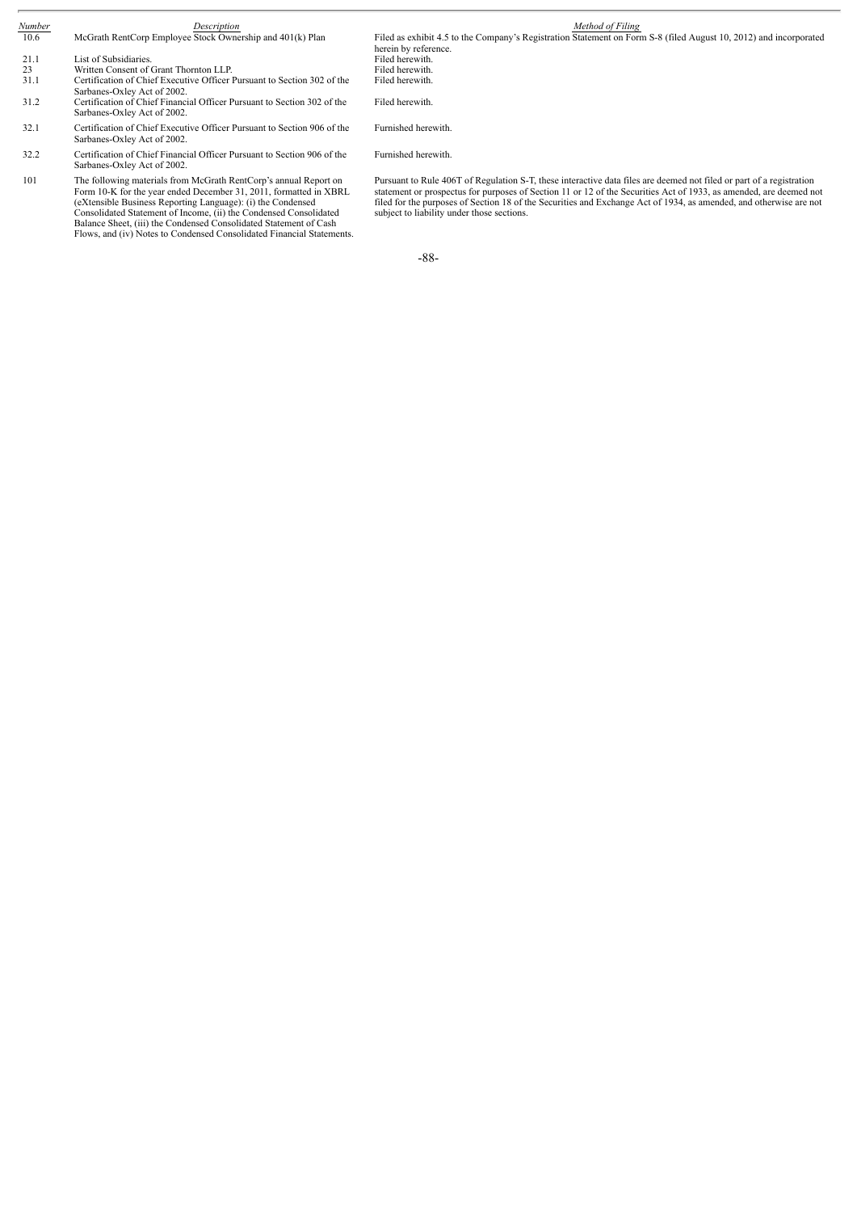| Number | Description                                                                                                                                                                                                                                                                                                                                                                                                             | Method of Filing                                                                                                                                                                                                                                                                                                                                                                                               |
|--------|-------------------------------------------------------------------------------------------------------------------------------------------------------------------------------------------------------------------------------------------------------------------------------------------------------------------------------------------------------------------------------------------------------------------------|----------------------------------------------------------------------------------------------------------------------------------------------------------------------------------------------------------------------------------------------------------------------------------------------------------------------------------------------------------------------------------------------------------------|
| 10.6   | McGrath RentCorp Employee Stock Ownership and 401(k) Plan                                                                                                                                                                                                                                                                                                                                                               | Filed as exhibit 4.5 to the Company's Registration Statement on Form S-8 (filed August 10, 2012) and incorporated<br>herein by reference.                                                                                                                                                                                                                                                                      |
| 21.1   | List of Subsidiaries.                                                                                                                                                                                                                                                                                                                                                                                                   | Filed herewith.                                                                                                                                                                                                                                                                                                                                                                                                |
| 23     | Written Consent of Grant Thornton LLP.                                                                                                                                                                                                                                                                                                                                                                                  | Filed herewith.                                                                                                                                                                                                                                                                                                                                                                                                |
| 31.1   | Certification of Chief Executive Officer Pursuant to Section 302 of the<br>Sarbanes-Oxley Act of 2002.                                                                                                                                                                                                                                                                                                                  | Filed herewith.                                                                                                                                                                                                                                                                                                                                                                                                |
| 31.2   | Certification of Chief Financial Officer Pursuant to Section 302 of the<br>Sarbanes-Oxley Act of 2002.                                                                                                                                                                                                                                                                                                                  | Filed herewith.                                                                                                                                                                                                                                                                                                                                                                                                |
| 32.1   | Certification of Chief Executive Officer Pursuant to Section 906 of the<br>Sarbanes-Oxley Act of 2002.                                                                                                                                                                                                                                                                                                                  | Furnished herewith.                                                                                                                                                                                                                                                                                                                                                                                            |
| 32.2   | Certification of Chief Financial Officer Pursuant to Section 906 of the<br>Sarbanes-Oxley Act of 2002.                                                                                                                                                                                                                                                                                                                  | Furnished herewith.                                                                                                                                                                                                                                                                                                                                                                                            |
| 101    | The following materials from McGrath RentCorp's annual Report on<br>Form 10-K for the year ended December 31, 2011, formatted in XBRL<br>(eXtensible Business Reporting Language): (i) the Condensed<br>Consolidated Statement of Income, (ii) the Condensed Consolidated<br>Balance Sheet, (iii) the Condensed Consolidated Statement of Cash<br>Flows, and (iv) Notes to Condensed Consolidated Financial Statements. | Pursuant to Rule 406T of Regulation S-T, these interactive data files are deemed not filed or part of a registration<br>statement or prospectus for purposes of Section 11 or 12 of the Securities Act of 1933, as amended, are deemed not<br>filed for the purposes of Section 18 of the Securities and Exchange Act of 1934, as amended, and otherwise are not<br>subject to liability under those sections. |

-88-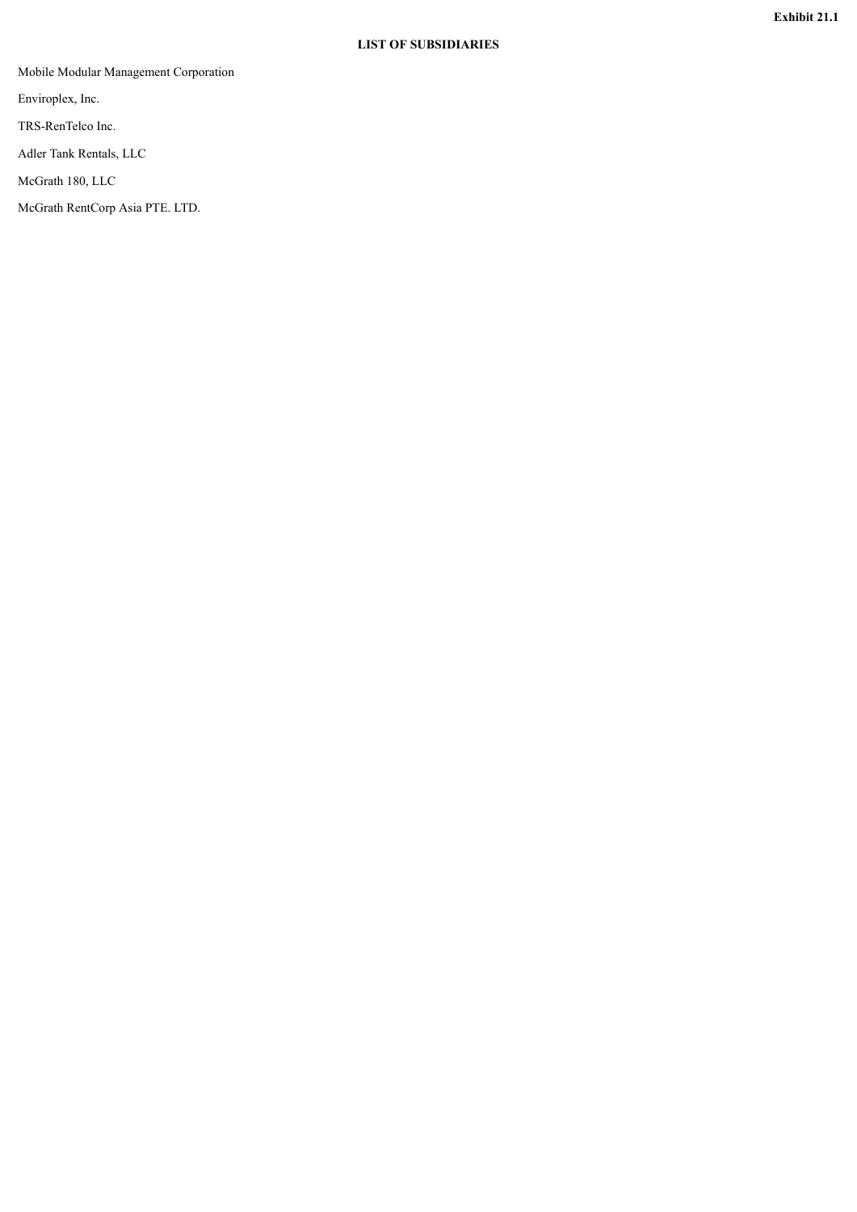Mobile Modular Management Corporation

Enviroplex, Inc.

TRS-RenTelco Inc.

Adler Tank Rentals, LLC

McGrath 180, LLC

McGrath RentCorp Asia PTE. LTD.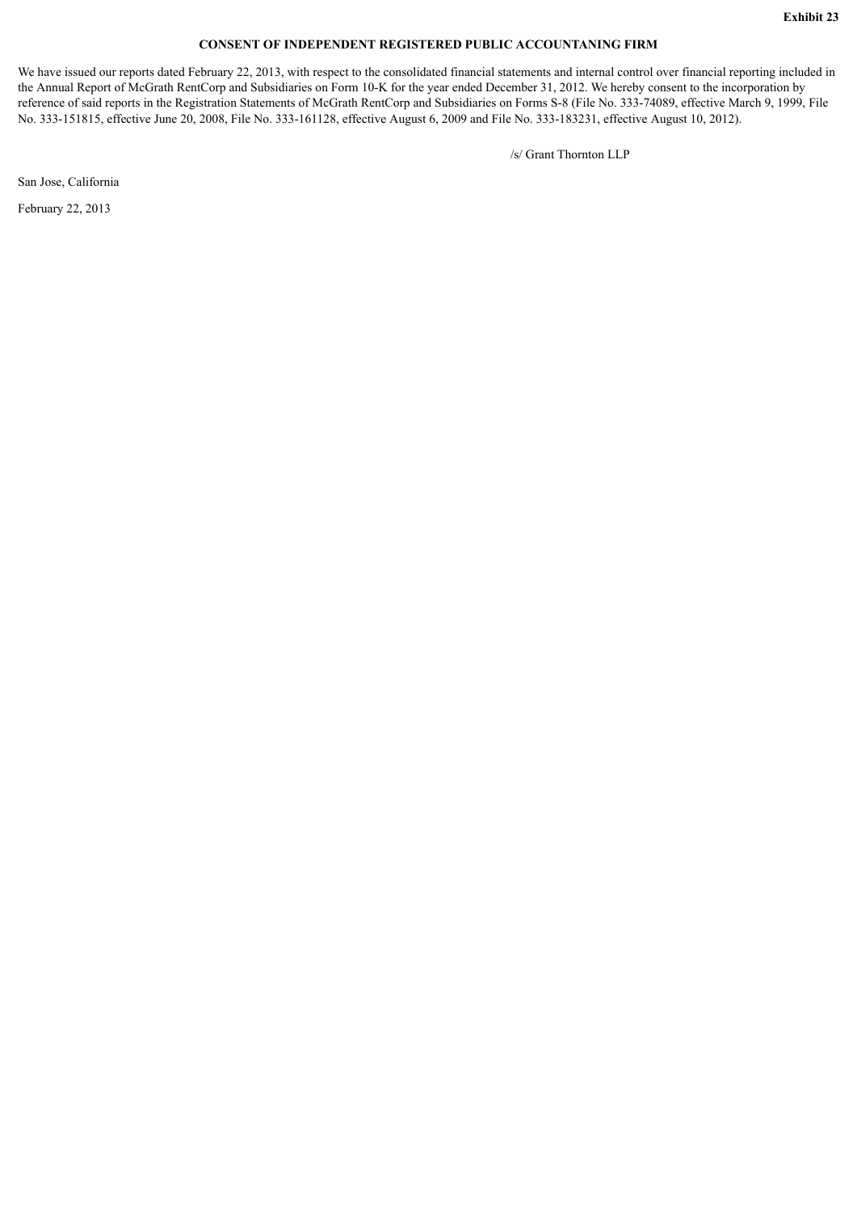# **CONSENT OF INDEPENDENT REGISTERED PUBLIC ACCOUNTANING FIRM**

We have issued our reports dated February 22, 2013, with respect to the consolidated financial statements and internal control over financial reporting included in the Annual Report of McGrath RentCorp and Subsidiaries on Form 10-K for the year ended December 31, 2012. We hereby consent to the incorporation by reference of said reports in the Registration Statements of McGrath RentCorp and Subsidiaries on Forms S-8 (File No. 333-74089, effective March 9, 1999, File No. 333-151815, effective June 20, 2008, File No. 333-161128, effective August 6, 2009 and File No. 333-183231, effective August 10, 2012).

/s/ Grant Thornton LLP

San Jose, California

February 22, 2013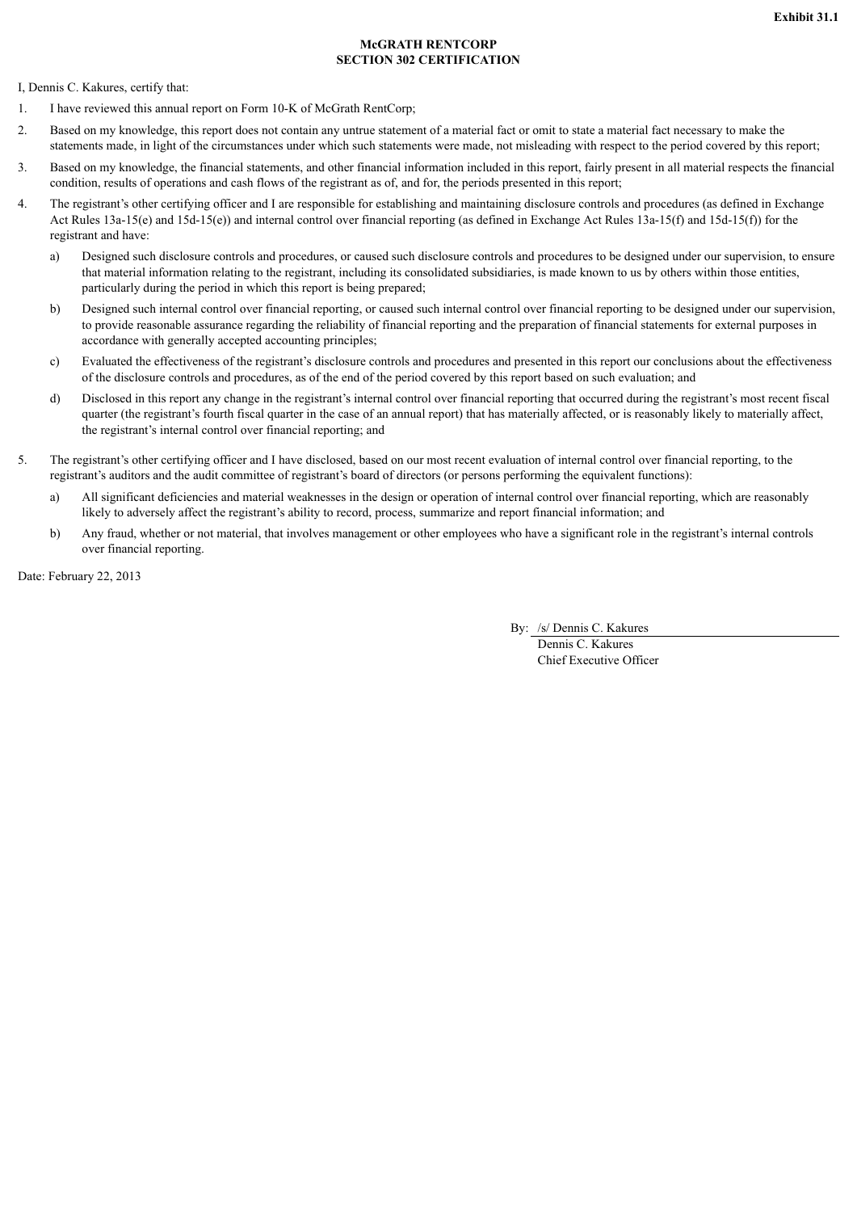# **McGRATH RENTCORP SECTION 302 CERTIFICATION**

I, Dennis C. Kakures, certify that:

- 1. I have reviewed this annual report on Form 10-K of McGrath RentCorp;
- 2. Based on my knowledge, this report does not contain any untrue statement of a material fact or omit to state a material fact necessary to make the statements made, in light of the circumstances under which such statements were made, not misleading with respect to the period covered by this report;
- 3. Based on my knowledge, the financial statements, and other financial information included in this report, fairly present in all material respects the financial condition, results of operations and cash flows of the registrant as of, and for, the periods presented in this report;
- 4. The registrant's other certifying officer and I are responsible for establishing and maintaining disclosure controls and procedures (as defined in Exchange Act Rules 13a-15(e) and 15d-15(e)) and internal control over financial reporting (as defined in Exchange Act Rules 13a-15(f) and 15d-15(f)) for the registrant and have:
	- a) Designed such disclosure controls and procedures, or caused such disclosure controls and procedures to be designed under our supervision, to ensure that material information relating to the registrant, including its consolidated subsidiaries, is made known to us by others within those entities, particularly during the period in which this report is being prepared;
	- b) Designed such internal control over financial reporting, or caused such internal control over financial reporting to be designed under our supervision, to provide reasonable assurance regarding the reliability of financial reporting and the preparation of financial statements for external purposes in accordance with generally accepted accounting principles;
	- c) Evaluated the effectiveness of the registrant's disclosure controls and procedures and presented in this report our conclusions about the effectiveness of the disclosure controls and procedures, as of the end of the period covered by this report based on such evaluation; and
	- d) Disclosed in this report any change in the registrant's internal control over financial reporting that occurred during the registrant's most recent fiscal quarter (the registrant's fourth fiscal quarter in the case of an annual report) that has materially affected, or is reasonably likely to materially affect, the registrant's internal control over financial reporting; and
- 5. The registrant's other certifying officer and I have disclosed, based on our most recent evaluation of internal control over financial reporting, to the registrant's auditors and the audit committee of registrant's board of directors (or persons performing the equivalent functions):
	- a) All significant deficiencies and material weaknesses in the design or operation of internal control over financial reporting, which are reasonably likely to adversely affect the registrant's ability to record, process, summarize and report financial information; and
	- b) Any fraud, whether or not material, that involves management or other employees who have a significant role in the registrant's internal controls over financial reporting.

Date: February 22, 2013

By: /s/ Dennis C. Kakures

Dennis C. Kakures Chief Executive Officer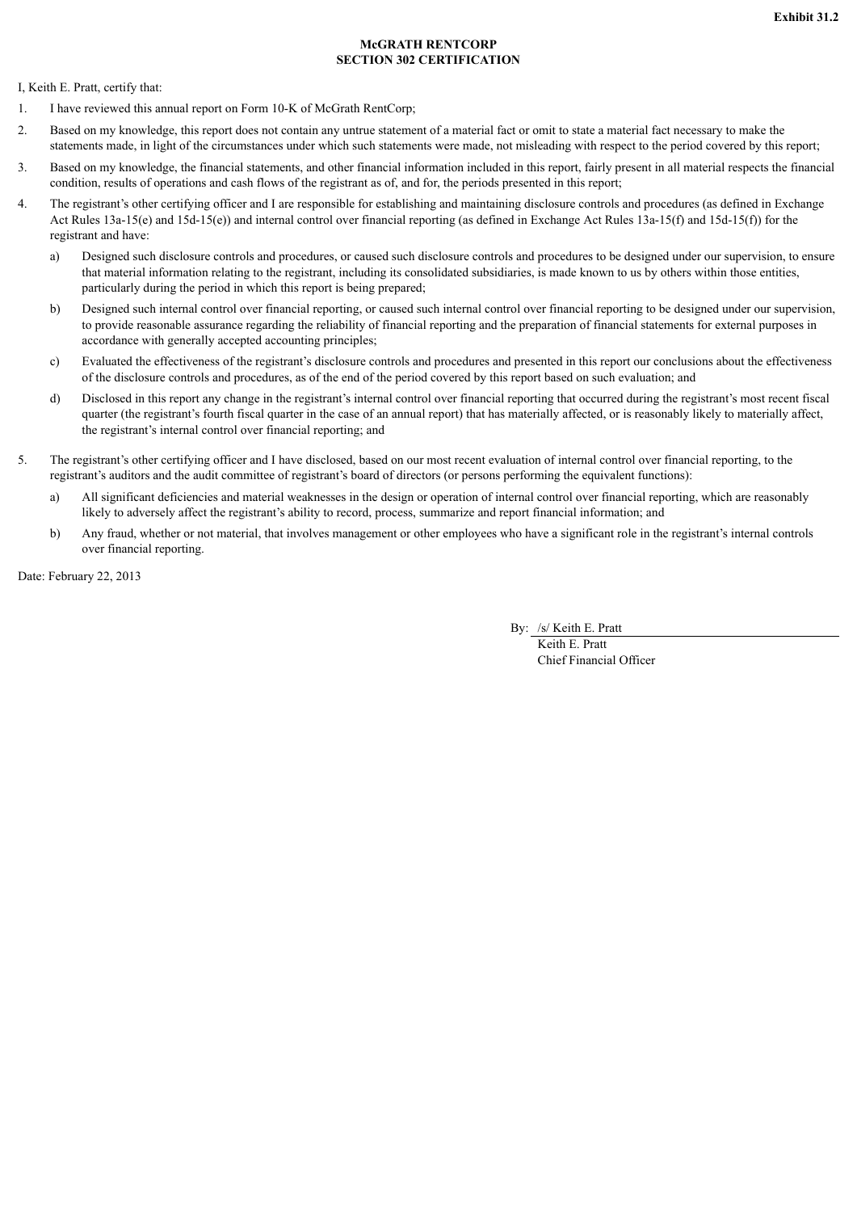# **McGRATH RENTCORP SECTION 302 CERTIFICATION**

I, Keith E. Pratt, certify that:

- 1. I have reviewed this annual report on Form 10-K of McGrath RentCorp;
- 2. Based on my knowledge, this report does not contain any untrue statement of a material fact or omit to state a material fact necessary to make the statements made, in light of the circumstances under which such statements were made, not misleading with respect to the period covered by this report;
- 3. Based on my knowledge, the financial statements, and other financial information included in this report, fairly present in all material respects the financial condition, results of operations and cash flows of the registrant as of, and for, the periods presented in this report;
- 4. The registrant's other certifying officer and I are responsible for establishing and maintaining disclosure controls and procedures (as defined in Exchange Act Rules 13a-15(e) and 15d-15(e)) and internal control over financial reporting (as defined in Exchange Act Rules 13a-15(f) and 15d-15(f)) for the registrant and have:
	- a) Designed such disclosure controls and procedures, or caused such disclosure controls and procedures to be designed under our supervision, to ensure that material information relating to the registrant, including its consolidated subsidiaries, is made known to us by others within those entities, particularly during the period in which this report is being prepared;
	- b) Designed such internal control over financial reporting, or caused such internal control over financial reporting to be designed under our supervision, to provide reasonable assurance regarding the reliability of financial reporting and the preparation of financial statements for external purposes in accordance with generally accepted accounting principles;
	- c) Evaluated the effectiveness of the registrant's disclosure controls and procedures and presented in this report our conclusions about the effectiveness of the disclosure controls and procedures, as of the end of the period covered by this report based on such evaluation; and
	- d) Disclosed in this report any change in the registrant's internal control over financial reporting that occurred during the registrant's most recent fiscal quarter (the registrant's fourth fiscal quarter in the case of an annual report) that has materially affected, or is reasonably likely to materially affect, the registrant's internal control over financial reporting; and
- 5. The registrant's other certifying officer and I have disclosed, based on our most recent evaluation of internal control over financial reporting, to the registrant's auditors and the audit committee of registrant's board of directors (or persons performing the equivalent functions):
	- a) All significant deficiencies and material weaknesses in the design or operation of internal control over financial reporting, which are reasonably likely to adversely affect the registrant's ability to record, process, summarize and report financial information; and
	- b) Any fraud, whether or not material, that involves management or other employees who have a significant role in the registrant's internal controls over financial reporting.

Date: February 22, 2013

By: /s/ Keith E. Pratt Keith E. Pratt Chief Financial Officer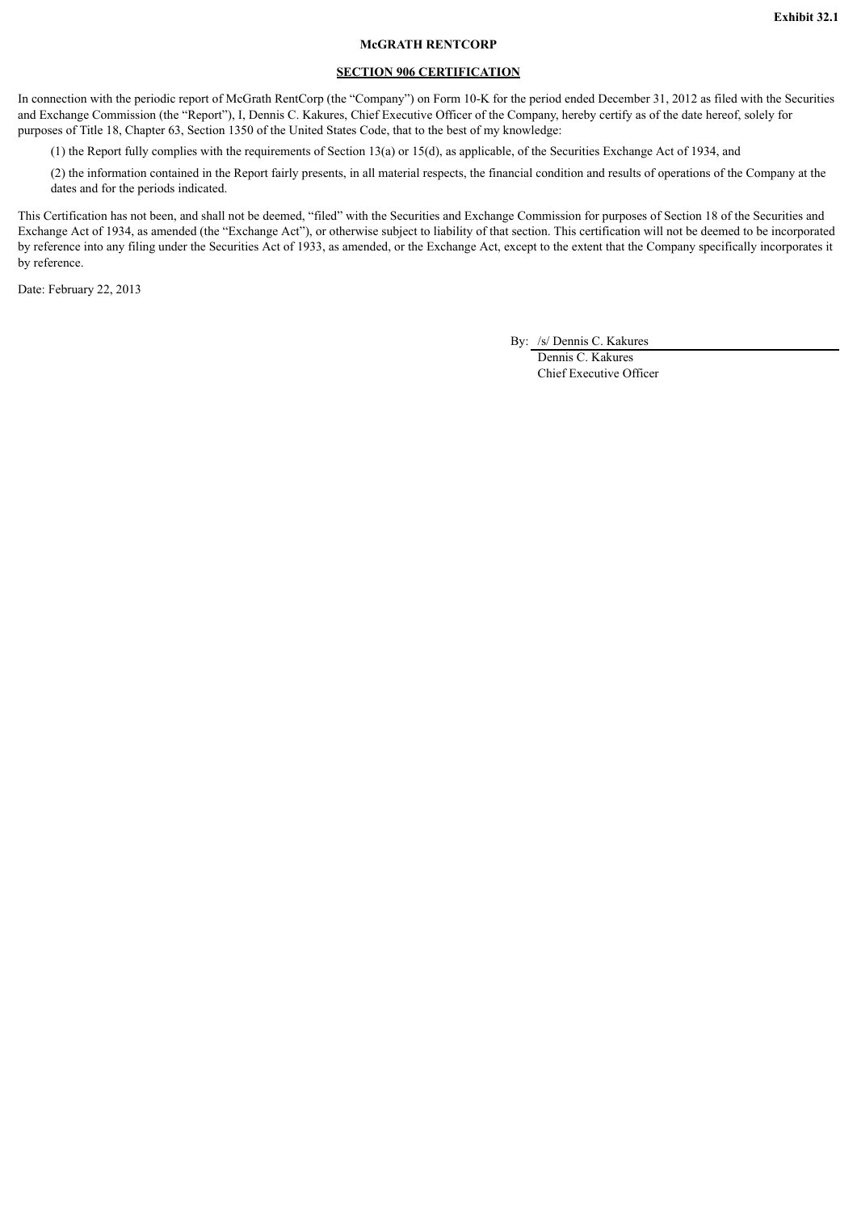### **SECTION 906 CERTIFICATION**

In connection with the periodic report of McGrath RentCorp (the "Company") on Form 10-K for the period ended December 31, 2012 as filed with the Securities and Exchange Commission (the "Report"), I, Dennis C. Kakures, Chief Executive Officer of the Company, hereby certify as of the date hereof, solely for purposes of Title 18, Chapter 63, Section 1350 of the United States Code, that to the best of my knowledge:

(1) the Report fully complies with the requirements of Section 13(a) or 15(d), as applicable, of the Securities Exchange Act of 1934, and

(2) the information contained in the Report fairly presents, in all material respects, the financial condition and results of operations of the Company at the dates and for the periods indicated.

This Certification has not been, and shall not be deemed, "filed" with the Securities and Exchange Commission for purposes of Section 18 of the Securities and Exchange Act of 1934, as amended (the "Exchange Act"), or otherwise subject to liability of that section. This certification will not be deemed to be incorporated by reference into any filing under the Securities Act of 1933, as amended, or the Exchange Act, except to the extent that the Company specifically incorporates it by reference.

Date: February 22, 2013

By: /s/ Dennis C. Kakures

Dennis C. Kakures Chief Executive Officer